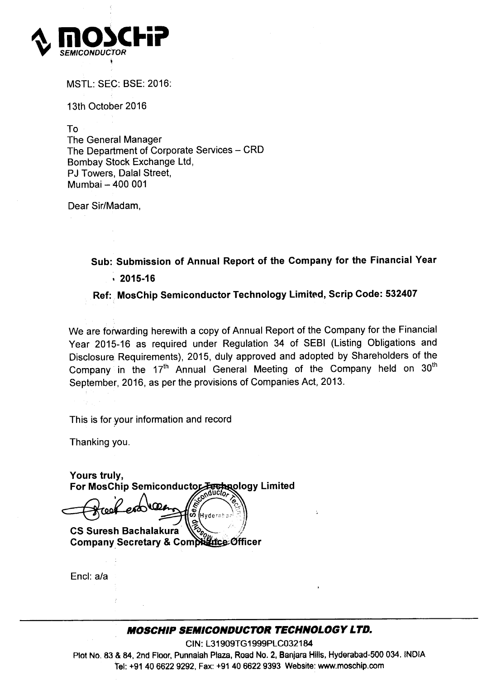

**MSTL: SEC: BSE: 2016:** 

13th October 2016

To The General Manager The Department of Corporate Services - CRD Bombay Stock Exchange Ltd, PJ Towers, Dalal Street, Mumbai -400 001

Dear Sir/Madam,

Sub: Submission of Annual Report of the Company for the Financial Year

, 2015-16

Ref: MosChip Semiconductor Technology Limited, Scrip Code: 532407

We are forwarding herewith a copy of Annual Report of the Company for the Financial Year 2015-16 as required under Regulation 34 of SEBI (Listing Obligations and Disclosure Requirements), 2015, duly approved and adopted by Shareholders of the Disclosure Requirements), 2015, duly approved and adopted by Shareholders of the<br>Company in the 17<sup>th</sup> Annual General Meeting of the Company held on 30<sup>tl</sup> September, 2016, as per the provisions of Companies Act, 2013.

This is for your information and record

Thanking you.

Yours truly, For MosChip Semiconductor Technology Limited conductor

⊀vdera

**CS Suresh Bachalakura** Company Secretary & Completing Officer

Encl: a/a

# *MOSCHIP SEMICONDUCTOR TECHNOLOGY LTD.*

CIN: L31909TG1999PLC032184

Plot No. 83 & 84, 2nd Floor, Punnaiah Plaza, Road No.2, Banjara Hills. Hyderabad-500 034. INDIA Tel: +91 40 6622 9292. Fax: +91 40 6622 9393 Website: [www.moschip.com](http://www.moschip.com)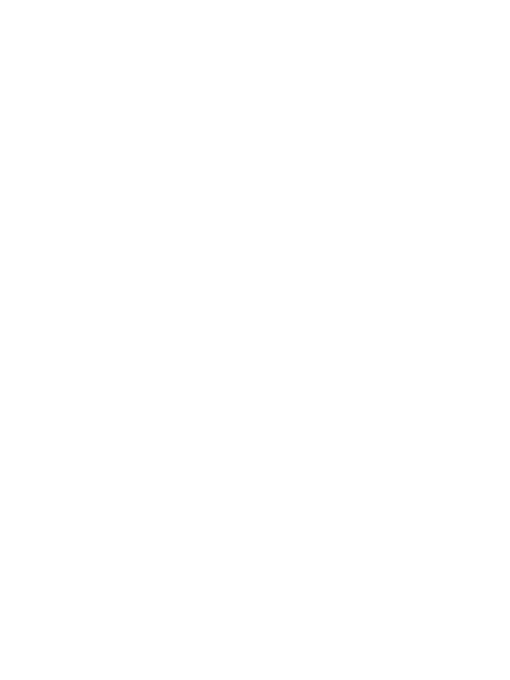$(-)$ JWT=T]TaP[ CP]PVTa JWT:T Pac\T|c ^U9^a ^aPcTITaeXRTb 9H: 8^\QPh Ic^RZ ;gRWP]VT BcS' F@J^fTab' :P[P[ lcaTTc'  $Cd\QPX$  (/++ ++,

> IdQ5 IdQ\XbbX^] ^U7]]dP[ HT\_^ac^UcWT9^\\_P]h U^acWT<X]P]RXP[l  $' -+.0(.1)$

HTU5C^b9WX IT\XR^]SdRc^a JTRW]^[Vh BX\XcjS' IRaX 9^ST5 0.-/+2

MT PaTU^afPaSX]VWTaTfXc\\R^\_h ^U7]]dP[ HT\_^ac^UcWT9^\\_P]h U^acWT<X]P NTPa-+.0(.1 Pb aT`dXaTSd]STa HTVd[PcX^] / ^U I:8? \$BXbcX]\{@Q[XVPcX^] :XbR[^bdaT HT`dXaT\T]cb%' -+,0' Sd[h P\_a^eTS P]S PS^\_cTS Qh IWPaTW^[STab\ 9<sup> $\land$ </sup> P]h X] cWT,  $\mathsf{X}^{\mathsf{W}}$ ]]dP[ =T]TaP[ CTTcX]V  $\land$ U cWT 9 $\land$  P]h WT[S  $\land$ ] IT  $cT\QTa'$  -+,1' Pb TacWT a^eXbX^]b^U9^\ P]XTb 7Rc'-+,.)

JWXbXbU^a5h^daX1U^a\PcX^1P1S aTR^aS

9?D5B.,4+4J=,444FB9+.-,3/ F[^c D^) 3. " 3/' -]S <[^^a' Fd]]PXPW F[PiP' H^PS D^)-' 8P]YPaP>X[[b)>hSTaPQPS(0+++./) ?D:?' JT[5&4, /+ 11-- 4-4-) <Pg5&4, /+ 11-- 4.4. MTQbXcTfff()\^bRWX\_)R^\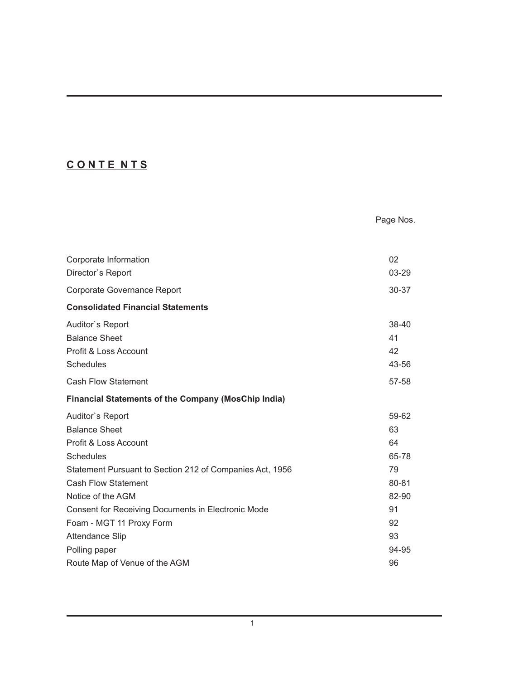# **C O N T E N T S**

|                                                            | Page Nos. |
|------------------------------------------------------------|-----------|
|                                                            |           |
| Corporate Information                                      | 02        |
| Director's Report                                          | 03-29     |
| Corporate Governance Report                                | 30-37     |
| <b>Consolidated Financial Statements</b>                   |           |
| Auditor's Report                                           | 38-40     |
| <b>Balance Sheet</b>                                       | 41        |
| Profit & Loss Account                                      | 42        |
| <b>Schedules</b>                                           | 43-56     |
| <b>Cash Flow Statement</b>                                 | 57-58     |
| <b>Financial Statements of the Company (MosChip India)</b> |           |
| Auditor's Report                                           | 59-62     |
| <b>Balance Sheet</b>                                       | 63        |
| Profit & Loss Account                                      | 64        |
| <b>Schedules</b>                                           | 65-78     |
| Statement Pursuant to Section 212 of Companies Act, 1956   | 79        |
| <b>Cash Flow Statement</b>                                 | 80-81     |
| Notice of the AGM                                          | 82-90     |
| <b>Consent for Receiving Documents in Electronic Mode</b>  | 91        |
| Foam - MGT 11 Proxy Form                                   | 92        |
| Attendance Slip                                            | 93        |
| Polling paper                                              | 94-95     |
| Route Map of Venue of the AGM                              | 96        |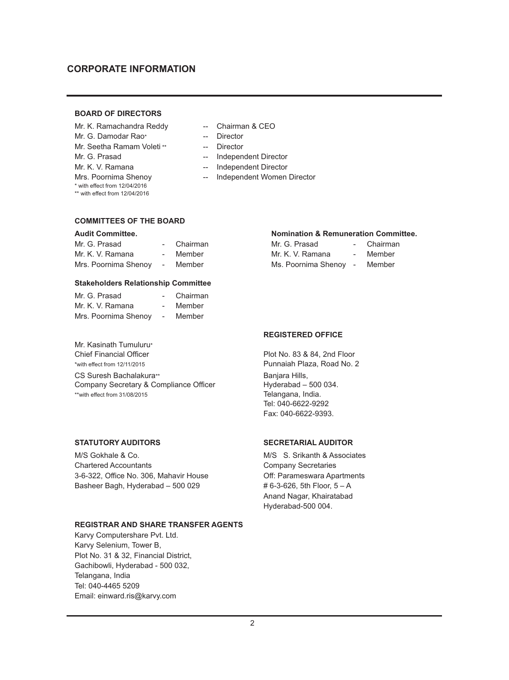### **CORPORATE INFORMATION**

### **BOARD OF DIRECTORS**

- Mr. K. Ramachandra Reddy -- Chairman & CEO<br>Mr. G. Damodar Rao\* -- Director Mr. G. Damodar Rao\*
- Mr. Seetha Ramam Voleti \*\* -- Director
- 
- 
- 

\* with effect from 12/04/2016

\*\* with effect from 12/04/2016

- 
- 
- 
- 
- Mr. G. Prasad **--** Independent Director<br>Mr. K. V. Ramana **--** Independent Director -- Independent Director
- Mrs. Poornima Shenoy **--** Independent Women Director

#### **COMMITTEES OF THE BOARD**

| Mr. G. Prasad          | - Chairman | Mr. G. Prasad         | - Chairman |
|------------------------|------------|-----------------------|------------|
| Mr. K. V. Ramana       | - Member   | Mr. K. V. Ramana      | - Member   |
| Mrs. Poornima Shenoy - | Member     | Ms. Poornima Shenoy - | Member     |

#### **Stakeholders Relationship Committee**

| Mr. G. Prasad        | $\overline{\phantom{a}}$ | Chairman |
|----------------------|--------------------------|----------|
| Mr. K. V. Ramana     | $\sim$                   | Member   |
| Mrs. Poornima Shenoy | $\sim$                   | Member   |

# Mr. Kasinath Tumuluru\*<br>Chief Financial Officer

CS Suresh Bachalakura\*\* Banjara Hills, Company Secretary & Compliance Officer Burger Burger Hyderabad - 500 034. Company Secretary & Compliance Officer \*\*with effect from 31/08/2015 Telangana, India.

#### **STATUTORY AUDITORS SECRETARIAL AUDITOR**

M/S Gokhale & Co. **M/S S. Srikanth & Associates** Chartered Accountants Company Secretaries 3-6-322, Office No. 306, Mahavir House Off: Parameswara Apartments Basheer Bagh, Hyderabad – 500 029  $# 6-3-626$ , 5th Floor,  $5-A$ 

#### **REGISTRAR AND SHARE TRANSFER AGENTS**

Karvy Computershare Pvt. Ltd. Karvy Selenium, Tower B, Plot No. 31 & 32, Financial District, Gachibowli, Hyderabad - 500 032, Telangana, India Tel: 040-4465 5209 Email: einward.ris@karvy.com

### **Audit Committee. Nomination & Remuneration Committee.**

| Mr. G. Prasad       | $\overline{\phantom{a}}$ | Chairman |
|---------------------|--------------------------|----------|
| Mr. K. V. Ramana    | $\overline{\phantom{a}}$ | Member   |
| Ms. Poornima Shenoy | $\sim$                   | Member   |

#### **REGISTERED OFFICE**

Plot No. 83 & 84, 2nd Floor \*with effect from 12/11/2015 Punnaiah Plaza, Road No. 2 Tel: 040-6622-9292

Fax: 040-6622-9393.

Anand Nagar, Khairatabad Hyderabad-500 004.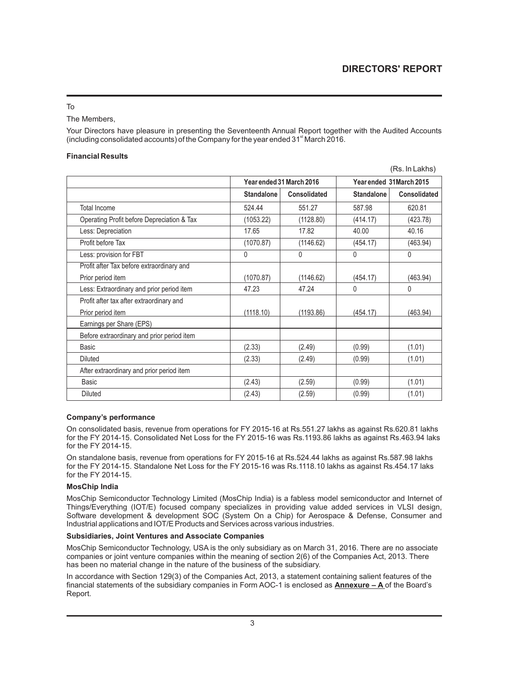#### To

#### The Members,

Your Directors have pleasure in presenting the Seventeenth Annual Report together with the Audited Accounts (including consolidated accounts) of the Company for the year ended  $31<sup>st</sup>$  March 2016.

#### **Financial Results**

|                                            |                   |                          |                   | (Rs. In Lakhs)           |
|--------------------------------------------|-------------------|--------------------------|-------------------|--------------------------|
|                                            |                   | Year ended 31 March 2016 |                   | Year ended 31 March 2015 |
|                                            | <b>Standalone</b> | Consolidated             | <b>Standalone</b> | Consolidated             |
| <b>Total Income</b>                        | 524.44            | 551.27                   | 587.98            | 620.81                   |
| Operating Profit before Depreciation & Tax | (1053.22)         | (1128.80)                | (414.17)          | (423.78)                 |
| Less: Depreciation                         | 17.65             | 17.82                    | 40.00             | 40.16                    |
| Profit before Tax                          | (1070.87)         | (1146.62)                | (454.17)          | (463.94)                 |
| Less: provision for FBT                    | $\Omega$          | 0                        | $\Omega$          | 0                        |
| Profit after Tax before extraordinary and  |                   |                          |                   |                          |
| Prior period item                          | (1070.87)         | (1146.62)                | (454.17)          | (463.94)                 |
| Less: Extraordinary and prior period item  | 47.23             | 47.24                    | $\Omega$          | 0                        |
| Profit after tax after extraordinary and   |                   |                          |                   |                          |
| Prior period item                          | (1118.10)         | (1193.86)                | (454.17)          | (463.94)                 |
| Earnings per Share (EPS)                   |                   |                          |                   |                          |
| Before extraordinary and prior period item |                   |                          |                   |                          |
| Basic                                      | (2.33)            | (2.49)                   | (0.99)            | (1.01)                   |
| Diluted                                    | (2.33)            | (2.49)                   | (0.99)            | (1.01)                   |
| After extraordinary and prior period item  |                   |                          |                   |                          |
| <b>Basic</b>                               | (2.43)            | (2.59)                   | (0.99)            | (1.01)                   |
| <b>Diluted</b>                             | (2.43)            | (2.59)                   | (0.99)            | (1.01)                   |
|                                            |                   |                          |                   |                          |

#### **Company's performance**

On consolidated basis, revenue from operations for FY 2015-16 at Rs.551.27 lakhs as against Rs.620.81 lakhs for the FY 2014-15. Consolidated Net Loss for the FY 2015-16 was Rs.1193.86 lakhs as against Rs.463.94 laks for the FY 2014-15.

On standalone basis, revenue from operations for FY 2015-16 at Rs.524.44 lakhs as against Rs.587.98 lakhs for the FY 2014-15. Standalone Net Loss for the FY 2015-16 was Rs.1118.10 lakhs as against Rs.454.17 laks for the FY 2014-15.

#### **MosChip India**

MosChip Semiconductor Technology Limited (MosChip India) is a fabless model semiconductor and Internet of Things/Everything (IOT/E) focused company specializes in providing value added services in VLSI design, Software development & development SOC (System On a Chip) for Aerospace & Defense, Consumer and Industrial applications and IOT/E Products and Services across various industries.

#### **Subsidiaries, Joint Ventures and Associate Companies**

MosChip Semiconductor Technology, USA is the only subsidiary as on March 31, 2016. There are no associate companies or joint venture companies within the meaning of section 2(6) of the Companies Act, 2013. There has been no material change in the nature of the business of the subsidiary.

In accordance with Section 129(3) of the Companies Act, 2013, a statement containing salient features of the financial statements of the subsidiary companies in Form AOC-1 is enclosed as **Annexure – A** of the Board's Report.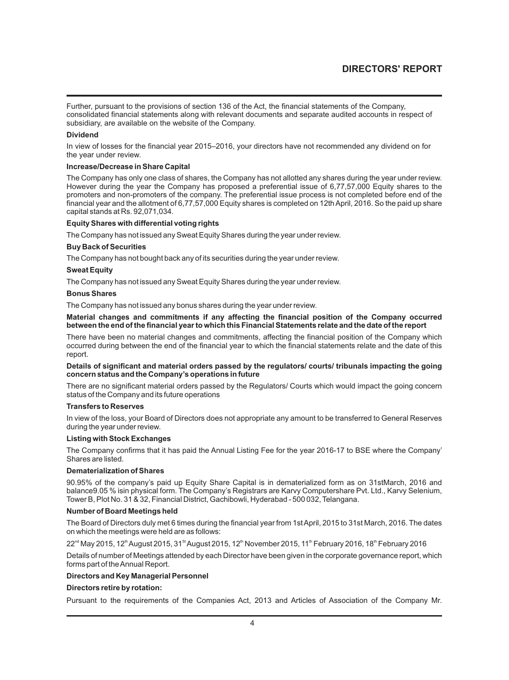Further, pursuant to the provisions of section 136 of the Act, the financial statements of the Company, consolidated financial statements along with relevant documents and separate audited accounts in respect of subsidiary, are available on the website of the Company.

#### **Dividend**

In view of losses for the financial year 2015–2016, your directors have not recommended any dividend on for the year under review.

#### **Increase/Decrease in Share Capital**

The Company has only one class of shares, the Company has not allotted any shares during the year under review. However during the year the Company has proposed a preferential issue of 6,77,57,000 Equity shares to the promoters and non-promoters of the company. The preferential issue process is not completed before end of the financial year and the allotment of 6,77,57,000 Equity shares is completed on 12th April, 2016. So the paid up share capital stands at Rs. 92,071,034.

#### **Equity Shares with differential voting rights**

The Company has not issued any Sweat Equity Shares during the year under review.

#### **Buy Back of Securities**

The Company has not bought back any of its securities during the year under review.

#### **Sweat Equity**

The Company has not issued any Sweat Equity Shares during the year under review.

#### **Bonus Shares**

The Company has not issued any bonus shares during the year under review.

#### **Material changes and commitments if any affecting the financial position of the Company occurred between the end of the financial year to which this Financial Statements relate and the date of the report**

There have been no material changes and commitments, affecting the financial position of the Company which occurred during between the end of the financial year to which the financial statements relate and the date of this report.

#### **Details of significant and material orders passed by the regulators/ courts/ tribunals impacting the going concern status and the Company's operations in future**

There are no significant material orders passed by the Regulators/ Courts which would impact the going concern status of the Company and its future operations

#### **Transfers to Reserves**

In view of the loss, your Board of Directors does not appropriate any amount to be transferred to General Reserves during the year under review.

#### **Listing with Stock Exchanges**

The Company confirms that it has paid the Annual Listing Fee for the year 2016-17 to BSE where the Company' Shares are listed.

#### **Dematerialization of Shares**

90.95% of the company's paid up Equity Share Capital is in dematerialized form as on 31stMarch, 2016 and balance9.05 % isin physical form. The Company's Registrars are Karvy Computershare Pvt. Ltd., Karvy Selenium, Tower B, Plot No. 31 & 32, Financial District, Gachibowli, Hyderabad - 500 032, Telangana.

#### **Number of Board Meetings held**

The Board of Directors duly met 6 times during the financial year from 1st April, 2015 to 31st March, 2016. The dates on which the meetings were held are as follows:

 $22^{\text{nd}}$  May 2015, 12<sup>th</sup> August 2015, 31<sup>st</sup> August 2015, 12<sup>th</sup> November 2015, 11<sup>th</sup> February 2016, 18<sup>th</sup> February 2016

Details of number of Meetings attended by each Director have been given in the corporate governance report, which forms part of the Annual Report.

#### **Directors and Key Managerial Personnel**

#### **Directors retire by rotation:**

Pursuant to the requirements of the Companies Act, 2013 and Articles of Association of the Company Mr.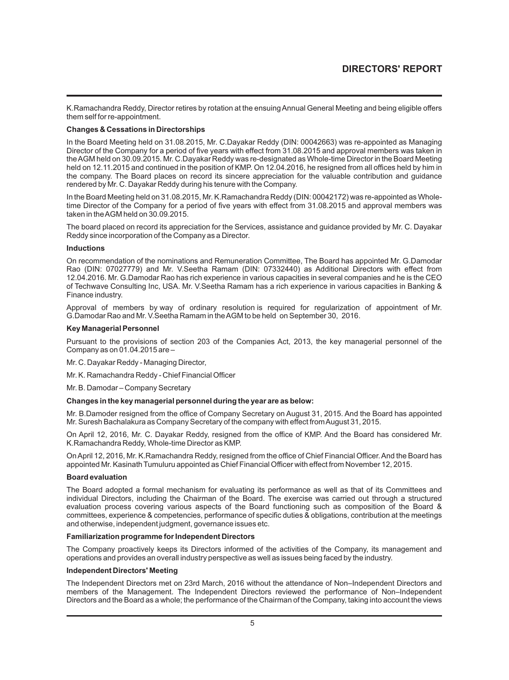K.Ramachandra Reddy, Director retires by rotation at the ensuing Annual General Meeting and being eligible offers them self for re-appointment.

#### **Changes & Cessations in Directorships**

In the Board Meeting held on 31.08.2015, Mr. C.Dayakar Reddy (DIN: 00042663) was re-appointed as Managing Director of the Company for a period of five years with effect from 31.08.2015 and approval members was taken in the AGM held on 30.09.2015. Mr. C.Dayakar Reddy was re-designated as Whole-time Director in the Board Meeting held on 12.11.2015 and continued in the position of KMP. On 12.04.2016, he resigned from all offices held by him in the company. The Board places on record its sincere appreciation for the valuable contribution and guidance rendered by Mr. C. Dayakar Reddy during his tenure with the Company.

In the Board Meeting held on 31.08.2015, Mr. K.Ramachandra Reddy (DIN: 00042172) was re-appointed as Wholetime Director of the Company for a period of five years with effect from 31.08.2015 and approval members was taken in the AGM held on 30.09.2015.

The board placed on record its appreciation for the Services, assistance and guidance provided by Mr. C. Dayakar Reddy since incorporation of the Company as a Director.

#### **Inductions**

On recommendation of the nominations and Remuneration Committee, The Board has appointed Mr. G.Damodar Rao (DIN: 07027779) and Mr. V.Seetha Ramam (DIN: 07332440) as Additional Directors with effect from 12.04.2016. Mr. G.Damodar Rao has rich experience in various capacities in several companies and he is the CEO of Techwave Consulting Inc, USA. Mr. V.Seetha Ramam has a rich experience in various capacities in Banking & Finance industry.

Approval of members by way of ordinary resolution is required for regularization of appointment of Mr. G.Damodar Rao and Mr. V.Seetha Ramam in the AGM to be held on September 30, 2016.

#### **Key Managerial Personnel**

Pursuant to the provisions of section 203 of the Companies Act, 2013, the key managerial personnel of the Company as on  $01.04.2015$  are  $-$ 

Mr. C. Dayakar Reddy - Managing Director,

Mr. K. Ramachandra Reddy - Chief Financial Officer

Mr. B. Damodar – Company Secretary

#### **Changes in the key managerial personnel during the year are as below:**

Mr. B.Damoder resigned from the office of Company Secretary on August 31, 2015. And the Board has appointed Mr. Suresh Bachalakura as Company Secretary of the company with effect from August 31, 2015.

On April 12, 2016, Mr. C. Dayakar Reddy, resigned from the office of KMP. And the Board has considered Mr. K.Ramachandra Reddy, Whole-time Director as KMP.

On April 12, 2016, Mr. K.Ramachandra Reddy, resigned from the office of Chief Financial Officer. And the Board has appointed Mr. Kasinath Tumuluru appointed as Chief Financial Officer with effect from November 12, 2015.

#### **Board evaluation**

The Board adopted a formal mechanism for evaluating its performance as well as that of its Committees and individual Directors, including the Chairman of the Board. The exercise was carried out through a structured evaluation process covering various aspects of the Board functioning such as composition of the Board & committees, experience & competencies, performance of specific duties & obligations, contribution at the meetings and otherwise, independent judgment, governance issues etc.

#### **Familiarization programme for Independent Directors**

The Company proactively keeps its Directors informed of the activities of the Company, its management and operations and provides an overall industry perspective as well as issues being faced by the industry.

#### **Independent Directors' Meeting**

The Independent Directors met on 23rd March, 2016 without the attendance of Non–Independent Directors and members of the Management. The Independent Directors reviewed the performance of Non–Independent Directors and the Board as a whole; the performance of the Chairman of the Company, taking into account the views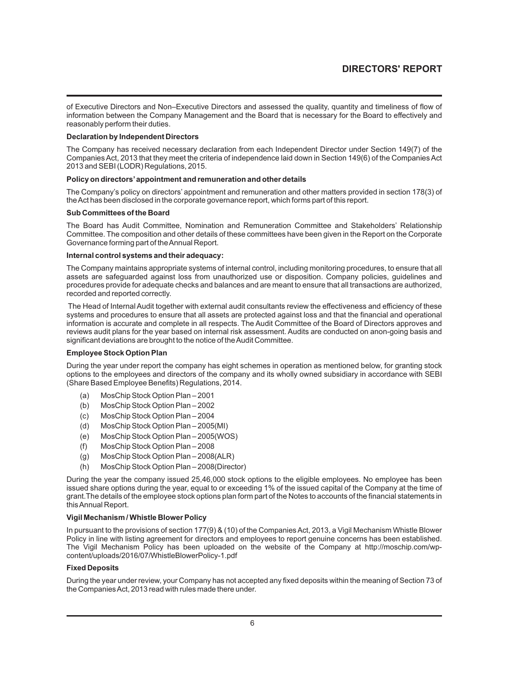of Executive Directors and Non–Executive Directors and assessed the quality, quantity and timeliness of flow of information between the Company Management and the Board that is necessary for the Board to effectively and reasonably perform their duties.

#### **Declaration by Independent Directors**

The Company has received necessary declaration from each Independent Director under Section 149(7) of the Companies Act, 2013 that they meet the criteria of independence laid down in Section 149(6) of the Companies Act 2013 and SEBI (LODR) Regulations, 2015.

#### **Policy on directors'appointment and remuneration and other details**

The Company's policy on directors' appointment and remuneration and other matters provided in section 178(3) of the Act has been disclosed in the corporate governance report, which forms part of this report.

#### **Sub Committees of the Board**

The Board has Audit Committee, Nomination and Remuneration Committee and Stakeholders' Relationship Committee. The composition and other details of these committees have been given in the Report on the Corporate Governance forming part of the Annual Report.

#### **Internal control systems and their adequacy:**

The Company maintains appropriate systems of internal control, including monitoring procedures, to ensure that all assets are safeguarded against loss from unauthorized use or disposition. Company policies, guidelines and procedures provide for adequate checks and balances and are meant to ensure that all transactions are authorized, recorded and reported correctly.

The Head of Internal Audit together with external audit consultants review the effectiveness and efficiency of these systems and procedures to ensure that all assets are protected against loss and that the financial and operational information is accurate and complete in all respects. The Audit Committee of the Board of Directors approves and reviews audit plans for the year based on internal risk assessment. Audits are conducted on anon-going basis and significant deviations are brought to the notice of the Audit Committee.

#### **Employee Stock Option Plan**

During the year under report the company has eight schemes in operation as mentioned below, for granting stock options to the employees and directors of the company and its wholly owned subsidiary in accordance with SEBI (Share Based Employee Benefits) Regulations, 2014.

- (a) MosChip Stock Option Plan 2001
- (b) MosChip Stock Option Plan 2002
- (c) MosChip Stock Option Plan 2004
- (d) MosChip Stock Option Plan 2005(MI)
- (e) MosChip Stock Option Plan 2005(WOS)
- (f) MosChip Stock Option Plan 2008
- (g) MosChip Stock Option Plan 2008(ALR)
- (h) MosChip Stock Option Plan 2008(Director)

During the year the company issued 25,46,000 stock options to the eligible employees. No employee has been issued share options during the year, equal to or exceeding 1% of the issued capital of the Company at the time of grant.The details of the employee stock options plan form part of the Notes to accounts of the financial statements in this Annual Report.

#### **Vigil Mechanism / Whistle Blower Policy**

In pursuant to the provisions of section 177(9) & (10) of the Companies Act, 2013, a Vigil Mechanism Whistle Blower Policy in line with listing agreement for directors and employees to report genuine concerns has been established. The Vigil Mechanism Policy has been uploaded on the website of the Company at http://moschip.com/wpcontent/uploads/2016/07/WhistleBlowerPolicy-1.pdf

#### **Fixed Deposits**

During the year under review, your Company has not accepted any fixed deposits within the meaning of Section 73 of the Companies Act, 2013 read with rules made there under.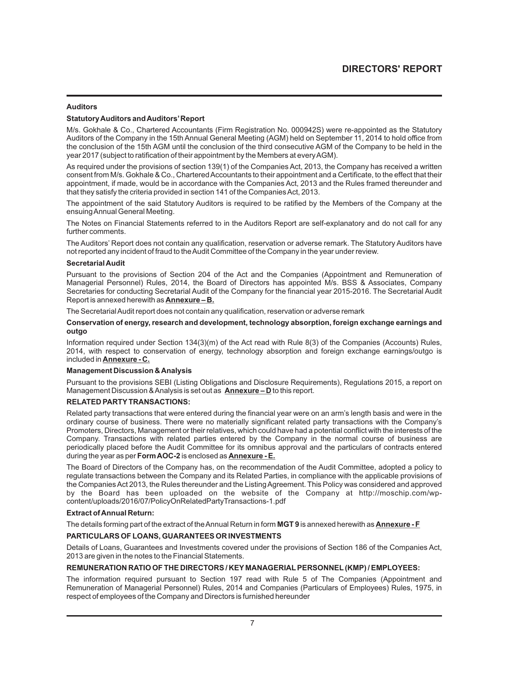#### **Auditors**

#### **Statutory Auditors and Auditors'Report**

M/s. Gokhale & Co., Chartered Accountants (Firm Registration No. 000942S) were re-appointed as the Statutory Auditors of the Company in the 15th Annual General Meeting (AGM) held on September 11, 2014 to hold office from the conclusion of the 15th AGM until the conclusion of the third consecutive AGM of the Company to be held in the year 2017 (subject to ratification of their appointment by the Members at every AGM).

As required under the provisions of section 139(1) of the Companies Act, 2013, the Company has received a written consent from M/s. Gokhale & Co., Chartered Accountants to their appointment and a Certificate, to the effect that their appointment, if made, would be in accordance with the Companies Act, 2013 and the Rules framed thereunder and that they satisfy the criteria provided in section 141 of the Companies Act, 2013.

The appointment of the said Statutory Auditors is required to be ratified by the Members of the Company at the ensuing Annual General Meeting.

The Notes on Financial Statements referred to in the Auditors Report are self-explanatory and do not call for any further comments.

The Auditors' Report does not contain any qualification, reservation or adverse remark. The Statutory Auditors have not reported any incident of fraud to the Audit Committee of the Company in the year under review.

#### **Secretarial Audit**

Pursuant to the provisions of Section 204 of the Act and the Companies (Appointment and Remuneration of Managerial Personnel) Rules, 2014, the Board of Directors has appointed M/s. BSS & Associates, Company Secretaries for conducting Secretarial Audit of the Company for the financial year 2015-2016. The Secretarial Audit Report is annexed herewith as **Annexure – B.**

The Secretarial Audit report does not contain any qualification, reservation or adverse remark

#### **Conservation of energy, research and development, technology absorption, foreign exchange earnings and outgo**

Information required under Section 134(3)(m) of the Act read with Rule 8(3) of the Companies (Accounts) Rules, 2014, with respect to conservation of energy, technology absorption and foreign exchange earnings/outgo is included in **Annexure - C.**

#### **Management Discussion & Analysis**

Pursuant to the provisions SEBI (Listing Obligations and Disclosure Requirements), Regulations 2015, a report on Management Discussion & Analysis is set out as **Annexure – D** to this report.

#### **RELATED PARTYTRANSACTIONS:**

Related party transactions that were entered during the financial year were on an arm's length basis and were in the ordinary course of business. There were no materially significant related party transactions with the Company's Promoters, Directors, Management or their relatives, which could have had a potential conflict with the interests of the Company. Transactions with related parties entered by the Company in the normal course of business are periodically placed before the Audit Committee for its omnibus approval and the particulars of contracts entered during the year as per **Form AOC-2** is enclosed as **Annexure - E.**

The Board of Directors of the Company has, on the recommendation of the Audit Committee, adopted a policy to regulate transactions between the Company and its Related Parties, in compliance with the applicable provisions of the Companies Act 2013, the Rules thereunder and the Listing Agreement. This Policy was considered and approved by the Board has been uploaded on the website of the Company at http://moschip.com/wpcontent/uploads/2016/07/PolicyOnRelatedPartyTransactions-1.pdf

#### **Extract of Annual Return:**

The details forming part of the extract of the Annual Return in form **MGT 9** is annexed herewith as **Annexure - F**

#### **PARTICULARS OF LOANS, GUARANTEES OR INVESTMENTS**

Details of Loans, Guarantees and Investments covered under the provisions of Section 186 of the Companies Act, 2013 are given in the notes to the Financial Statements.

#### **REMUNERATION RATIO OF THE DIRECTORS / KEY MANAGERIALPERSONNEL(KMP) / EMPLOYEES:**

The information required pursuant to Section 197 read with Rule 5 of The Companies (Appointment and Remuneration of Managerial Personnel) Rules, 2014 and Companies (Particulars of Employees) Rules, 1975, in respect of employees of the Company and Directors is furnished hereunder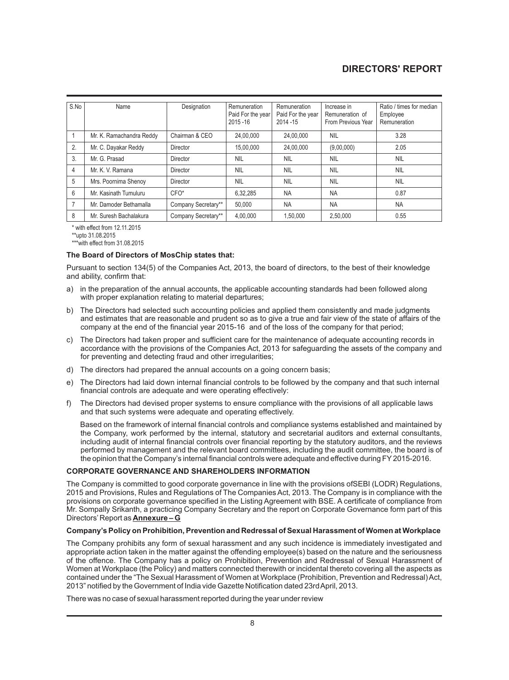| S.No | Name                     | Designation         | Remuneration<br>Paid For the year<br>$2015 - 16$ | Remuneration<br>Paid For the year<br>$2014 - 15$ | Increase in<br>Remuneration of<br>From Previous Year | Ratio / times for median<br>Employee<br>Remuneration |
|------|--------------------------|---------------------|--------------------------------------------------|--------------------------------------------------|------------------------------------------------------|------------------------------------------------------|
|      | Mr. K. Ramachandra Reddy | Chairman & CEO      | 24.00.000                                        | 24.00.000                                        | <b>NIL</b>                                           | 3.28                                                 |
| 2.   | Mr. C. Dayakar Reddy     | <b>Director</b>     | 15.00.000                                        | 24.00.000                                        | (9,00,000)                                           | 2.05                                                 |
| 3.   | Mr. G. Prasad            | <b>Director</b>     | NIL                                              | <b>NIL</b>                                       | <b>NIL</b>                                           | <b>NIL</b>                                           |
| 4    | Mr. K. V. Ramana         | <b>Director</b>     | <b>NIL</b>                                       | <b>NIL</b>                                       | <b>NIL</b>                                           | <b>NIL</b>                                           |
| 5    | Mrs. Poornima Shenoy     | Director            | NIL                                              | <b>NIL</b>                                       | <b>NIL</b>                                           | <b>NIL</b>                                           |
| 6    | Mr. Kasinath Tumuluru    | $CFO*$              | 6.32.285                                         | <b>NA</b>                                        | <b>NA</b>                                            | 0.87                                                 |
|      | Mr. Damoder Bethamalla   | Company Secretary** | 50.000                                           | <b>NA</b>                                        | <b>NA</b>                                            | <b>NA</b>                                            |
| 8    | Mr. Suresh Bachalakura   | Company Secretary** | 4.00.000                                         | 1.50.000                                         | 2.50.000                                             | 0.55                                                 |

\* with effect from 12.11.2015

\*\*upto 31.08.2015

\*\*\*with effect from 31.08.2015

#### **The Board of Directors of MosChip states that:**

Pursuant to section 134(5) of the Companies Act, 2013, the board of directors, to the best of their knowledge and ability, confirm that:

- a) in the preparation of the annual accounts, the applicable accounting standards had been followed along with proper explanation relating to material departures;
- b) The Directors had selected such accounting policies and applied them consistently and made judgments and estimates that are reasonable and prudent so as to give a true and fair view of the state of affairs of the company at the end of the financial year 2015-16 and of the loss of the company for that period;
- c) The Directors had taken proper and sufficient care for the maintenance of adequate accounting records in accordance with the provisions of the Companies Act, 2013 for safeguarding the assets of the company and for preventing and detecting fraud and other irregularities;
- d) The directors had prepared the annual accounts on a going concern basis;
- e) The Directors had laid down internal financial controls to be followed by the company and that such internal financial controls are adequate and were operating effectively:
- The Directors had devised proper systems to ensure compliance with the provisions of all applicable laws and that such systems were adequate and operating effectively.

Based on the framework of internal financial controls and compliance systems established and maintained by the Company, work performed by the internal, statutory and secretarial auditors and external consultants, including audit of internal financial controls over financial reporting by the statutory auditors, and the reviews performed by management and the relevant board committees, including the audit committee, the board is of the opinion that the Company's internal financial controls were adequate and effective during FY2015-2016.

#### **CORPORATE GOVERNANCE AND SHAREHOLDERS INFORMATION**

The Company is committed to good corporate governance in line with the provisions ofSEBI (LODR) Regulations, 2015 and Provisions, Rules and Regulations of The Companies Act, 2013. The Company is in compliance with the provisions on corporate governance specified in the Listing Agreement with BSE. A certificate of compliance from Mr. Sompally Srikanth, a practicing Company Secretary and the report on Corporate Governance form part of this Directors'Report as **Annexure – G**

#### **Company's Policy on Prohibition, Prevention and Redressal of Sexual Harassment of Women at Workplace**

The Company prohibits any form of sexual harassment and any such incidence is immediately investigated and appropriate action taken in the matter against the offending employee(s) based on the nature and the seriousness of the offence. The Company has a policy on Prohibition, Prevention and Redressal of Sexual Harassment of Women at Workplace (the Policy) and matters connected therewith or incidental thereto covering all the aspects as contained under the "The Sexual Harassment of Women at Workplace (Prohibition, Prevention and Redressal) Act, 2013" notified by the Government of India vide Gazette Notification dated 23rd April, 2013.

There was no case of sexual harassment reported during the year under review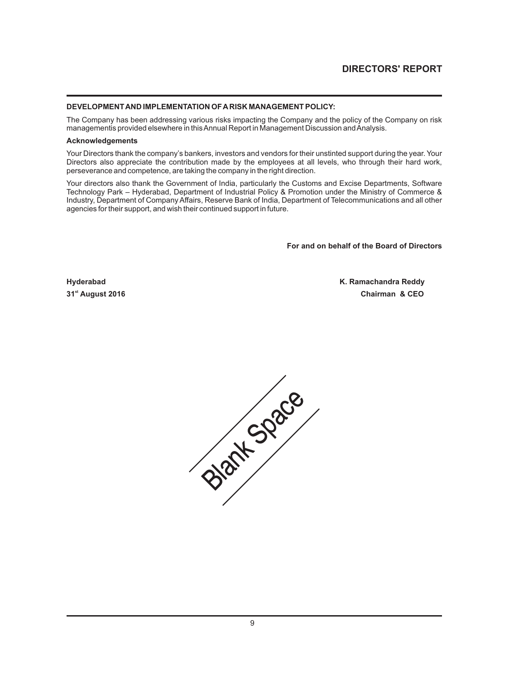#### **DEVELOPMENT AND IMPLEMENTATION OF ARISK MANAGEMENT POLICY:**

The Company has been addressing various risks impacting the Company and the policy of the Company on risk managementis provided elsewhere in this Annual Report in Management Discussion and Analysis.

#### **Acknowledgements**

Your Directors thank the company's bankers, investors and vendors for their unstinted support during the year. Your Directors also appreciate the contribution made by the employees at all levels, who through their hard work, perseverance and competence, are taking the company in the right direction.

Your directors also thank the Government of India, particularly the Customs and Excise Departments, Software Technology Park – Hyderabad, Department of Industrial Policy & Promotion under the Ministry of Commerce & Industry, Department of Company Affairs, Reserve Bank of India, Department of Telecommunications and all other agencies for their support, and wish their continued support in future.

**For and on behalf of the Board of Directors**

**Hyderabad K. Ramachandra Reddy st 31 August 2016 Chairman & CEO**

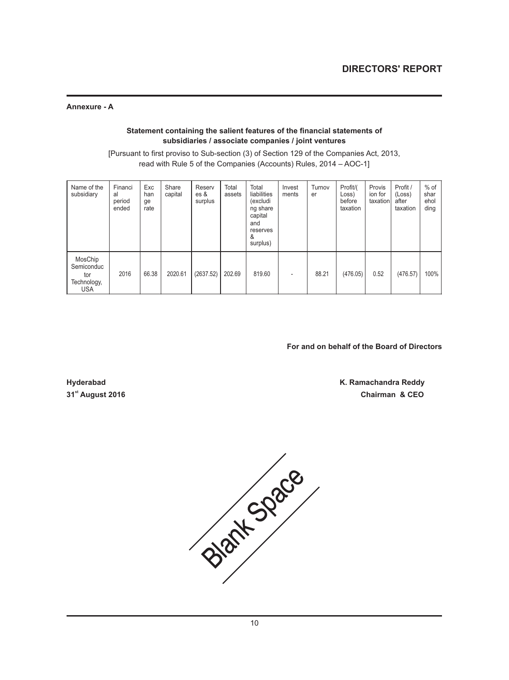### **Annexure - A**

#### **Statement containing the salient features of the financial statements of subsidiaries / associate companies / joint ventures**

[Pursuant to first proviso to Sub-section (3) of Section 129 of the Companies Act, 2013, read with Rule 5 of the Companies (Accounts) Rules, 2014 – AOC-1]

| Name of the<br>subsidiary                                 | Financi<br>al<br>period<br>ended | Exc<br>han<br>ge<br>rate | Share<br>capital | Reserv<br>es &<br>surplus | Total<br>assets | Total<br>liabilities<br>(excludi<br>ng share<br>capital<br>and<br>reserves<br>&<br>surplus) | Invest<br>ments | Turnov<br>er | Profit/<br>Loss)<br>before<br>taxation | Provis<br>ion for<br>taxation | Profit /<br>(Loss)<br>after<br>taxation | $%$ of<br>shar<br>ehol<br>ding |
|-----------------------------------------------------------|----------------------------------|--------------------------|------------------|---------------------------|-----------------|---------------------------------------------------------------------------------------------|-----------------|--------------|----------------------------------------|-------------------------------|-----------------------------------------|--------------------------------|
| MosChip<br>Semiconduc<br>tor<br>Technology,<br><b>USA</b> | 2016                             | 66.38                    | 2020.61          | (2637.52)                 | 202.69          | 819.60                                                                                      | ۰               | 88.21        | (476.05)                               | 0.52                          | (476.57)                                | 100%                           |

**For and on behalf of the Board of Directors**

**Hyderabad K. Ramachandra Reddy st 31 August 2016 Chairman & CEO**

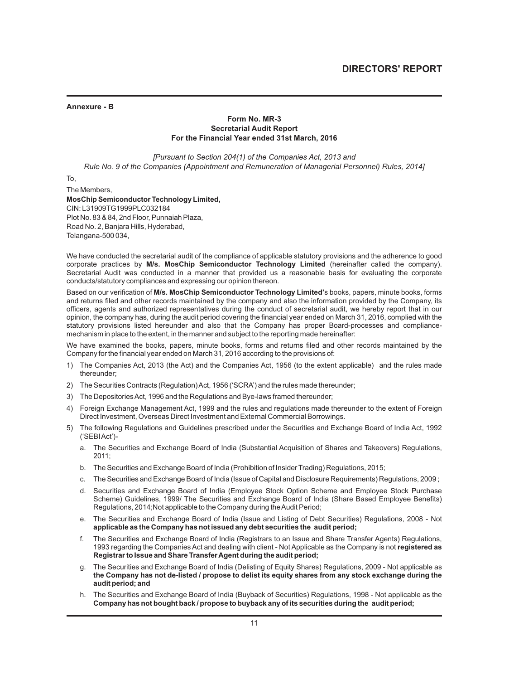#### **Annexure - B**

#### **Form No. MR-3 Secretarial Audit Report For the Financial Year ended 31st March, 2016**

*[Pursuant to Section 204(1) of the Companies Act, 2013 and Rule No. 9 of the Companies (Appointment and Remuneration of Managerial Personnel) Rules, 2014]*

To,

The Members, **MosChip Semiconductor Technology Limited,** CIN: L31909TG1999PLC032184 Plot No. 83 & 84, 2nd Floor, Punnaiah Plaza, Road No. 2, Banjara Hills, Hyderabad, Telangana-500 034,

We have conducted the secretarial audit of the compliance of applicable statutory provisions and the adherence to good corporate practices by **M/s. MosChip Semiconductor Technology Limited** (hereinafter called the company). Secretarial Audit was conducted in a manner that provided us a reasonable basis for evaluating the corporate conducts/statutory compliances and expressing our opinion thereon.

Based on our verification of **M/s. MosChip Semiconductor Technology Limited'**s books, papers, minute books, forms and returns filed and other records maintained by the company and also the information provided by the Company, its officers, agents and authorized representatives during the conduct of secretarial audit, we hereby report that in our opinion, the company has, during the audit period covering the financial year ended on March 31, 2016, complied with the statutory provisions listed hereunder and also that the Company has proper Board-processes and compliancemechanism in place to the extent, in the manner and subject to the reporting made hereinafter:

We have examined the books, papers, minute books, forms and returns filed and other records maintained by the Company for the financial year ended on March 31, 2016 according to the provisions of:

- 1) The Companies Act, 2013 (the Act) and the Companies Act, 1956 (to the extent applicable) and the rules made thereunder;
- 2) The Securities Contracts (Regulation) Act, 1956 ('SCRA') and the rules made thereunder;
- 3) The Depositories Act, 1996 and the Regulations and Bye-laws framed thereunder;
- 4) Foreign Exchange Management Act, 1999 and the rules and regulations made thereunder to the extent of Foreign Direct Investment, Overseas Direct Investment and External Commercial Borrowings.
- 5) The following Regulations and Guidelines prescribed under the Securities and Exchange Board of India Act, 1992 ('SEBI Act')
	- a. The Securities and Exchange Board of India (Substantial Acquisition of Shares and Takeovers) Regulations, 2011;
	- b. The Securities and Exchange Board of India (Prohibition of Insider Trading) Regulations, 2015;
	- c. The Securities and Exchange Board of India (Issue of Capital and Disclosure Requirements) Regulations, 2009 ;
	- d. Securities and Exchange Board of India (Employee Stock Option Scheme and Employee Stock Purchase Scheme) Guidelines, 1999/ The Securities and Exchange Board of India (Share Based Employee Benefits) Regulations, 2014;Not applicable to the Company during the Audit Period;
	- e. The Securities and Exchange Board of India (Issue and Listing of Debt Securities) Regulations, 2008 Not **applicable as the Company has not issued any debt securities the audit period;**
	- f. The Securities and Exchange Board of India (Registrars to an Issue and Share Transfer Agents) Regulations, 1993 regarding the Companies Act and dealing with client - Not Applicable as the Company is not **registered as Registrar to Issue and Share Transfer Agent during the audit period;**
	- g. The Securities and Exchange Board of India (Delisting of Equity Shares) Regulations, 2009 Not applicable as **the Company has not de-listed / propose to delist its equity shares from any stock exchange during the audit period; and**
	- h. The Securities and Exchange Board of India (Buyback of Securities) Regulations, 1998 Not applicable as the **Company has not bought back / propose to buyback any of its securities during the audit period;**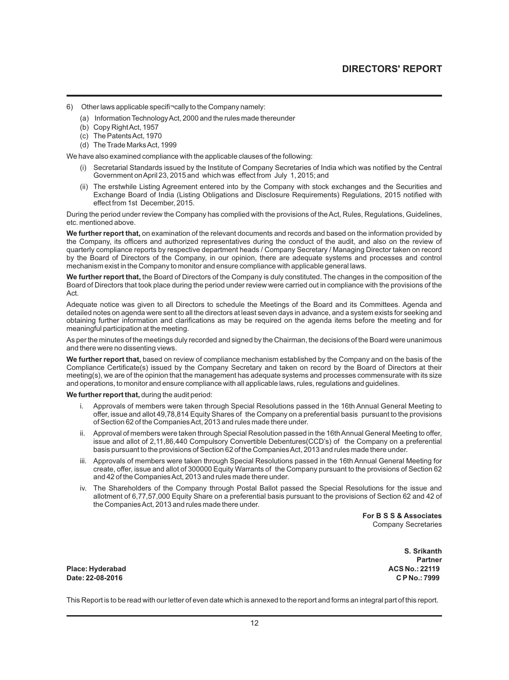- 6) Other laws applicable specifi¬cally to the Company namely:
	- (a) Information Technology Act, 2000 and the rules made thereunder
	- (b) Copy Right Act, 1957
	- (c) The Patents Act, 1970
	- (d) The Trade Marks Act, 1999

We have also examined compliance with the applicable clauses of the following:

- (i) Secretarial Standards issued by the Institute of Company Secretaries of India which was notified by the Central Government on April 23, 2015 and which was effect from July 1, 2015; and
- (ii) The erstwhile Listing Agreement entered into by the Company with stock exchanges and the Securities and Exchange Board of India (Listing Obligations and Disclosure Requirements) Regulations, 2015 notified with effect from 1st December, 2015.

During the period under review the Company has complied with the provisions of the Act, Rules, Regulations, Guidelines, etc. mentioned above.

**We further report that,** on examination of the relevant documents and records and based on the information provided by the Company, its officers and authorized representatives during the conduct of the audit, and also on the review of quarterly compliance reports by respective department heads / Company Secretary / Managing Director taken on record by the Board of Directors of the Company, in our opinion, there are adequate systems and processes and control mechanism exist in the Company to monitor and ensure compliance with applicable general laws.

**We further report that,** the Board of Directors of the Company is duly constituted. The changes in the composition of the Board of Directors that took place during the period under review were carried out in compliance with the provisions of the Act.

Adequate notice was given to all Directors to schedule the Meetings of the Board and its Committees. Agenda and detailed notes on agenda were sent to all the directors at least seven days in advance, and a system exists for seeking and obtaining further information and clarifications as may be required on the agenda items before the meeting and for meaningful participation at the meeting.

As per the minutes of the meetings duly recorded and signed by the Chairman, the decisions of the Board were unanimous and there were no dissenting views.

**We further report that,** based on review of compliance mechanism established by the Company and on the basis of the Compliance Certificate(s) issued by the Company Secretary and taken on record by the Board of Directors at their meeting(s), we are of the opinion that the management has adequate systems and processes commensurate with its size and operations, to monitor and ensure compliance with all applicable laws, rules, regulations and guidelines.

**We further report that,** during the audit period:

- Approvals of members were taken through Special Resolutions passed in the 16th Annual General Meeting to offer, issue and allot 49,78,814 Equity Shares of the Company on a preferential basis pursuant to the provisions of Section 62 of the Companies Act, 2013 and rules made there under.
- ii. Approval of members were taken through Special Resolution passed in the 16th Annual General Meeting to offer, issue and allot of 2,11,86,440 Compulsory Convertible Debentures(CCD's) of the Company on a preferential basis pursuant to the provisions of Section 62 of the Companies Act, 2013 and rules made there under.
- iii. Approvals of members were taken through Special Resolutions passed in the 16th Annual General Meeting for create, offer, issue and allot of 300000 Equity Warrants of the Company pursuant to the provisions of Section 62 and 42 of the Companies Act, 2013 and rules made there under.
- iv. The Shareholders of the Company through Postal Ballot passed the Special Resolutions for the issue and allotment of 6,77,57,000 Equity Share on a preferential basis pursuant to the provisions of Section 62 and 42 of the Companies Act, 2013 and rules made there under.

**For B S S & Associates** Company Secretaries

**Place: Hyderabad ACS No.: 22119 Date: 22-08-2016 C P No.: 7999**

**S. Srikanth Partner** 

This Report is to be read with our letter of even date which is annexed to the report and forms an integral part of this report.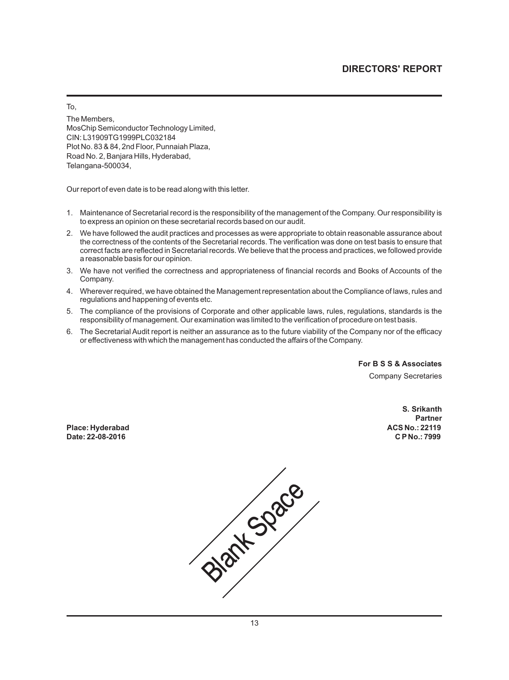To, The Members, MosChip Semiconductor Technology Limited, CIN: L31909TG1999PLC032184 Plot No. 83 & 84, 2nd Floor, Punnaiah Plaza, Road No. 2, Banjara Hills, Hyderabad, Telangana-500034.

Our report of even date is to be read along with this letter.

- 1. Maintenance of Secretarial record is the responsibility of the management of the Company. Our responsibility is to express an opinion on these secretarial records based on our audit.
- 2. We have followed the audit practices and processes as were appropriate to obtain reasonable assurance about the correctness of the contents of the Secretarial records. The verification was done on test basis to ensure that correct facts are reflected in Secretarial records. We believe that the process and practices, we followed provide a reasonable basis for our opinion.
- 3. We have not verified the correctness and appropriateness of financial records and Books of Accounts of the Company.
- 4. Wherever required, we have obtained the Management representation about the Compliance of laws, rules and regulations and happening of events etc.
- 5. The compliance of the provisions of Corporate and other applicable laws, rules, regulations, standards is the responsibility of management. Our examination was limited to the verification of procedure on test basis.
- 6. The Secretarial Audit report is neither an assurance as to the future viability of the Company nor of the efficacy or effectiveness with which the management has conducted the affairs of the Company.

 **For B S S & Associates** Company Secretaries

**Place: Hyderabad ACS No.: 22119**  Date: 22-08-2016

**S. Srikanth**  Partner<br>**ACS No.: 22119** 

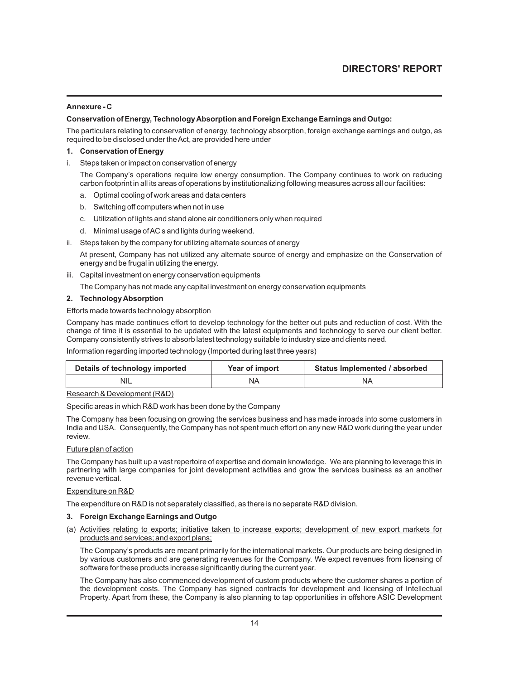#### **Annexure - C**

#### **Conservation of Energy, Technology Absorption and Foreign Exchange Earnings and Outgo:**

The particulars relating to conservation of energy, technology absorption, foreign exchange earnings and outgo, as required to be disclosed under the Act, are provided here under

#### **1. Conservation of Energy**

i. Steps taken or impact on conservation of energy

The Company's operations require low energy consumption. The Company continues to work on reducing carbon footprint in all its areas of operations by institutionalizing following measures across all our facilities:

- a. Optimal cooling of work areas and data centers
- b. Switching off computers when not in use
- c. Utilization of lights and stand alone air conditioners only when required
- d. Minimal usage of AC s and lights during weekend.
- ii. Steps taken by the company for utilizing alternate sources of energy

At present, Company has not utilized any alternate source of energy and emphasize on the Conservation of energy and be frugal in utilizing the energy.

iii. Capital investment on energy conservation equipments

The Company has not made any capital investment on energy conservation equipments

#### **2. Technology Absorption**

Efforts made towards technology absorption

Company has made continues effort to develop technology for the better out puts and reduction of cost. With the change of time it is essential to be updated with the latest equipments and technology to serve our client better. Company consistently strives to absorb latest technology suitable to industry size and clients need.

Information regarding imported technology (Imported during last three years)

| Details of technology imported | Year of import | Status Implemented / absorbed |
|--------------------------------|----------------|-------------------------------|
|                                | NА             | NA                            |

Research & Development (R&D)

Specific areas in which R&D work has been done by the Company

The Company has been focusing on growing the services business and has made inroads into some customers in India and USA. Consequently, the Company has not spent much effort on any new R&D work during the year under review.

#### Future plan of action

The Company has built up a vast repertoire of expertise and domain knowledge. We are planning to leverage this in partnering with large companies for joint development activities and grow the services business as an another revenue vertical.

#### Expenditure on R&D

The expenditure on R&D is not separately classified, as there is no separate R&D division.

#### **3. Foreign Exchange Earnings and Outgo**

(a) Activities relating to exports; initiative taken to increase exports; development of new export markets for products and services; and export plans;

The Company's products are meant primarily for the international markets. Our products are being designed in by various customers and are generating revenues for the Company. We expect revenues from licensing of software for these products increase significantly during the current year.

The Company has also commenced development of custom products where the customer shares a portion of the development costs. The Company has signed contracts for development and licensing of Intellectual Property. Apart from these, the Company is also planning to tap opportunities in offshore ASIC Development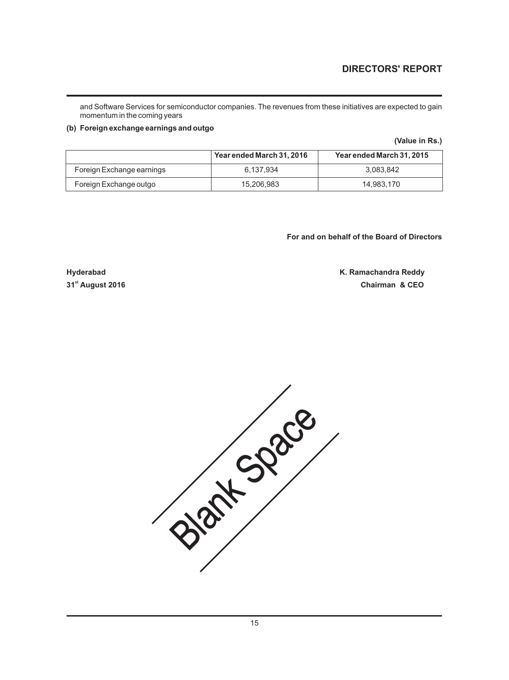and Software Services for semiconductor companies. The revenues from these initiatives are expected to gain momentum in the coming years

### **(b) Foreign exchange earnings and outgo**

**(Value in Rs.)**

|                           | Year ended March 31, 2016 ' | Year ended March 31, 2015 |
|---------------------------|-----------------------------|---------------------------|
| Foreign Exchange earnings | 6.137.934                   | 3.083.842                 |
| Foreign Exchange outgo    | 15.206.983                  | 14.983.170                |

#### **For and on behalf of the Board of Directors**

**Hyderabad K. Ramachandra Reddy st 31 August 2016 Chairman & CEO**

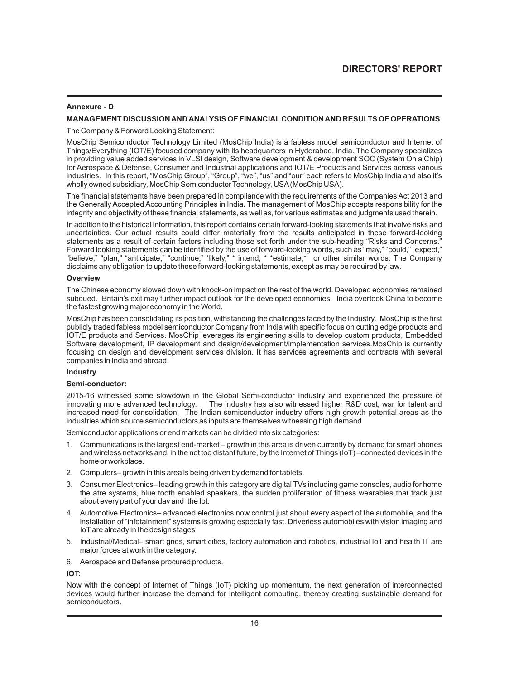#### **Annexure - D**

#### **MANAGEMENT DISCUSSION AND ANALYSIS OF FINANCIAL CONDITION AND RESULTS OF OPERATIONS**

The Company & Forward Looking Statement:

MosChip Semiconductor Technology Limited (MosChip India) is a fabless model semiconductor and Internet of Things/Everything (IOT/E) focused company with its headquarters in Hyderabad, India. The Company specializes in providing value added services in VLSI design, Software development & development SOC (System On a Chip) for Aerospace & Defense, Consumer and Industrial applications and IOT/E Products and Services across various industries. In this report, "MosChip Group", "Group", "we", "us" and "our" each refers to MosChip India and also it's wholly owned subsidiary, MosChip Semiconductor Technology, USA(MosChip USA).

The financial statements have been prepared in compliance with the requirements of the Companies Act 2013 and the Generally Accepted Accounting Principles in India. The management of MosChip accepts responsibility for the integrity and objectivity of these financial statements, as well as, for various estimates and judgments used therein.

In addition to the historical information, this report contains certain forward-looking statements that involve risks and uncertainties. Our actual results could differ materially from the results anticipated in these forward-looking statements as a result of certain factors including those set forth under the sub-heading "Risks and Concerns." Forward looking statements can be identified by the use of forward-looking words, such as "may," "could," "expect," "believe," "plan," "anticipate," "continue," 'likely," \* intend, \* \*estimate,\* or other similar words. The Company disclaims any obligation to update these forward-looking statements, except as may be required by law.

#### **Overview**

The Chinese economy slowed down with knock-on impact on the rest of the world. Developed economies remained subdued. Britain's exit may further impact outlook for the developed economies. India overtook China to become the fastest growing major economy in the World.

MosChip has been consolidating its position, withstanding the challenges faced by the Industry. MosChip is the first publicly traded fabless model semiconductor Company from India with specific focus on cutting edge products and IOT/E products and Services. MosChip leverages its engineering skills to develop custom products, Embedded Software development, IP development and design/development/implementation services.MosChip is currently focusing on design and development services division. It has services agreements and contracts with several companies in India and abroad.

#### **Industry**

#### **Semi-conductor:**

2015-16 witnessed some slowdown in the Global Semi-conductor Industry and experienced the pressure of innovating more advanced technology. The Industry has also witnessed higher R&D cost, war for talent and The Industry has also witnessed higher R&D cost, war for talent and increased need for consolidation. The Indian semiconductor industry offers high growth potential areas as the industries which source semiconductors as inputs are themselves witnessing high demand

Semiconductor applications or end markets can be divided into six categories:

- 1. Communications is the largest end-market growth in this area is driven currently by demand for smart phones and wireless networks and, in the not too distant future, by the Internet of Things (IoT) –connected devices in the home or workplace.
- 2. Computers– growth in this area is being driven by demand for tablets.
- 3. Consumer Electronics– leading growth in this category are digital TVs including game consoles, audio for home the atre systems, blue tooth enabled speakers, the sudden proliferation of fitness wearables that track just about every part of your day and the Iot.
- 4. Automotive Electronics– advanced electronics now control just about every aspect of the automobile, and the installation of "infotainment" systems is growing especially fast. Driverless automobiles with vision imaging and IoTare already in the design stages
- 5. Industrial/Medical– smart grids, smart cities, factory automation and robotics, industrial IoT and health IT are major forces at work in the category.
- 6. Aerospace and Defense procured products.

**IOT:**

Now with the concept of Internet of Things (IoT) picking up momentum, the next generation of interconnected devices would further increase the demand for intelligent computing, thereby creating sustainable demand for semiconductors.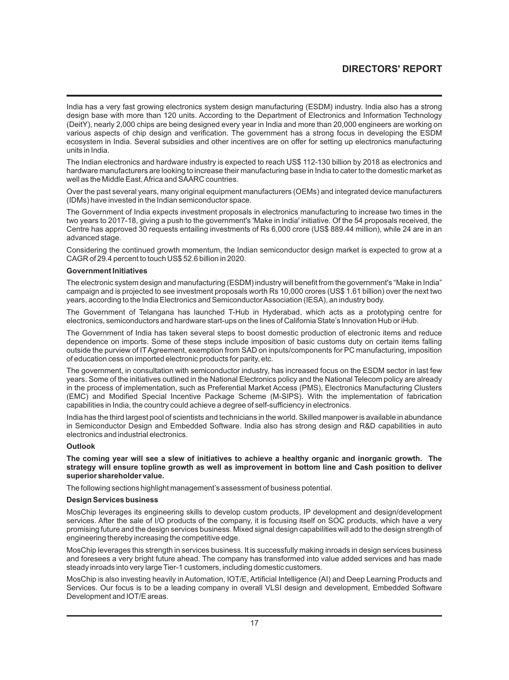India has a very fast growing electronics system design manufacturing (ESDM) industry. India also has a strong design base with more than 120 units. According to the Department of Electronics and Information Technology (DeitY), nearly 2,000 chips are being designed every year in India and more than 20,000 engineers are working on various aspects of chip design and verification. The government has a strong focus in developing the ESDM ecosystem in India. Several subsidies and other incentives are on offer for setting up electronics manufacturing units in India.

The Indian electronics and hardware industry is expected to reach US\$ 112-130 billion by 2018 as electronics and hardware manufacturers are looking to increase their manufacturing base in India to cater to the domestic market as well as the Middle East, Africa and SAARC countries.

Over the past several years, many original equipment manufacturers (OEMs) and integrated device manufacturers (IDMs) have invested in the Indian semiconductor space.

The Government of India expects investment proposals in electronics manufacturing to increase two times in the two years to 2017-18, giving a push to the government's 'Make in India' initiative. Of the 54 proposals received, the Centre has approved 30 requests entailing investments of Rs 6,000 crore (US\$ 889.44 million), while 24 are in an advanced stage.

Considering the continued growth momentum, the Indian semiconductor design market is expected to grow at a CAGR of 29.4 percent to touch US\$ 52.6 billion in 2020.

#### **Government Initiatives**

The electronic system design and manufacturing (ESDM) industry will benefit from the government's "Make in India" campaign and is projected to see investment proposals worth Rs 10,000 crores (US\$ 1.61 billion) over the next two years, according to the India Electronics and Semiconductor Association (IESA), an industry body.

The Government of Telangana has launched T-Hub in Hyderabad, which acts as a prototyping centre for electronics, semiconductors and hardware start-ups on the lines of California State's Innovation Hub or iHub.

The Government of India has taken several steps to boost domestic production of electronic items and reduce dependence on imports. Some of these steps include imposition of basic customs duty on certain items falling outside the purview of ITAgreement, exemption from SAD on inputs/components for PC manufacturing, imposition of education cess on imported electronic products for parity, etc.

The government, in consultation with semiconductor industry, has increased focus on the ESDM sector in last few years. Some of the initiatives outlined in the National Electronics policy and the National Telecom policy are already in the process of implementation, such as Preferential Market Access (PMS), Electronics Manufacturing Clusters (EMC) and Modified Special Incentive Package Scheme (M-SIPS). With the implementation of fabrication capabilities in India, the country could achieve a degree of self-sufficiency in electronics.

India has the third largest pool of scientists and technicians in the world. Skilled manpower is available in abundance in Semiconductor Design and Embedded Software. India also has strong design and R&D capabilities in auto electronics and industrial electronics.

#### **Outlook**

**The coming year will see a slew of initiatives to achieve a healthy organic and inorganic growth. The strategy will ensure topline growth as well as improvement in bottom line and Cash position to deliver superior shareholder value.** 

The following sections highlight management's assessment of business potential.

#### **Design Services business**

MosChip leverages its engineering skills to develop custom products, IP development and design/development services. After the sale of I/O products of the company, it is focusing itself on SOC products, which have a very promising future and the design services business. Mixed signal design capabilities will add to the design strength of engineering thereby increasing the competitive edge.

MosChip leverages this strength in services business. It is successfully making inroads in design services business and foresees a very bright future ahead. The company has transformed into value added services and has made steady inroads into very large Tier-1 customers, including domestic customers.

MosChip is also investing heavily in Automation, IOT/E, Artificial Intelligence (AI) and Deep Learning Products and Services. Our focus is to be a leading company in overall VLSI design and development, Embedded Software Development and IOT/E areas.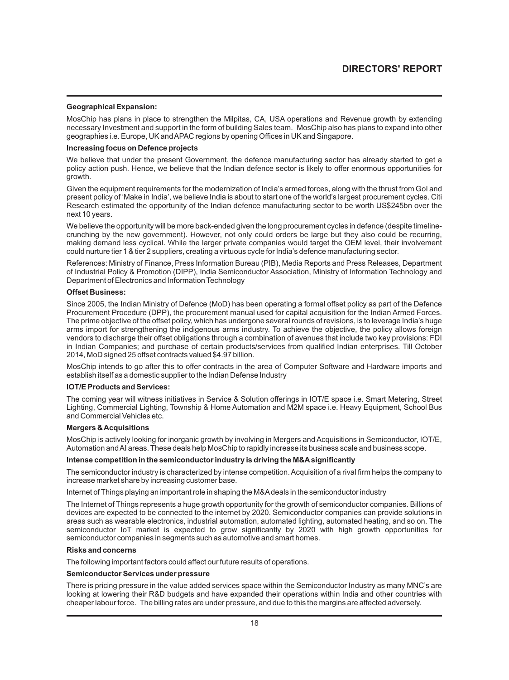#### **Geographical Expansion:**

MosChip has plans in place to strengthen the Milpitas, CA, USA operations and Revenue growth by extending necessary Investment and support in the form of building Sales team. MosChip also has plans to expand into other geographies i.e. Europe, UK and APAC regions by opening Offices in UK and Singapore.

#### **Increasing focus on Defence projects**

We believe that under the present Government, the defence manufacturing sector has already started to get a policy action push. Hence, we believe that the Indian defence sector is likely to offer enormous opportunities for growth.

Given the equipment requirements for the modernization of India's armed forces, along with the thrust from GoI and present policy of 'Make in India', we believe India is about to start one of the world's largest procurement cycles. Citi Research estimated the opportunity of the Indian defence manufacturing sector to be worth US\$245bn over the next 10 years.

We believe the opportunity will be more back-ended given the long procurement cycles in defence (despite timelinecrunching by the new government). However, not only could orders be large but they also could be recurring, making demand less cyclical. While the larger private companies would target the OEM level, their involvement could nurture tier 1 & tier 2 suppliers, creating a virtuous cycle for India's defence manufacturing sector.

References: Ministry of Finance, Press Information Bureau (PIB), Media Reports and Press Releases, Department of Industrial Policy & Promotion (DIPP), India Semiconductor Association, Ministry of Information Technology and Department of Electronics and Information Technology

#### **Offset Business:**

Since 2005, the Indian Ministry of Defence (MoD) has been operating a formal offset policy as part of the Defence Procurement Procedure (DPP), the procurement manual used for capital acquisition for the Indian Armed Forces. The prime objective of the offset policy, which has undergone several rounds of revisions, is to leverage India's huge arms import for strengthening the indigenous arms industry. To achieve the objective, the policy allows foreign vendors to discharge their offset obligations through a combination of avenues that include two key provisions: FDI in Indian Companies; and purchase of certain products/services from qualified Indian enterprises. Till October 2014, MoD signed 25 offset contracts valued \$4.97 billion.

MosChip intends to go after this to offer contracts in the area of Computer Software and Hardware imports and establish itself as a domestic supplier to the Indian Defense Industry

#### **IOT/E Products and Services:**

The coming year will witness initiatives in Service & Solution offerings in IOT/E space i.e. Smart Metering, Street Lighting, Commercial Lighting, Township & Home Automation and M2M space i.e. Heavy Equipment, School Bus and Commercial Vehicles etc.

#### **Mergers & Acquisitions**

MosChip is actively looking for inorganic growth by involving in Mergers and Acquisitions in Semiconductor, IOT/E, Automation and AI areas. These deals help MosChip to rapidly increase its business scale and business scope.

#### **Intense competition in the semiconductor industry is driving the M&Asignificantly**

The semiconductor industry is characterized by intense competition. Acquisition of a rival firm helps the company to increase market share by increasing customer base.

Internet of Things playing an important role in shaping the M&Adeals in the semiconductor industry

The Internet of Things represents a huge growth opportunity for the growth of semiconductor companies. Billions of devices are expected to be connected to the internet by 2020. Semiconductor companies can provide solutions in areas such as wearable electronics, industrial automation, automated lighting, automated heating, and so on. The semiconductor IoT market is expected to grow significantly by 2020 with high growth opportunities for semiconductor companies in segments such as automotive and smart homes.

#### **Risks and concerns**

The following important factors could affect our future results of operations.

#### **Semiconductor Services under pressure**

There is pricing pressure in the value added services space within the Semiconductor Industry as many MNC's are looking at lowering their R&D budgets and have expanded their operations within India and other countries with cheaper labour force. The billing rates are under pressure, and due to this the margins are affected adversely.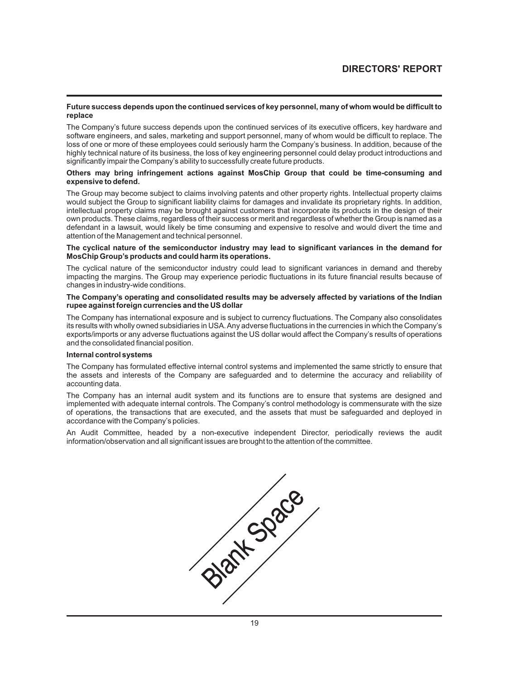#### **Future success depends upon the continued services of key personnel, many of whom would be difficult to replace**

The Company's future success depends upon the continued services of its executive officers, key hardware and software engineers, and sales, marketing and support personnel, many of whom would be difficult to replace. The loss of one or more of these employees could seriously harm the Company's business. In addition, because of the highly technical nature of its business, the loss of key engineering personnel could delay product introductions and significantly impair the Company's ability to successfully create future products.

#### **Others may bring infringement actions against MosChip Group that could be time-consuming and expensive to defend.**

The Group may become subject to claims involving patents and other property rights. Intellectual property claims would subject the Group to significant liability claims for damages and invalidate its proprietary rights. In addition, intellectual property claims may be brought against customers that incorporate its products in the design of their own products. These claims, regardless of their success or merit and regardless of whether the Group is named as a defendant in a lawsuit, would likely be time consuming and expensive to resolve and would divert the time and attention of the Management and technical personnel.

#### **The cyclical nature of the semiconductor industry may lead to significant variances in the demand for MosChip Group's products and could harm its operations.**

The cyclical nature of the semiconductor industry could lead to significant variances in demand and thereby impacting the margins. The Group may experience periodic fluctuations in its future financial results because of changes in industry-wide conditions.

#### **The Company's operating and consolidated results may be adversely affected by variations of the Indian rupee against foreign currencies and the US dollar**

The Company has international exposure and is subject to currency fluctuations. The Company also consolidates its results with wholly owned subsidiaries in USA. Any adverse fluctuations in the currencies in which the Company's exports/imports or any adverse fluctuations against the US dollar would affect the Company's results of operations and the consolidated financial position.

#### **Internal control systems**

The Company has formulated effective internal control systems and implemented the same strictly to ensure that the assets and interests of the Company are safeguarded and to determine the accuracy and reliability of accounting data.

The Company has an internal audit system and its functions are to ensure that systems are designed and implemented with adequate internal controls. The Company's control methodology is commensurate with the size of operations, the transactions that are executed, and the assets that must be safeguarded and deployed in accordance with the Company's policies.

An Audit Committee, headed by a non-executive independent Director, periodically reviews the audit information/observation and all significant issues are brought to the attention of the committee.

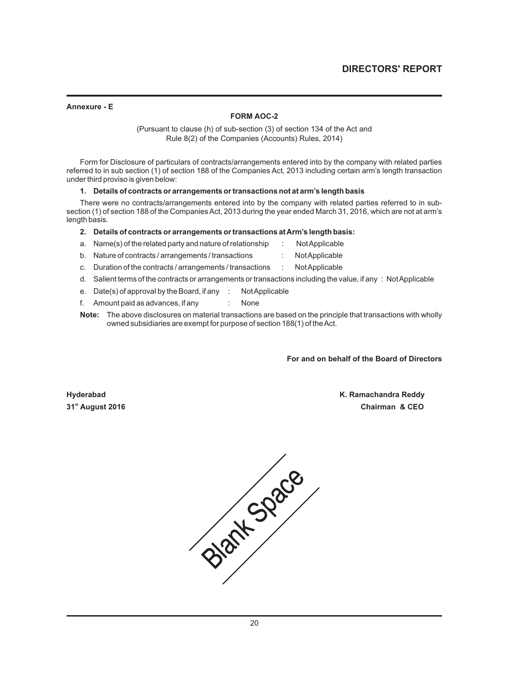#### **Annexure - E**

#### **FORM AOC-2**

(Pursuant to clause (h) of sub-section (3) of section 134 of the Act and Rule 8(2) of the Companies (Accounts) Rules, 2014)

Form for Disclosure of particulars of contracts/arrangements entered into by the company with related parties referred to in sub section (1) of section 188 of the Companies Act, 2013 including certain arm's length transaction under third proviso is given below:

#### **1. Details of contracts or arrangements or transactions not at arm's length basis**

There were no contracts/arrangements entered into by the company with related parties referred to in subsection (1) of section 188 of the Companies Act, 2013 during the year ended March 31, 2016, which are not at arm's length basis.

#### **2. Details of contracts or arrangements or transactions at Arm's length basis:**

- a. Name(s) of the related party and nature of relationship : Not Applicable
- b. Nature of contracts / arrangements / transactions : Not Applicable
- c. Duration of the contracts / arrangements / transactions : Not Applicable
- d. Salient terms of the contracts or arrangements or transactions including the value, if any : Not Applicable
- e. Date(s) of approval by the Board, if any : Not Applicable
- f. Amount paid as advances, if any : None
- **Note:** The above disclosures on material transactions are based on the principle that transactions with wholly owned subsidiaries are exempt for purpose of section 188(1) of the Act.

**For and on behalf of the Board of Directors**

**Hyderabad K. Ramachandra Reddy st 31 August 2016 Chairman & CEO**

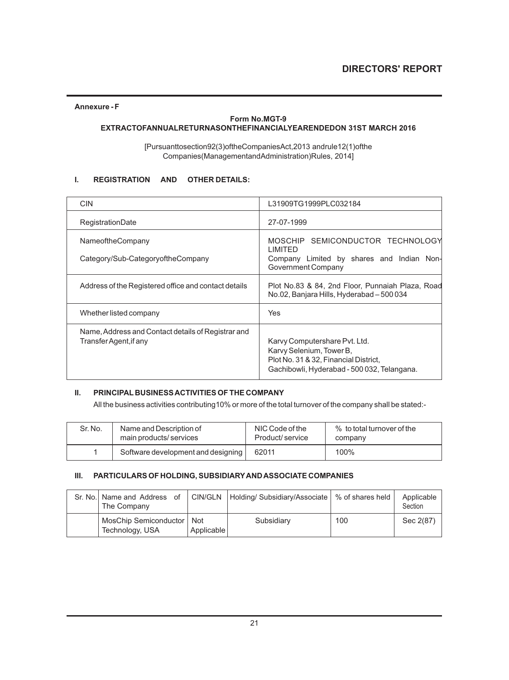**Annexure - F**

### **Form No.MGT-9 EXTRACTOFANNUALRETURNASONTHEFINANCIALYEARENDEDON 31ST MARCH 2016**

[Pursuanttosection92(3)oftheCompaniesAct,2013 andrule12(1)ofthe Companies(ManagementandAdministration)Rules, 2014]

### **I. REGISTRATION AND OTHER DETAILS:**

| <b>CIN</b>                                                                   | L31909TG1999PLC032184                                                                                                                             |
|------------------------------------------------------------------------------|---------------------------------------------------------------------------------------------------------------------------------------------------|
| RegistrationDate                                                             | 27-07-1999                                                                                                                                        |
| <b>NameoftheCompany</b><br>Category/Sub-Category of the Company              | MOSCHIP SEMICONDUCTOR TECHNOLOGY<br><b>I IMITED</b><br>Company Limited by shares and Indian Non-<br>Government Company                            |
| Address of the Registered office and contact details                         | Plot No.83 & 84, 2nd Floor, Punnaiah Plaza, Road<br>No.02, Banjara Hills, Hyderabad - 500 034                                                     |
| Whether listed company                                                       | Yes                                                                                                                                               |
| Name, Address and Contact details of Registrar and<br>Transfer Agent, if any | Karvy Computershare Pvt. Ltd.<br>Karvy Selenium, Tower B,<br>Plot No. 31 & 32, Financial District,<br>Gachibowli, Hyderabad - 500 032, Telangana. |

### **II. PRINCIPAL BUSINESS ACTIVITIES OF THE COMPANY**

All the business activities contributing10% or more of the total turnover of the company shall be stated:-

| Sr. No. | Name and Description of            | NIC Code of the | % to total turnover of the |
|---------|------------------------------------|-----------------|----------------------------|
|         | main products/services             | Product/service | company                    |
|         | Software development and designing | 62011           | 100%                       |

### **III. PARTICULARS OF HOLDING, SUBSIDIARYAND ASSOCIATE COMPANIES**

| Sr. No. Name and Address of<br>The Company     | CIN/GLN    | Holding/ Subsidiary/Associate   % of shares held |     | Applicable<br>Section |
|------------------------------------------------|------------|--------------------------------------------------|-----|-----------------------|
| MosChip Semiconductor   Not<br>Technology, USA | Applicable | Subsidiary                                       | 100 | Sec 2(87)             |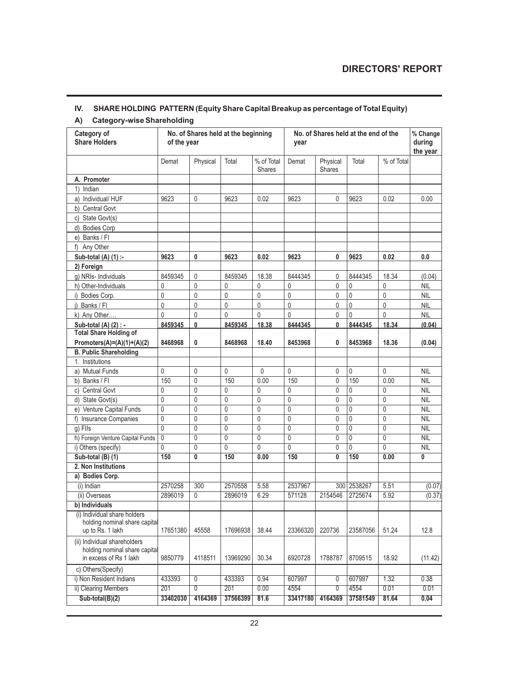## **IV. SHARE HOLDING PATTERN (Equity Share Capital Breakup as percentage of Total Equity)**

## **A) Category-wise Shareholding**

| Category of<br><b>Share Holders</b>                                                     | No. of Shares held at the beginning<br>of the year |                | No. of Shares held at the end of the<br>vear |                      |                |                    | % Change<br>during<br>the year |                |                |
|-----------------------------------------------------------------------------------------|----------------------------------------------------|----------------|----------------------------------------------|----------------------|----------------|--------------------|--------------------------------|----------------|----------------|
|                                                                                         | Demat                                              | Physical       | Total                                        | % of Total<br>Shares | Demat          | Physical<br>Shares | Total                          | % of Total     |                |
| A. Promoter                                                                             |                                                    |                |                                              |                      |                |                    |                                |                |                |
| 1) Indian                                                                               |                                                    |                |                                              |                      |                |                    |                                |                |                |
| a) Individual/HUF                                                                       | 9623                                               | $\mathbf{0}$   | 9623                                         | 0.02                 | 9623           | 0                  | 9623                           | 0.02           | 0.00           |
| b) Central Govt                                                                         |                                                    |                |                                              |                      |                |                    |                                |                |                |
| c) State Govt(s)                                                                        |                                                    |                |                                              |                      |                |                    |                                |                |                |
| d) Bodies Corp                                                                          |                                                    |                |                                              |                      |                |                    |                                |                |                |
| e) Banks / FI                                                                           |                                                    |                |                                              |                      |                |                    |                                |                |                |
| f) Any Other                                                                            |                                                    |                |                                              |                      |                |                    |                                |                |                |
| Sub-total (A) (1) :-                                                                    | 9623                                               | 0              | 9623                                         | 0.02                 | 9623           | 0                  | 9623                           | 0.02           | 0.0            |
| 2) Foreign                                                                              |                                                    |                |                                              |                      |                |                    |                                |                |                |
| g) NRIs- Individuals                                                                    | 8459345                                            | $\mathbf{0}$   | 8459345                                      | 18.38                | 8444345        | 0                  | 8444345                        | 18.34          | (0.04)         |
| h) Other-Individuals                                                                    | 0                                                  | $\mathbf{0}$   | 0                                            | 0                    | 0              | 0                  | 0                              | 0              | <b>NIL</b>     |
| i) Bodies Corp.                                                                         | $\mathsf 0$                                        | $\mathbf{0}$   | $\mathbf{0}$                                 | 0                    | 0              | 0                  | 0                              | $\mathbf{0}$   | <b>NIL</b>     |
| j) Banks / Fl                                                                           | 0                                                  | $\mathbf 0$    | 0                                            | 0                    | 0              | 0                  | 0                              | 0              | <b>NIL</b>     |
| k) Any Other                                                                            | 0                                                  | 0              | $\overline{0}$                               | 0                    | 0              | 0                  | 0                              | 0              | <b>NIL</b>     |
| Sub-total (A) (2) : -                                                                   | 8459345                                            | 0              | 8459345                                      | 18.38                | 8444345        | 0                  | 8444345                        | 18.34          | (0.04)         |
| <b>Total Share Holding of</b>                                                           |                                                    |                |                                              |                      |                |                    |                                |                |                |
| Promoters(A)=(A)(1)+(A)(2)                                                              | 8468968                                            | 0              | 8468968                                      | 18.40                | 8453968        | 0                  | 8453968                        | 18.36          | (0.04)         |
| <b>B. Public Shareholding</b>                                                           |                                                    |                |                                              |                      |                |                    |                                |                |                |
| 1. Institutions                                                                         |                                                    |                |                                              |                      |                |                    |                                |                |                |
| a) Mutual Funds                                                                         | $\mathbf 0$                                        | $\mathbf{0}$   | $\mathbf 0$                                  | $\mathbf 0$          | 0              | 0                  | 0                              | $\mathbf{0}$   | <b>NIL</b>     |
| b) Banks / Fl                                                                           | 150                                                | $\mathbf{0}$   | 150                                          | 0.00                 | 150            | 0                  | 150                            | 0.00           | <b>NIL</b>     |
| c) Central Govt                                                                         | $\mathbf{0}$                                       | $\mathbf 0$    | $\mathbf 0$                                  | 0                    | 0              | 0                  | $\mathbf 0$                    | $\mathbf{0}$   | <b>NIL</b>     |
| d) State Govt(s)                                                                        | $\overline{0}$                                     | $\overline{0}$ | $\overline{0}$                               | 0                    | $\overline{0}$ | $\overline{0}$     | $\overline{0}$                 | $\overline{0}$ | <b>NIL</b>     |
| e) Venture Capital Funds                                                                | $\overline{0}$                                     | $\overline{0}$ | $\overline{0}$                               | $\overline{0}$       | $\overline{0}$ | $\overline{0}$     | $\overline{0}$                 | $\overline{0}$ | <b>NIL</b>     |
| f) Insurance Companies                                                                  | $\overline{0}$                                     | $\overline{0}$ | $\overline{0}$                               | $\overline{0}$       | $\overline{0}$ | $\overline{0}$     | $\overline{0}$                 | $\overline{0}$ | <b>NIL</b>     |
| $g)$ Flis                                                                               | $\overline{0}$                                     | $\overline{0}$ | $\overline{0}$                               | $\overline{0}$       | $\overline{0}$ | $\overline{0}$     | $\overline{0}$                 | $\overline{0}$ | <b>NIL</b>     |
| h) Foreign Venture Capital Funds                                                        | $\overline{0}$                                     | $\overline{0}$ | $\overline{0}$                               | $\overline{0}$       | $\overline{0}$ | $\overline{0}$     | $\overline{0}$                 | $\overline{0}$ | <b>NIL</b>     |
| i) Others (specify)                                                                     | $\overline{0}$                                     | $\overline{0}$ | $\overline{0}$                               | $\overline{0}$       | $\overline{0}$ | $\overline{0}$     | $\overline{0}$                 | $\overline{0}$ | <b>NIL</b>     |
| Sub-total (B) (1)                                                                       | 150                                                | $\overline{0}$ | 150                                          | 0.00                 | 150            | $\overline{0}$     | 150                            | 0.00           | $\overline{0}$ |
| 2. Non Institutions                                                                     |                                                    |                |                                              |                      |                |                    |                                |                |                |
| a) Bodies Corp.                                                                         |                                                    |                |                                              |                      |                |                    |                                |                |                |
| (i) Indian                                                                              | 2570258                                            | 300            | 2570558                                      | 5.58                 | 2537967        |                    | 300 2538267                    | 5.51           | (0.07)         |
| (ii) Overseas                                                                           | 2896019                                            | $\overline{0}$ | 2896019                                      | 6.29                 | 571128         | 2154546            | 2725674                        | 5.92           | (0.37)         |
| b) Individuals                                                                          |                                                    |                |                                              |                      |                |                    |                                |                |                |
| (i) Individual share holders<br>holding nominal share capital                           |                                                    |                |                                              |                      |                |                    |                                |                |                |
| up to Rs. 1 lakh                                                                        | 17651380                                           | 45558          | 17696938                                     | 38.44                | 23366320       | 220736             | 23587056                       | 51.24          | 12.8           |
| (ii) Individual shareholders<br>holding nominal share capital<br>in excess of Rs 1 lakh | 9850779                                            | 4118511        | 13969290                                     | 30.34                | 6920728        | 1788787            | 8709515                        | 18.92          | (11.42)        |
| c) Others(Specify)                                                                      |                                                    |                |                                              |                      |                |                    |                                |                |                |
| i) Non Resident Indians                                                                 | 433393                                             | $\overline{0}$ | 433393                                       | 0.94                 | 607997         | 0                  | 607997                         | 1.32           | 0.38           |
| ii) Clearing Members                                                                    | 201                                                | $\overline{0}$ | 201                                          | 0.00                 | 4554           | $\overline{0}$     | 4554                           | 0.01           | 0.01           |
| Sub-total(B)(2)                                                                         | 33402030                                           | 4164369        | 37566399                                     | 81.6                 | 33417180       | 4164369            | 37581549                       | 81.64          | 0.04           |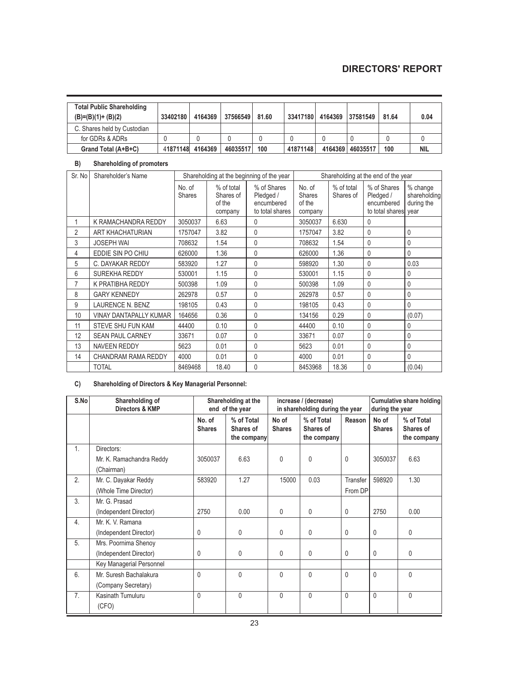| <b>Total Public Shareholding</b><br>$(B)=(B)(1)+(B)(2)$ | 33402180 | 4164369 | 37566549 | 81.60 | 33417180 4164369 | 37581549         | 81.64 | 0.04       |
|---------------------------------------------------------|----------|---------|----------|-------|------------------|------------------|-------|------------|
| C. Shares held by Custodian                             |          |         |          |       |                  |                  |       |            |
| for GDRs & ADRs                                         |          |         |          |       |                  |                  |       |            |
| Grand Total (A+B+C)                                     | 41871148 | 4164369 | 46035517 | 100   | 41871148         | 4164369 46035517 | 100   | <b>NIL</b> |

### **B) Shareholding of promoters**

| Sr. No | Shareholder's Name            | Shareholding at the beginning of the year |                                              |                                                           | Shareholding at the end of the year          |                         |                                                                |                                        |
|--------|-------------------------------|-------------------------------------------|----------------------------------------------|-----------------------------------------------------------|----------------------------------------------|-------------------------|----------------------------------------------------------------|----------------------------------------|
|        |                               | No. of<br><b>Shares</b>                   | % of total<br>Shares of<br>of the<br>company | % of Shares<br>Pledged /<br>encumbered<br>to total shares | No. of<br><b>Shares</b><br>of the<br>company | % of total<br>Shares of | % of Shares<br>Pledged /<br>encumbered<br>to total shares vear | % change<br>shareholding<br>during the |
|        | K RAMACHANDRA REDDY           | 3050037                                   | 6.63                                         | $\Omega$                                                  | 3050037                                      | 6.630                   | 0                                                              |                                        |
| 2      | <b>ART KHACHATURIAN</b>       | 1757047                                   | 3.82                                         | $\Omega$                                                  | 1757047                                      | 3.82                    | 0                                                              | 0                                      |
| 3      | <b>JOSEPH WAI</b>             | 708632                                    | 1.54                                         | 0                                                         | 708632                                       | 1.54                    | 0                                                              | 0                                      |
| 4      | EDDIE SIN PO CHIU             | 626000                                    | 1.36                                         | 0                                                         | 626000                                       | 1.36                    | 0                                                              | 0                                      |
| 5      | C. DAYAKAR REDDY              | 583920                                    | 1.27                                         | $\Omega$                                                  | 598920                                       | 1.30                    | 0                                                              | 0.03                                   |
| 6      | <b>SUREKHA REDDY</b>          | 530001                                    | 1.15                                         | 0                                                         | 530001                                       | 1.15                    | 0                                                              | 0                                      |
| 7      | K PRATIBHA REDDY              | 500398                                    | 1.09                                         | 0                                                         | 500398                                       | 1.09                    | 0                                                              | 0                                      |
| 8      | <b>GARY KENNEDY</b>           | 262978                                    | 0.57                                         | 0                                                         | 262978                                       | 0.57                    | 0                                                              | 0                                      |
| 9      | <b>LAURENCE N. BENZ</b>       | 198105                                    | 0.43                                         | 0                                                         | 198105                                       | 0.43                    | 0                                                              | 0                                      |
| 10     | <b>VINAY DANTAPALLY KUMAR</b> | 164656                                    | 0.36                                         | $\Omega$                                                  | 134156                                       | 0.29                    | 0                                                              | (0.07)                                 |
| 11     | STEVE SHU FUN KAM             | 44400                                     | 0.10                                         | 0                                                         | 44400                                        | 0.10                    | 0                                                              | 0                                      |
| 12     | <b>SEAN PAUL CARNEY</b>       | 33671                                     | 0.07                                         | 0                                                         | 33671                                        | 0.07                    | 0                                                              | 0                                      |
| 13     | NAVEEN REDDY                  | 5623                                      | 0.01                                         | $\Omega$                                                  | 5623                                         | 0.01                    | 0                                                              | 0                                      |
| 14     | CHANDRAM RAMA REDDY           | 4000                                      | 0.01                                         | $\mathbf{0}$                                              | 4000                                         | 0.01                    | 0                                                              | 0                                      |
|        | <b>TOTAL</b>                  | 8469468                                   | 18.40                                        | 0                                                         | 8453968                                      | 18.36                   | 0                                                              | (0.04)                                 |

### **C) Shareholding of Directors & Key Managerial Personnel:**

| S.No           | Shareholding of<br>Directors & KMP |                         | Shareholding at the<br>end of the year | increase / (decrease)<br>in shareholding during the year |                                        |              | <b>Cumulative share holding</b><br>during the year |                                        |
|----------------|------------------------------------|-------------------------|----------------------------------------|----------------------------------------------------------|----------------------------------------|--------------|----------------------------------------------------|----------------------------------------|
|                |                                    | No. of<br><b>Shares</b> | % of Total<br>Shares of<br>the company | No of<br><b>Shares</b>                                   | % of Total<br>Shares of<br>the company | Reason       | No of<br><b>Shares</b>                             | % of Total<br>Shares of<br>the company |
| 1.             | Directors:                         |                         |                                        |                                                          |                                        |              |                                                    |                                        |
|                | Mr. K. Ramachandra Reddy           | 3050037                 | 6.63                                   | 0                                                        | $\mathbf{0}$                           | $\mathbf{0}$ | 3050037                                            | 6.63                                   |
|                | (Chairman)                         |                         |                                        |                                                          |                                        |              |                                                    |                                        |
| 2.             | Mr. C. Dayakar Reddy               | 583920                  | 1.27                                   | 15000                                                    | 0.03                                   | Transfer     | 598920                                             | 1.30                                   |
|                | (Whole Time Director)              |                         |                                        |                                                          |                                        | From DP      |                                                    |                                        |
| 3.             | Mr. G. Prasad                      |                         |                                        |                                                          |                                        |              |                                                    |                                        |
|                | (Independent Director)             | 2750                    | 0.00                                   | $\mathbf{0}$                                             | 0                                      | 0            | 2750                                               | 0.00                                   |
| 4.             | Mr. K. V. Ramana                   |                         |                                        |                                                          |                                        |              |                                                    |                                        |
|                | (Independent Director)             | 0                       | 0                                      | $\mathbf{0}$                                             | 0                                      | $\mathbf{0}$ | $\mathbf{0}$                                       | $\mathbf{0}$                           |
| 5.             | Mrs. Poornima Shenoy               |                         |                                        |                                                          |                                        |              |                                                    |                                        |
|                | (Independent Director)             | 0                       | $\mathbf{0}$                           | 0                                                        | 0                                      | $\mathbf{0}$ | $\mathbf{0}$                                       | $\mathbf{0}$                           |
|                | Key Managerial Personnel           |                         |                                        |                                                          |                                        |              |                                                    |                                        |
| 6.             | Mr. Suresh Bachalakura             | $\mathbf{0}$            | $\Omega$                               | $\Omega$                                                 | $\Omega$                               | $\mathbf{0}$ | $\Omega$                                           | $\Omega$                               |
|                | (Company Secretary)                |                         |                                        |                                                          |                                        |              |                                                    |                                        |
| 7 <sub>1</sub> | Kasinath Tumuluru<br>(CFO)         | $\mathbf{0}$            | $\mathbf{0}$                           | $\mathbf{0}$                                             | $\mathbf{0}$                           | $\mathbf{0}$ | $\mathbf{0}$                                       | $\mathbf{0}$                           |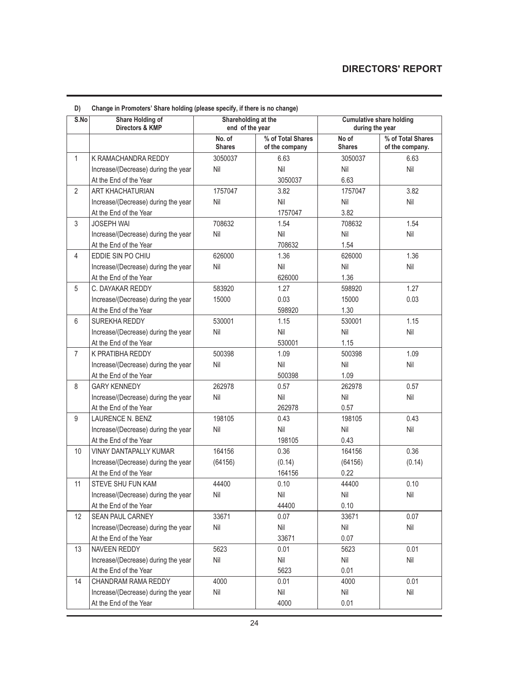| D)             | Change in Promoters' Share holding (please specify, if there is no change) |                                        |                                     |                        |                                      |  |  |  |  |  |
|----------------|----------------------------------------------------------------------------|----------------------------------------|-------------------------------------|------------------------|--------------------------------------|--|--|--|--|--|
| S.No           | Share Holding of<br>Directors & KMP                                        | Shareholding at the<br>end of the year |                                     | during the year        | <b>Cumulative share holding</b>      |  |  |  |  |  |
|                |                                                                            | No. of<br><b>Shares</b>                | % of Total Shares<br>of the company | No of<br><b>Shares</b> | % of Total Shares<br>of the company. |  |  |  |  |  |
| $\mathbf{1}$   | K RAMACHANDRA REDDY                                                        | 3050037                                | 6.63                                | 3050037                | 6.63                                 |  |  |  |  |  |
|                | Increase/(Decrease) during the year                                        | Nil                                    | Nil                                 | Nil                    | Nil                                  |  |  |  |  |  |
|                | At the End of the Year                                                     |                                        | 3050037                             | 6.63                   |                                      |  |  |  |  |  |
| $\overline{2}$ | <b>ART KHACHATURIAN</b>                                                    | 1757047                                | 3.82                                | 1757047                | 3.82                                 |  |  |  |  |  |
|                | Increase/(Decrease) during the year                                        | Nil                                    | Nil                                 | Nil                    | Nil                                  |  |  |  |  |  |
|                | At the End of the Year                                                     |                                        | 1757047                             | 3.82                   |                                      |  |  |  |  |  |
| 3              | <b>JOSEPH WAI</b>                                                          | 708632                                 | 1.54                                | 708632                 | 1.54                                 |  |  |  |  |  |
|                | Increase/(Decrease) during the year                                        | Nil                                    | Nil                                 | Nil                    | Nil                                  |  |  |  |  |  |
|                | At the End of the Year                                                     |                                        | 708632                              | 1.54                   |                                      |  |  |  |  |  |
| 4              | EDDIE SIN PO CHIU                                                          | 626000                                 | 1.36                                | 626000                 | 1.36                                 |  |  |  |  |  |
|                | Increase/(Decrease) during the year                                        | Nil                                    | Nil                                 | Nil                    | Nil                                  |  |  |  |  |  |
|                | At the End of the Year                                                     |                                        | 626000                              | 1.36                   |                                      |  |  |  |  |  |
| 5              | C. DAYAKAR REDDY                                                           | 583920                                 | 1.27                                | 598920                 | 1.27                                 |  |  |  |  |  |
|                | Increase/(Decrease) during the year                                        | 15000                                  | 0.03                                | 15000                  | 0.03                                 |  |  |  |  |  |
|                | At the End of the Year                                                     |                                        | 598920                              | 1.30                   |                                      |  |  |  |  |  |
| 6              | SUREKHA REDDY                                                              | 530001                                 | 1.15                                | 530001                 | 1.15                                 |  |  |  |  |  |
|                | Increase/(Decrease) during the year                                        | Nil                                    | Nil                                 | Nil                    | Nil                                  |  |  |  |  |  |
|                | At the End of the Year                                                     |                                        | 530001                              | 1.15                   |                                      |  |  |  |  |  |
| $\overline{7}$ | K PRATIBHA REDDY                                                           | 500398                                 | 1.09                                | 500398                 | 1.09                                 |  |  |  |  |  |
|                | Increase/(Decrease) during the year                                        | Nil                                    | Nil                                 | Nil                    | Nil                                  |  |  |  |  |  |
|                | At the End of the Year                                                     |                                        | 500398                              | 1.09                   |                                      |  |  |  |  |  |
| 8              | <b>GARY KENNEDY</b>                                                        | 262978                                 | 0.57                                | 262978                 | 0.57                                 |  |  |  |  |  |
|                | Increase/(Decrease) during the year                                        | Nil                                    | Nil                                 | Nil                    | Nil                                  |  |  |  |  |  |
|                | At the End of the Year                                                     |                                        | 262978                              | 0.57                   |                                      |  |  |  |  |  |
| 9              | <b>LAURENCE N. BENZ</b>                                                    | 198105                                 | 0.43                                | 198105                 | 0.43                                 |  |  |  |  |  |
|                | Increase/(Decrease) during the year                                        | Nil                                    | Nil                                 | Nil                    | Nil                                  |  |  |  |  |  |
|                | At the End of the Year                                                     |                                        | 198105                              | 0.43                   |                                      |  |  |  |  |  |
| 10             | <b>VINAY DANTAPALLY KUMAR</b>                                              | 164156                                 | 0.36                                | 164156                 | 0.36                                 |  |  |  |  |  |
|                | Increase/(Decrease) during the year                                        | (64156)                                | (0.14)                              | (64156)                | (0.14)                               |  |  |  |  |  |
|                | At the End of the Year                                                     |                                        | 164156                              | 0.22                   |                                      |  |  |  |  |  |
| 11             | <b>STEVE SHU FUN KAM</b>                                                   | 44400                                  | 0.10                                | 44400                  | 0.10                                 |  |  |  |  |  |
|                | Increase/(Decrease) during the year                                        | Nil                                    | Nil                                 | Nil                    | Nil                                  |  |  |  |  |  |
|                | At the End of the Year                                                     |                                        | 44400                               | 0.10                   |                                      |  |  |  |  |  |
| 12             | <b>SEAN PAUL CARNEY</b>                                                    | 33671                                  | 0.07                                | 33671                  | 0.07                                 |  |  |  |  |  |
|                | Increase/(Decrease) during the year                                        | Nil                                    | Nil                                 | Nil                    | Nil                                  |  |  |  |  |  |
|                | At the End of the Year                                                     |                                        | 33671                               | 0.07                   |                                      |  |  |  |  |  |
| 13             | NAVEEN REDDY                                                               | 5623                                   | 0.01                                | 5623                   | 0.01                                 |  |  |  |  |  |
|                | Increase/(Decrease) during the year                                        | Nil                                    | Nil                                 | Nil                    | Nil                                  |  |  |  |  |  |
|                | At the End of the Year                                                     |                                        | 5623                                | 0.01                   |                                      |  |  |  |  |  |
| 14             | CHANDRAM RAMA REDDY                                                        | 4000                                   | 0.01                                | 4000                   | 0.01                                 |  |  |  |  |  |
|                | Increase/(Decrease) during the year                                        | Nil                                    | Nil                                 | Nil                    | Nil                                  |  |  |  |  |  |
|                | At the End of the Year                                                     |                                        | 4000                                | 0.01                   |                                      |  |  |  |  |  |

# **D) Change in Promoters' Share holding (please specify, if there is no change)**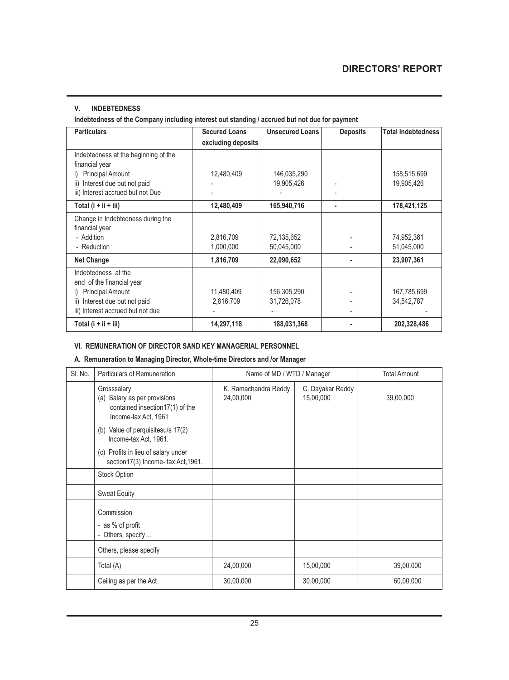### **V. INDEBTEDNESS**

**Indebtedness of the Company including interest out standing / accrued but not due for payment**

| <b>Particulars</b>                   | <b>Secured Loans</b> | <b>Unsecured Loans</b> | <b>Deposits</b> | <b>Total Indebtedness</b> |
|--------------------------------------|----------------------|------------------------|-----------------|---------------------------|
|                                      | excluding deposits   |                        |                 |                           |
| Indebtedness at the beginning of the |                      |                        |                 |                           |
| financial year                       |                      |                        |                 |                           |
| <b>Principal Amount</b>              | 12,480,409           | 146,035,290            |                 | 158,515,699               |
| ii) Interest due but not paid        |                      | 19,905,426             |                 | 19,905,426                |
| iii) Interest accrued but not Due    |                      |                        |                 |                           |
| Total (i + ii + iii)                 | 12,480,409           | 165,940,716            | ٠               | 178,421,125               |
| Change in Indebtedness during the    |                      |                        |                 |                           |
| financial year                       |                      |                        |                 |                           |
| - Addition                           | 2,816,709            | 72,135,652             |                 | 74,952,361                |
| - Reduction                          | 1,000,000            | 50,045,000             |                 | 51,045,000                |
| <b>Net Change</b>                    | 1,816,709            | 22,090,652             |                 | 23,907,361                |
| Indebtedness at the                  |                      |                        |                 |                           |
| end of the financial year            |                      |                        |                 |                           |
| <b>Principal Amount</b>              | 11,480,409           | 156,305,290            |                 | 167,785,699               |
| ii) Interest due but not paid        | 2,816,709            | 31,726,078             |                 | 34,542,787                |
| iii) Interest accrued but not due    |                      |                        |                 |                           |
| Total (i + ii + iii)                 | 14,297,118           | 188,031,368            |                 | 202,328,486               |

### **VI. REMUNERATION OF DIRECTOR SAND KEY MANAGERIAL PERSONNEL**

### **A. Remuneration to Managing Director, Whole-time Directors and /or Manager**

| SI. No. | Particulars of Remuneration                                                                            | Name of MD / WTD / Manager        |                               | <b>Total Amount</b> |
|---------|--------------------------------------------------------------------------------------------------------|-----------------------------------|-------------------------------|---------------------|
|         | Grosssalary<br>(a) Salary as per provisions<br>contained insection17(1) of the<br>Income-tax Act, 1961 | K. Ramachandra Reddy<br>24,00,000 | C. Dayakar Reddy<br>15,00,000 | 39,00,000           |
|         | (b) Value of perquisitesu/s 17(2)<br>Income-tax Act, 1961.                                             |                                   |                               |                     |
|         | (c) Profits in lieu of salary under<br>section17(3) Income- tax Act, 1961.                             |                                   |                               |                     |
|         | Stock Option                                                                                           |                                   |                               |                     |
|         | <b>Sweat Equity</b>                                                                                    |                                   |                               |                     |
|         | Commission<br>- as % of profit<br>Others, specify<br>$\qquad \qquad \blacksquare$                      |                                   |                               |                     |
|         | Others, please specify                                                                                 |                                   |                               |                     |
|         | Total (A)                                                                                              | 24,00,000                         | 15,00,000                     | 39,00,000           |
|         | Ceiling as per the Act                                                                                 | 30,00,000                         | 30,00,000                     | 60,00,000           |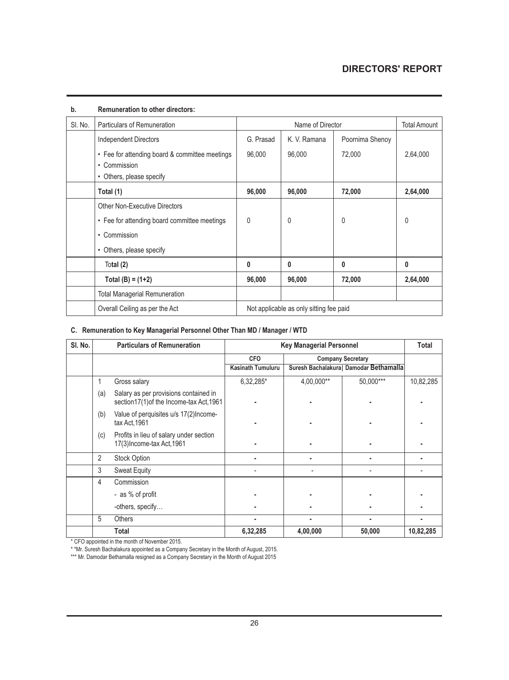| SI. No. | Particulars of Remuneration                    |                                         | Name of Director |                 | <b>Total Amount</b> |
|---------|------------------------------------------------|-----------------------------------------|------------------|-----------------|---------------------|
|         | <b>Independent Directors</b>                   | G. Prasad                               | K. V. Ramana     | Poornima Shenoy |                     |
|         | • Fee for attending board & committee meetings | 96,000                                  | 96.000           | 72,000          | 2,64,000            |
|         | • Commission                                   |                                         |                  |                 |                     |
|         | • Others, please specify                       |                                         |                  |                 |                     |
|         | Total (1)                                      | 96,000                                  | 96,000           | 72,000          | 2,64,000            |
|         | Other Non-Executive Directors                  |                                         |                  |                 |                     |
|         | • Fee for attending board committee meetings   | $\mathbf{0}$                            | $\mathbf{0}$     | 0               | 0                   |
|         | Commission<br>$\bullet$                        |                                         |                  |                 |                     |
|         | • Others, please specify                       |                                         |                  |                 |                     |
|         | Total (2)                                      | 0                                       | $\mathbf{0}$     | 0               | $\bf{0}$            |
|         | Total $(B) = (1+2)$                            | 96,000                                  | 96,000           | 72,000          | 2,64,000            |
|         | <b>Total Managerial Remuneration</b>           |                                         |                  |                 |                     |
|         | Overall Ceiling as per the Act                 | Not applicable as only sitting fee paid |                  |                 |                     |

### **b. Remuneration to other directors:**

### **C. Remuneration to Key Managerial Personnel Other Than MD / Manager / WTD**

| SI. No. |                | <b>Particulars of Remuneration</b>                                                |                          | <b>Key Managerial Personnel</b> |                                        |           |  |
|---------|----------------|-----------------------------------------------------------------------------------|--------------------------|---------------------------------|----------------------------------------|-----------|--|
|         |                |                                                                                   | <b>CFO</b>               |                                 | <b>Company Secretary</b>               |           |  |
|         |                |                                                                                   | <b>Kasinath Tumuluru</b> |                                 | Suresh Bachalakura  Damodar Bethamalla |           |  |
|         | 1              | Gross salary                                                                      | 6,32,285*                | 4,00,000**                      | 50,000***                              | 10,82,285 |  |
|         | (a)            | Salary as per provisions contained in<br>section17(1) of the Income-tax Act, 1961 |                          |                                 |                                        |           |  |
|         | (b)            | Value of perquisites u/s 17(2) Income-<br>tax Act, 1961                           |                          |                                 |                                        |           |  |
|         | (c)            | Profits in lieu of salary under section<br>17(3) Income-tax Act, 1961             |                          |                                 |                                        |           |  |
|         | $\overline{2}$ | <b>Stock Option</b>                                                               |                          |                                 |                                        |           |  |
|         | 3              | <b>Sweat Equity</b>                                                               |                          |                                 |                                        |           |  |
|         | $\overline{4}$ | Commission                                                                        |                          |                                 |                                        |           |  |
|         |                | - as % of profit                                                                  |                          |                                 |                                        |           |  |
|         |                | -others, specify                                                                  |                          |                                 |                                        |           |  |
|         | 5              | <b>Others</b>                                                                     |                          |                                 | ٠                                      |           |  |
|         |                | Total                                                                             | 6,32,285                 | 4,00,000                        | 50,000                                 | 10,82,285 |  |

\* CFO appointed in the month of November 2015.

\* \*Mr. Suresh Bachalakura appointed as a Company Secretary in the Month of August, 2015.

\*\*\* Mr. Damodar Bethamalla resigned as a Company Secretary in the Month of August 2015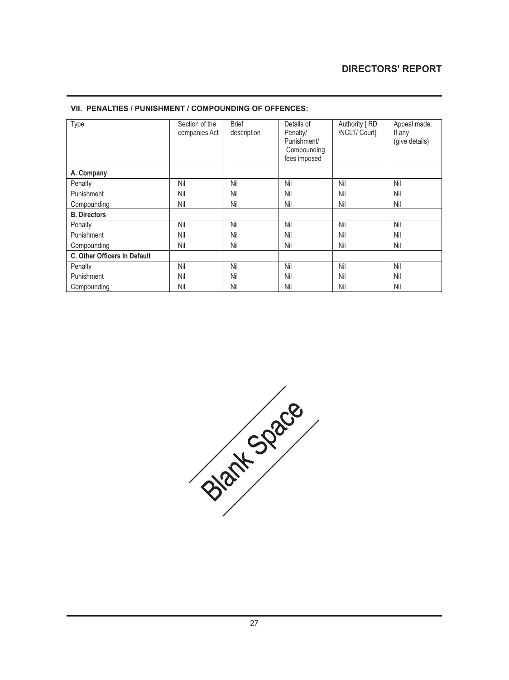| VII. PENALTIES / PUNISHMENT / COMPOUNDING OF OFFENCES: |                                 |                             |                                                                      |                                 |                                          |
|--------------------------------------------------------|---------------------------------|-----------------------------|----------------------------------------------------------------------|---------------------------------|------------------------------------------|
| Type                                                   | Section of the<br>companies Act | <b>Brief</b><br>description | Details of<br>Penalty/<br>Punishment/<br>Compounding<br>fees imposed | Authority [ RD<br>/NCLT/ Court] | Appeal made.<br>If any<br>(give details) |
| A. Company                                             |                                 |                             |                                                                      |                                 |                                          |
| Penalty                                                | Nil                             | Nil                         | Nil                                                                  | Nil                             | Nil                                      |
| Punishment                                             | Nil                             | Nil                         | Nil                                                                  | Nil                             | Nil                                      |
| Compounding                                            | Nil                             | Nil                         | Nil                                                                  | Nil                             | Nil                                      |
| <b>B.</b> Directors                                    |                                 |                             |                                                                      |                                 |                                          |
| Penalty                                                | Nil                             | Nil                         | Nil                                                                  | Nil                             | Nil                                      |
| Punishment                                             | Nil                             | Nil                         | Nil                                                                  | Nil                             | Nil                                      |
| Compounding                                            | Nil                             | Nil                         | Nil                                                                  | Nil                             | Nil                                      |
| C. Other Officers In Default                           |                                 |                             |                                                                      |                                 |                                          |
| Penalty                                                | Nil                             | Nil                         | Nil                                                                  | Nil                             | Nil                                      |
| Punishment                                             | Nil                             | Nil                         | Nil                                                                  | Nil                             | Nil                                      |
| Compounding                                            | Nil                             | Nil                         | Nil                                                                  | Nil                             | Nil                                      |
|                                                        |                                 |                             |                                                                      |                                 |                                          |
|                                                        |                                 | 31/ant Space                |                                                                      |                                 |                                          |

### **VII. PENALTIES / PUNISHMENT / COMPOUNDING OF OFFENCES:**

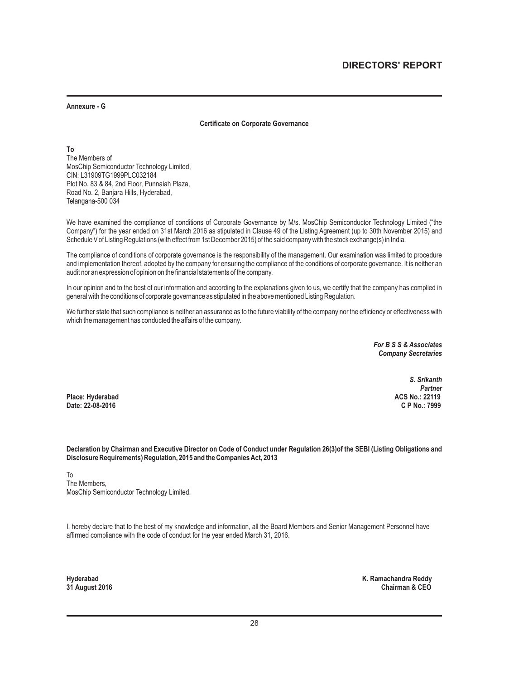**Annexure - G**

**Certificate on Corporate Governance**

**To** The Members of MosChip Semiconductor Technology Limited, CIN: L31909TG1999PLC032184 Plot No. 83 & 84, 2nd Floor, Punnaiah Plaza, Road No. 2, Banjara Hills, Hyderabad, Telangana-500 034

We have examined the compliance of conditions of Corporate Governance by M/s. MosChip Semiconductor Technology Limited ("the Company") for the year ended on 31st March 2016 as stipulated in Clause 49 of the Listing Agreement (up to 30th November 2015) and Schedule V of Listing Regulations (with effect from 1st December 2015) of the said company with the stock exchange(s) in India.

The compliance of conditions of corporate governance is the responsibility of the management. Our examination was limited to procedure and implementation thereof, adopted by the company for ensuring the compliance of the conditions of corporate governance. It is neither an audit nor an expression of opinion on the financial statements of the company.

In our opinion and to the best of our information and according to the explanations given to us, we certify that the company has complied in general with the conditions of corporate governance as stipulated in the above mentioned Listing Regulation.

We further state that such compliance is neither an assurance as to the future viability of the company nor the efficiency or effectiveness with which the management has conducted the affairs of the company.

> *For B S S & Associates Company Secretaries*

**Place: Hyderabad ACS No.: 22119 Date: 22-08-2016 C P No.: 7999**

 *S. Srikanth Partner Partner* 

**Declaration by Chairman and Executive Director on Code of Conduct under Regulation 26(3)of the SEBI (Listing Obligations and Disclosure Requirements) Regulation, 2015 and the Companies Act, 2013**

To The Members, MosChip Semiconductor Technology Limited.

I, hereby declare that to the best of my knowledge and information, all the Board Members and Senior Management Personnel have affirmed compliance with the code of conduct for the year ended March 31, 2016.

**31 August 2016** 

**Hyderabad K. Ramachandra Reddy**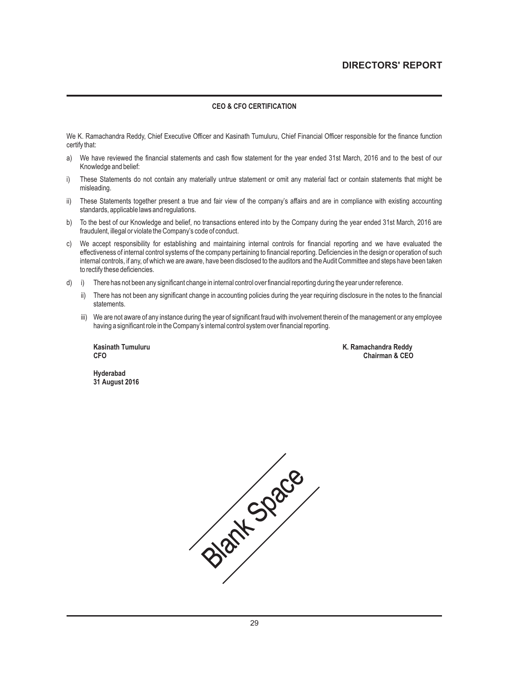#### **CEO & CFO CERTIFICATION**

We K. Ramachandra Reddy, Chief Executive Officer and Kasinath Tumuluru, Chief Financial Officer responsible for the finance function certify that:

- a) We have reviewed the financial statements and cash flow statement for the year ended 31st March, 2016 and to the best of our Knowledge and belief:
- i) These Statements do not contain any materially untrue statement or omit any material fact or contain statements that might be misleading.
- ii) These Statements together present a true and fair view of the company's affairs and are in compliance with existing accounting standards, applicable laws and regulations.
- b) To the best of our Knowledge and belief, no transactions entered into by the Company during the year ended 31st March, 2016 are fraudulent, illegal or violate the Company's code of conduct.
- c) We accept responsibility for establishing and maintaining internal controls for financial reporting and we have evaluated the effectiveness of internal control systems of the company pertaining to financial reporting. Deficiencies in the design or operation of such internal controls, if any, of which we are aware, have been disclosed to the auditors and the Audit Committee and steps have been taken to rectify these deficiencies.
- d) i) There has not been any significant change in internal control over financial reporting during the year under reference.
	- ii) There has not been any significant change in accounting policies during the year requiring disclosure in the notes to the financial statements.
	- iii) We are not aware of any instance during the year of significant fraud with involvement therein of the management or any employee having a significant role in the Company's internal control system over financial reporting.

**Kasinath Tumuluru K. Ramachandra Reddy Chairman & CEO** 

**Hyderabad 31 August 2016** 

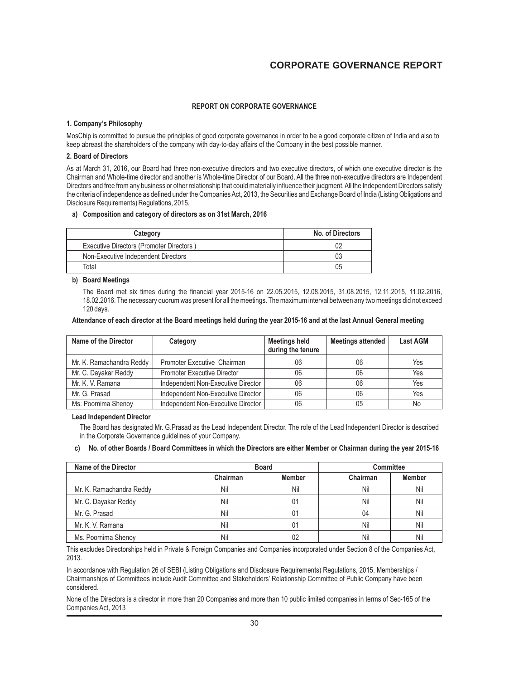### **CORPORATE GOVERNANCE REPORT**

#### **REPORT ON CORPORATE GOVERNANCE**

#### **1. Company's Philosophy**

MosChip is committed to pursue the principles of good corporate governance in order to be a good corporate citizen of India and also to keep abreast the shareholders of the company with day-to-day affairs of the Company in the best possible manner.

#### **2. Board of Directors**

As at March 31, 2016, our Board had three non-executive directors and two executive directors, of which one executive director is the Chairman and Whole-time director and another is Whole-time Director of our Board. All the three non-executive directors are Independent Directors and free from any business or other relationship that could materially influence their judgment. All the Independent Directors satisfy the criteria of independence as defined under the Companies Act, 2013, the Securities and Exchange Board of India (Listing Obligations and Disclosure Requirements) Regulations, 2015.

#### **a) Composition and category of directors as on 31st March, 2016**

| Category                                 | No. of Directors |
|------------------------------------------|------------------|
| Executive Directors (Promoter Directors) | -00              |
| Non-Executive Independent Directors      | 03               |
| Total                                    | 05               |

### **b) Board Meetings**

The Board met six times during the financial year 2015-16 on 22.05.2015, 12.08.2015, 31.08.2015, 12.11.2015, 11.02.2016, 18.02.2016. The necessary quorum was present for all the meetings. The maximum interval between any two meetings did not exceed 120 days.

#### **Attendance of each director at the Board meetings held during the year 2015-16 and at the last Annual General meeting**

| Name of the Director     | Category                           | Meetings held<br>during the tenure | Meetings attended | <b>Last AGM</b> |
|--------------------------|------------------------------------|------------------------------------|-------------------|-----------------|
| Mr. K. Ramachandra Reddy | Promoter Executive Chairman        | 06                                 | 06                | Yes             |
| Mr. C. Dayakar Reddy     | Promoter Executive Director        | 06                                 | 06                | Yes             |
| Mr. K. V. Ramana         | Independent Non-Executive Director | 06                                 | 06                | Yes             |
| Mr. G. Prasad            | Independent Non-Executive Director | 06                                 | 06                | Yes             |
| Ms. Poornima Shenoy      | Independent Non-Executive Director | 06                                 | 05                | No              |

#### **Lead Independent Director**

The Board has designated Mr. G.Prasad as the Lead Independent Director. The role of the Lead Independent Director is described in the Corporate Governance guidelines of your Company.

#### **c) No. of other Boards / Board Committees in which the Directors are either Member or Chairman during the year 2015-16**

| Name of the Director     | <b>Board</b> |               | Committee |               |  |
|--------------------------|--------------|---------------|-----------|---------------|--|
|                          | Chairman     | <b>Member</b> | Chairman  | <b>Member</b> |  |
| Mr. K. Ramachandra Reddy | Nil          | Nil           | Nil       | Nil           |  |
| Mr. C. Dayakar Reddy     | Nil          | 01            | Nil       | Nil           |  |
| Mr. G. Prasad            | Nil          | 01            | 04        | Nil           |  |
| Mr. K. V. Ramana         | Nil          | 01            | Nil       | Nil           |  |
| Ms. Poornima Shenoy      | Nil          | N2            | Nil       | Nil           |  |

This excludes Directorships held in Private & Foreign Companies and Companies incorporated under Section 8 of the Companies Act, 2013.

In accordance with Regulation 26 of SEBI (Listing Obligations and Disclosure Requirements) Regulations, 2015, Memberships / Chairmanships of Committees include Audit Committee and Stakeholders' Relationship Committee of Public Company have been considered.

None of the Directors is a director in more than 20 Companies and more than 10 public limited companies in terms of Sec-165 of the Companies Act, 2013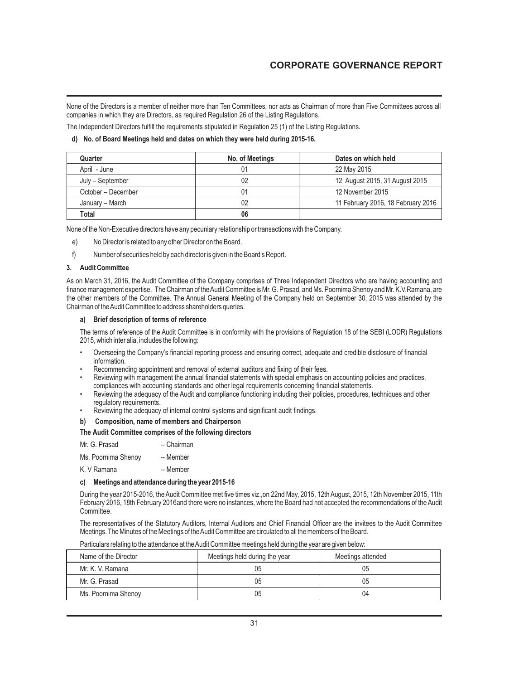### **CORPORATE GOVERNANCE REPORT**

None of the Directors is a member of neither more than Ten Committees, nor acts as Chairman of more than Five Committees across all companies in which they are Directors, as required Regulation 26 of the Listing Regulations.

The Independent Directors fulfill the requirements stipulated in Regulation 25 (1) of the Listing Regulations.

#### **d) No. of Board Meetings held and dates on which they were held during 2015-16.**

| Quarter            | No. of Meetings | Dates on which held                |
|--------------------|-----------------|------------------------------------|
| April - June       | 01              | 22 May 2015                        |
| July - September   | 02              | 12 August 2015, 31 August 2015     |
| October – December | 01              | 12 November 2015                   |
| January – March    | 02              | 11 February 2016, 18 February 2016 |
| Total              | 06              |                                    |

None of the Non-Executive directors have any pecuniary relationship or transactions with the Company.

- e) No Director is related to any other Director on the Board.
- f) Number of securities held by each director is given in the Board's Report.

#### **3. Audit Committee**

As on March 31, 2016, the Audit Committee of the Company comprises of Three Independent Directors who are having accounting and finance management expertise. The Chairman of the Audit Committee is Mr. G. Prasad, and Ms. Poornima Shenoy and Mr. K.V.Ramana, are the other members of the Committee. The Annual General Meeting of the Company held on September 30, 2015 was attended by the Chairman of the Audit Committee to address shareholders queries.

#### **a) Brief description of terms of reference**

The terms of reference of the Audit Committee is in conformity with the provisions of Regulation 18 of the SEBI (LODR) Regulations 2015, which inter alia, includes the following:

- Overseeing the Company's financial reporting process and ensuring correct, adequate and credible disclosure of financial information.
- Recommending appointment and removal of external auditors and fixing of their fees.
- Reviewing with management the annual financial statements with special emphasis on accounting policies and practices, compliances with accounting standards and other legal requirements concerning financial statements.
- Reviewing the adequacy of the Audit and compliance functioning including their policies, procedures, techniques and other regulatory requirements.
- Reviewing the adequacy of internal control systems and significant audit findings.
- **b) Composition, name of members and Chairperson**

#### **The Audit Committee comprises of the following directors**

| Mr. G. Prasad | -- Chairman |
|---------------|-------------|
|---------------|-------------|

Ms. Poornima Shenoy -- Member

K. V Ramana -- Member

#### **c) Meetings and attendance during the year 2015-16**

During the year 2015-2016, the Audit Committee met five times viz.,on 22nd May, 2015, 12th August, 2015, 12th November 2015, 11th February 2016, 18th February 2016and there were no instances, where the Board had not accepted the recommendations of the Audit Committee.

The representatives of the Statutory Auditors, Internal Auditors and Chief Financial Officer are the invitees to the Audit Committee Meetings. The Minutes of the Meetings of the Audit Committee are circulated to all the members of the Board.

| Name of the Director | Meetings held during the year | Meetings attended |
|----------------------|-------------------------------|-------------------|
| Mr. K. V. Ramana     | 05                            | 05                |
| Mr. G. Prasad        | 05                            | 05                |
| Ms. Poornima Shenoy  | 05                            | 04                |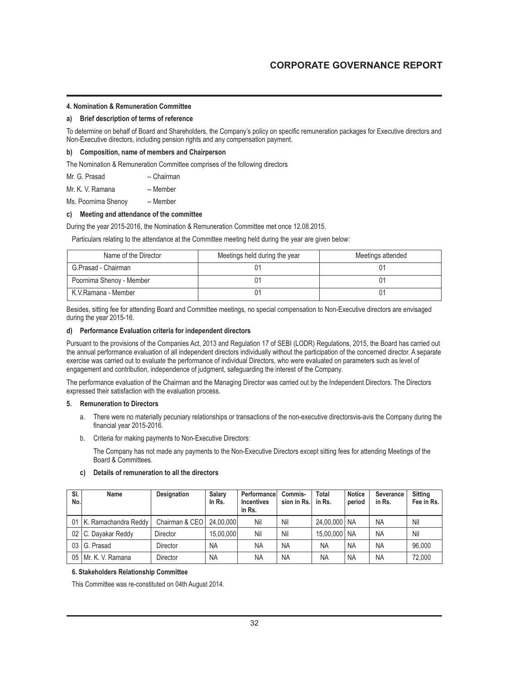#### **4. Nomination & Remuneration Committee**

#### **a) Brief description of terms of reference**

To determine on behalf of Board and Shareholders, the Company's policy on specific remuneration packages for Executive directors and Non-Executive directors, including pension rights and any compensation payment.

#### **b) Composition, name of members and Chairperson**

The Nomination & Remuneration Committee comprises of the following directors

Mr. G. Prasad -- Chairman

Mr. K. V. Ramana -- Member

Ms. Poornima Shenoy -- Member

#### **c) Meeting and attendance of the committee**

During the year 2015-2016, the Nomination & Remuneration Committee met once 12.08.2015.

Particulars relating to the attendance at the Committee meeting held during the year are given below:

| Name of the Director     | Meetings held during the year | Meetings attended |
|--------------------------|-------------------------------|-------------------|
| G.Prasad - Chairman      |                               |                   |
| Poornima Shenoy - Member |                               |                   |
| K.V.Ramana - Member      |                               |                   |

Besides, sitting fee for attending Board and Committee meetings, no special compensation to Non-Executive directors are envisaged during the year 2015-16.

#### **d) Performance Evaluation criteria for independent directors**

Pursuant to the provisions of the Companies Act, 2013 and Regulation 17 of SEBI (LODR) Regulations, 2015, the Board has carried out the annual performance evaluation of all independent directors individually without the participation of the concerned director. A separate exercise was carried out to evaluate the performance of individual Directors, who were evaluated on parameters such as level of engagement and contribution, independence of judgment, safeguarding the interest of the Company.

The performance evaluation of the Chairman and the Managing Director was carried out by the Independent Directors. The Directors expressed their satisfaction with the evaluation process.

#### **5. Remuneration to Directors**

- a. There were no materially pecuniary relationships or transactions of the non-executive directorsvis-avis the Company during the financial year 2015-2016.
- b. Criteria for making payments to Non-Executive Directors:

The Company has not made any payments to the Non-Executive Directors except sitting fees for attending Meetings of the Board & Committees.

#### **c) Details of remuneration to all the directors**

| SI.<br>No. | Name                 | <b>Designation</b>         | <b>Salarv</b><br>In Rs. | Performance<br><b>Incentives</b><br>in Rs. | Commis-<br>sion in Rs. in Rs. | Total        | <b>Notice</b><br>period | Severance<br>in Rs. | Sitting<br>Fee in Rs. |
|------------|----------------------|----------------------------|-------------------------|--------------------------------------------|-------------------------------|--------------|-------------------------|---------------------|-----------------------|
| 01         | K. Ramachandra Reddy | Chairman & CEO   24.00.000 |                         | Nil                                        | Nil                           | 24.00.000 NA |                         | <b>NA</b>           | Nil                   |
|            | 02 C. Dayakar Reddy  | Director                   | 15.00.000               | Nil                                        | Nil                           | 15.00.000 NA |                         | <b>NA</b>           | Nil                   |
|            | 03 G. Prasad         | Director                   | <b>NA</b>               | <b>NA</b>                                  | <b>NA</b>                     | NA           | ' NA                    | <b>NA</b>           | 96.000                |
|            | 05 Mr. K. V. Ramana  | Director                   | <b>NA</b>               | ΝA                                         | <b>NA</b>                     | ΝA           | <b>NA</b>               | <b>NA</b>           | 72.000                |

#### **6. Stakeholders Relationship Committee**

This Committee was re-constituted on 04th August 2014.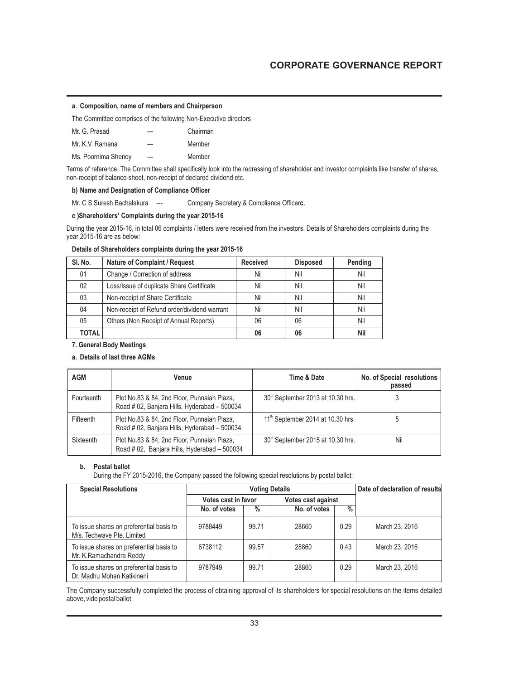#### **a. Composition, name of members and Chairperson**

**T**he Committee comprises of the following Non-Executive directors

Mr. G. Prasad --- Chairman

Mr. K.V. Ramana --- Member

Ms. Poornima Shenoy --- Member

Terms of reference: The Committee shall specifically look into the redressing of shareholder and investor complaints like transfer of shares, non-receipt of balance-sheet, non-receipt of declared dividend etc.

#### **b) Name and Designation of Compliance Officer**

Mr. C S Suresh Bachalakura --- Company Secretary & Compliance Officer**c.**

#### **c )Shareholders' Complaints during the year 2015-16**

During the year 2015-16, in total 06 complaints / letters were received from the investors. Details of Shareholders complaints during the year 2015-16 are as below:

#### **Details of Shareholders complaints during the year 2015-16**

| SI. No.         | <b>Nature of Complaint / Request</b>         | Received | <b>Disposed</b> | Pending |
|-----------------|----------------------------------------------|----------|-----------------|---------|
| 01              | Change / Correction of address               | Nil      | Nil             | Nil     |
| 02 <sub>2</sub> | Loss/Issue of duplicate Share Certificate    | Nil      | Nil             | Nil     |
| 03              | Non-receipt of Share Certificate             | Nil      | Nil             | Nil     |
| 04              | Non-receipt of Refund order/dividend warrant | Nil      | Nil             | Nil     |
| 05              | Others (Non Receipt of Annual Reports)       | 06       | 06              | Nil     |
| <b>TOTAL</b>    |                                              | 06       | 06              | Nil     |

### **7. General Body Meetings**

#### **a. Details of last three AGMs**

| <b>AGM</b> | Venue                                                                                       | Time & Date                                   | No. of Special resolutions<br>passed |
|------------|---------------------------------------------------------------------------------------------|-----------------------------------------------|--------------------------------------|
| Fourteenth | Plot No.83 & 84, 2nd Floor, Punnaiah Plaza,<br>Road # 02, Banjara Hills, Hyderabad - 500034 | 30th September 2013 at 10.30 hrs.             |                                      |
| Fifteenth  | Plot No.83 & 84, 2nd Floor, Punnaiah Plaza,<br>Road # 02, Banjara Hills, Hyderabad - 500034 | 11 <sup>th</sup> September 2014 at 10.30 hrs. |                                      |
| Sixteenth  | Plot No.83 & 84, 2nd Floor, Punnaiah Plaza,<br>Road # 02, Banjara Hills, Hyderabad - 500034 | 30th September 2015 at 10.30 hrs.             | Nil                                  |

#### **b. Postal ballot**

During the FY 2015-2016, the Company passed the following special resolutions by postal ballot:

| <b>Special Resolutions</b>                                             |                     | Date of declaration of results |                    |      |                |
|------------------------------------------------------------------------|---------------------|--------------------------------|--------------------|------|----------------|
|                                                                        | Votes cast in favor |                                | Votes cast against |      |                |
|                                                                        | No. of votes        | %                              | No. of votes       | %    |                |
| To issue shares on preferential basis to<br>M/s. Techwave Pte. Limited | 9788449             | 99.71                          | 28660              | 0.29 | March 23, 2016 |
| To issue shares on preferential basis to<br>Mr. K.Ramachandra Reddy    | 6738112             | 99.57                          | 28860              | 0.43 | March 23, 2016 |
| To issue shares on preferential basis to<br>Dr. Madhu Mohan Katikineni | 9787949             | 99.71                          | 28860              | 0.29 | March 23, 2016 |

The Company successfully completed the process of obtaining approval of its shareholders for special resolutions on the items detailed above, vide postal ballot.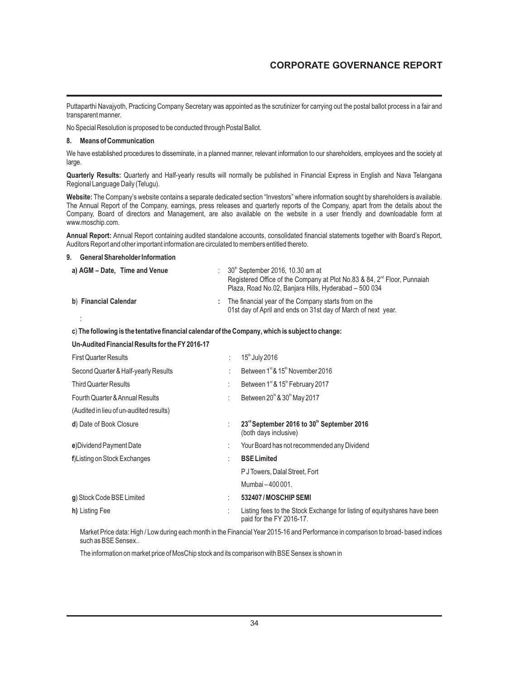### **CORPORATE GOVERNANCE REPORT**

Puttaparthi Navajyoth, Practicing Company Secretary was appointed as the scrutinizer for carrying out the postal ballot process in a fair and transparent manner.

No Special Resolution is proposed to be conducted through Postal Ballot.

#### **8. Means of Communication**

We have established procedures to disseminate, in a planned manner, relevant information to our shareholders, employees and the society at large.

**Quarterly Results:** Quarterly and Half-yearly results will normally be published in Financial Express in English and Nava Telangana Regional Language Daily (Telugu).

**Website:** The Company's website contains a separate dedicated section "Investors" where information sought by shareholders is available. The Annual Report of the Company, earnings, press releases and quarterly reports of the Company, apart from the details about the Company, Board of directors and Management, are also available on the website in a user friendly and downloadable form at www.moschip.com.

**Annual Report:** Annual Report containing audited standalone accounts, consolidated financial statements together with Board's Report, Auditors Report and other important information are circulated to members entitled thereto.

#### **9. General Shareholder Information**

| a) AGM - Date, Time and Venue | $\therefore$ 30 <sup>th</sup> September 2016, 10.30 am at<br>Registered Office of the Company at Plot No.83 & 84, 2 <sup>nd</sup> Floor, Punnaiah<br>Plaza, Road No.02, Banjara Hills, Hyderabad - 500 034 |
|-------------------------------|------------------------------------------------------------------------------------------------------------------------------------------------------------------------------------------------------------|
| b) Financial Calendar         | The financial year of the Company starts from on the<br>01st day of April and ends on 31st day of March of next year.                                                                                      |

**c**) **The following is the tentative financial calendar of the Company, which is subject to change:**

#### **Un-Audited Financial Results for the FY 2016-17**

| <b>First Quarter Results</b>            | ٠ | $15^{\text{th}}$ July 2016                                                                            |
|-----------------------------------------|---|-------------------------------------------------------------------------------------------------------|
| Second Quarter & Half-yearly Results    |   | Between 1st & 15th November 2016                                                                      |
| <b>Third Quarter Results</b>            |   | Between 1 <sup>st</sup> & 15 <sup>th</sup> February 2017                                              |
| Fourth Quarter & Annual Results         |   | Between 20th & 30th May 2017                                                                          |
| (Audited in lieu of un-audited results) |   |                                                                                                       |
| d) Date of Book Closure                 |   | 23 <sup>rd</sup> September 2016 to 30 <sup>th</sup> September 2016<br>(both days inclusive)           |
| e) Dividend Payment Date                |   | Your Board has not recommended any Dividend                                                           |
| f) Listing on Stock Exchanges           |   | <b>BSE Limited</b>                                                                                    |
|                                         |   | PJ Towers, Dalal Street, Fort                                                                         |
|                                         |   | Mumbai-400001.                                                                                        |
| g) Stock Code BSE Limited               |   | 532407/MOSCHIP SEMI                                                                                   |
| h) Listing Fee                          |   | Listing fees to the Stock Exchange for listing of equity shares have been<br>paid for the FY 2016-17. |

Market Price data: High / Low during each month in the Financial Year 2015-16 and Performance in comparison to broad- based indices such as BSE Sensex..

The information on market price of MosChip stock and its comparison with BSE Sensex is shown in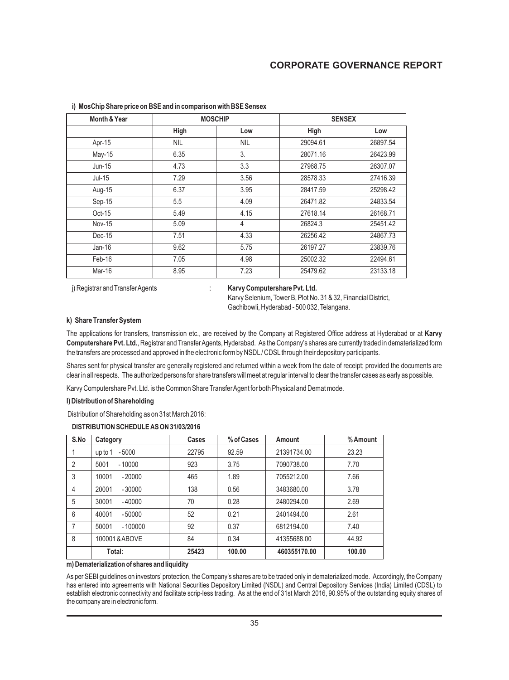## **CORPORATE GOVERNANCE REPORT**

| <b>Month &amp; Year</b> |            | <b>MOSCHIP</b> | <b>SENSEX</b> |          |
|-------------------------|------------|----------------|---------------|----------|
|                         | High       | Low            | High          | Low      |
| Apr-15                  | <b>NIL</b> | <b>NIL</b>     | 29094.61      | 26897.54 |
| May-15                  | 6.35       | 3.             | 28071.16      | 26423.99 |
| Jun-15                  | 4.73       | 3.3            | 27968.75      | 26307.07 |
| $Jul-15$                | 7.29       | 3.56           | 28578.33      | 27416.39 |
| Aug-15                  | 6.37       | 3.95           | 28417.59      | 25298.42 |
| Sep-15                  | 5.5        | 4.09           | 26471.82      | 24833.54 |
| $Oct-15$                | 5.49       | 4.15           | 27618.14      | 26168.71 |
| <b>Nov-15</b>           | 5.09       | 4              | 26824.3       | 25451.42 |
| $Dec-15$                | 7.51       | 4.33           | 26256.42      | 24867.73 |
| $Jan-16$                | 9.62       | 5.75           | 26197.27      | 23839.76 |
| Feb-16                  | 7.05       | 4.98           | 25002.32      | 22494.61 |
| Mar-16                  | 8.95       | 7.23           | 25479.62      | 23133.18 |

#### **i) MosChip Share price on BSE and in comparison with BSE Sensex**

j) Registrar and Transfer Agents : **Karvy Computershare Pvt. Ltd.** 

Karvy Selenium, Tower B, Plot No. 31 & 32, Financial District, Gachibowli, Hyderabad - 500 032, Telangana.

### **k) Share Transfer System**

The applications for transfers, transmission etc., are received by the Company at Registered Office address at Hyderabad or at **Karvy Computershare Pvt. Ltd.**, Registrar and Transfer Agents, Hyderabad. As the Company's shares are currently traded in dematerialized form the transfers are processed and approved in the electronic form by NSDL/ CDSL through their depository participants.

Shares sent for physical transfer are generally registered and returned within a week from the date of receipt; provided the documents are clear in all respects. The authorized persons for share transfers will meet at regular interval to clear the transfer cases as early as possible.

Karvy Computershare Pvt. Ltd. is the Common Share Transfer Agent for both Physical and Demat mode.

#### **l) Distribution of Shareholding**

Distribution of Shareholding as on 31st March 2016:

### **DISTRIBUTION SCHEDULE AS ON 31/03/2016**

| S.No           | Category           | Cases | % of Cases | Amount       | % Amount |
|----------------|--------------------|-------|------------|--------------|----------|
|                | $-5000$<br>up to 1 | 22795 | 92.59      | 21391734.00  | 23.23    |
| $\mathfrak{p}$ | $-10000$<br>5001   | 923   | 3.75       | 7090738.00   | 7.70     |
| 3              | 10001<br>$-20000$  | 465   | 1.89       | 7055212.00   | 7.66     |
| 4              | 20001<br>$-30000$  | 138   | 0.56       | 3483680.00   | 3.78     |
| 5              | 30001<br>$-40000$  | 70    | 0.28       | 2480294.00   | 2.69     |
| 6              | 40001<br>$-50000$  | 52    | 0.21       | 2401494.00   | 2.61     |
| 7              | 50001<br>$-100000$ | 92    | 0.37       | 6812194.00   | 7.40     |
| 8              | 100001&ABOVE       | 84    | 0.34       | 41355688.00  | 44.92    |
|                | Total:             | 25423 | 100.00     | 460355170.00 | 100.00   |

### **m) Dematerialization of shares and liquidity**

As per SEBI guidelines on investors' protection, the Company's shares are to be traded only in dematerialized mode. Accordingly, the Company has entered into agreements with National Securities Depository Limited (NSDL) and Central Depository Services (India) Limited (CDSL) to establish electronic connectivity and facilitate scrip-less trading. As at the end of 31st March 2016, 90.95% of the outstanding equity shares of the company are in electronic form.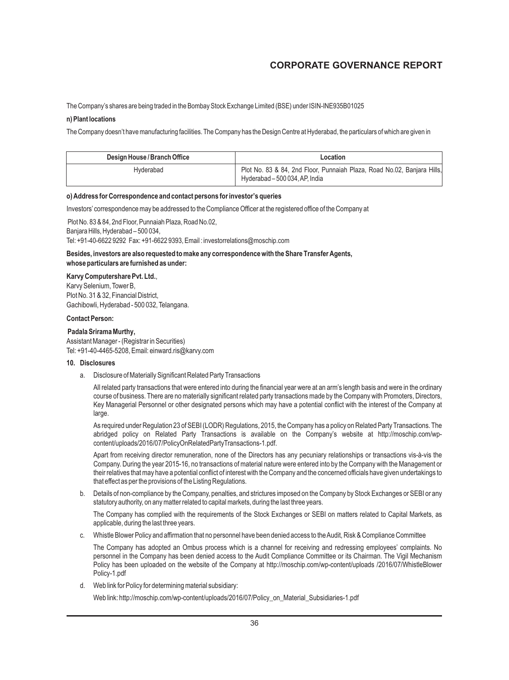## **CORPORATE GOVERNANCE REPORT**

The Company's shares are being traded in the Bombay Stock Exchange Limited (BSE) under ISIN-INE935B01025

#### **n) Plant locations**

The Company doesn't have manufacturing facilities. The Company has the Design Centre at Hyderabad, the particulars of which are given in

| Design House / Branch Office | Location                                                                                                  |
|------------------------------|-----------------------------------------------------------------------------------------------------------|
| Hyderabad                    | Plot No. 83 & 84, 2nd Floor, Punnaiah Plaza, Road No.02, Banjara Hills,<br>Hyderabad - 500 034, AP, India |

#### **o)Address for Correspondence and contact persons for investor's queries**

Investors' correspondence may be addressed to the Compliance Officer at the registered office of the Company at

Plot No. 83 & 84, 2nd Floor, Punnaiah Plaza, Road No.02, Banjara Hills, Hyderabad – 500 034, Tel: +91-40-6622 9292 Fax: +91-6622 9393, Email : investorrelations@moschip.com

**Besides, investors are also requested to make any correspondence with the Share Transfer Agents,** 

**whose particulars are furnished as under:**

### **Karvy Computershare Pvt. Ltd.**,

Karvy Selenium, Tower B, Plot No. 31 & 32, Financial District, Gachibowli, Hyderabad - 500 032, Telangana.

### **Contact Person:**

#### **Padala Srirama Murthy,**

Assistant Manager - (Registrar in Securities) Tel: +91-40-4465-5208, Email: einward.ris@karvy.com

#### **10. Disclosures**

a. Disclosure of Materially Significant Related Party Transactions

All related party transactions that were entered into during the financial year were at an arm's length basis and were in the ordinary course of business. There are no materially significant related party transactions made by the Company with Promoters, Directors, Key Managerial Personnel or other designated persons which may have a potential conflict with the interest of the Company at large.

As required under Regulation 23 of SEBI (LODR) Regulations, 2015, the Company has a policy on Related Party Transactions. The abridged policy on Related Party Transactions is available on the Company's website at http://moschip.com/wpcontent/uploads/2016/07/PolicyOnRelatedPartyTransactions-1.pdf.

Apart from receiving director remuneration, none of the Directors has any pecuniary relationships or transactions vis-à-vis the Company. During the year 2015-16, no transactions of material nature were entered into by the Company with the Management or their relatives that may have a potential conflict of interest with the Company and the concerned officials have given undertakings to that effect as per the provisions of the Listing Regulations.

b. Details of non-compliance by the Company, penalties, and strictures imposed on the Company by Stock Exchanges or SEBI or any statutory authority, on any matter related to capital markets, during the last three years.

The Company has complied with the requirements of the Stock Exchanges or SEBI on matters related to Capital Markets, as applicable, during the last three years.

c. Whistle Blower Policy and affirmation that no personnel have been denied access to the Audit, Risk & Compliance Committee

The Company has adopted an Ombus process which is a channel for receiving and redressing employees' complaints. No personnel in the Company has been denied access to the Audit Compliance Committee or its Chairman. The Vigil Mechanism Policy has been uploaded on the website of the Company at http://moschip.com/wp-content/uploads /2016/07/WhistleBlower Policy-1.pdf

d. Web link for Policy for determining material subsidiary:

Web link: http://moschip.com/wp-content/uploads/2016/07/Policy\_on\_Material\_Subsidiaries-1.pdf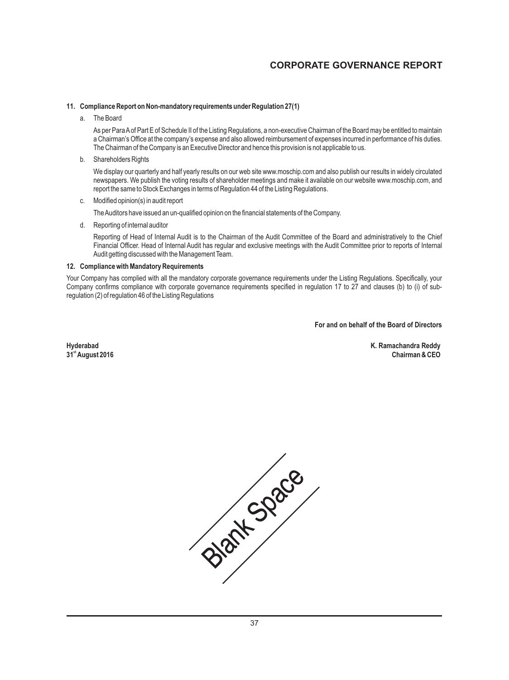## **CORPORATE GOVERNANCE REPORT**

#### **11. Compliance Report on Non-mandatory requirements under Regulation 27(1)**

a. The Board

As per Para Aof Part E of Schedule II of the Listing Regulations, a non-executive Chairman of the Board may be entitled to maintain a Chairman's Office at the company's expense and also allowed reimbursement of expenses incurred in performance of his duties. The Chairman of the Company is an Executive Director and hence this provision is not applicable to us.

b. Shareholders Rights

We display our quarterly and half yearly results on our web site www.moschip.com and also publish our results in widely circulated newspapers. We publish the voting results of shareholder meetings and make it available on our website www.moschip.com, and report the same to Stock Exchanges in terms of Regulation 44 of the Listing Regulations.

c. Modified opinion(s) in audit report

The Auditors have issued an un-qualified opinion on the financial statements of the Company.

d. Reporting of internal auditor

Reporting of Head of Internal Audit is to the Chairman of the Audit Committee of the Board and administratively to the Chief Financial Officer. Head of Internal Audit has regular and exclusive meetings with the Audit Committee prior to reports of Internal Audit getting discussed with the Management Team.

### **12. Compliance with Mandatory Requirements**

Your Company has complied with all the mandatory corporate governance requirements under the Listing Regulations. Specifically, your Company confirms compliance with corporate governance requirements specified in regulation 17 to 27 and clauses (b) to (i) of subregulation (2) of regulation 46 of the Listing Regulations

**For and on behalf of the Board of Directors**

 $31<sup>st</sup>$  August 2016

**Hyderabad K. Ramachandra Reddy** 

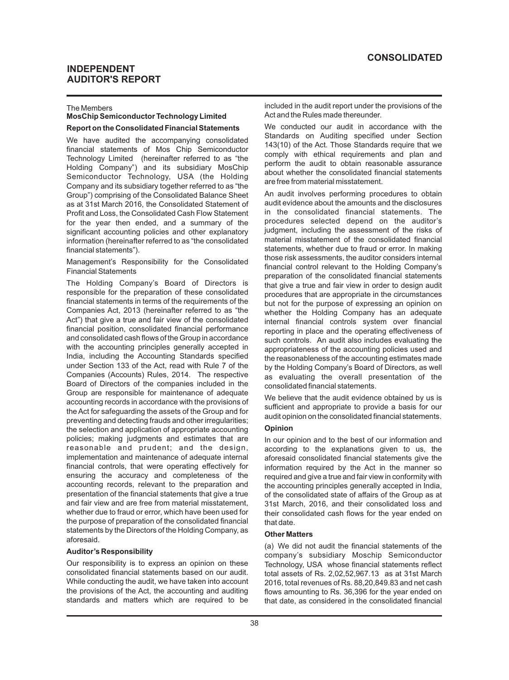### **INDEPENDENT AUDITOR'S REPORT**

#### The Members

### **MosChip Semiconductor Technology Limited**

#### **Report on the Consolidated Financial Statements**

We have audited the accompanying consolidated financial statements of Mos Chip Semiconductor Technology Limited (hereinafter referred to as "the Holding Company") and its subsidiary MosChip Semiconductor Technology, USA (the Holding Company and its subsidiary together referred to as "the Group") comprising of the Consolidated Balance Sheet as at 31st March 2016, the Consolidated Statement of Profit and Loss, the Consolidated Cash Flow Statement for the year then ended, and a summary of the significant accounting policies and other explanatory information (hereinafter referred to as "the consolidated financial statements").

Management's Responsibility for the Consolidated Financial Statements

The Holding Company's Board of Directors is responsible for the preparation of these consolidated financial statements in terms of the requirements of the Companies Act, 2013 (hereinafter referred to as "the Act") that give a true and fair view of the consolidated financial position, consolidated financial performance and consolidated cash flows of the Group in accordance with the accounting principles generally accepted in India, including the Accounting Standards specified under Section 133 of the Act, read with Rule 7 of the Companies (Accounts) Rules, 2014. The respective Board of Directors of the companies included in the Group are responsible for maintenance of adequate accounting records in accordance with the provisions of the Act for safeguarding the assets of the Group and for preventing and detecting frauds and other irregularities; the selection and application of appropriate accounting policies; making judgments and estimates that are reasonable and prudent; and the design, implementation and maintenance of adequate internal financial controls, that were operating effectively for ensuring the accuracy and completeness of the accounting records, relevant to the preparation and presentation of the financial statements that give a true and fair view and are free from material misstatement, whether due to fraud or error, which have been used for the purpose of preparation of the consolidated financial statements by the Directors of the Holding Company, as aforesaid.

#### **Auditor's Responsibility**

Our responsibility is to express an opinion on these consolidated financial statements based on our audit. While conducting the audit, we have taken into account the provisions of the Act, the accounting and auditing standards and matters which are required to be

included in the audit report under the provisions of the Act and the Rules made thereunder.

We conducted our audit in accordance with the Standards on Auditing specified under Section 143(10) of the Act. Those Standards require that we comply with ethical requirements and plan and perform the audit to obtain reasonable assurance about whether the consolidated financial statements are free from material misstatement.

An audit involves performing procedures to obtain audit evidence about the amounts and the disclosures in the consolidated financial statements. The procedures selected depend on the auditor's judgment, including the assessment of the risks of material misstatement of the consolidated financial statements, whether due to fraud or error. In making those risk assessments, the auditor considers internal financial control relevant to the Holding Company's preparation of the consolidated financial statements that give a true and fair view in order to design audit procedures that are appropriate in the circumstances but not for the purpose of expressing an opinion on whether the Holding Company has an adequate internal financial controls system over financial reporting in place and the operating effectiveness of such controls. An audit also includes evaluating the appropriateness of the accounting policies used and the reasonableness of the accounting estimates made by the Holding Company's Board of Directors, as well as evaluating the overall presentation of the consolidated financial statements.

We believe that the audit evidence obtained by us is sufficient and appropriate to provide a basis for our audit opinion on the consolidated financial statements.

#### **Opinion**

In our opinion and to the best of our information and according to the explanations given to us, the aforesaid consolidated financial statements give the information required by the Act in the manner so required and give a true and fair view in conformity with the accounting principles generally accepted in India, of the consolidated state of affairs of the Group as at 31st March, 2016, and their consolidated loss and their consolidated cash flows for the year ended on that date.

#### **Other Matters**

(a) We did not audit the financial statements of the company's subsidiary Moschip Semiconductor Technology, USA whose financial statements reflect total assets of Rs. 2,02,52,967.13 as at 31st March 2016, total revenues of Rs. 88,20,849.83 and net cash flows amounting to Rs. 36,396 for the year ended on that date, as considered in the consolidated financial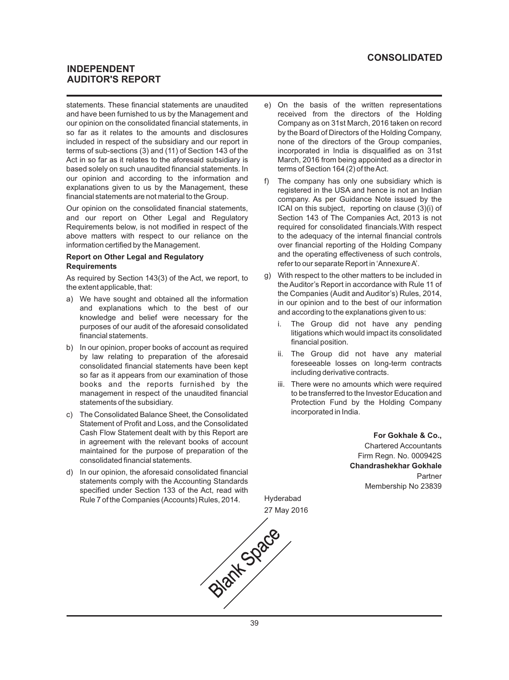### **INDEPENDENT AUDITOR'S REPORT**

statements. These financial statements are unaudited and have been furnished to us by the Management and our opinion on the consolidated financial statements, in so far as it relates to the amounts and disclosures included in respect of the subsidiary and our report in terms of sub-sections (3) and (11) of Section 143 of the Act in so far as it relates to the aforesaid subsidiary is based solely on such unaudited financial statements. In our opinion and according to the information and explanations given to us by the Management, these financial statements are not material to the Group.

Our opinion on the consolidated financial statements, and our report on Other Legal and Regulatory Requirements below, is not modified in respect of the above matters with respect to our reliance on the information certified by the Management.

### **Report on Other Legal and Regulatory Requirements**

As required by Section 143(3) of the Act, we report, to the extent applicable, that:

- a) We have sought and obtained all the information and explanations which to the best of our knowledge and belief were necessary for the purposes of our audit of the aforesaid consolidated financial statements.
- b) In our opinion, proper books of account as required by law relating to preparation of the aforesaid consolidated financial statements have been kept so far as it appears from our examination of those books and the reports furnished by the management in respect of the unaudited financial statements of the subsidiary.
- c) The Consolidated Balance Sheet, the Consolidated Statement of Profit and Loss, and the Consolidated Cash Flow Statement dealt with by this Report are in agreement with the relevant books of account maintained for the purpose of preparation of the consolidated financial statements.
- d) In our opinion, the aforesaid consolidated financial statements comply with the Accounting Standards specified under Section 133 of the Act, read with Rule 7 of the Companies (Accounts) Rules, 2014.
- e) On the basis of the written representations received from the directors of the Holding Company as on 31st March, 2016 taken on record by the Board of Directors of the Holding Company, none of the directors of the Group companies, incorporated in India is disqualified as on 31st March, 2016 from being appointed as a director in terms of Section 164 (2) of the Act.
- f) The company has only one subsidiary which is registered in the USA and hence is not an Indian company. As per Guidance Note issued by the ICAI on this subject, reporting on clause (3)(i) of Section 143 of The Companies Act, 2013 is not required for consolidated financials.With respect to the adequacy of the internal financial controls over financial reporting of the Holding Company and the operating effectiveness of such controls, refer to our separate Report in 'Annexure A'.
- g) With respect to the other matters to be included in the Auditor's Report in accordance with Rule 11 of the Companies (Audit and Auditor's) Rules, 2014, in our opinion and to the best of our information and according to the explanations given to us:
	- i. The Group did not have any pending litigations which would impact its consolidated financial position.
	- ii. The Group did not have any material foreseeable losses on long-term contracts including derivative contracts.
	- iii. There were no amounts which were required to be transferred to the Investor Education and Protection Fund by the Holding Company incorporated in India.

**For Gokhale & Co.,** Chartered Accountants Firm Regn. No. 000942S **Chandrashekhar Gokhale**  Partner Membership No 23839



Hyderabad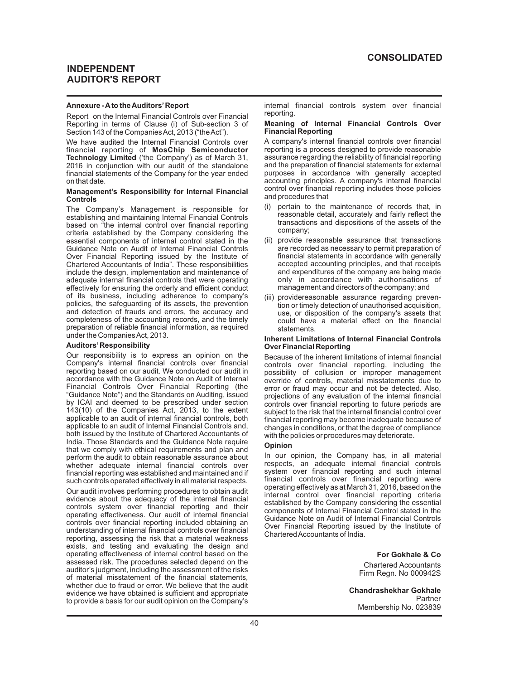### **INDEPENDENT AUDITOR'S REPORT**

#### **Annexure - Ato the Auditors'Report**

Report on the Internal Financial Controls over Financial Reporting in terms of Clause (i) of Sub-section 3 of Section 143 of the Companies Act, 2013 ("the Act").

We have audited the Internal Financial Controls over financial reporting of **MosChip Semiconductor Technology Limited** ('the Company') as of March 31, 2016 in conjunction with our audit of the standalone financial statements of the Company for the year ended on that date.

#### **Management's Responsibility for Internal Financial Controls**

The Company's Management is responsible for establishing and maintaining Internal Financial Controls based on "the internal control over financial reporting criteria established by the Company considering the essential components of internal control stated in the Guidance Note on Audit of Internal Financial Controls Over Financial Reporting issued by the Institute of Chartered Accountants of India". These responsibilities include the design, implementation and maintenance of adequate internal financial controls that were operating effectively for ensuring the orderly and efficient conduct of its business, including adherence to company's policies, the safeguarding of its assets, the prevention and detection of frauds and errors, the accuracy and completeness of the accounting records, and the timely preparation of reliable financial information, as required under the Companies Act, 2013.

#### **Auditors'Responsibility**

Our responsibility is to express an opinion on the Company's internal financial controls over financial reporting based on our audit. We conducted our audit in accordance with the Guidance Note on Audit of Internal Financial Controls Over Financial Reporting (the "Guidance Note") and the Standards on Auditing, issued by ICAI and deemed to be prescribed under section 143(10) of the Companies Act, 2013, to the extent applicable to an audit of internal financial controls, both applicable to an audit of Internal Financial Controls and, both issued by the Institute of Chartered Accountants of India. Those Standards and the Guidance Note require that we comply with ethical requirements and plan and perform the audit to obtain reasonable assurance about whether adequate internal financial controls over financial reporting was established and maintained and if such controls operated effectively in all material respects.

Our audit involves performing procedures to obtain audit evidence about the adequacy of the internal financial controls system over financial reporting and their operating effectiveness. Our audit of internal financial controls over financial reporting included obtaining an understanding of internal financial controls over financial reporting, assessing the risk that a material weakness exists, and testing and evaluating the design and operating effectiveness of internal control based on the assessed risk. The procedures selected depend on the auditor's judgment, including the assessment of the risks of material misstatement of the financial statements, whether due to fraud or error. We believe that the audit evidence we have obtained is sufficient and appropriate to provide a basis for our audit opinion on the Company's

internal financial controls system over financial reporting.

#### **Meaning of Internal Financial Controls Over Financial Reporting**

A company's internal financial controls over financial reporting is a process designed to provide reasonable assurance regarding the reliability of financial reporting and the preparation of financial statements for external purposes in accordance with generally accepted accounting principles. A company's internal financial control over financial reporting includes those policies and procedures that

- (i) pertain to the maintenance of records that, in reasonable detail, accurately and fairly reflect the transactions and dispositions of the assets of the company;
- (ii) provide reasonable assurance that transactions are recorded as necessary to permit preparation of financial statements in accordance with generally accepted accounting principles, and that receipts and expenditures of the company are being made only in accordance with authorisations of management and directors of the company; and
- (iii) providereasonable assurance regarding prevention or timely detection of unauthorised acquisition, use, or disposition of the company's assets that could have a material effect on the financial statements.

#### **Inherent Limitations of Internal Financial Controls Over Financial Reporting**

Because of the inherent limitations of internal financial controls over financial reporting, including the possibility of collusion or improper management override of controls, material misstatements due to error or fraud may occur and not be detected. Also, projections of any evaluation of the internal financial controls over financial reporting to future periods are subject to the risk that the internal financial control over financial reporting may become inadequate because of changes in conditions, or that the degree of compliance with the policies or procedures may deteriorate.

#### **Opinion**

In our opinion, the Company has, in all material respects, an adequate internal financial controls system over financial reporting and such internal financial controls over financial reporting were operating effectively as at March 31, 2016, based on the internal control over financial reporting criteria established by the Company considering the essential components of Internal Financial Control stated in the Guidance Note on Audit of Internal Financial Controls Over Financial Reporting issued by the Institute of Chartered Accountants of India.

> **For Gokhale & Co** Chartered Accountants Firm Regn. No 000942S

**Chandrashekhar Gokhale** Partner Membership No. 023839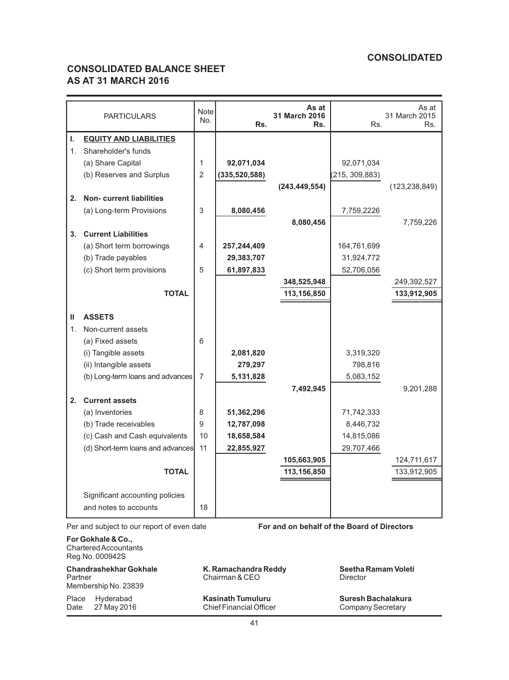## **CONSOLIDATED BALANCE SHEET AS AT 31 MARCH 2016**

|                | <b>PARTICULARS</b>                | Note<br>No.    | Rs.             | As at<br>31 March 2016<br>Rs. | Rs.            | As at<br>31 March 2015<br>Rs. |
|----------------|-----------------------------------|----------------|-----------------|-------------------------------|----------------|-------------------------------|
| ı.             | <b>EQUITY AND LIABILITIES</b>     |                |                 |                               |                |                               |
| 1 <sup>1</sup> | Shareholder's funds               |                |                 |                               |                |                               |
|                | (a) Share Capital                 | 1              | 92,071,034      |                               | 92,071,034     |                               |
|                | (b) Reserves and Surplus          | $\overline{2}$ | (335, 520, 588) |                               | (215, 309,883) |                               |
|                |                                   |                |                 | (243, 449, 554)               |                | (123, 238, 849)               |
| 2.             | <b>Non-current liabilities</b>    |                |                 |                               |                |                               |
|                | (a) Long-term Provisions          | 3              | 8,080,456       |                               | 7,759,2226     |                               |
|                |                                   |                |                 | 8,080,456                     |                | 7,759,226                     |
| 3.             | <b>Current Liabilities</b>        |                |                 |                               |                |                               |
|                | (a) Short term borrowings         | 4              | 257,244,409     |                               | 164,761,699    |                               |
|                | (b) Trade payables                |                | 29,383,707      |                               | 31,924,772     |                               |
|                | (c) Short term provisions         | 5              | 61,897,833      |                               | 52,706,056     |                               |
|                |                                   |                |                 | 348,525,948                   |                | 249,392,527                   |
|                | <b>TOTAL</b>                      |                |                 | 113,156,850                   |                | 133,912,905                   |
|                |                                   |                |                 |                               |                |                               |
| Ш              | <b>ASSETS</b>                     |                |                 |                               |                |                               |
| 1.             | Non-current assets                |                |                 |                               |                |                               |
|                | (a) Fixed assets                  | 6              |                 |                               |                |                               |
|                | (i) Tangible assets               |                | 2,081,820       |                               | 3,319,320      |                               |
|                | (ii) Intangible assets            |                | 279,297         |                               | 798,816        |                               |
|                | (b) Long-term loans and advances  | 7              | 5,131,828       |                               | 5,083,152      |                               |
|                |                                   |                |                 | 7,492,945                     |                | 9,201,288                     |
| 2.             | <b>Current assets</b>             |                |                 |                               |                |                               |
|                | (a) Inventories                   | 8              | 51,362,296      |                               | 71,742,333     |                               |
|                | (b) Trade receivables             | 9              | 12,787,098      |                               | 8,446,732      |                               |
|                | (c) Cash and Cash equivalents     | 10<br>11       | 18,658,584      |                               | 14,815,086     |                               |
|                | (d) Short-term loans and advances |                | 22,855,927      |                               | 29,707,466     |                               |
|                | <b>TOTAL</b>                      |                |                 | 105,663,905<br>113,156,850    |                | 124,711,617<br>133,912,905    |
|                |                                   |                |                 |                               |                |                               |
|                | Significant accounting policies   |                |                 |                               |                |                               |
|                | and notes to accounts             | 18             |                 |                               |                |                               |
|                |                                   |                |                 |                               |                |                               |

Per and subject to our report of even date **For and on behalf of the Board of Directors**

**For Gokhale & Co.,** Chartered Accountants Reg.No. 000942S

Membership No. 23839

Place Hyderabad<br>Date 27 May 2016

**Chandrashekhar Gokhale K. Ramachandra Reddy Seetha Ramam Voleti** Chairman & CEO

**Flace Hyderabad Kasinath Tumuluru Suresh Bachalakura**<br>
Company Secretary<br>
Company Secretary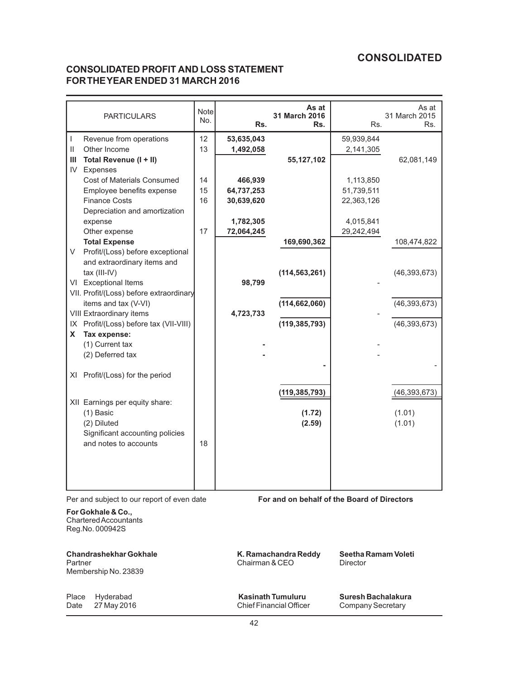## **CONSOLIDATED PROFIT AND LOSS STATEMENT FORTHE YEAR ENDED 31 MARCH 2016**

| <b>PARTICULARS</b>                             | <b>Note</b><br>No. | Rs.        | As at<br>31 March 2016<br>Rs. | Rs.        | As at<br>31 March 2015<br>Rs. |
|------------------------------------------------|--------------------|------------|-------------------------------|------------|-------------------------------|
| Revenue from operations<br>L                   | 12                 | 53,635,043 |                               | 59,939,844 |                               |
| Ш<br>Other Income                              | 13                 | 1,492,058  |                               | 2,141,305  |                               |
| Ш<br>Total Revenue (I + II)<br>IV.<br>Expenses |                    |            | 55,127,102                    |            | 62,081,149                    |
| Cost of Materials Consumed                     | 14                 | 466,939    |                               | 1,113,850  |                               |
| Employee benefits expense                      | 15                 | 64,737,253 |                               | 51,739,511 |                               |
| <b>Finance Costs</b>                           | 16                 | 30,639,620 |                               | 22,363,126 |                               |
| Depreciation and amortization                  |                    |            |                               |            |                               |
| expense                                        |                    | 1,782,305  |                               | 4,015,841  |                               |
| Other expense                                  | 17                 | 72,064,245 |                               | 29,242,494 |                               |
| <b>Total Expense</b>                           |                    |            | 169,690,362                   |            | 108,474,822                   |
| V.<br>Profit/(Loss) before exceptional         |                    |            |                               |            |                               |
| and extraordinary items and                    |                    |            |                               |            |                               |
| $tax (III-IV)$                                 |                    |            | (114, 563, 261)               |            | (46, 393, 673)                |
| VI Exceptional Items                           |                    | 98,799     |                               |            |                               |
| VII. Profit/(Loss) before extraordinary        |                    |            |                               |            |                               |
| items and tax (V-VI)                           |                    |            | (114, 662, 060)               |            | (46, 393, 673)                |
| VIII Extraordinary items                       |                    | 4,723,733  |                               |            |                               |
| IX Profit/(Loss) before tax (VII-VIII)         |                    |            | (119, 385, 793)               |            | (46, 393, 673)                |
| Tax expense:<br>x.                             |                    |            |                               |            |                               |
| (1) Current tax<br>(2) Deferred tax            |                    |            |                               |            |                               |
|                                                |                    |            |                               |            |                               |
| XI Profit/(Loss) for the period                |                    |            |                               |            |                               |
|                                                |                    |            |                               |            |                               |
|                                                |                    |            | (119, 385, 793)               |            | (46, 393, 673)                |
| XII Earnings per equity share:                 |                    |            |                               |            |                               |
| $(1)$ Basic                                    |                    |            | (1.72)                        |            | (1.01)                        |
| (2) Diluted                                    |                    |            | (2.59)                        |            | (1.01)                        |
| Significant accounting policies                |                    |            |                               |            |                               |
| and notes to accounts                          | 18                 |            |                               |            |                               |
|                                                |                    |            |                               |            |                               |
|                                                |                    |            |                               |            |                               |
|                                                |                    |            |                               |            |                               |

Per and subject to our report of even date **For and on behalf of the Board of Directors**

**For Gokhale & Co.,** Chartered Accountants Reg.No. 000942S

**Chandrashekhar Gokhale K. Ramachandra Reddy Seetha Ramam Voleti** Membership No. 23839

Chairman & CEO

Place Hyderabad **Kasinath Tumuluru Suresh Bachalakura**

Company Secretary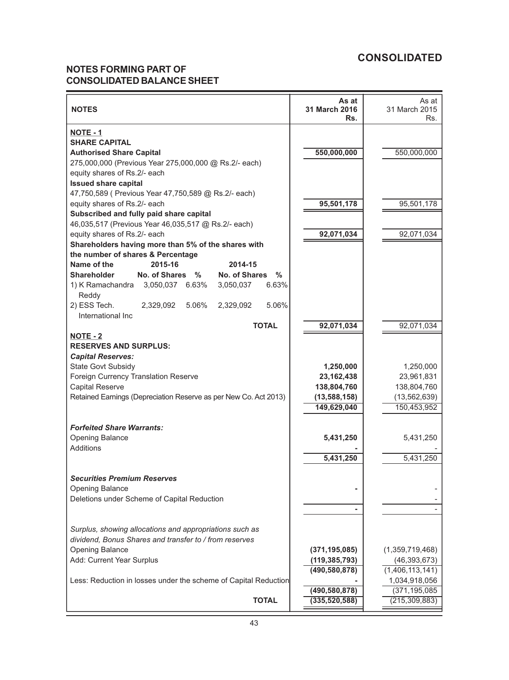## **NOTES FORMING PART OF CONSOLIDATED BALANCE SHEET**

| <b>NOTES</b>                                                            | As at<br>31 March 2016<br>Rs. | As at<br>31 March 2015<br>Rs.   |
|-------------------------------------------------------------------------|-------------------------------|---------------------------------|
| <b>NOTE - 1</b>                                                         |                               |                                 |
| <b>SHARE CAPITAL</b>                                                    |                               |                                 |
| <b>Authorised Share Capital</b>                                         | 550,000,000                   | 550,000,000                     |
| 275,000,000 (Previous Year 275,000,000 @ Rs.2/- each)                   |                               |                                 |
| equity shares of Rs.2/- each                                            |                               |                                 |
| <b>Issued share capital</b>                                             |                               |                                 |
| 47,750,589 ( Previous Year 47,750,589 @ Rs.2/- each)                    |                               |                                 |
| equity shares of Rs.2/- each<br>Subscribed and fully paid share capital | 95,501,178                    | 95,501,178                      |
| 46,035,517 (Previous Year 46,035,517 @ Rs.2/- each)                     |                               |                                 |
| equity shares of Rs.2/- each                                            | 92,071,034                    | 92,071,034                      |
| Shareholders having more than 5% of the shares with                     |                               |                                 |
| the number of shares & Percentage                                       |                               |                                 |
| Name of the<br>2015-16<br>2014-15                                       |                               |                                 |
| Shareholder<br>No. of Shares<br>$\%$<br>No. of Shares<br>$\%$           |                               |                                 |
| 1) K Ramachandra<br>6.63%<br>3,050,037 6.63%<br>3,050,037<br>Reddy      |                               |                                 |
| 2) ESS Tech.<br>2,329,092<br>5.06%<br>2,329,092<br>5.06%                |                               |                                 |
| International Inc                                                       |                               |                                 |
| <b>TOTAL</b>                                                            | 92,071,034                    | 92,071,034                      |
| NOTE - 2<br><b>RESERVES AND SURPLUS:</b>                                |                               |                                 |
| <b>Capital Reserves:</b>                                                |                               |                                 |
| <b>State Govt Subsidy</b>                                               | 1,250,000                     | 1,250,000                       |
| Foreign Currency Translation Reserve                                    | 23,162,438                    | 23,961,831                      |
| <b>Capital Reserve</b>                                                  | 138,804,760                   | 138,804,760                     |
| Retained Earnings (Depreciation Reserve as per New Co. Act 2013)        | (13,588,158)                  | (13, 562, 639)                  |
|                                                                         | 149,629,040                   | 150,453,952                     |
|                                                                         |                               |                                 |
| <b>Forfeited Share Warrants:</b><br><b>Opening Balance</b>              | 5,431,250                     | 5,431,250                       |
| Additions                                                               |                               |                                 |
|                                                                         | 5,431,250                     | 5,431,250                       |
| <b>Securities Premium Reserves</b>                                      |                               |                                 |
| <b>Opening Balance</b>                                                  |                               |                                 |
| Deletions under Scheme of Capital Reduction                             |                               |                                 |
|                                                                         |                               |                                 |
|                                                                         |                               |                                 |
| Surplus, showing allocations and appropriations such as                 |                               |                                 |
| dividend, Bonus Shares and transfer to / from reserves                  |                               |                                 |
| Opening Balance                                                         | (371, 195, 085)               | (1,359,719,468)                 |
| Add: Current Year Surplus                                               | (119, 385, 793)               | (46, 393, 673)                  |
|                                                                         | (490, 580, 878)               | (1,406,113,141)                 |
| Less: Reduction in losses under the scheme of Capital Reduction         | (490, 580, 878)               | 1,034,918,056                   |
| <b>TOTAL</b>                                                            | (335, 520, 588)               | (371,195,085<br>(215, 309, 883) |
|                                                                         |                               |                                 |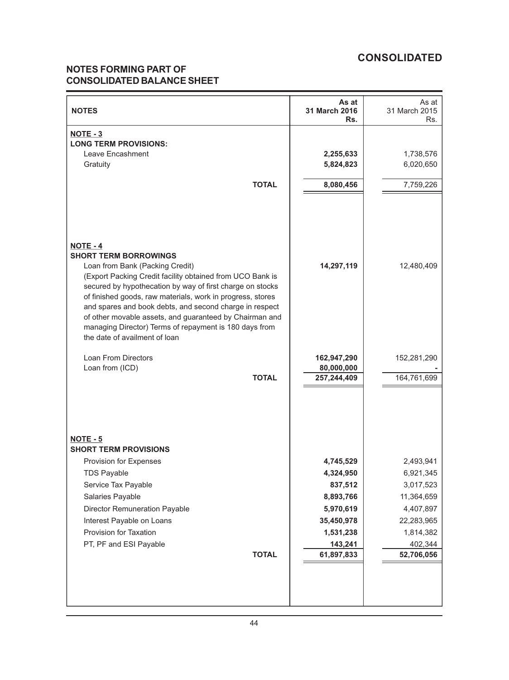## **NOTES FORMING PART OF CONSOLIDATED BALANCE SHEET**

| <b>NOTES</b>                                                                                                                                                                                                                                                                                                                                                                                                                                                                                | As at<br>31 March 2016<br>Rs.                                                                                   | As at<br>31 March 2015<br>Rs.                                                                                      |
|---------------------------------------------------------------------------------------------------------------------------------------------------------------------------------------------------------------------------------------------------------------------------------------------------------------------------------------------------------------------------------------------------------------------------------------------------------------------------------------------|-----------------------------------------------------------------------------------------------------------------|--------------------------------------------------------------------------------------------------------------------|
| <u>NOTE - 3</u><br><b>LONG TERM PROVISIONS:</b><br>Leave Encashment                                                                                                                                                                                                                                                                                                                                                                                                                         | 2,255,633                                                                                                       | 1,738,576                                                                                                          |
| Gratuity                                                                                                                                                                                                                                                                                                                                                                                                                                                                                    | 5,824,823                                                                                                       | 6,020,650                                                                                                          |
| <b>TOTAL</b>                                                                                                                                                                                                                                                                                                                                                                                                                                                                                | 8,080,456                                                                                                       | 7,759,226                                                                                                          |
| <b>NOTE - 4</b><br><b>SHORT TERM BORROWINGS</b><br>Loan from Bank (Packing Credit)<br>(Export Packing Credit facility obtained from UCO Bank is<br>secured by hypothecation by way of first charge on stocks<br>of finished goods, raw materials, work in progress, stores<br>and spares and book debts, and second charge in respect<br>of other movable assets, and guaranteed by Chairman and<br>managing Director) Terms of repayment is 180 days from<br>the date of availment of loan | 14,297,119                                                                                                      | 12,480,409                                                                                                         |
| Loan From Directors<br>Loan from (ICD)                                                                                                                                                                                                                                                                                                                                                                                                                                                      | 162,947,290<br>80,000,000                                                                                       | 152,281,290                                                                                                        |
| <b>TOTAL</b>                                                                                                                                                                                                                                                                                                                                                                                                                                                                                | 257,244,409                                                                                                     | 164,761,699                                                                                                        |
| <b>NOTE - 5</b><br><b>SHORT TERM PROVISIONS</b><br>Provision for Expenses<br><b>TDS Payable</b><br>Service Tax Payable<br>Salaries Payable<br>Director Remuneration Payable<br>Interest Payable on Loans<br>Provision for Taxation<br>PT, PF and ESI Payable<br><b>TOTAL</b>                                                                                                                                                                                                                | 4,745,529<br>4,324,950<br>837,512<br>8,893,766<br>5,970,619<br>35,450,978<br>1,531,238<br>143,241<br>61,897,833 | 2,493,941<br>6,921,345<br>3,017,523<br>11,364,659<br>4,407,897<br>22,283,965<br>1,814,382<br>402,344<br>52,706,056 |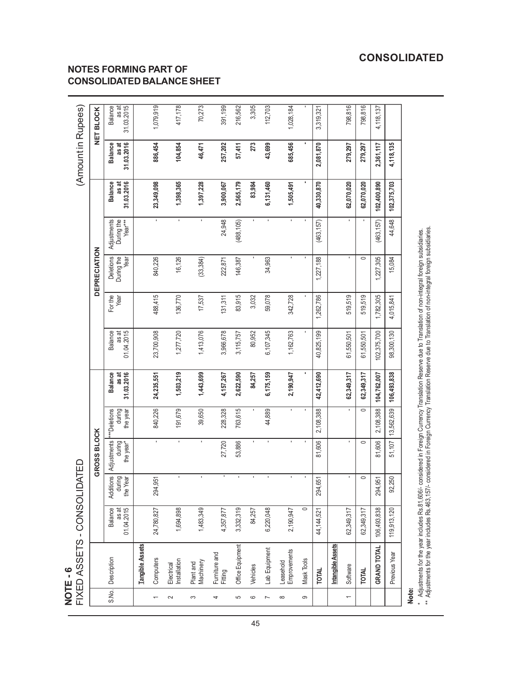|                | FIXED ASSETS - C<br>NOTE-6                                                                                                                                  |                                     | <b>ONSOLIDATED</b>              |                                    |                                   |                                       |                                       |                 |                                 |                                      |                                       | (Amount in Rupees)                    |                                |
|----------------|-------------------------------------------------------------------------------------------------------------------------------------------------------------|-------------------------------------|---------------------------------|------------------------------------|-----------------------------------|---------------------------------------|---------------------------------------|-----------------|---------------------------------|--------------------------------------|---------------------------------------|---------------------------------------|--------------------------------|
|                |                                                                                                                                                             |                                     |                                 | GROSS BLOCK                        |                                   |                                       |                                       |                 | <b>DEPRECIATION</b>             |                                      |                                       |                                       | <b>NET BLOCK</b>               |
| S.No.          | Description                                                                                                                                                 | 1.2015<br>Balance<br>as at<br>01.04 | Additions<br>during<br>the Year | Adjustments<br>during<br>the year* | **Deletions<br>the year<br>during | 31.03.2016<br><b>Balance</b><br>as at | as at<br>01.04.2015<br><b>Balance</b> | For the<br>Year | Deletions<br>Year<br>During the | During the<br>Year***<br>Adjustments | as at<br>31.03.2016<br><b>Balance</b> | as at<br>31.03.2016<br><b>Balance</b> | Balance<br>as at<br>31.03.2015 |
|                | <b>Tangible Assets</b>                                                                                                                                      |                                     |                                 |                                    |                                   |                                       |                                       |                 |                                 |                                      |                                       |                                       |                                |
|                | Computers                                                                                                                                                   | 24,780,827                          | 294,951                         | í,                                 | 840,226                           | 24,235,551                            | 23,700,908                            | 488,415         | 840,226                         | $\mathbf{r}$                         | 23,349,098                            | 886,454                               | 1,079,919                      |
| $\sim$         | Installation<br>Electrical                                                                                                                                  | 1,694,898                           | $\blacksquare$                  | ٠                                  | 191,679                           | 1,503,219                             | 1,277,720                             | 136,770         | 16,126                          | $\blacksquare$                       | 1,398,365                             | 104,854                               | 417,178                        |
| S              | Machinery<br>Plant and                                                                                                                                      | 1,483,349                           | $\mathbf{r}$                    | $\mathbf{I}$                       | 39,650                            | 1,443,699                             | 1,413,076                             | 17,537          | (33, 384)                       | $\mathbf{r}$                         | 1,397,228                             | 46,471                                | 70,273                         |
| 4              | Furniture and<br>Fitting                                                                                                                                    | 4,357,877                           | ٠                               | 27,720                             | 228,328                           | 4,157,267                             | 3,966,678                             | 131,311         | 222,871                         | 24,948                               | 3,900,067                             | 257,202                               | 391,199                        |
| 5              | Office Equipment                                                                                                                                            | 3,332,319                           | $\mathbf{r}$                    | 53,886                             | 763,615                           | 2,622,590                             | 3, 115, 757                           | 83,915          | 146,387                         | (488, 105)                           | 2,565,179                             | 57,411                                | 216,562                        |
| $\circ$        | Vehicles                                                                                                                                                    | 84,257                              |                                 | ı,                                 |                                   | 84,257                                | 80,952                                | 3,032           |                                 | ٠                                    | 83,984                                | 273                                   | 3,305                          |
| $\overline{ }$ | Lab Equipment                                                                                                                                               | 6,220,048                           |                                 |                                    | 44,889                            | 6,175,159                             | 6,107,345                             | 59,078          | 34,963                          | $\blacksquare$                       | 6,131,460                             | 43,699                                | 112,703                        |
| ${}^{\infty}$  | Emprovements<br>Leasehold                                                                                                                                   | 2,190,947                           |                                 | $\blacksquare$                     |                                   | 2,190,947                             | 1, 162, 763                           | 342,728         |                                 | ×,                                   | 1,505,491                             | 685,456                               | 1,028,184                      |
| တ              | Mask Tools                                                                                                                                                  | $\circ$                             |                                 | ı                                  |                                   |                                       |                                       |                 |                                 | $\blacksquare$                       |                                       |                                       |                                |
|                | <b>TOTAL</b>                                                                                                                                                | 44, 144, 521                        | 294,651                         | 81,606                             | 2,108,388                         | 42,412,690                            | 40,825,199                            | 1,262,786       | 1,227,188                       | (463, 157)                           | 40,330,870                            | 2,081,870                             | 3,319,321                      |
|                | Intangible Assets                                                                                                                                           |                                     |                                 |                                    |                                   |                                       |                                       |                 |                                 |                                      |                                       |                                       |                                |
|                | Software                                                                                                                                                    | 62,349,317                          | $\blacksquare$                  | $\blacksquare$                     |                                   | 62,349,317                            | 61,550,501                            | 519,519         |                                 | $\mathbf{r}$                         | 62,070,020                            | 279,297                               | 798,816                        |
|                | <b>TOTAL</b>                                                                                                                                                | 62,349,317                          | $\circ$                         | $\circ$                            | $\circ$                           | 62,349,317                            | 61,550,501                            | 519,519         | $\circ$                         | $\mathbf{I}$                         | 62,070,020                            | 279,297                               | 798,816                        |
|                | <b>GRAND TOTAL</b>                                                                                                                                          | 106,493,838                         | 294,951                         | 81,606                             | 2,108,388                         | 104,762,007                           | 102,375,700                           | 1,782,305       | 1,227,305                       | (463, 157)                           | 102,400,890                           | 2,361,117                             | 4,118,137                      |
|                | Previous Year                                                                                                                                               | 13,120<br>119,91                    | 92,250                          | 51,107                             | 13,562,639                        | 106,493,838                           | 98,300,130                            | 4,015,841       | 15,084                          | 44,648                               | 102,375,703                           | 4,118,135                             |                                |
| Nete:          | * Adjustments for the year includes Rs.81,606/- considered in Foreign Currency Translation Reserve due to Translation of non-integral foreign subsidiaries. |                                     |                                 |                                    |                                   |                                       |                                       |                 |                                 |                                      |                                       |                                       |                                |

## **C O N S O L I D ATED BALANCE SHEET NOTES FORMING PART OF**

 Adjustments for the year includes Rs.81,606/- considered in Foreign Currency Translation Reserve due to Translation of non-integral foreign subsidiaries. \*\* Adjustments for the year includes Rs.463,157/- considered in Foreign Currency Translation Reserve due to Translation of non-integral foreign subsidiaries.

# **C O N S O L I D AT E D**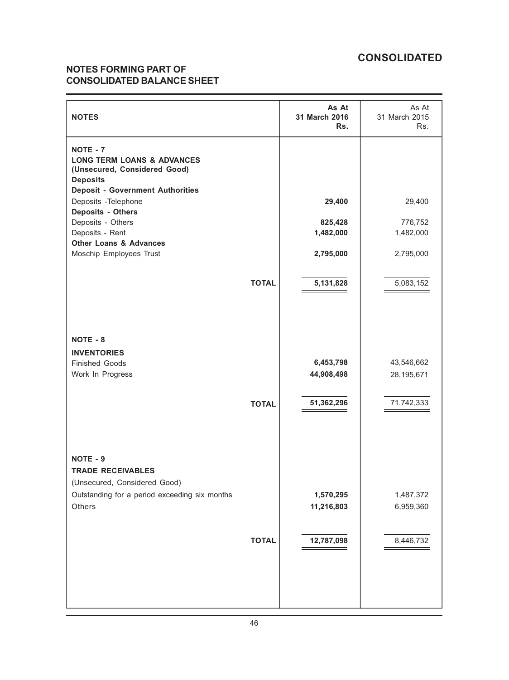## **NOTES FORMING PART OF CONSOLIDATED BALANCE SHEET**

| <b>NOTES</b>                                                                                                          |              | As At<br>31 March 2016<br>Rs. | As At<br>31 March 2015<br>Rs. |
|-----------------------------------------------------------------------------------------------------------------------|--------------|-------------------------------|-------------------------------|
| NOTE - 7<br><b>LONG TERM LOANS &amp; ADVANCES</b><br>(Unsecured, Considered Good)<br><b>Deposits</b>                  |              |                               |                               |
| <b>Deposit - Government Authorities</b><br>Deposits -Telephone<br>Deposits - Others                                   |              | 29,400                        | 29,400                        |
| Deposits - Others<br>Deposits - Rent<br><b>Other Loans &amp; Advances</b>                                             |              | 825,428<br>1,482,000          | 776,752<br>1,482,000          |
| Moschip Employees Trust                                                                                               |              | 2,795,000                     | 2,795,000                     |
|                                                                                                                       | <b>TOTAL</b> | 5,131,828                     | 5,083,152                     |
| NOTE - 8<br><b>INVENTORIES</b>                                                                                        |              |                               |                               |
| <b>Finished Goods</b><br>Work In Progress                                                                             |              | 6,453,798<br>44,908,498       | 43,546,662<br>28,195,671      |
|                                                                                                                       | <b>TOTAL</b> | 51,362,296                    | 71,742,333                    |
| NOTE - 9<br><b>TRADE RECEIVABLES</b><br>(Unsecured, Considered Good)<br>Outstanding for a period exceeding six months |              | 1,570,295                     | 1,487,372                     |
| <b>Others</b>                                                                                                         |              | 11,216,803                    | 6,959,360                     |
|                                                                                                                       | <b>TOTAL</b> | 12,787,098                    | 8,446,732                     |
|                                                                                                                       |              |                               |                               |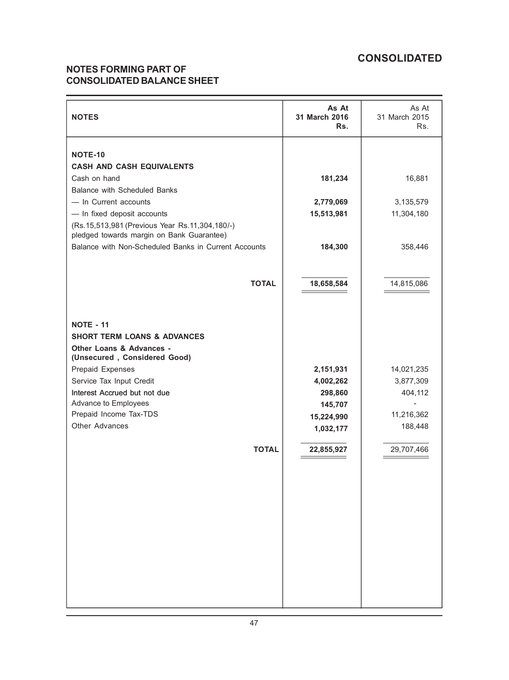## **NOTES FORMING PART OF CONSOLIDATED BALANCE SHEET**

| <b>NOTES</b>                                                                                                           | As At<br>31 March 2016<br>Rs. | As At<br>31 March 2015<br>Rs. |
|------------------------------------------------------------------------------------------------------------------------|-------------------------------|-------------------------------|
| NOTE-10<br><b>CASH AND CASH EQUIVALENTS</b>                                                                            |                               |                               |
| Cash on hand                                                                                                           | 181,234                       | 16,881                        |
| Balance with Scheduled Banks<br>- In Current accounts                                                                  | 2,779,069                     | 3,135,579                     |
| - In fixed deposit accounts                                                                                            | 15,513,981                    | 11,304,180                    |
| (Rs.15,513,981 (Previous Year Rs.11,304,180/-)<br>pledged towards margin on Bank Guarantee)                            |                               |                               |
| Balance with Non-Scheduled Banks in Current Accounts                                                                   | 184,300                       | 358,446                       |
| <b>TOTAL</b>                                                                                                           | 18,658,584                    | 14,815,086                    |
| <b>NOTE - 11</b><br><b>SHORT TERM LOANS &amp; ADVANCES</b><br>Other Loans & Advances -<br>(Unsecured, Considered Good) |                               |                               |
| Prepaid Expenses                                                                                                       | 2,151,931                     | 14,021,235                    |
| Service Tax Input Credit<br>Interest Accrued but not due                                                               | 4,002,262<br>298,860          | 3,877,309<br>404,112          |
| Advance to Employees                                                                                                   | 145,707                       |                               |
| Prepaid Income Tax-TDS                                                                                                 | 15,224,990                    | 11,216,362                    |
| <b>Other Advances</b>                                                                                                  | 1,032,177                     | 188,448                       |
| <b>TOTAL</b>                                                                                                           | 22,855,927                    | 29,707,466                    |
|                                                                                                                        |                               |                               |
|                                                                                                                        |                               |                               |
|                                                                                                                        |                               |                               |
|                                                                                                                        |                               |                               |
|                                                                                                                        |                               |                               |
|                                                                                                                        |                               |                               |
|                                                                                                                        |                               |                               |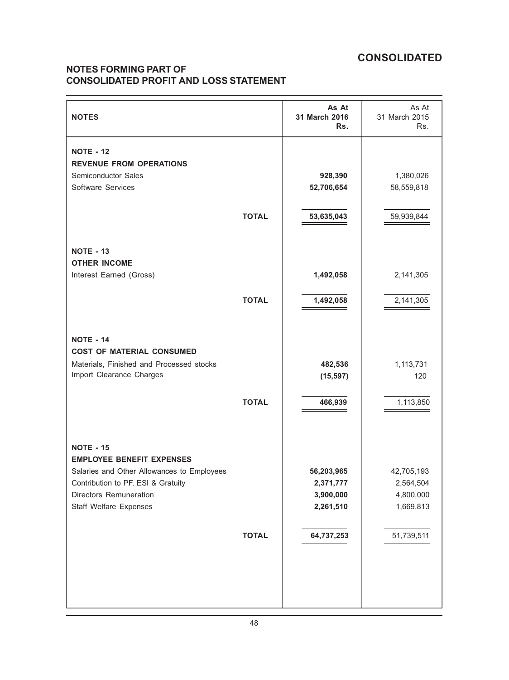## **NOTES FORMING PART OF CONSOLIDATED PROFIT AND LOSS STATEMENT**

| <b>NOTES</b>                                                                                                                                                                                        |              | As At<br>31 March 2016<br>Rs.                                   | As At<br>31 March 2015<br>Rs.                                   |
|-----------------------------------------------------------------------------------------------------------------------------------------------------------------------------------------------------|--------------|-----------------------------------------------------------------|-----------------------------------------------------------------|
| <b>NOTE - 12</b><br><b>REVENUE FROM OPERATIONS</b><br>Semiconductor Sales<br>Software Services                                                                                                      |              | 928,390<br>52,706,654                                           | 1,380,026<br>58,559,818                                         |
|                                                                                                                                                                                                     | <b>TOTAL</b> | 53,635,043                                                      | 59,939,844                                                      |
| <b>NOTE - 13</b><br><b>OTHER INCOME</b><br>Interest Earned (Gross)                                                                                                                                  |              | 1,492,058                                                       | 2,141,305                                                       |
|                                                                                                                                                                                                     | <b>TOTAL</b> | 1,492,058                                                       | 2,141,305                                                       |
| <b>NOTE - 14</b><br><b>COST OF MATERIAL CONSUMED</b><br>Materials, Finished and Processed stocks<br>Import Clearance Charges                                                                        | <b>TOTAL</b> | 482,536<br>(15, 597)<br>466,939                                 | 1,113,731<br>120<br>1,113,850                                   |
| <b>NOTE - 15</b><br><b>EMPLOYEE BENEFIT EXPENSES</b><br>Salaries and Other Allowances to Employees<br>Contribution to PF, ESI & Gratuity<br>Directors Remuneration<br><b>Staff Welfare Expenses</b> | <b>TOTAL</b> | 56,203,965<br>2,371,777<br>3,900,000<br>2,261,510<br>64,737,253 | 42,705,193<br>2,564,504<br>4,800,000<br>1,669,813<br>51,739,511 |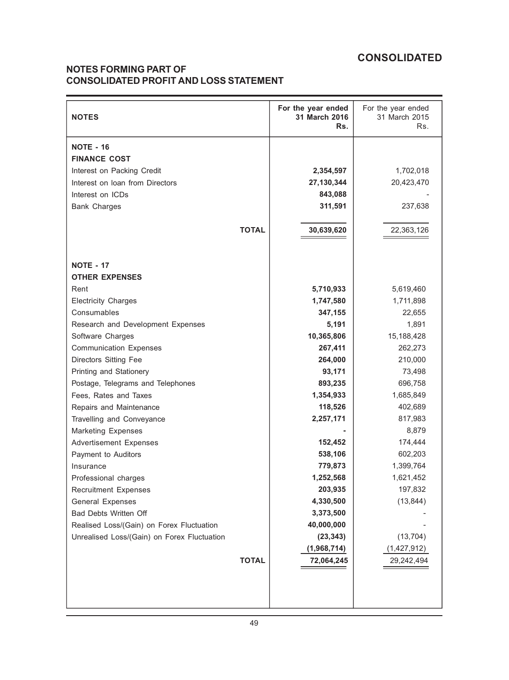## **NOTES FORMING PART OF CONSOLIDATED PROFIT AND LOSS STATEMENT**

| <b>NOTES</b>                                                                                                                                                                                                                                                                                                                                                                                                                                                                                                                                                                                                                                                                                       | For the year ended<br>31 March 2016<br>Rs.                                                                                                                                                                                                                                          | For the year ended<br>31 March 2015<br>Rs.                                                                                                                                                                                                                       |
|----------------------------------------------------------------------------------------------------------------------------------------------------------------------------------------------------------------------------------------------------------------------------------------------------------------------------------------------------------------------------------------------------------------------------------------------------------------------------------------------------------------------------------------------------------------------------------------------------------------------------------------------------------------------------------------------------|-------------------------------------------------------------------------------------------------------------------------------------------------------------------------------------------------------------------------------------------------------------------------------------|------------------------------------------------------------------------------------------------------------------------------------------------------------------------------------------------------------------------------------------------------------------|
| <b>NOTE - 16</b><br><b>FINANCE COST</b><br>Interest on Packing Credit<br>Interest on loan from Directors<br>Interest on ICDs<br><b>Bank Charges</b><br><b>TOTAL</b>                                                                                                                                                                                                                                                                                                                                                                                                                                                                                                                                | 2,354,597<br>27,130,344<br>843,088<br>311,591<br>30,639,620                                                                                                                                                                                                                         | 1,702,018<br>20,423,470<br>237,638<br>22,363,126                                                                                                                                                                                                                 |
| <b>NOTE - 17</b><br><b>OTHER EXPENSES</b><br>Rent<br><b>Electricity Charges</b><br>Consumables<br>Research and Development Expenses<br>Software Charges<br><b>Communication Expenses</b><br>Directors Sitting Fee<br>Printing and Stationery<br>Postage, Telegrams and Telephones<br>Fees, Rates and Taxes<br>Repairs and Maintenance<br>Travelling and Conveyance<br><b>Marketing Expenses</b><br><b>Advertisement Expenses</b><br>Payment to Auditors<br>Insurance<br>Professional charges<br><b>Recruitment Expenses</b><br><b>General Expenses</b><br><b>Bad Debts Written Off</b><br>Realised Loss/(Gain) on Forex Fluctuation<br>Unrealised Loss/(Gain) on Forex Fluctuation<br><b>TOTAL</b> | 5,710,933<br>1,747,580<br>347,155<br>5,191<br>10,365,806<br>267,411<br>264,000<br>93,171<br>893,235<br>1,354,933<br>118,526<br>2,257,171<br>152,452<br>538,106<br>779,873<br>1,252,568<br>203,935<br>4,330,500<br>3,373,500<br>40,000,000<br>(23, 343)<br>(1,968,714)<br>72,064,245 | 5,619,460<br>1,711,898<br>22,655<br>1,891<br>15,188,428<br>262,273<br>210,000<br>73,498<br>696,758<br>1,685,849<br>402,689<br>817,983<br>8,879<br>174,444<br>602,203<br>1,399,764<br>1,621,452<br>197,832<br>(13, 844)<br>(13, 704)<br>(1,427,912)<br>29,242,494 |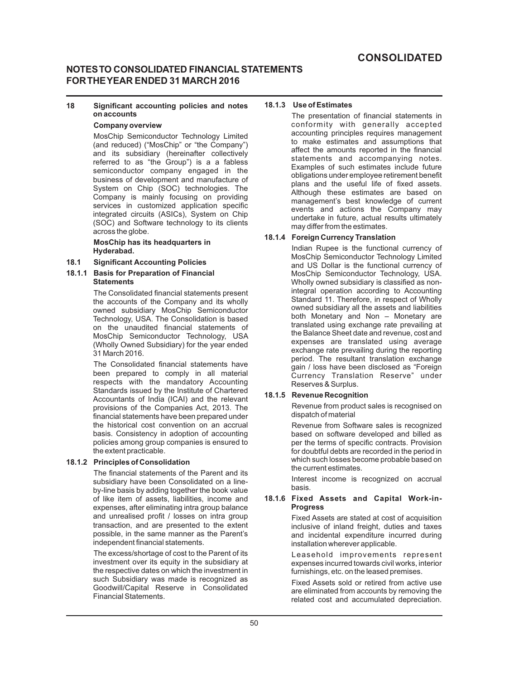## **NOTES TO CONSOLIDATED FINANCIAL STATEMENTS FORTHE YEAR ENDED 31 MARCH 2016**

### **18 Significant accounting policies and notes on accounts**

### **Company overview**

MosChip Semiconductor Technology Limited (and reduced) ("MosChip" or "the Company") and its subsidiary (hereinafter collectively referred to as "the Group") is a a fabless semiconductor company engaged in the business of development and manufacture of System on Chip (SOC) technologies. The Company is mainly focusing on providing services in customized application specific integrated circuits (ASICs), System on Chip (SOC) and Software technology to its clients across the globe.

#### **MosChip has its headquarters in Hyderabad.**

**18.1 Significant Accounting Policies**

### **18.1.1 Basis for Preparation of Financial Statements**

The Consolidated financial statements present the accounts of the Company and its wholly owned subsidiary MosChip Semiconductor Technology, USA. The Consolidation is based on the unaudited financial statements of MosChip Semiconductor Technology, USA (Wholly Owned Subsidiary) for the year ended 31 March 2016.

The Consolidated financial statements have been prepared to comply in all material respects with the mandatory Accounting Standards issued by the Institute of Chartered Accountants of India (ICAI) and the relevant provisions of the Companies Act, 2013. The financial statements have been prepared under the historical cost convention on an accrual basis. Consistency in adoption of accounting policies among group companies is ensured to the extent practicable.

### **18.1.2 Principles of Consolidation**

The financial statements of the Parent and its subsidiary have been Consolidated on a lineby-line basis by adding together the book value of like item of assets, liabilities, income and expenses, after eliminating intra group balance and unrealised profit / losses on intra group transaction, and are presented to the extent possible, in the same manner as the Parent's independent financial statements.

The excess/shortage of cost to the Parent of its investment over its equity in the subsidiary at the respective dates on which the investment in such Subsidiary was made is recognized as Goodwill/Capital Reserve in Consolidated Financial Statements.

### **18.1.3 Use of Estimates**

The presentation of financial statements in conformity with generally accepted accounting principles requires management to make estimates and assumptions that affect the amounts reported in the financial statements and accompanying notes. Examples of such estimates include future obligations under employee retirement benefit plans and the useful life of fixed assets. Although these estimates are based on management's best knowledge of current events and actions the Company may undertake in future, actual results ultimately may differ from the estimates.

### **18.1.4 Foreign Currency Translation**

Indian Rupee is the functional currency of MosChip Semiconductor Technology Limited and US Dollar is the functional currency of MosChip Semiconductor Technology, USA. Wholly owned subsidiary is classified as nonintegral operation according to Accounting Standard 11. Therefore, in respect of Wholly owned subsidiary all the assets and liabilities both Monetary and Non – Monetary are translated using exchange rate prevailing at the Balance Sheet date and revenue, cost and expenses are translated using average exchange rate prevailing during the reporting period. The resultant translation exchange gain / loss have been disclosed as "Foreign Currency Translation Reserve" under Reserves & Surplus.

#### **18.1.5 Revenue Recognition**

Revenue from product sales is recognised on dispatch of material

Revenue from Software sales is recognized based on software developed and billed as per the terms of specific contracts. Provision for doubtful debts are recorded in the period in which such losses become probable based on the current estimates.

Interest income is recognized on accrual basis.

#### **18.1.6 Fixed Assets and Capital Work-in-Progress**

Fixed Assets are stated at cost of acquisition inclusive of inland freight, duties and taxes and incidental expenditure incurred during installation wherever applicable.

Leasehold improvements represent expenses incurred towards civil works, interior furnishings, etc. on the leased premises.

Fixed Assets sold or retired from active use are eliminated from accounts by removing the related cost and accumulated depreciation.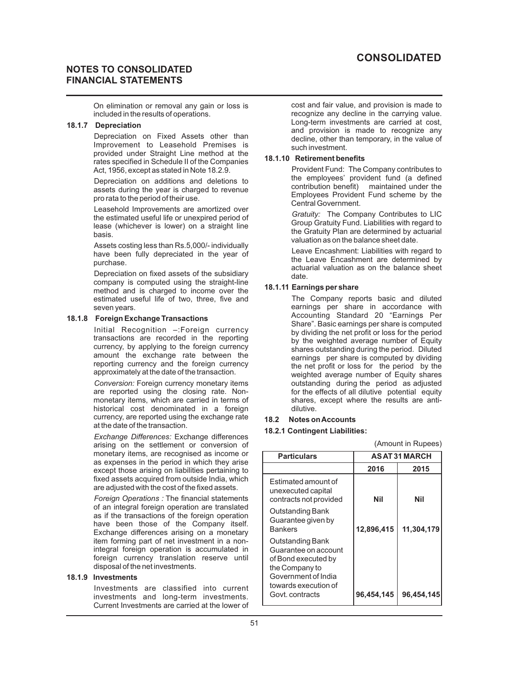On elimination or removal any gain or loss is included in the results of operations.

#### **18.1.7 Depreciation**

Depreciation on Fixed Assets other than Improvement to Leasehold Premises is provided under Straight Line method at the rates specified in Schedule II of the Companies Act, 1956, except as stated in Note 18.2.9.

Depreciation on additions and deletions to assets during the year is charged to revenue pro rata to the period of their use.

Leasehold Improvements are amortized over the estimated useful life or unexpired period of lease (whichever is lower) on a straight line basis.

Assets costing less than Rs.5,000/- individually have been fully depreciated in the year of purchase.

Depreciation on fixed assets of the subsidiary company is computed using the straight-line method and is charged to income over the estimated useful life of two, three, five and seven years.

#### **18.1.8 Foreign Exchange Transactions**

Initial Recognition –: Foreign currency transactions are recorded in the reporting currency, by applying to the foreign currency amount the exchange rate between the reporting currency and the foreign currency approximately at the date of the transaction.

*Conversion:* Foreign currency monetary items are reported using the closing rate. Nonmonetary items, which are carried in terms of historical cost denominated in a foreign currency, are reported using the exchange rate at the date of the transaction.

*Exchange Differences:* Exchange differences arising on the settlement or conversion of monetary items, are recognised as income or as expenses in the period in which they arise except those arising on liabilities pertaining to fixed assets acquired from outside India, which are adjusted with the cost of the fixed assets.

*Foreign Operations :* The financial statements of an integral foreign operation are translated as if the transactions of the foreign operation have been those of the Company itself. Exchange differences arising on a monetary item forming part of net investment in a nonintegral foreign operation is accumulated in foreign currency translation reserve until disposal of the net investments.

#### **18.1.9 Investments**

Investments are classified into current investments and long-term investments. Current Investments are carried at the lower of cost and fair value, and provision is made to recognize any decline in the carrying value. Long-term investments are carried at cost, and provision is made to recognize any decline, other than temporary, in the value of such investment.

#### **18.1.10 Retirement benefits**

Provident Fund: The Company contributes to the employees' provident fund (a defined contribution benefit) maintained under the Employees Provident Fund scheme by the Central Government.

*Gratuity:* The Company Contributes to LIC Group Gratuity Fund. Liabilities with regard to the Gratuity Plan are determined by actuarial valuation as on the balance sheet date.

Leave Encashment: Liabilities with regard to the Leave Encashment are determined by actuarial valuation as on the balance sheet date.

#### **18.1.11 Earnings per share**

The Company reports basic and diluted earnings per share in accordance with Accounting Standard 20 "Earnings Per Share". Basic earnings per share is computed by dividing the net profit or loss for the period by the weighted average number of Equity shares outstanding during the period. Diluted earnings per share is computed by dividing the net profit or loss for the period by the weighted average number of Equity shares outstanding during the period as adjusted for the effects of all dilutive potential equity shares, except where the results are antidilutive.

#### **18.2 Notes on Accounts**

#### **18.2.1 Contingent Liabilities:**

(Amount in Rupees)

| <b>Particulars</b>                                                                                                                                  | <b>AS AT 31 MARCH</b> |            |  |
|-----------------------------------------------------------------------------------------------------------------------------------------------------|-----------------------|------------|--|
|                                                                                                                                                     | 2016                  | 2015       |  |
| Estimated amount of<br>unexecuted capital<br>contracts not provided                                                                                 | <b>Nil</b>            | Nil        |  |
| Outstanding Bank<br>Guarantee given by<br><b>Bankers</b>                                                                                            | 12,896,415            | 11,304,179 |  |
| Outstanding Bank<br>Guarantee on account<br>of Bond executed by<br>the Company to<br>Government of India<br>towards execution of<br>Govt. contracts | 96,454,145            | 96,454,145 |  |
|                                                                                                                                                     |                       |            |  |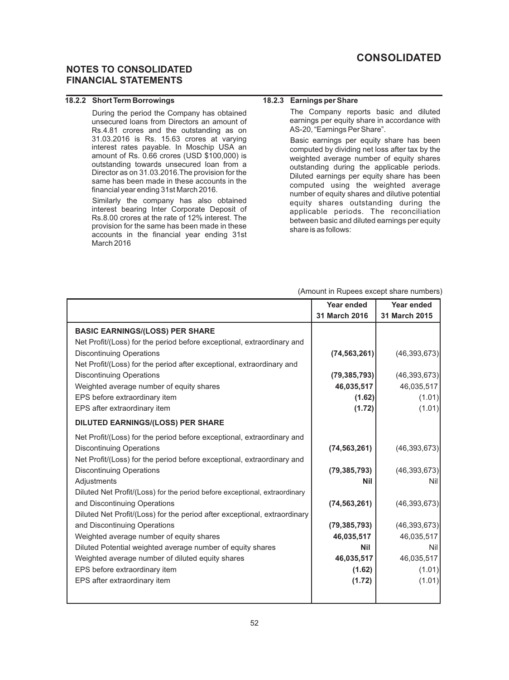### **18.2.2 Short Term Borrowings**

During the period the Company has obtained unsecured loans from Directors an amount of Rs.4.81 crores and the outstanding as on 31.03.2016 is Rs. 15.63 crores at varying interest rates payable. In Moschip USA an amount of Rs. 0.66 crores (USD \$100,000) is outstanding towards unsecured loan from a Director as on 31.03.2016.The provision for the same has been made in these accounts in the financial year ending 31st March 2016.

Similarly the company has also obtained interest bearing Inter Corporate Deposit of Rs.8.00 crores at the rate of 12% interest. The provision for the same has been made in these accounts in the financial year ending 31st March 2016

### **18.2.3 Earnings per Share**

The Company reports basic and diluted earnings per equity share in accordance with AS-20, "Earnings Per Share".

Basic earnings per equity share has been computed by dividing net loss after tax by the weighted average number of equity shares outstanding during the applicable periods. Diluted earnings per equity share has been computed using the weighted average number of equity shares and dilutive potential equity shares outstanding during the applicable periods. The reconciliation between basic and diluted earnings per equity share is as follows:

(Amount in Rupees except share numbers)

|                                                                            | Year ended     | Year ended     |
|----------------------------------------------------------------------------|----------------|----------------|
|                                                                            | 31 March 2016  | 31 March 2015  |
| <b>BASIC EARNINGS/(LOSS) PER SHARE</b>                                     |                |                |
| Net Profit/(Loss) for the period before exceptional, extraordinary and     |                |                |
| <b>Discontinuing Operations</b>                                            | (74, 563, 261) | (46,393,673)   |
| Net Profit/(Loss) for the period after exceptional, extraordinary and      |                |                |
| <b>Discontinuing Operations</b>                                            | (79, 385, 793) | (46,393,673)   |
| Weighted average number of equity shares                                   | 46,035,517     | 46,035,517     |
| EPS before extraordinary item                                              | (1.62)         | (1.01)         |
| EPS after extraordinary item                                               | (1.72)         | (1.01)         |
| <b>DILUTED EARNINGS/(LOSS) PER SHARE</b>                                   |                |                |
| Net Profit/(Loss) for the period before exceptional, extraordinary and     |                |                |
| <b>Discontinuing Operations</b>                                            | (74, 563, 261) | (46,393,673)   |
| Net Profit/(Loss) for the period before exceptional, extraordinary and     |                |                |
| <b>Discontinuing Operations</b>                                            | (79, 385, 793) | (46,393,673)   |
| Adjustments                                                                | <b>Nil</b>     | <b>Nil</b>     |
| Diluted Net Profit/(Loss) for the period before exceptional, extraordinary |                |                |
| and Discontinuing Operations                                               | (74, 563, 261) | (46,393,673)   |
| Diluted Net Profit/(Loss) for the period after exceptional, extraordinary  |                |                |
| and Discontinuing Operations                                               | (79, 385, 793) | (46, 393, 673) |
| Weighted average number of equity shares                                   | 46,035,517     | 46,035,517     |
| Diluted Potential weighted average number of equity shares                 | <b>Nil</b>     | Nil I          |
| Weighted average number of diluted equity shares                           | 46,035,517     | 46,035,517     |
| EPS before extraordinary item                                              | (1.62)         | (1.01)         |
| EPS after extraordinary item                                               | (1.72)         | (1.01)         |
|                                                                            |                |                |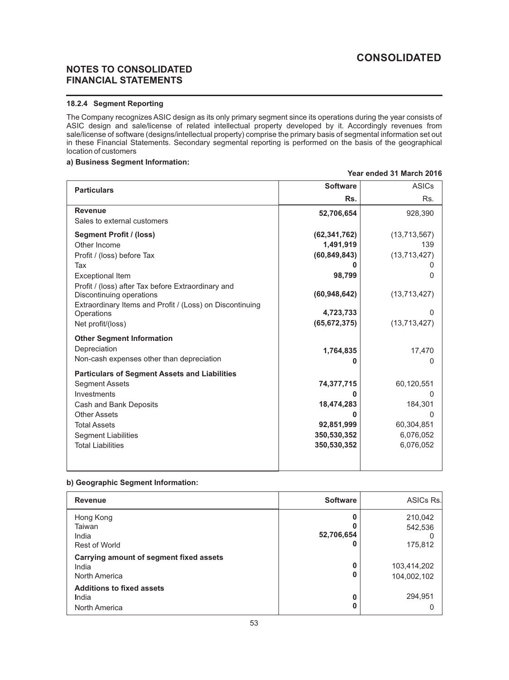### **18.2.4 Segment Reporting**

The Company recognizes ASIC design as its only primary segment since its operations during the year consists of ASIC design and sale/license of related intellectual property developed by it. Accordingly revenues from sale/license of software (designs/intellectual property) comprise the primary basis of segmental information set out in these Financial Statements. Secondary segmental reporting is performed on the basis of the geographical location of customers

#### **a) Business Segment Information:**

### **Year ended 31 March 2016**

| <b>Particulars</b>                                                                                                                                                                                                                                                                       | <b>Software</b>                                                                                               | <b>ASICs</b>                                                                                               |
|------------------------------------------------------------------------------------------------------------------------------------------------------------------------------------------------------------------------------------------------------------------------------------------|---------------------------------------------------------------------------------------------------------------|------------------------------------------------------------------------------------------------------------|
|                                                                                                                                                                                                                                                                                          | Rs.                                                                                                           | Rs.                                                                                                        |
| Revenue<br>Sales to external customers                                                                                                                                                                                                                                                   | 52,706,654                                                                                                    | 928,390                                                                                                    |
| Segment Profit / (loss)<br>Other Income<br>Profit / (loss) before Tax<br>Tax<br><b>Exceptional Item</b><br>Profit / (loss) after Tax before Extraordinary and<br>Discontinuing operations<br>Extraordinary Items and Profit / (Loss) on Discontinuing<br>Operations<br>Net profit/(loss) | (62, 341, 762)<br>1,491,919<br>(60, 849, 843)<br>U<br>98,799<br>(60, 948, 642)<br>4,723,733<br>(65, 672, 375) | (13,713,567)<br>139<br>(13, 713, 427)<br>$\mathbf{I}$<br>U<br>(13, 713, 427)<br>$\Omega$<br>(13, 713, 427) |
| <b>Other Segment Information</b><br>Depreciation<br>Non-cash expenses other than depreciation                                                                                                                                                                                            | 1,764,835<br>n                                                                                                | 17,470<br>O                                                                                                |
| <b>Particulars of Segment Assets and Liabilities</b><br><b>Segment Assets</b><br>Investments<br>Cash and Bank Deposits<br><b>Other Assets</b><br><b>Total Assets</b><br><b>Segment Liabilities</b><br><b>Total Liabilities</b>                                                           | 74,377,715<br>o<br>18,474,283<br>U<br>92,851,999<br>350,530,352<br>350,530,352                                | 60,120,551<br>0<br>184,301<br><sup>0</sup><br>60,304,851<br>6,076,052<br>6,076,052                         |

#### **b) Geographic Segment Information:**

| Revenue                                                           | <b>Software</b> | ASICs Rs.                     |
|-------------------------------------------------------------------|-----------------|-------------------------------|
| Hong Kong<br>Taiwan<br>India<br><b>Rest of World</b>              | 52,706,654      | 210,042<br>542,536<br>175,812 |
| Carrying amount of segment fixed assets<br>India<br>North America |                 | 103,414,202<br>104,002,102    |
| <b>Additions to fixed assets</b><br>India<br>North America        |                 | 294,951                       |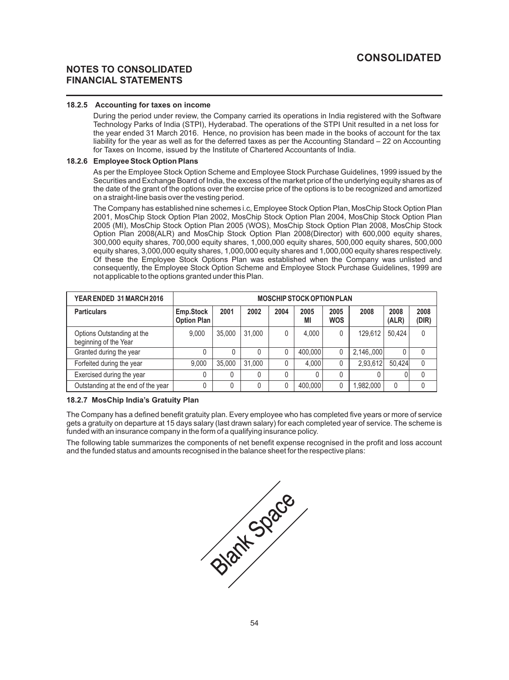### **18.2.5 Accounting for taxes on income**

During the period under review, the Company carried its operations in India registered with the Software Technology Parks of India (STPI), Hyderabad. The operations of the STPI Unit resulted in a net loss for the year ended 31 March 2016. Hence, no provision has been made in the books of account for the tax liability for the year as well as for the deferred taxes as per the Accounting Standard – 22 on Accounting for Taxes on Income, issued by the Institute of Chartered Accountants of India.

#### **18.2.6 Employee Stock Option Plans**

As per the Employee Stock Option Scheme and Employee Stock Purchase Guidelines, 1999 issued by the Securities and Exchange Board of India, the excess of the market price of the underlying equity shares as of the date of the grant of the options over the exercise price of the options is to be recognized and amortized on a straight-line basis over the vesting period.

The Company has established nine schemes i.c, Employee Stock Option Plan, MosChip Stock Option Plan 2001, MosChip Stock Option Plan 2002, MosChip Stock Option Plan 2004, MosChip Stock Option Plan 2005 (MI), MosChip Stock Option Plan 2005 (WOS), MosChip Stock Option Plan 2008, MosChip Stock Option Plan 2008(ALR) and MosChip Stock Option Plan 2008(Director) with 600,000 equity shares, 300,000 equity shares, 700,000 equity shares, 1,000,000 equity shares, 500,000 equity shares, 500,000 equity shares, 3,000,000 equity shares, 1,000,000 equity shares and 1,000,000 equity shares respectively. Of these the Employee Stock Options Plan was established when the Company was unlisted and consequently, the Employee Stock Option Scheme and Employee Stock Purchase Guidelines, 1999 are not applicable to the options granted under this Plan.

| YEAR ENDED 31 MARCH 2016                            | <b>MOSCHIP STOCK OPTION PLAN</b> |        |        |          |            |                    |          |               |               |
|-----------------------------------------------------|----------------------------------|--------|--------|----------|------------|--------------------|----------|---------------|---------------|
| <b>Particulars</b>                                  | Emp.Stock<br><b>Option Plan</b>  | 2001   | 2002   | 2004     | 2005<br>ΜI | 2005<br><b>WOS</b> | 2008     | 2008<br>(ALR) | 2008<br>(DIR) |
| Options Outstanding at the<br>beginning of the Year | 9.000                            | 35.000 | 31.000 | 0        | 4.000      | 0                  | 129.612  | 50.424        | 0             |
| Granted during the year                             |                                  |        |        | 0        | 400.000    |                    | 2.146000 |               |               |
| Forfeited during the year                           | 9.000                            | 35.000 | 31.000 | 0        | 4.000      | 0                  | 2.93.612 | 50.424        | 0             |
| Exercised during the year                           |                                  |        |        | $\Omega$ |            |                    |          |               | 0             |
| Outstanding at the end of the year                  |                                  |        |        | 0        | 400.000    |                    | .982.000 | 0             |               |

### **18.2.7 MosChip India's Gratuity Plan**

The Company has a defined benefit gratuity plan. Every employee who has completed five years or more of service gets a gratuity on departure at 15 days salary (last drawn salary) for each completed year of service. The scheme is funded with an insurance company in the form of a qualifying insurance policy.

The following table summarizes the components of net benefit expense recognised in the profit and loss account and the funded status and amounts recognised in the balance sheet for the respective plans:

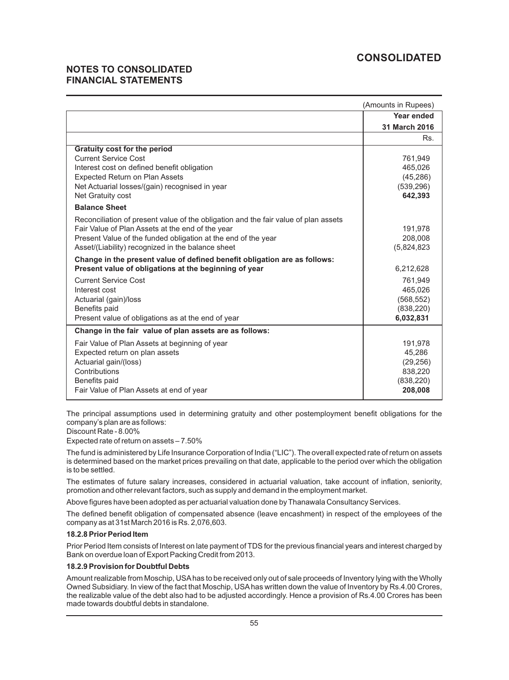|                                                                                     | (Amounts in Rupees) |
|-------------------------------------------------------------------------------------|---------------------|
|                                                                                     | Year ended          |
|                                                                                     | 31 March 2016       |
|                                                                                     | Rs.                 |
| Gratuity cost for the period                                                        |                     |
| <b>Current Service Cost</b>                                                         | 761,949             |
| Interest cost on defined benefit obligation                                         | 465.026             |
| <b>Expected Return on Plan Assets</b>                                               | (45, 286)           |
| Net Actuarial losses/(gain) recognised in year                                      | (539, 296)          |
| Net Gratuity cost                                                                   | 642,393             |
| <b>Balance Sheet</b>                                                                |                     |
| Reconciliation of present value of the obligation and the fair value of plan assets |                     |
| Fair Value of Plan Assets at the end of the year                                    | 191.978             |
| Present Value of the funded obligation at the end of the year                       | 208.008             |
| Asset/(Liability) recognized in the balance sheet                                   | (5,824,823)         |
| Change in the present value of defined benefit obligation are as follows:           |                     |
| Present value of obligations at the beginning of year                               | 6,212,628           |
| <b>Current Service Cost</b>                                                         | 761,949             |
| Interest cost                                                                       | 465,026             |
| Actuarial (gain)/loss                                                               | (568, 552)          |
| Benefits paid                                                                       | (838, 220)          |
| Present value of obligations as at the end of year                                  | 6,032,831           |
| Change in the fair value of plan assets are as follows:                             |                     |
| Fair Value of Plan Assets at beginning of year                                      | 191,978             |
| Expected return on plan assets                                                      | 45,286              |
| Actuarial gain/(loss)                                                               | (29, 256)           |
| Contributions                                                                       | 838,220             |
| Benefits paid                                                                       | (838, 220)          |
| Fair Value of Plan Assets at end of year                                            | 208,008             |

The principal assumptions used in determining gratuity and other postemployment benefit obligations for the company's plan are as follows:

Discount Rate - 8.00%

Expected rate of return on assets – 7.50%

The fund is administered by Life Insurance Corporation of India ("LIC"). The overall expected rate of return on assets is determined based on the market prices prevailing on that date, applicable to the period over which the obligation is to be settled.

The estimates of future salary increases, considered in actuarial valuation, take account of inflation, seniority, promotion and other relevant factors, such as supply and demand in the employment market.

Above figures have been adopted as per actuarial valuation done by Thanawala Consultancy Services.

The defined benefit obligation of compensated absence (leave encashment) in respect of the employees of the company as at 31st March 2016 is Rs. 2,076,603.

### **18.2.8 Prior Period Item**

Prior Period Item consists of Interest on late payment of TDS for the previous financial years and interest charged by Bank on overdue loan of Export Packing Credit from 2013.

### **18.2.9 Provision for Doubtful Debts**

Amount realizable from Moschip, USAhas to be received only out of sale proceeds of Inventory lying with the Wholly Owned Subsidiary. In view of the fact that Moschip, USAhas written down the value of Inventory by Rs.4.00 Crores, the realizable value of the debt also had to be adjusted accordingly. Hence a provision of Rs.4.00 Crores has been made towards doubtful debts in standalone.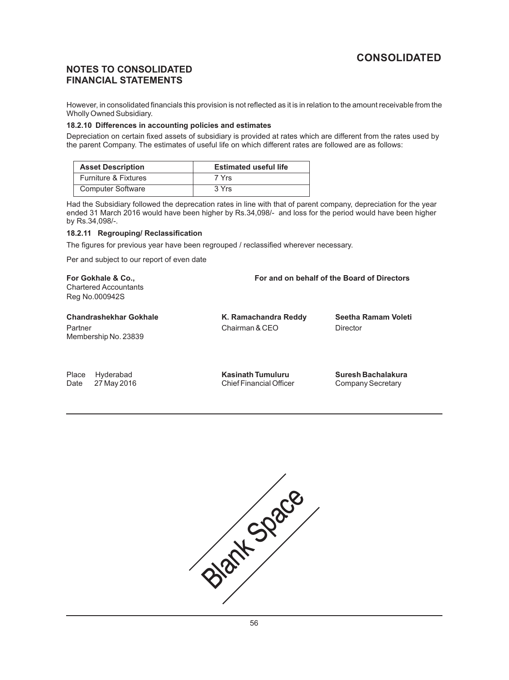However, in consolidated financials this provision is not reflected as it is in relation to the amount receivable from the Wholly Owned Subsidiary.

#### **18.2.10 Differences in accounting policies and estimates**

Depreciation on certain fixed assets of subsidiary is provided at rates which are different from the rates used by the parent Company. The estimates of useful life on which different rates are followed are as follows:

| <b>Asset Description</b> | <b>Estimated useful life</b> |
|--------------------------|------------------------------|
| Furniture & Fixtures     | 7 Yrs                        |
| <b>Computer Software</b> | 3 Yrs                        |

Had the Subsidiary followed the deprecation rates in line with that of parent company, depreciation for the year ended 31 March 2016 would have been higher by Rs.34,098/- and loss for the period would have been higher by Rs.34,098/-.

#### **18.2.11 Regrouping/ Reclassification**

The figures for previous year have been regrouped / reclassified wherever necessary.

Per and subject to our report of even date

**For Gokhale & Co., For and on behalf of the Board of Directors** Chartered Accountants Reg No.000942S **Chandrashekhar Gokhale K. Ramachandra Reddy Seetha Ramam Voleti** Partner Chairman & CEO Director Membership No. 23839 Place Hyderabad **Kasinath Tumuluru Suresh Bachalakura**

**Chief Financial Officer** 

**Company Secretary** 

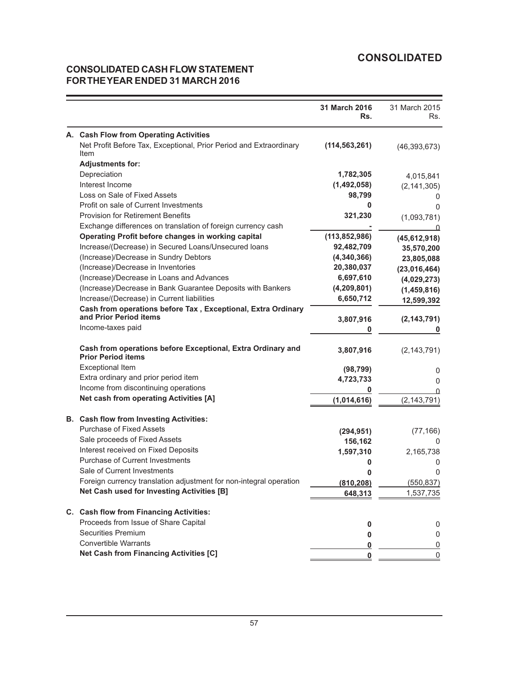## **CONSOLIDATED CASH FLOW STATEMENT FORTHE YEAR ENDED 31 MARCH 2016**

| A. Cash Flow from Operating Activities<br>Net Profit Before Tax, Exceptional, Prior Period and Extraordinary<br>(114, 563, 261)<br>Item<br><b>Adjustments for:</b><br>Depreciation<br>1,782,305<br>Interest Income<br>(1,492,058)<br>Loss on Sale of Fixed Assets<br>98,799<br>Profit on sale of Current Investments<br>0<br><b>Provision for Retirement Benefits</b><br>321,230<br>Exchange differences on translation of foreign currency cash<br>Operating Profit before changes in working capital<br>(113, 852, 986)<br>Increase/(Decrease) in Secured Loans/Unsecured loans<br>92,482,709<br>(Increase)/Decrease in Sundry Debtors<br>(4,340,366)<br>(Increase)/Decrease in Inventories<br>20,380,037<br>(Increase)/Decrease in Loans and Advances<br>6,697,610<br>(Increase)/Decrease in Bank Guarantee Deposits with Bankers<br>(4,209,801)<br>Increase/(Decrease) in Current liabilities<br>6,650,712<br>Cash from operations before Tax, Exceptional, Extra Ordinary<br>and Prior Period items<br>3,807,916<br>Income-taxes paid<br>0<br>Cash from operations before Exceptional, Extra Ordinary and<br>3,807,916<br><b>Prior Period items</b><br><b>Exceptional Item</b><br>(98, 799)<br>Extra ordinary and prior period item<br>4,723,733<br>Income from discontinuing operations<br>Net cash from operating Activities [A]<br>(1,014,616)<br><b>B.</b> Cash flow from Investing Activities:<br>Purchase of Fixed Assets<br>(294, 951)<br>Sale proceeds of Fixed Assets<br>156,162<br>Interest received on Fixed Deposits<br>1,597,310 |                                        | 31 March 2016<br>Rs. | 31 March 2015<br>Rs. |
|----------------------------------------------------------------------------------------------------------------------------------------------------------------------------------------------------------------------------------------------------------------------------------------------------------------------------------------------------------------------------------------------------------------------------------------------------------------------------------------------------------------------------------------------------------------------------------------------------------------------------------------------------------------------------------------------------------------------------------------------------------------------------------------------------------------------------------------------------------------------------------------------------------------------------------------------------------------------------------------------------------------------------------------------------------------------------------------------------------------------------------------------------------------------------------------------------------------------------------------------------------------------------------------------------------------------------------------------------------------------------------------------------------------------------------------------------------------------------------------------------------------------------------------------------|----------------------------------------|----------------------|----------------------|
|                                                                                                                                                                                                                                                                                                                                                                                                                                                                                                                                                                                                                                                                                                                                                                                                                                                                                                                                                                                                                                                                                                                                                                                                                                                                                                                                                                                                                                                                                                                                                    |                                        |                      |                      |
|                                                                                                                                                                                                                                                                                                                                                                                                                                                                                                                                                                                                                                                                                                                                                                                                                                                                                                                                                                                                                                                                                                                                                                                                                                                                                                                                                                                                                                                                                                                                                    |                                        |                      | (46, 393, 673)       |
|                                                                                                                                                                                                                                                                                                                                                                                                                                                                                                                                                                                                                                                                                                                                                                                                                                                                                                                                                                                                                                                                                                                                                                                                                                                                                                                                                                                                                                                                                                                                                    |                                        |                      |                      |
|                                                                                                                                                                                                                                                                                                                                                                                                                                                                                                                                                                                                                                                                                                                                                                                                                                                                                                                                                                                                                                                                                                                                                                                                                                                                                                                                                                                                                                                                                                                                                    |                                        |                      | 4,015,841            |
|                                                                                                                                                                                                                                                                                                                                                                                                                                                                                                                                                                                                                                                                                                                                                                                                                                                                                                                                                                                                                                                                                                                                                                                                                                                                                                                                                                                                                                                                                                                                                    |                                        |                      | (2, 141, 305)        |
|                                                                                                                                                                                                                                                                                                                                                                                                                                                                                                                                                                                                                                                                                                                                                                                                                                                                                                                                                                                                                                                                                                                                                                                                                                                                                                                                                                                                                                                                                                                                                    |                                        |                      | 0                    |
|                                                                                                                                                                                                                                                                                                                                                                                                                                                                                                                                                                                                                                                                                                                                                                                                                                                                                                                                                                                                                                                                                                                                                                                                                                                                                                                                                                                                                                                                                                                                                    |                                        |                      | 0                    |
|                                                                                                                                                                                                                                                                                                                                                                                                                                                                                                                                                                                                                                                                                                                                                                                                                                                                                                                                                                                                                                                                                                                                                                                                                                                                                                                                                                                                                                                                                                                                                    |                                        |                      | (1,093,781)          |
|                                                                                                                                                                                                                                                                                                                                                                                                                                                                                                                                                                                                                                                                                                                                                                                                                                                                                                                                                                                                                                                                                                                                                                                                                                                                                                                                                                                                                                                                                                                                                    |                                        |                      | 0                    |
|                                                                                                                                                                                                                                                                                                                                                                                                                                                                                                                                                                                                                                                                                                                                                                                                                                                                                                                                                                                                                                                                                                                                                                                                                                                                                                                                                                                                                                                                                                                                                    |                                        |                      | (45, 612, 918)       |
|                                                                                                                                                                                                                                                                                                                                                                                                                                                                                                                                                                                                                                                                                                                                                                                                                                                                                                                                                                                                                                                                                                                                                                                                                                                                                                                                                                                                                                                                                                                                                    |                                        |                      | 35,570,200           |
|                                                                                                                                                                                                                                                                                                                                                                                                                                                                                                                                                                                                                                                                                                                                                                                                                                                                                                                                                                                                                                                                                                                                                                                                                                                                                                                                                                                                                                                                                                                                                    |                                        |                      | 23,805,088           |
|                                                                                                                                                                                                                                                                                                                                                                                                                                                                                                                                                                                                                                                                                                                                                                                                                                                                                                                                                                                                                                                                                                                                                                                                                                                                                                                                                                                                                                                                                                                                                    |                                        |                      | (23,016,464)         |
|                                                                                                                                                                                                                                                                                                                                                                                                                                                                                                                                                                                                                                                                                                                                                                                                                                                                                                                                                                                                                                                                                                                                                                                                                                                                                                                                                                                                                                                                                                                                                    |                                        |                      | (4,029,273)          |
|                                                                                                                                                                                                                                                                                                                                                                                                                                                                                                                                                                                                                                                                                                                                                                                                                                                                                                                                                                                                                                                                                                                                                                                                                                                                                                                                                                                                                                                                                                                                                    |                                        |                      | (1,459,816)          |
|                                                                                                                                                                                                                                                                                                                                                                                                                                                                                                                                                                                                                                                                                                                                                                                                                                                                                                                                                                                                                                                                                                                                                                                                                                                                                                                                                                                                                                                                                                                                                    |                                        |                      | 12,599,392           |
|                                                                                                                                                                                                                                                                                                                                                                                                                                                                                                                                                                                                                                                                                                                                                                                                                                                                                                                                                                                                                                                                                                                                                                                                                                                                                                                                                                                                                                                                                                                                                    |                                        |                      | (2, 143, 791)        |
|                                                                                                                                                                                                                                                                                                                                                                                                                                                                                                                                                                                                                                                                                                                                                                                                                                                                                                                                                                                                                                                                                                                                                                                                                                                                                                                                                                                                                                                                                                                                                    |                                        |                      | 0                    |
|                                                                                                                                                                                                                                                                                                                                                                                                                                                                                                                                                                                                                                                                                                                                                                                                                                                                                                                                                                                                                                                                                                                                                                                                                                                                                                                                                                                                                                                                                                                                                    |                                        |                      | (2, 143, 791)        |
|                                                                                                                                                                                                                                                                                                                                                                                                                                                                                                                                                                                                                                                                                                                                                                                                                                                                                                                                                                                                                                                                                                                                                                                                                                                                                                                                                                                                                                                                                                                                                    |                                        |                      | 0                    |
|                                                                                                                                                                                                                                                                                                                                                                                                                                                                                                                                                                                                                                                                                                                                                                                                                                                                                                                                                                                                                                                                                                                                                                                                                                                                                                                                                                                                                                                                                                                                                    |                                        |                      | 0                    |
|                                                                                                                                                                                                                                                                                                                                                                                                                                                                                                                                                                                                                                                                                                                                                                                                                                                                                                                                                                                                                                                                                                                                                                                                                                                                                                                                                                                                                                                                                                                                                    |                                        |                      | $\Omega$             |
|                                                                                                                                                                                                                                                                                                                                                                                                                                                                                                                                                                                                                                                                                                                                                                                                                                                                                                                                                                                                                                                                                                                                                                                                                                                                                                                                                                                                                                                                                                                                                    |                                        |                      | (2, 143, 791)        |
|                                                                                                                                                                                                                                                                                                                                                                                                                                                                                                                                                                                                                                                                                                                                                                                                                                                                                                                                                                                                                                                                                                                                                                                                                                                                                                                                                                                                                                                                                                                                                    |                                        |                      |                      |
|                                                                                                                                                                                                                                                                                                                                                                                                                                                                                                                                                                                                                                                                                                                                                                                                                                                                                                                                                                                                                                                                                                                                                                                                                                                                                                                                                                                                                                                                                                                                                    |                                        |                      | (77, 166)            |
|                                                                                                                                                                                                                                                                                                                                                                                                                                                                                                                                                                                                                                                                                                                                                                                                                                                                                                                                                                                                                                                                                                                                                                                                                                                                                                                                                                                                                                                                                                                                                    |                                        |                      |                      |
|                                                                                                                                                                                                                                                                                                                                                                                                                                                                                                                                                                                                                                                                                                                                                                                                                                                                                                                                                                                                                                                                                                                                                                                                                                                                                                                                                                                                                                                                                                                                                    |                                        |                      | 2,165,738            |
|                                                                                                                                                                                                                                                                                                                                                                                                                                                                                                                                                                                                                                                                                                                                                                                                                                                                                                                                                                                                                                                                                                                                                                                                                                                                                                                                                                                                                                                                                                                                                    | <b>Purchase of Current Investments</b> | 0                    | 0                    |
| Sale of Current Investments<br>$\bf{0}$                                                                                                                                                                                                                                                                                                                                                                                                                                                                                                                                                                                                                                                                                                                                                                                                                                                                                                                                                                                                                                                                                                                                                                                                                                                                                                                                                                                                                                                                                                            |                                        |                      | 0                    |
| Foreign currency translation adjustment for non-integral operation<br>(810, 208)                                                                                                                                                                                                                                                                                                                                                                                                                                                                                                                                                                                                                                                                                                                                                                                                                                                                                                                                                                                                                                                                                                                                                                                                                                                                                                                                                                                                                                                                   |                                        |                      | (550, 837)           |
| Net Cash used for Investing Activities [B]<br>648,313                                                                                                                                                                                                                                                                                                                                                                                                                                                                                                                                                                                                                                                                                                                                                                                                                                                                                                                                                                                                                                                                                                                                                                                                                                                                                                                                                                                                                                                                                              |                                        |                      | 1,537,735            |
| C. Cash flow from Financing Activities:                                                                                                                                                                                                                                                                                                                                                                                                                                                                                                                                                                                                                                                                                                                                                                                                                                                                                                                                                                                                                                                                                                                                                                                                                                                                                                                                                                                                                                                                                                            |                                        |                      |                      |
| Proceeds from Issue of Share Capital<br>0                                                                                                                                                                                                                                                                                                                                                                                                                                                                                                                                                                                                                                                                                                                                                                                                                                                                                                                                                                                                                                                                                                                                                                                                                                                                                                                                                                                                                                                                                                          |                                        |                      | $\mathbf 0$          |
| <b>Securities Premium</b><br>0                                                                                                                                                                                                                                                                                                                                                                                                                                                                                                                                                                                                                                                                                                                                                                                                                                                                                                                                                                                                                                                                                                                                                                                                                                                                                                                                                                                                                                                                                                                     |                                        |                      | 0                    |
| <b>Convertible Warrants</b><br>0                                                                                                                                                                                                                                                                                                                                                                                                                                                                                                                                                                                                                                                                                                                                                                                                                                                                                                                                                                                                                                                                                                                                                                                                                                                                                                                                                                                                                                                                                                                   |                                        |                      | 0                    |
| <b>Net Cash from Financing Activities [C]</b><br>0                                                                                                                                                                                                                                                                                                                                                                                                                                                                                                                                                                                                                                                                                                                                                                                                                                                                                                                                                                                                                                                                                                                                                                                                                                                                                                                                                                                                                                                                                                 |                                        |                      | $\overline{0}$       |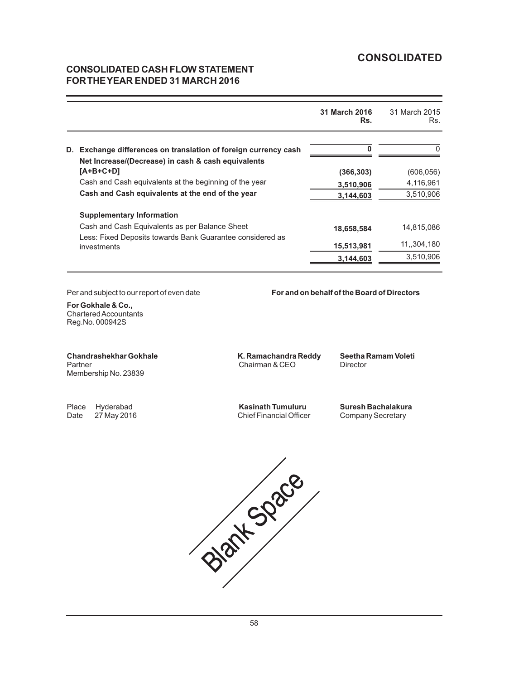## **CONSOLIDATED CASH FLOW STATEMENT FORTHE YEAR ENDED 31 MARCH 2016**

|    |                                                              | 31 March 2016<br>Rs. | 31 March 2015<br>Rs. |
|----|--------------------------------------------------------------|----------------------|----------------------|
| D. | Exchange differences on translation of foreign currency cash | O                    |                      |
|    | Net Increase/(Decrease) in cash & cash equivalents           |                      |                      |
|    | $[A+B+C+D]$                                                  | (366, 303)           | (606, 056)           |
|    | Cash and Cash equivalents at the beginning of the year       | 3,510,906            | 4,116,961            |
|    | Cash and Cash equivalents at the end of the year             | 3,144,603            | 3,510,906            |
|    | <b>Supplementary Information</b>                             |                      |                      |
|    | Cash and Cash Equivalents as per Balance Sheet               | 18,658,584           | 14.815.086           |
|    | Less: Fixed Deposits towards Bank Guarantee considered as    |                      |                      |
|    | investments                                                  | 15,513,981           | 11,,304,180          |
|    |                                                              | 3,144,603            | 3,510,906            |

Per and subject to our report of even date **For and on behalf of the Board of Directors**

**For Gokhale & Co.,** Chartered Accountants Reg.No. 000942S

**Chandrashekhar Gokhale K. Ramachandra Reddy Seetha Ramam Voleti** Partner **Chairman & CEO** Director **Director** Membership No. 23839

Place Hyderabad **Kasinath Tumuluru Suresh Bachalakura**

Company Secretary

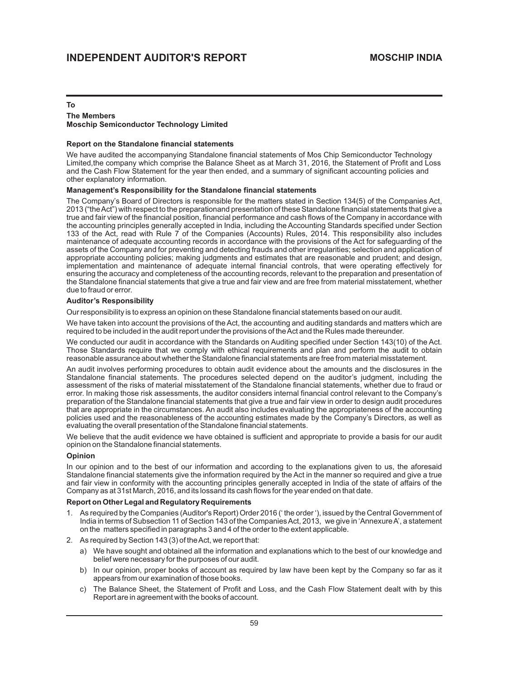#### **To**

#### **The Members Moschip Semiconductor Technology Limited**

#### **Report on the Standalone financial statements**

We have audited the accompanying Standalone financial statements of Mos Chip Semiconductor Technology Limited,the company which comprise the Balance Sheet as at March 31, 2016, the Statement of Profit and Loss and the Cash Flow Statement for the year then ended, and a summary of significant accounting policies and other explanatory information.

#### **Management's Responsibility for the Standalone financial statements**

The Company's Board of Directors is responsible for the matters stated in Section 134(5) of the Companies Act, 2013 ("the Act") with respect to the preparationand presentation of these Standalone financial statements that give a true and fair view of the financial position, financial performance and cash flows of the Company in accordance with the accounting principles generally accepted in India, including the Accounting Standards specified under Section 133 of the Act, read with Rule 7 of the Companies (Accounts) Rules, 2014. This responsibility also includes maintenance of adequate accounting records in accordance with the provisions of the Act for safeguarding of the assets of the Company and for preventing and detecting frauds and other irregularities; selection and application of appropriate accounting policies; making judgments and estimates that are reasonable and prudent; and design, implementation and maintenance of adequate internal financial controls, that were operating effectively for ensuring the accuracy and completeness of the accounting records, relevant to the preparation and presentation of the Standalone financial statements that give a true and fair view and are free from material misstatement, whether due to fraud or error.

#### **Auditor's Responsibility**

Our responsibility is to express an opinion on these Standalone financial statements based on our audit.

We have taken into account the provisions of the Act, the accounting and auditing standards and matters which are required to be included in the audit report under the provisions of the Act and the Rules made thereunder.

We conducted our audit in accordance with the Standards on Auditing specified under Section 143(10) of the Act. Those Standards require that we comply with ethical requirements and plan and perform the audit to obtain reasonable assurance about whether the Standalone financial statements are free from material misstatement.

An audit involves performing procedures to obtain audit evidence about the amounts and the disclosures in the Standalone financial statements. The procedures selected depend on the auditor's judgment, including the assessment of the risks of material misstatement of the Standalone financial statements, whether due to fraud or error. In making those risk assessments, the auditor considers internal financial control relevant to the Company's preparation of the Standalone financial statements that give a true and fair view in order to design audit procedures that are appropriate in the circumstances. An audit also includes evaluating the appropriateness of the accounting policies used and the reasonableness of the accounting estimates made by the Company's Directors, as well as evaluating the overall presentation of the Standalone financial statements.

We believe that the audit evidence we have obtained is sufficient and appropriate to provide a basis for our audit opinion on the Standalone financial statements.

#### **Opinion**

In our opinion and to the best of our information and according to the explanations given to us, the aforesaid Standalone financial statements give the information required by the Act in the manner so required and give a true and fair view in conformity with the accounting principles generally accepted in India of the state of affairs of the Company as at 31st March, 2016, and its lossand its cash flows for the year ended on that date.

#### **Report on Other Legal and Regulatory Requirements**

- 1. As required by the Companies (Auditor's Report) Order 2016 (' the order '), issued by the Central Government of India in terms of Subsection 11 of Section 143 of the Companies Act, 2013, we give in 'Annexure A', a statement on the matters specified in paragraphs 3 and 4 of the order to the extent applicable.
- 2. As required by Section 143 (3) of the Act, we report that:
	- a) We have sought and obtained all the information and explanations which to the best of our knowledge and belief were necessary for the purposes of our audit.
	- b) In our opinion, proper books of account as required by law have been kept by the Company so far as it appears from our examination of those books.
	- c) The Balance Sheet, the Statement of Profit and Loss, and the Cash Flow Statement dealt with by this Report are in agreement with the books of account.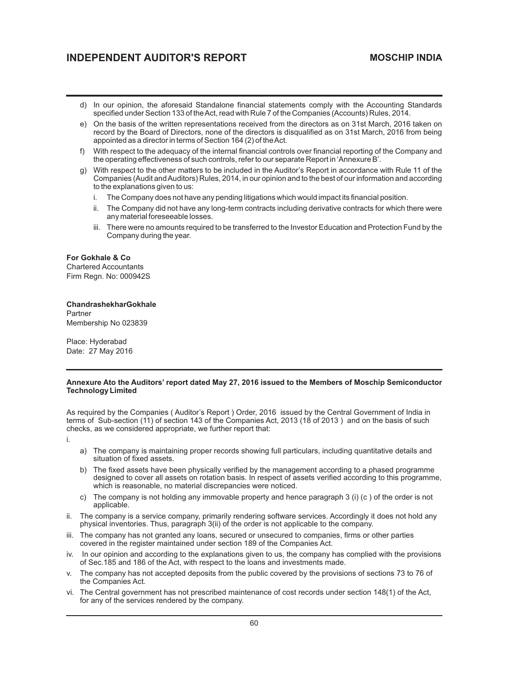## **INDEPENDENT AUDITOR'S REPORT MOSCHIP INDIA**

- d) In our opinion, the aforesaid Standalone financial statements comply with the Accounting Standards specified under Section 133 of the Act, read with Rule 7 of the Companies (Accounts) Rules, 2014.
- e) On the basis of the written representations received from the directors as on 31st March, 2016 taken on record by the Board of Directors, none of the directors is disqualified as on 31st March, 2016 from being appointed as a director in terms of Section 164 (2) of the Act.
- f) With respect to the adequacy of the internal financial controls over financial reporting of the Company and the operating effectiveness of such controls, refer to our separate Report in 'Annexure B'.
- g) With respect to the other matters to be included in the Auditor's Report in accordance with Rule 11 of the Companies (Audit and Auditors) Rules, 2014, in our opinion and to the best of our information and according to the explanations given to us:
	- i. The Company does not have any pending litigations which would impact its financial position.
	- ii. The Company did not have any long-term contracts including derivative contracts for which there were any material foreseeable losses.
	- iii. There were no amounts required to be transferred to the Investor Education and Protection Fund by the Company during the year.

### **For Gokhale & Co**

Chartered Accountants Firm Regn. No: 000942S

#### **ChandrashekharGokhale**

Partner Membership No 023839

Place: Hyderabad Date: 27 May 2016

#### **Annexure Ato the Auditors' report dated May 27, 2016 issued to the Members of Moschip Semiconductor Technology Limited**

As required by the Companies ( Auditor's Report ) Order, 2016 issued by the Central Government of India in terms of Sub-section (11) of section 143 of the Companies Act, 2013 (18 of 2013 ) and on the basis of such checks, as we considered appropriate, we further report that:

- i.
- a) The company is maintaining proper records showing full particulars, including quantitative details and situation of fixed assets.
- b) The fixed assets have been physically verified by the management according to a phased programme designed to cover all assets on rotation basis. In respect of assets verified according to this programme, which is reasonable, no material discrepancies were noticed.
- c) The company is not holding any immovable property and hence paragraph 3 (i) (c) of the order is not applicable.
- ii. The company is a service company, primarily rendering software services. Accordingly it does not hold any physical inventories. Thus, paragraph 3(ii) of the order is not applicable to the company.
- iii. The company has not granted any loans, secured or unsecured to companies, firms or other parties covered in the register maintained under section 189 of the Companies Act.
- iv. In our opinion and according to the explanations given to us, the company has complied with the provisions of Sec.185 and 186 of the Act, with respect to the loans and investments made.
- v. The company has not accepted deposits from the public covered by the provisions of sections 73 to 76 of the Companies Act.
- vi. The Central government has not prescribed maintenance of cost records under section 148(1) of the Act, for any of the services rendered by the company.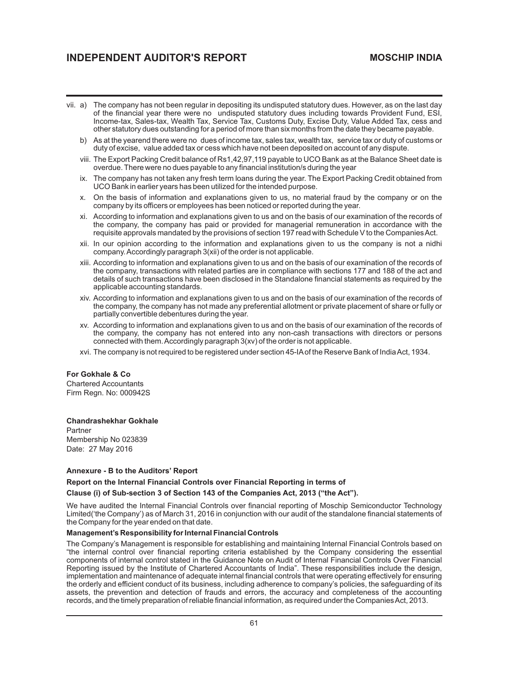## **INDEPENDENT AUDITOR'S REPORT MOSCHIP INDIA**

- vii. a) The company has not been regular in depositing its undisputed statutory dues. However, as on the last day of the financial year there were no undisputed statutory dues including towards Provident Fund, ESI, Income-tax, Sales-tax, Wealth Tax, Service Tax, Customs Duty, Excise Duty, Value Added Tax, cess and other statutory dues outstanding for a period of more than six months from the date they became payable.
	- b) As at the yearend there were no dues of income tax, sales tax, wealth tax, service tax or duty of customs or duty of excise, value added tax or cess which have not been deposited on account of any dispute.
	- viii. The Export Packing Credit balance of Rs1,42,97,119 payable to UCO Bank as at the Balance Sheet date is overdue. There were no dues payable to any financial institution/s during the year
	- ix. The company has not taken any fresh term loans during the year. The Export Packing Credit obtained from UCO Bank in earlier years has been utilized for the intended purpose.
	- x. On the basis of information and explanations given to us, no material fraud by the company or on the company by its officers or employees has been noticed or reported during the year.
	- xi. According to information and explanations given to us and on the basis of our examination of the records of the company, the company has paid or provided for managerial remuneration in accordance with the requisite approvals mandated by the provisions of section 197 read with Schedule V to the Companies Act.
	- xii. In our opinion according to the information and explanations given to us the company is not a nidhi company. Accordingly paragraph 3(xii) of the order is not applicable.
	- xiii. According to information and explanations given to us and on the basis of our examination of the records of the company, transactions with related parties are in compliance with sections 177 and 188 of the act and details of such transactions have been disclosed in the Standalone financial statements as required by the applicable accounting standards.
	- xiv. According to information and explanations given to us and on the basis of our examination of the records of the company, the company has not made any preferential allotment or private placement of share or fully or partially convertible debentures during the year.
	- xv. According to information and explanations given to us and on the basis of our examination of the records of the company, the company has not entered into any non-cash transactions with directors or persons connected with them. Accordingly paragraph 3(xv) of the order is not applicable.
	- xvi. The company is not required to be registered under section 45-IAof the Reserve Bank of India Act, 1934.

### **For Gokhale & Co**

Chartered Accountants Firm Regn. No: 000942S

#### **Chandrashekhar Gokhale**

Partner Membership No 023839 Date: 27 May 2016

#### **Annexure - B to the Auditors' Report**

**Report on the Internal Financial Controls over Financial Reporting in terms of**

**Clause (i) of Sub-section 3 of Section 143 of the Companies Act, 2013 ("the Act").**

We have audited the Internal Financial Controls over financial reporting of Moschip Semiconductor Technology Limited('the Company') as of March 31, 2016 in conjunction with our audit of the standalone financial statements of the Company for the year ended on that date.

#### **Management's Responsibility for Internal Financial Controls**

The Company's Management is responsible for establishing and maintaining Internal Financial Controls based on "the internal control over financial reporting criteria established by the Company considering the essential components of internal control stated in the Guidance Note on Audit of Internal Financial Controls Over Financial Reporting issued by the Institute of Chartered Accountants of India". These responsibilities include the design, implementation and maintenance of adequate internal financial controls that were operating effectively for ensuring the orderly and efficient conduct of its business, including adherence to company's policies, the safeguarding of its assets, the prevention and detection of frauds and errors, the accuracy and completeness of the accounting records, and the timely preparation of reliable financial information, as required under the Companies Act, 2013.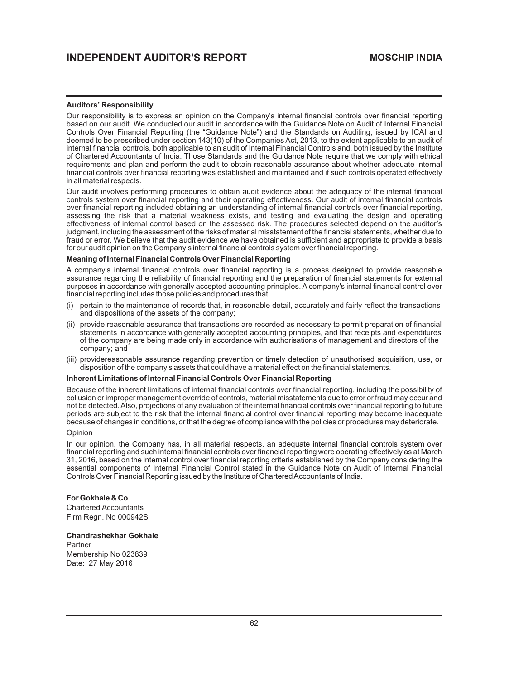#### **Auditors' Responsibility**

Our responsibility is to express an opinion on the Company's internal financial controls over financial reporting based on our audit. We conducted our audit in accordance with the Guidance Note on Audit of Internal Financial Controls Over Financial Reporting (the "Guidance Note") and the Standards on Auditing, issued by ICAI and deemed to be prescribed under section 143(10) of the Companies Act, 2013, to the extent applicable to an audit of internal financial controls, both applicable to an audit of Internal Financial Controls and, both issued by the Institute of Chartered Accountants of India. Those Standards and the Guidance Note require that we comply with ethical requirements and plan and perform the audit to obtain reasonable assurance about whether adequate internal financial controls over financial reporting was established and maintained and if such controls operated effectively in all material respects.

Our audit involves performing procedures to obtain audit evidence about the adequacy of the internal financial controls system over financial reporting and their operating effectiveness. Our audit of internal financial controls over financial reporting included obtaining an understanding of internal financial controls over financial reporting, assessing the risk that a material weakness exists, and testing and evaluating the design and operating effectiveness of internal control based on the assessed risk. The procedures selected depend on the auditor's judgment, including the assessment of the risks of material misstatement of the financial statements, whether due to fraud or error. We believe that the audit evidence we have obtained is sufficient and appropriate to provide a basis for our audit opinion on the Company's internal financial controls system over financial reporting.

#### **Meaning of Internal Financial Controls Over Financial Reporting**

A company's internal financial controls over financial reporting is a process designed to provide reasonable assurance regarding the reliability of financial reporting and the preparation of financial statements for external purposes in accordance with generally accepted accounting principles. A company's internal financial control over financial reporting includes those policies and procedures that

- (i) pertain to the maintenance of records that, in reasonable detail, accurately and fairly reflect the transactions and dispositions of the assets of the company;
- (ii) provide reasonable assurance that transactions are recorded as necessary to permit preparation of financial statements in accordance with generally accepted accounting principles, and that receipts and expenditures of the company are being made only in accordance with authorisations of management and directors of the company; and
- (iii) providereasonable assurance regarding prevention or timely detection of unauthorised acquisition, use, or disposition of the company's assets that could have a material effect on the financial statements.

#### **Inherent Limitations of Internal Financial Controls Over Financial Reporting**

Because of the inherent limitations of internal financial controls over financial reporting, including the possibility of collusion or improper management override of controls, material misstatements due to error or fraud may occur and not be detected. Also, projections of any evaluation of the internal financial controls over financial reporting to future periods are subject to the risk that the internal financial control over financial reporting may become inadequate because of changes in conditions, or that the degree of compliance with the policies or procedures may deteriorate.

#### Opinion

In our opinion, the Company has, in all material respects, an adequate internal financial controls system over financial reporting and such internal financial controls over financial reporting were operating effectively as at March 31, 2016, based on the internal control over financial reporting criteria established by the Company considering the essential components of Internal Financial Control stated in the Guidance Note on Audit of Internal Financial Controls Over Financial Reporting issued by the Institute of Chartered Accountants of India.

#### **For Gokhale & Co**

Chartered Accountants Firm Regn. No 000942S

#### **Chandrashekhar Gokhale**

Partner Membership No 023839 Date: 27 May 2016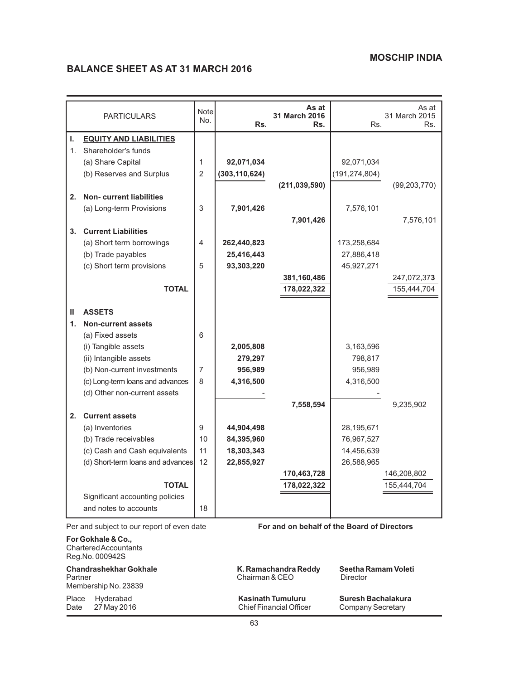## **MOSCHIP INDIA**

## **BALANCE SHEET AS AT 31 MARCH 2016**

|    | <b>PARTICULARS</b>                | <b>Note</b><br>No. | Rs.             | As at<br>31 March 2016<br>Rs. | Rs.             | As at<br>31 March 2015<br>Rs. |
|----|-----------------------------------|--------------------|-----------------|-------------------------------|-----------------|-------------------------------|
| L. | <b>EQUITY AND LIABILITIES</b>     |                    |                 |                               |                 |                               |
| 1. | Shareholder's funds               |                    |                 |                               |                 |                               |
|    | (a) Share Capital                 | 1                  | 92,071,034      |                               | 92,071,034      |                               |
|    | (b) Reserves and Surplus          | $\overline{2}$     | (303, 110, 624) |                               | (191, 274, 804) |                               |
|    |                                   |                    |                 | (211, 039, 590)               |                 | (99, 203, 770)                |
| 2. | <b>Non-current liabilities</b>    |                    |                 |                               |                 |                               |
|    | (a) Long-term Provisions          | 3                  | 7,901,426       |                               | 7,576,101       |                               |
|    |                                   |                    |                 | 7,901,426                     |                 | 7,576,101                     |
|    | 3. Current Liabilities            |                    |                 |                               |                 |                               |
|    | (a) Short term borrowings         | 4                  | 262,440,823     |                               | 173,258,684     |                               |
|    | (b) Trade payables                |                    | 25,416,443      |                               | 27,886,418      |                               |
|    | (c) Short term provisions         | 5                  | 93,303,220      |                               | 45,927,271      |                               |
|    |                                   |                    |                 | 381,160,486                   |                 | 247,072,373                   |
|    | <b>TOTAL</b>                      |                    |                 | 178,022,322                   |                 | 155,444,704                   |
| Ш  | <b>ASSETS</b>                     |                    |                 |                               |                 |                               |
| 1. | <b>Non-current assets</b>         |                    |                 |                               |                 |                               |
|    | (a) Fixed assets                  | 6                  |                 |                               |                 |                               |
|    | (i) Tangible assets               |                    | 2,005,808       |                               | 3,163,596       |                               |
|    | (ii) Intangible assets            |                    | 279,297         |                               | 798,817         |                               |
|    | (b) Non-current investments       | 7                  | 956,989         |                               | 956,989         |                               |
|    | (c) Long-term loans and advances  | 8                  | 4,316,500       |                               | 4,316,500       |                               |
|    | (d) Other non-current assets      |                    |                 |                               |                 |                               |
|    |                                   |                    |                 | 7,558,594                     |                 | 9,235,902                     |
| 2. | <b>Current assets</b>             |                    |                 |                               |                 |                               |
|    | (a) Inventories                   | 9                  | 44,904,498      |                               | 28,195,671      |                               |
|    | (b) Trade receivables             | 10                 | 84,395,960      |                               | 76,967,527      |                               |
|    | (c) Cash and Cash equivalents     | 11                 | 18,303,343      |                               | 14,456,639      |                               |
|    | (d) Short-term loans and advances | 12                 | 22,855,927      |                               | 26,588,965      |                               |
|    |                                   |                    |                 | 170,463,728                   |                 | 146,208,802                   |
|    | <b>TOTAL</b>                      |                    |                 | 178,022,322                   |                 | 155,444,704                   |
|    | Significant accounting policies   |                    |                 |                               |                 |                               |
|    | and notes to accounts             | 18                 |                 |                               |                 |                               |

Per and subject to our report of even date **For and on behalf of the Board of Directors**

**For Gokhale & Co.,** Chartered Accountants Reg.No. 000942S

**Chandrashekhar Gokhale K. Ramachandra Reddy Seetha Ramam Voleti**<br>Partner **Chairman & CEO** Director Membership No. 23839

Place Hyderabad **Kasinath Tumuluru Suresh Bachalakura** Place Hyderabad<br>Date 27 May 2016

Chairman & CEO

63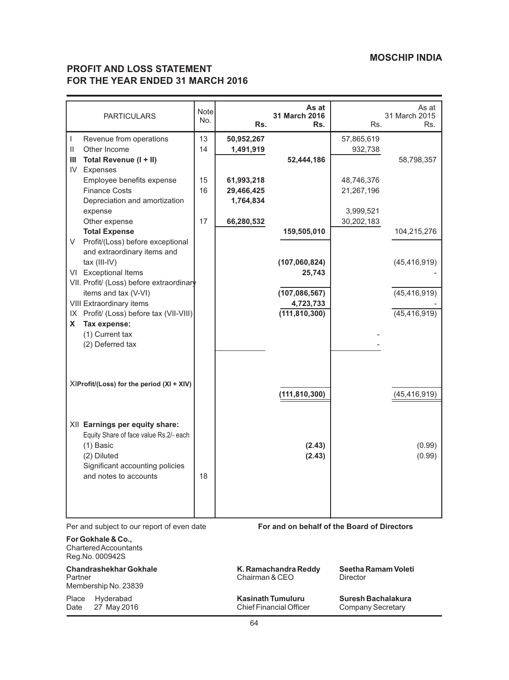### **MOSCHIP INDIA**

## **PROFIT AND LOSS STATEMENT FOR THE YEAR ENDED 31 MARCH 2016**

|         | <b>PARTICULARS</b>                                                                                                                                                 | Note<br>No. | Rs.                                   | As at<br>31 March 2016<br>Rs.                   | Rs.                             | As at<br>31 March 2015<br>Rs.    |
|---------|--------------------------------------------------------------------------------------------------------------------------------------------------------------------|-------------|---------------------------------------|-------------------------------------------------|---------------------------------|----------------------------------|
| L<br>Ш  | Revenue from operations<br>Other Income<br>III Total Revenue (I + II)                                                                                              | 13<br>14    | 50,952,267<br>1,491,919               | 52,444,186                                      | 57,865,619<br>932,738           | 58,798,357                       |
|         | <b>IV</b> Expenses<br>Employee benefits expense<br><b>Finance Costs</b><br>Depreciation and amortization                                                           | 15<br>16    | 61,993,218<br>29,466,425<br>1,764,834 |                                                 | 48,746,376<br>21,267,196        |                                  |
|         | expense<br>Other expense<br><b>Total Expense</b>                                                                                                                   | 17          | 66,280,532                            | 159,505,010                                     | 3,999,521<br>30,202,183         | 104,215,276                      |
|         | V Profit/(Loss) before exceptional<br>and extraordinary items and<br>$tax (III-IV)$<br>VI Exceptional Items                                                        |             |                                       | (107,060,824)<br>25,743                         |                                 | (45, 416, 919)                   |
|         | VII. Profit/ (Loss) before extraordinary<br>items and tax (V-VI)<br>VIII Extraordinary items<br>IX Profit/ (Loss) before tax (VII-VIII)                            |             |                                       | (107, 086, 567)<br>4,723,733<br>(111, 810, 300) |                                 | (45, 416, 919)<br>(45, 416, 919) |
| X.      | Tax expense:<br>(1) Current tax<br>(2) Deferred tax                                                                                                                |             |                                       |                                                 |                                 |                                  |
|         | XIProfit/(Loss) for the period (XI + XIV)                                                                                                                          |             |                                       | (111, 810, 300)                                 |                                 | (45,416,919)                     |
|         | XII Earnings per equity share:<br>Equity Share of face value Rs.2/- each<br>$(1)$ Basic<br>(2) Diluted<br>Significant accounting policies<br>and notes to accounts | 18          |                                       | (2.43)<br>(2.43)                                |                                 | (0.99)<br>(0.99)                 |
|         |                                                                                                                                                                    |             |                                       |                                                 |                                 |                                  |
|         | Per and subject to our report of even date<br>For and on behalf of the Board of Directors                                                                          |             |                                       |                                                 |                                 |                                  |
|         | For Gokhale & Co<br><b>Chartered Accountants</b><br>Reg.No. 000942S                                                                                                |             |                                       |                                                 |                                 |                                  |
| Partner | <b>Chandrashekhar Gokhale</b><br>Membership No. 23839                                                                                                              |             | Chairman & CEO                        | K. Ramachandra Reddy                            | Seetha Ramam Voleti<br>Director |                                  |

Date 27 May 2016 Chief Financial Officer Company Secretary

Place Hyderabad **Kasinath Tumuluru Suresh Bachalakura**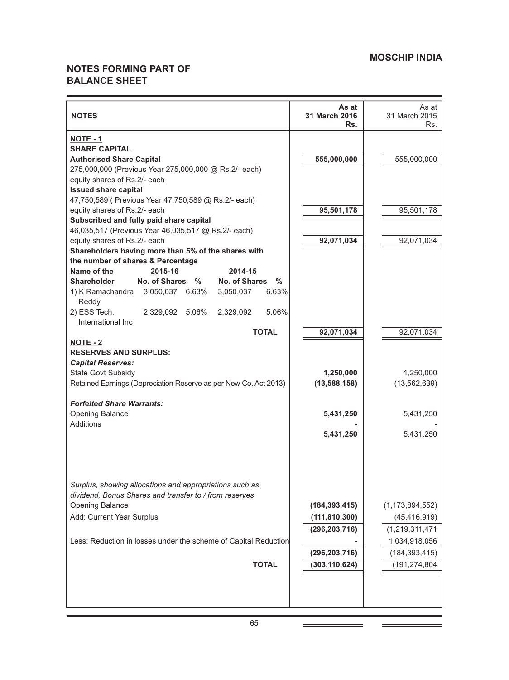| <b>NOTES</b>                                                             | As at<br>31 March 2016 | As at<br>31 March 2015 |
|--------------------------------------------------------------------------|------------------------|------------------------|
|                                                                          | Rs.                    | Rs.                    |
| NOTE - 1                                                                 |                        |                        |
| <b>SHARE CAPITAL</b>                                                     |                        |                        |
| <b>Authorised Share Capital</b>                                          | 555,000,000            | 555,000,000            |
| 275,000,000 (Previous Year 275,000,000 @ Rs.2/- each)                    |                        |                        |
| equity shares of Rs.2/- each                                             |                        |                        |
| <b>Issued share capital</b>                                              |                        |                        |
| 47,750,589 ( Previous Year 47,750,589 @ Rs.2/- each)                     |                        |                        |
| equity shares of Rs.2/- each                                             | 95,501,178             | 95,501,178             |
| Subscribed and fully paid share capital                                  |                        |                        |
| 46,035,517 (Previous Year 46,035,517 @ Rs.2/- each)                      |                        |                        |
| equity shares of Rs.2/- each                                             | 92,071,034             | 92,071,034             |
| Shareholders having more than 5% of the shares with                      |                        |                        |
| the number of shares & Percentage                                        |                        |                        |
| Name of the<br>2015-16<br>2014-15                                        |                        |                        |
| <b>Shareholder</b><br><b>No. of Shares</b><br>%<br>No. of Shares<br>$\%$ |                        |                        |
| 1) K Ramachandra<br>3,050,037 6.63%<br>3,050,037<br>6.63%                |                        |                        |
| Reddy                                                                    |                        |                        |
| 2) ESS Tech.<br>5.06%<br>2,329,092 5.06%<br>2,329,092                    |                        |                        |
| International Inc                                                        |                        |                        |
| <b>TOTAL</b>                                                             | 92,071,034             | 92,071,034             |
| NOTE - 2                                                                 |                        |                        |
| <b>RESERVES AND SURPLUS:</b>                                             |                        |                        |
|                                                                          |                        |                        |
| <b>Capital Reserves:</b>                                                 | 1,250,000              |                        |
| <b>State Govt Subsidy</b>                                                |                        | 1,250,000              |
| Retained Earnings (Depreciation Reserve as per New Co. Act 2013)         | (13, 588, 158)         | (13, 562, 639)         |
|                                                                          |                        |                        |
| <b>Forfeited Share Warrants:</b>                                         |                        |                        |
| Opening Balance                                                          | 5,431,250              | 5,431,250              |
| Additions                                                                |                        |                        |
|                                                                          | 5,431,250              | 5,431,250              |
|                                                                          |                        |                        |
|                                                                          |                        |                        |
|                                                                          |                        |                        |
|                                                                          |                        |                        |
| Surplus, showing allocations and appropriations such as                  |                        |                        |
| dividend, Bonus Shares and transfer to / from reserves                   |                        |                        |
| <b>Opening Balance</b>                                                   | (184, 393, 415)        | (1, 173, 894, 552)     |
| Add: Current Year Surplus                                                | (111, 810, 300)        | (45, 416, 919)         |
|                                                                          | (296, 203, 716)        | (1,219,311,471)        |
| Less: Reduction in losses under the scheme of Capital Reduction          |                        | 1,034,918,056          |
|                                                                          | (296, 203, 716)        | (184, 393, 415)        |
|                                                                          |                        |                        |
| <b>TOTAL</b>                                                             | (303, 110, 624)        | (191,274,804           |
|                                                                          |                        |                        |
|                                                                          |                        |                        |
|                                                                          |                        |                        |
|                                                                          |                        |                        |

÷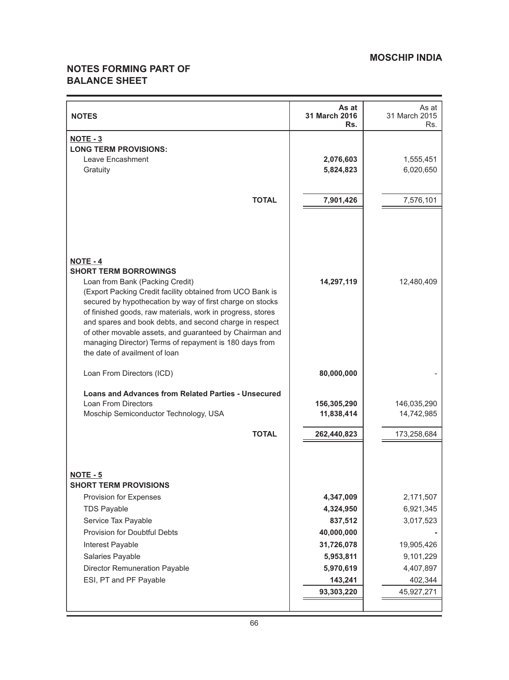| <b>NOTES</b>                                                                                                                                                                                                                                                                                                                                                                                                                                                                                | As at<br>31 March 2016<br>Rs.                   | As at<br>31 March 2015<br>Rs.       |
|---------------------------------------------------------------------------------------------------------------------------------------------------------------------------------------------------------------------------------------------------------------------------------------------------------------------------------------------------------------------------------------------------------------------------------------------------------------------------------------------|-------------------------------------------------|-------------------------------------|
| NOTE - 3                                                                                                                                                                                                                                                                                                                                                                                                                                                                                    |                                                 |                                     |
| <b>LONG TERM PROVISIONS:</b>                                                                                                                                                                                                                                                                                                                                                                                                                                                                |                                                 |                                     |
| Leave Encashment                                                                                                                                                                                                                                                                                                                                                                                                                                                                            | 2,076,603                                       | 1,555,451                           |
| Gratuity                                                                                                                                                                                                                                                                                                                                                                                                                                                                                    | 5,824,823                                       | 6,020,650                           |
|                                                                                                                                                                                                                                                                                                                                                                                                                                                                                             |                                                 |                                     |
| <b>TOTAL</b>                                                                                                                                                                                                                                                                                                                                                                                                                                                                                | 7,901,426                                       | 7,576,101                           |
|                                                                                                                                                                                                                                                                                                                                                                                                                                                                                             |                                                 |                                     |
| <b>NOTE - 4</b><br><b>SHORT TERM BORROWINGS</b><br>Loan from Bank (Packing Credit)<br>(Export Packing Credit facility obtained from UCO Bank is<br>secured by hypothecation by way of first charge on stocks<br>of finished goods, raw materials, work in progress, stores<br>and spares and book debts, and second charge in respect<br>of other movable assets, and guaranteed by Chairman and<br>managing Director) Terms of repayment is 180 days from<br>the date of availment of loan | 14,297,119                                      | 12,480,409                          |
| Loan From Directors (ICD)                                                                                                                                                                                                                                                                                                                                                                                                                                                                   | 80,000,000                                      |                                     |
| <b>Loans and Advances from Related Parties - Unsecured</b>                                                                                                                                                                                                                                                                                                                                                                                                                                  |                                                 |                                     |
| <b>Loan From Directors</b><br>Moschip Semiconductor Technology, USA                                                                                                                                                                                                                                                                                                                                                                                                                         | 156,305,290<br>11,838,414                       | 146,035,290<br>14,742,985           |
|                                                                                                                                                                                                                                                                                                                                                                                                                                                                                             |                                                 |                                     |
| <b>TOTAL</b>                                                                                                                                                                                                                                                                                                                                                                                                                                                                                | 262,440,823                                     | 173,258,684                         |
| NOTE - 5<br><b>SHORT TERM PROVISIONS</b><br>Provision for Expenses<br><b>TDS Payable</b><br>Service Tax Payable<br>Provision for Doubtful Debts                                                                                                                                                                                                                                                                                                                                             | 4,347,009<br>4,324,950<br>837,512<br>40,000,000 | 2,171,507<br>6,921,345<br>3,017,523 |
| Interest Payable                                                                                                                                                                                                                                                                                                                                                                                                                                                                            | 31,726,078                                      | 19,905,426                          |
| Salaries Payable                                                                                                                                                                                                                                                                                                                                                                                                                                                                            | 5,953,811                                       | 9,101,229                           |
| Director Remuneration Payable                                                                                                                                                                                                                                                                                                                                                                                                                                                               | 5,970,619                                       | 4,407,897                           |
| ESI, PT and PF Payable                                                                                                                                                                                                                                                                                                                                                                                                                                                                      | 143,241                                         | 402,344                             |
|                                                                                                                                                                                                                                                                                                                                                                                                                                                                                             | 93,303,220                                      | 45,927,271                          |
|                                                                                                                                                                                                                                                                                                                                                                                                                                                                                             |                                                 |                                     |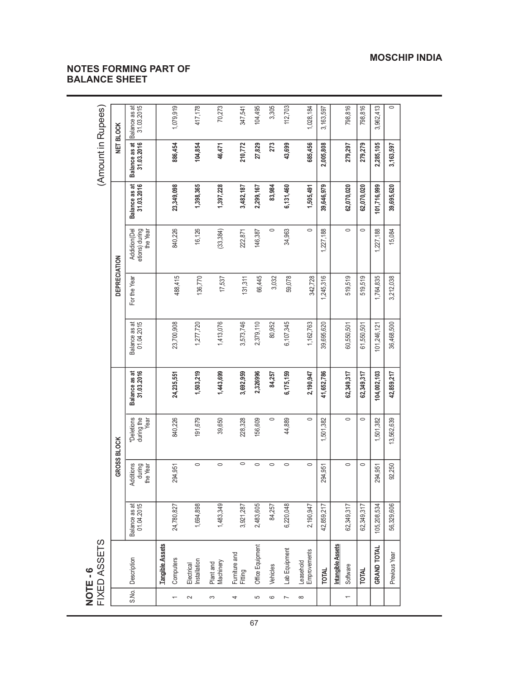|                          | FIXED ASSETS<br>NOTE-6        |                                       |                                 |                                        |                             |                             |                     |                                            |                             | (Amount in Rupees)          |                             |
|--------------------------|-------------------------------|---------------------------------------|---------------------------------|----------------------------------------|-----------------------------|-----------------------------|---------------------|--------------------------------------------|-----------------------------|-----------------------------|-----------------------------|
|                          |                               |                                       |                                 | GROSS BLOCK                            |                             |                             | <b>DEPRECIATION</b> |                                            |                             |                             | <b>NET BLOCK</b>            |
| S.No.                    | Description                   | nce as at<br>1.04.2015<br>이 이번<br>이 기 | during<br>the Year<br>Additions | during the<br>Year<br><b>Deletions</b> | Balance as at<br>31.03.2016 | Balance as at<br>01.04.2015 | For the Year        | etions) during<br>the Year<br>Addidion(Del | Balance as at<br>31.03.2016 | 31.03.2016<br>Balance as at | Balance as at<br>31.03.2015 |
|                          | <b>Tangible Assets</b>        |                                       |                                 |                                        |                             |                             |                     |                                            |                             |                             |                             |
| $\overline{\phantom{0}}$ | Computers                     | 780,827<br>Z                          | 294,951                         | 840,226                                | 24,235,551                  | 23,700,908                  | 488,415             | 840,226                                    | 23,349,098                  | 886,454                     | 1,079,919                   |
| $\sim$                   | Electrical<br>Installation    | 694,898                               | $\circ$                         | 191,679                                | 1,503,219                   | 1,277,720                   | 136,770             | 16,126                                     | 1,398,365                   | 104,854                     | 417,178                     |
| S                        | Plant and<br>Machinery        | 483,349                               | $\circ$                         | 39,650                                 | 1,443,699                   | 1,413,076                   | 17,537              | (33, 384)                                  | 1,397,228                   | 46,471                      | 70,273                      |
| 4                        | Furniture and<br>Fitting      | 921,287<br>က                          | $\circ$                         | 228,328                                | 3,692,959                   | 3,573,746                   | 131,311             | 222,871                                    | 3,482,187                   | 210,772                     | 347,541                     |
| 5                        | Office Equipment              | ,483,605                              | $\circ$                         | 156,609                                | 2,326996                    | 2,379,110                   | 66,445              | 146,387                                    | 2,299,167                   | 27,829                      | 104,495                     |
| $\circ$                  | Vehicles                      | 84,257                                | $\circ$                         | $\circ$                                | 84,257                      | 80,952                      | 3,032               | $\circ$                                    | 83,984                      | 273                         | 3,305                       |
| $\overline{ }$           | Lab Equipment                 | 220,048                               | $\circ$                         | 44,889                                 | 6,175,159                   | 6,107,345                   | 59,078              | 34,963                                     | 6,131,460                   | 43,699                      | 112,703                     |
| $\infty$                 | Emprovements<br>Leasehold     | ,190,947                              | $\circ$                         | $\circ$                                | 2,190,947                   | 1,162,763                   | 342,728             | $\circ$                                    | 1,505,491                   | 685,456                     | 1,028,184                   |
|                          | <b>TOTAL</b>                  | 859,217<br>a,                         | 294,951                         | 1,501,382                              | 41,652,786                  | 39,695,620                  | 1,245,316           | 1,227,188                                  | 39,646,979                  | 2,005,808                   | 3,163,597                   |
| $\overline{\phantom{0}}$ | Intangible Assets<br>Software | ,349,317<br>8                         | $\circ$                         | $\circ$                                | 62,349,317                  | 60,550,501                  | 519,519             | $\circ$                                    | 62,070,020                  | 279,297                     | 798,816                     |
|                          | <b>TOTAL</b>                  | ,349,317<br>ଌ                         | $\circ$                         | $\circ$                                | 62,349,317                  | 61,550,501                  | 519,519             | $\circ$                                    | 62,070,020                  | 279,279                     | 798,816                     |
|                          | <b>GRAND TOTAL</b>            | 208,534<br>105                        | 294,951                         | ,501,382                               | 04,002,103                  | 101,246,121                 | 1,764,835           | 1,227,188                                  | 01,716,999                  | 2,285,105                   | 3,962,413                   |
|                          | Previous Year                 | ,329,606<br>SG                        | 92,250                          | 13,562,639                             | 42,859,217                  | 36,468,500                  | 3,212,038           | 15,084                                     | 39,695,620                  | 3,163,597                   | $\overline{\circ}$          |

**MOSCHIP INDIA**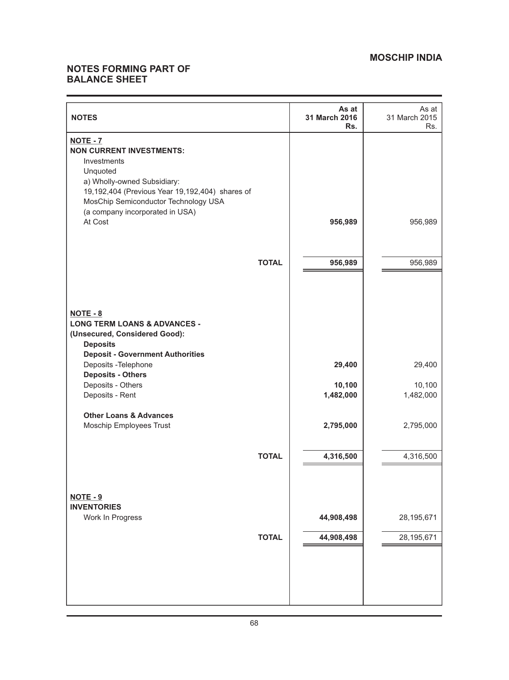| <b>NOTES</b>                                                                                                                                                                                                                                                                                                  |              | As at<br>31 March 2016<br>Rs.              | As at<br>31 March 2015<br>Rs.              |
|---------------------------------------------------------------------------------------------------------------------------------------------------------------------------------------------------------------------------------------------------------------------------------------------------------------|--------------|--------------------------------------------|--------------------------------------------|
| NOTE - 7<br><b>NON CURRENT INVESTMENTS:</b><br>Investments<br>Unquoted<br>a) Wholly-owned Subsidiary:<br>19,192,404 (Previous Year 19,192,404) shares of<br>MosChip Semiconductor Technology USA<br>(a company incorporated in USA)<br>At Cost                                                                |              | 956,989                                    | 956,989                                    |
|                                                                                                                                                                                                                                                                                                               |              |                                            |                                            |
|                                                                                                                                                                                                                                                                                                               | <b>TOTAL</b> | 956,989                                    | 956,989                                    |
| NOTE - 8<br><b>LONG TERM LOANS &amp; ADVANCES -</b><br>(Unsecured, Considered Good):<br><b>Deposits</b><br><b>Deposit - Government Authorities</b><br>Deposits -Telephone<br><b>Deposits - Others</b><br>Deposits - Others<br>Deposits - Rent<br><b>Other Loans &amp; Advances</b><br>Moschip Employees Trust |              | 29,400<br>10,100<br>1,482,000<br>2,795,000 | 29,400<br>10,100<br>1,482,000<br>2,795,000 |
|                                                                                                                                                                                                                                                                                                               | <b>TOTAL</b> | 4,316,500                                  | 4,316,500                                  |
| NOTE - 9<br><b>INVENTORIES</b><br>Work In Progress                                                                                                                                                                                                                                                            | <b>TOTAL</b> | 44,908,498<br>44,908,498                   | 28,195,671<br>28,195,671                   |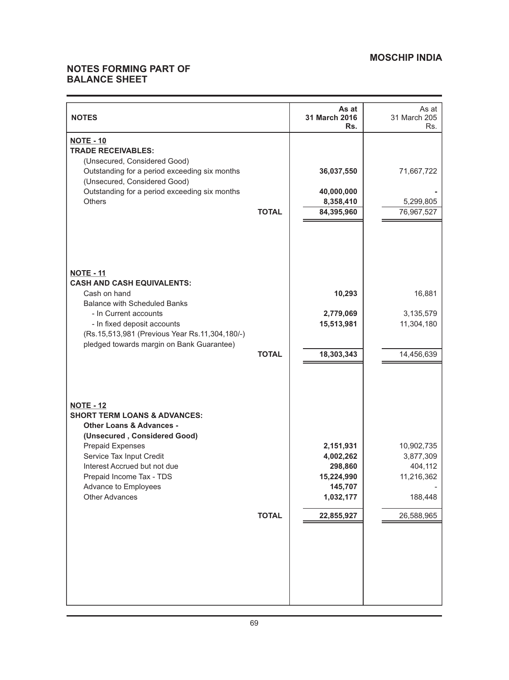| <b>NOTES</b>                                                                                                                                                                                                                                                                                           |              | As at<br>31 March 2016<br>Rs.                                                         | As at<br>31 March 205<br>Rs.                                              |
|--------------------------------------------------------------------------------------------------------------------------------------------------------------------------------------------------------------------------------------------------------------------------------------------------------|--------------|---------------------------------------------------------------------------------------|---------------------------------------------------------------------------|
| <b>NOTE - 10</b><br><b>TRADE RECEIVABLES:</b><br>(Unsecured, Considered Good)<br>Outstanding for a period exceeding six months<br>(Unsecured, Considered Good)<br>Outstanding for a period exceeding six months<br><b>Others</b>                                                                       | <b>TOTAL</b> | 36,037,550<br>40,000,000<br>8,358,410<br>84,395,960                                   | 71,667,722<br>5,299,805<br>76,967,527                                     |
| <b>NOTE - 11</b><br><b>CASH AND CASH EQUIVALENTS:</b><br>Cash on hand<br><b>Balance with Scheduled Banks</b><br>- In Current accounts<br>- In fixed deposit accounts<br>(Rs.15,513,981 (Previous Year Rs.11,304,180/-)<br>pledged towards margin on Bank Guarantee)                                    | <b>TOTAL</b> | 10,293<br>2,779,069<br>15,513,981<br>18,303,343                                       | 16,881<br>3,135,579<br>11,304,180<br>14,456,639                           |
| <b>NOTE - 12</b><br><b>SHORT TERM LOANS &amp; ADVANCES:</b><br><b>Other Loans &amp; Advances -</b><br>(Unsecured, Considered Good)<br><b>Prepaid Expenses</b><br>Service Tax Input Credit<br>Interest Accrued but not due<br>Prepaid Income Tax - TDS<br>Advance to Employees<br><b>Other Advances</b> | <b>TOTAL</b> | 2,151,931<br>4,002,262<br>298,860<br>15,224,990<br>145,707<br>1,032,177<br>22,855,927 | 10,902,735<br>3,877,309<br>404,112<br>11,216,362<br>188,448<br>26,588,965 |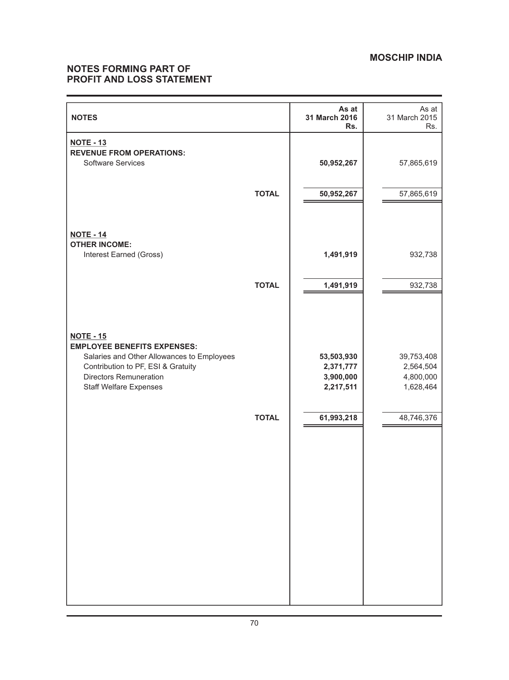## **MOSCHIP INDIA**

## **NOTES FORMING PART OF PROFIT AND LOSS STATEMENT**

| <b>NOTES</b>                                                                                                                                                                                                 |              | As at<br>31 March 2016<br>Rs.                     | As at<br>31 March 2015<br>Rs.                     |
|--------------------------------------------------------------------------------------------------------------------------------------------------------------------------------------------------------------|--------------|---------------------------------------------------|---------------------------------------------------|
| <b>NOTE - 13</b><br><b>REVENUE FROM OPERATIONS:</b><br><b>Software Services</b>                                                                                                                              |              | 50,952,267                                        | 57,865,619                                        |
|                                                                                                                                                                                                              | <b>TOTAL</b> | 50,952,267                                        | 57,865,619                                        |
| <b>NOTE - 14</b><br><b>OTHER INCOME:</b><br>Interest Earned (Gross)                                                                                                                                          |              | 1,491,919                                         | 932,738                                           |
|                                                                                                                                                                                                              | <b>TOTAL</b> | 1,491,919                                         | 932,738                                           |
| <b>NOTE - 15</b><br><b>EMPLOYEE BENEFITS EXPENSES:</b><br>Salaries and Other Allowances to Employees<br>Contribution to PF, ESI & Gratuity<br><b>Directors Remuneration</b><br><b>Staff Welfare Expenses</b> |              | 53,503,930<br>2,371,777<br>3,900,000<br>2,217,511 | 39,753,408<br>2,564,504<br>4,800,000<br>1,628,464 |
|                                                                                                                                                                                                              | <b>TOTAL</b> | 61,993,218                                        | 48,746,376                                        |
|                                                                                                                                                                                                              |              |                                                   |                                                   |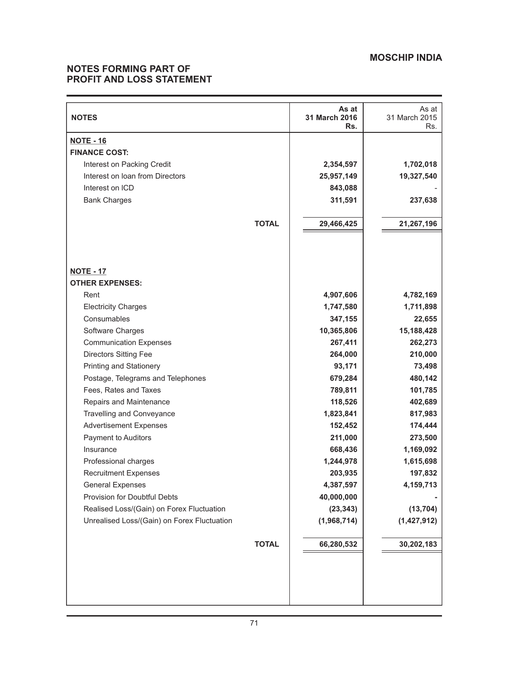### **NOTES FORMING PART OF PROFIT AND LOSS STATEMENT**

|                                             |              | As at         | As at         |
|---------------------------------------------|--------------|---------------|---------------|
| <b>NOTES</b>                                |              | 31 March 2016 | 31 March 2015 |
|                                             |              | Rs.           | Rs.           |
| <b>NOTE - 16</b>                            |              |               |               |
| <b>FINANCE COST:</b>                        |              |               |               |
| Interest on Packing Credit                  |              | 2,354,597     | 1,702,018     |
| Interest on loan from Directors             |              | 25,957,149    | 19,327,540    |
| Interest on ICD                             |              | 843,088       |               |
| <b>Bank Charges</b>                         |              | 311,591       | 237,638       |
|                                             | <b>TOTAL</b> | 29,466,425    | 21,267,196    |
|                                             |              |               |               |
|                                             |              |               |               |
| <b>NOTE - 17</b>                            |              |               |               |
| <b>OTHER EXPENSES:</b>                      |              |               |               |
| Rent                                        |              | 4,907,606     | 4,782,169     |
| <b>Electricity Charges</b>                  |              | 1,747,580     | 1,711,898     |
| Consumables                                 |              | 347,155       | 22,655        |
| Software Charges                            |              | 10,365,806    | 15,188,428    |
| <b>Communication Expenses</b>               |              | 267,411       | 262,273       |
| <b>Directors Sitting Fee</b>                |              | 264,000       | 210,000       |
| <b>Printing and Stationery</b>              |              | 93,171        | 73,498        |
| Postage, Telegrams and Telephones           |              | 679,284       | 480,142       |
| Fees, Rates and Taxes                       |              | 789,811       | 101,785       |
| Repairs and Maintenance                     |              | 118,526       | 402,689       |
| <b>Travelling and Conveyance</b>            |              | 1,823,841     | 817,983       |
| <b>Advertisement Expenses</b>               |              | 152,452       | 174,444       |
| Payment to Auditors                         |              | 211,000       | 273,500       |
| Insurance                                   |              | 668,436       | 1,169,092     |
| Professional charges                        |              | 1,244,978     | 1,615,698     |
| <b>Recruitment Expenses</b>                 |              | 203,935       | 197,832       |
| <b>General Expenses</b>                     |              | 4,387,597     | 4,159,713     |
| Provision for Doubtful Debts                |              | 40,000,000    |               |
| Realised Loss/(Gain) on Forex Fluctuation   |              | (23, 343)     | (13, 704)     |
| Unrealised Loss/(Gain) on Forex Fluctuation |              | (1,968,714)   | (1,427,912)   |
|                                             |              |               |               |
|                                             | <b>TOTAL</b> | 66,280,532    | 30,202,183    |
|                                             |              |               |               |
|                                             |              |               |               |
|                                             |              |               |               |
|                                             |              |               |               |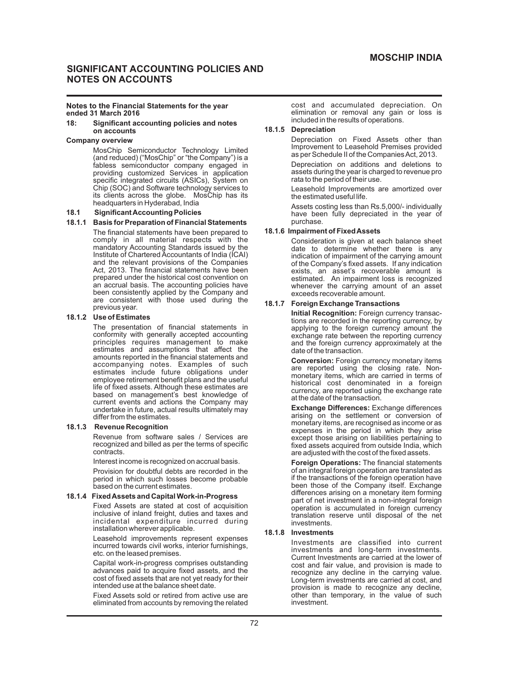### **Notes to the Financial Statements for the year ended 31 March 2016**

### **18: Significant accounting policies and notes on accounts**

### **Company overview**

MosChip Semiconductor Technology Limited (and reduced) ("MosChip" or "the Company") is a fabless semiconductor company engaged in providing customized Services in application specific integrated circuits (ASICs), System on Chip (SOC) and Software technology services to its clients across the globe. MosChip has its headquarters in Hyderabad, India

### **18.1 Significant Accounting Policies**

### **18.1.1 Basis for Preparation of Financial Statements**

The financial statements have been prepared to comply in all material respects with the mandatory Accounting Standards issued by the Institute of Chartered Accountants of India (ICAI) and the relevant provisions of the Companies Act, 2013. The financial statements have been prepared under the historical cost convention on an accrual basis. The accounting policies have been consistently applied by the Company and are consistent with those used during the previous year.

### **18.1.2 Use of Estimates**

The presentation of financial statements in conformity with generally accepted accounting principles requires management to make estimates and assumptions that affect the amounts reported in the financial statements and accompanying notes. Examples of such estimates include future obligations under employee retirement benefit plans and the useful life of fixed assets. Although these estimates are based on management's best knowledge of current events and actions the Company may undertake in future, actual results ultimately may differ from the estimates.

### **18.1.3 Revenue Recognition**

Revenue from software sales / Services are recognized and billed as per the terms of specific contracts.

Interest income is recognized on accrual basis.

Provision for doubtful debts are recorded in the period in which such losses become probable based on the current estimates.

### **18.1.4 Fixed Assets and Capital Work-in-Progress**

Fixed Assets are stated at cost of acquisition inclusive of inland freight, duties and taxes and incidental expenditure incurred during installation wherever applicable.

Leasehold improvements represent expenses incurred towards civil works, interior furnishings, etc. on the leased premises.

Capital work-in-progress comprises outstanding advances paid to acquire fixed assets, and the cost of fixed assets that are not yet ready for their intended use at the balance sheet date.

Fixed Assets sold or retired from active use are eliminated from accounts by removing the related

cost and accumulated depreciation. On elimination or removal any gain or loss is included in the results of operations.

### **18.1.5 Depreciation**

Depreciation on Fixed Assets other than Improvement to Leasehold Premises provided as per Schedule II of the Companies Act, 2013.

Depreciation on additions and deletions to assets during the year is charged to revenue pro rata to the period of their use.

Leasehold Improvements are amortized over the estimated useful life.

Assets costing less than Rs.5,000/- individually have been fully depreciated in the year of purchase.

### **18.1.6 Impairment of Fixed Assets**

Consideration is given at each balance sheet date to determine whether there is any indication of impairment of the carrying amount of the Company's fixed assets. If any indication exists, an asset's recoverable amount is estimated. An impairment loss is recognized whenever the carrying amount of an asset exceeds recoverable amount.

### **18.1.7 Foreign Exchange Transactions**

**Initial Recognition:** Foreign currency transactions are recorded in the reporting currency, by applying to the foreign currency amount the exchange rate between the reporting currency and the foreign currency approximately at the date of the transaction.

**Conversion:** Foreign currency monetary items are reported using the closing rate. Nonmonetary items, which are carried in terms of historical cost denominated in a foreign currency, are reported using the exchange rate at the date of the transaction.

**Exchange Differences:** Exchange differences arising on the settlement or conversion of monetary items, are recognised as income or as expenses in the period in which they arise except those arising on liabilities pertaining to fixed assets acquired from outside India, which are adjusted with the cost of the fixed assets.

**Foreign Operations:** The financial statements of an integral foreign operation are translated as if the transactions of the foreign operation have been those of the Company itself. Exchange differences arising on a monetary item forming part of net investment in a non-integral foreign operation is accumulated in foreign currency translation reserve until disposal of the net investments.

### **18.1.8 Investments**

Investments are classified into current investments and long-term investments. Current Investments are carried at the lower of cost and fair value, and provision is made to recognize any decline in the carrying value. Long-term investments are carried at cost, and provision is made to recognize any decline, other than temporary, in the value of such investment.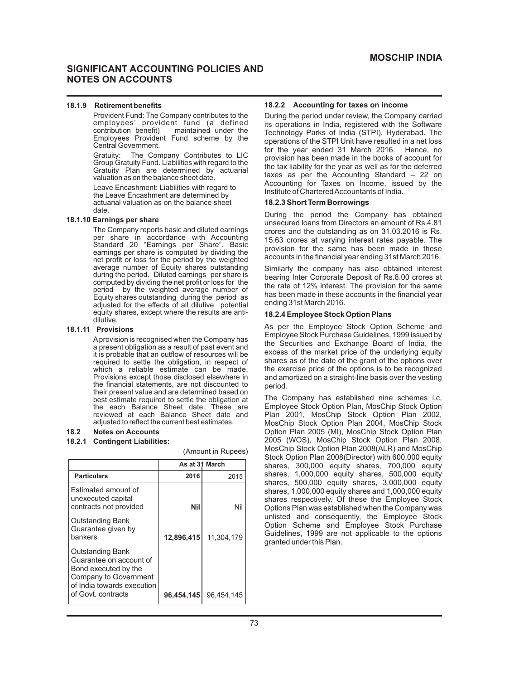### **18.1.9 Retirement benefits**

Provident Fund: The Company contributes to the employees' provident fund (a defined contribution benefit) maintained under the Employees Provident Fund scheme by the Central Government.

Gratuity: The Company Contributes to LIC Group Gratuity Fund. Liabilities with regard to the Gratuity Plan are determined by actuarial valuation as on the balance sheet date.

Leave Encashment: Liabilities with regard to the Leave Encashment are determined by actuarial valuation as on the balance sheet date.

### **18.1.10 Earnings per share**

The Company reports basic and diluted earnings per share in accordance with Accounting Standard 20 "Earnings per Share". Basic earnings per share is computed by dividing the net profit or loss for the period by the weighted average number of Equity shares outstanding during the period. Diluted earnings per share is computed by dividing the net profit or loss for the period by the weighted average number of Equity shares outstanding during the period as adjusted for the effects of all dilutive potential equity shares, except where the results are antidilutive.

### **18.1.11 Provisions**

Aprovision is recognised when the Company has a present obligation as a result of past event and it is probable that an outflow of resources will be required to settle the obligation, in respect of which a reliable estimate can be made. Provisions except those disclosed elsewhere in the financial statements, are not discounted to their present value and are determined based on best estimate required to settle the obligation at the each Balance Sheet date. These are reviewed at each Balance Sheet date and adjusted to reflect the current best estimates.

### **18.2 Notes on Accounts**

### **18.2.1 Contingent Liabilities:**

(Amount in Rupees)

|                                                                                                                                   | As at 31 March |            |  |
|-----------------------------------------------------------------------------------------------------------------------------------|----------------|------------|--|
| <b>Particulars</b>                                                                                                                | 2016           | 2015       |  |
| Estimated amount of<br>unexecuted capital<br>contracts not provided                                                               | Nil            | Nil        |  |
| Outstanding Bank<br>Guarantee given by<br>bankers                                                                                 | 12.896.415     | 11.304.179 |  |
| <b>Outstanding Bank</b><br>Guarantee on account of<br>Bond executed by the<br>Company to Government<br>of India towards execution |                |            |  |
| of Govt. contracts                                                                                                                | 96,454,145     | 96,454,145 |  |

### **18.2.2 Accounting for taxes on income**

During the period under review, the Company carried its operations in India, registered with the Software Technology Parks of India (STPI), Hyderabad. The operations of the STPI Unit have resulted in a net loss for the year ended 31 March 2016. Hence, no provision has been made in the books of account for the tax liability for the year as well as for the deferred taxes as per the Accounting Standard – 22 on Accounting for Taxes on Income, issued by the Institute of Chartered Accountants of India.

### **18.2.3 Short Term Borrowings**

During the period the Company has obtained unsecured loans from Directors an amount of Rs.4.81 crores and the outstanding as on 31.03.2016 is Rs. 15.63 crores at varying interest rates payable. The provision for the same has been made in these accounts in the financial year ending 31st March 2016.

Similarly the company has also obtained interest bearing Inter Corporate Deposit of Rs.8.00 crores at the rate of 12% interest. The provision for the same has been made in these accounts in the financial year ending 31st March 2016.

### **18.2.4 Employee Stock Option Plans**

As per the Employee Stock Option Scheme and Employee Stock Purchase Guidelines, 1999 issued by the Securities and Exchange Board of India, the excess of the market price of the underlying equity shares as of the date of the grant of the options over the exercise price of the options is to be recognized and amortized on a straight-line basis over the vesting period.

The Company has established nine schemes i.c, Employee Stock Option Plan, MosChip Stock Option Plan 2001, MosChip Stock Option Plan 2002, MosChip Stock Option Plan 2004, MosChip Stock Option Plan 2005 (MI), MosChip Stock Option Plan 2005 (WOS), MosChip Stock Option Plan 2008, MosChip Stock Option Plan 2008(ALR) and MosChip Stock Option Plan 2008(Director) with 600,000 equity shares, 300,000 equity shares, 700,000 equity shares, 1,000,000 equity shares, 500,000 equity shares, 500,000 equity shares, 3,000,000 equity shares, 1,000,000 equity shares and 1,000,000 equity shares respectively. Of these the Employee Stock Options Plan was established when the Company was unlisted and consequently, the Employee Stock Option Scheme and Employee Stock Purchase Guidelines, 1999 are not applicable to the options granted under this Plan.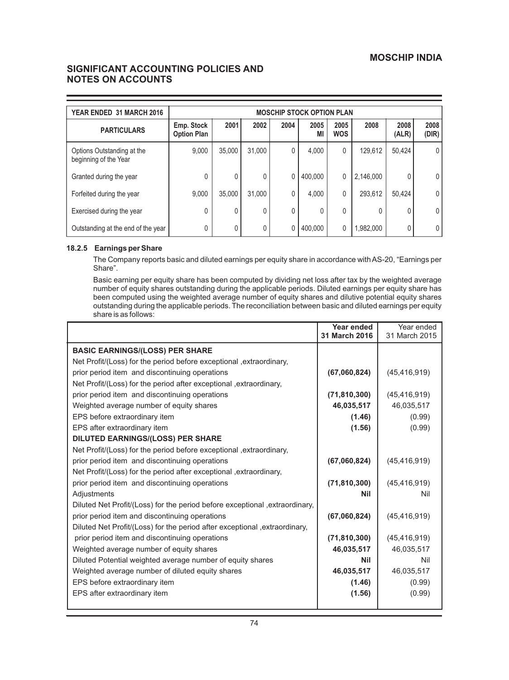| YEAR ENDED 31 MARCH 2016                            |                                  | <b>MOSCHIP STOCK OPTION PLAN</b> |              |      |            |                    |           |               |               |
|-----------------------------------------------------|----------------------------------|----------------------------------|--------------|------|------------|--------------------|-----------|---------------|---------------|
| <b>PARTICULARS</b>                                  | Emp. Stock<br><b>Option Plan</b> | 2001                             | 2002         | 2004 | 2005<br>ΜI | 2005<br><b>WOS</b> | 2008      | 2008<br>(ALR) | 2008<br>(DIR) |
| Options Outstanding at the<br>beginning of the Year | 9.000                            | 35,000                           | 31,000       | 0    | 4,000      | 0                  | 129,612   | 50,424        | 0             |
| Granted during the year                             |                                  |                                  | 0            | 0    | 400,000    | 0                  | 2,146,000 |               | 0             |
| Forfeited during the year                           | 9.000                            | 35,000                           | 31,000       | 0    | 4,000      | 0                  | 293,612   | 50.424        | 0             |
| Exercised during the year                           | 0                                |                                  | 0            | 0    | 0          | $\Omega$           | 0         | 0             | 0             |
| Outstanding at the end of the year                  | 0                                |                                  | <sup>0</sup> | 0    | 400.000    | 0                  | 1,982,000 | 0             | 0             |

### **18.2.5 Earnings per Share**

The Company reports basic and diluted earnings per equity share in accordance with AS-20, "Earnings per Share".

Basic earning per equity share has been computed by dividing net loss after tax by the weighted average number of equity shares outstanding during the applicable periods. Diluted earnings per equity share has been computed using the weighted average number of equity shares and dilutive potential equity shares outstanding during the applicable periods. The reconciliation between basic and diluted earnings per equity share is as follows:

|                                                                              | Year ended<br>31 March 2016 | Year ended<br>31 March 2015 |
|------------------------------------------------------------------------------|-----------------------------|-----------------------------|
| <b>BASIC EARNINGS/(LOSS) PER SHARE</b>                                       |                             |                             |
| Net Profit/(Loss) for the period before exceptional , extraordinary,         |                             |                             |
| prior period item and discontinuing operations                               | (67,060,824)                | (45, 416, 919)              |
| Net Profit/(Loss) for the period after exceptional , extraordinary,          |                             |                             |
| prior period item and discontinuing operations                               | (71, 810, 300)              | (45, 416, 919)              |
| Weighted average number of equity shares                                     | 46,035,517                  | 46,035,517                  |
| EPS before extraordinary item                                                | (1.46)                      | (0.99)                      |
| EPS after extraordinary item                                                 | (1.56)                      | (0.99)                      |
| <b>DILUTED EARNINGS/(LOSS) PER SHARE</b>                                     |                             |                             |
| Net Profit/(Loss) for the period before exceptional , extraordinary,         |                             |                             |
| prior period item and discontinuing operations                               | (67,060,824)                | (45, 416, 919)              |
| Net Profit/(Loss) for the period after exceptional , extraordinary,          |                             |                             |
| prior period item and discontinuing operations                               | (71, 810, 300)              | (45, 416, 919)              |
| Adjustments                                                                  | Nil                         | Nil                         |
| Diluted Net Profit/(Loss) for the period before exceptional , extraordinary, |                             |                             |
| prior period item and discontinuing operations                               | (67,060,824)                | (45, 416, 919)              |
| Diluted Net Profit/(Loss) for the period after exceptional , extraordinary,  |                             |                             |
| prior period item and discontinuing operations                               | (71, 810, 300)              | (45, 416, 919)              |
| Weighted average number of equity shares                                     | 46,035,517                  | 46,035,517                  |
| Diluted Potential weighted average number of equity shares                   | Nil                         | Nil                         |
| Weighted average number of diluted equity shares                             | 46,035,517                  | 46,035,517                  |
| EPS before extraordinary item                                                | (1.46)                      | (0.99)                      |
| EPS after extraordinary item                                                 | (1.56)                      | (0.99)                      |
|                                                                              |                             |                             |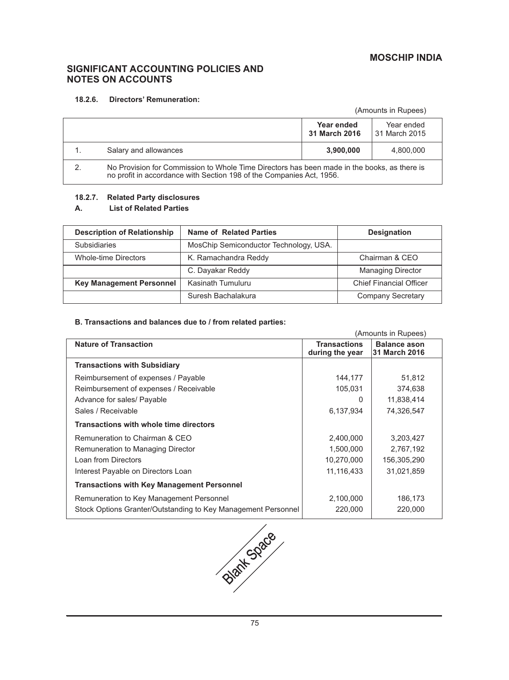### **18.2.6. Directors' Remuneration:**

|    |                                                                                                                                                                     |                                    | (Amounts in Rupees)           |
|----|---------------------------------------------------------------------------------------------------------------------------------------------------------------------|------------------------------------|-------------------------------|
|    |                                                                                                                                                                     | <b>Year ended</b><br>31 March 2016 | Year ended<br>l 31 March 2015 |
|    | Salary and allowances                                                                                                                                               | 3,900,000                          | 4,800,000                     |
| 2. | No Provision for Commission to Whole Time Directors has been made in the books, as there is<br>no profit in accordance with Section 198 of the Companies Act, 1956. |                                    |                               |

### **18.2.7. Related Party disclosures**

### **A. List of Related Parties**

| <b>Description of Relationship</b> | <b>Name of Related Parties</b>         | <b>Designation</b>             |
|------------------------------------|----------------------------------------|--------------------------------|
| Subsidiaries                       | MosChip Semiconductor Technology, USA. |                                |
| <b>Whole-time Directors</b>        | K. Ramachandra Reddy                   | Chairman & CEO                 |
|                                    | C. Dayakar Reddy                       | <b>Managing Director</b>       |
| <b>Key Management Personnel</b>    | Kasinath Tumuluru                      | <b>Chief Financial Officer</b> |
|                                    | Suresh Bachalakura                     | <b>Company Secretary</b>       |

### **B. Transactions and balances due to / from related parties:**

|                                                               |                                        | (Amounts in Rupees)                   |
|---------------------------------------------------------------|----------------------------------------|---------------------------------------|
| <b>Nature of Transaction</b>                                  | <b>Transactions</b><br>during the year | <b>Balance ason</b><br>l31 March 2016 |
| <b>Transactions with Subsidiary</b>                           |                                        |                                       |
| Reimbursement of expenses / Payable                           | 144,177                                | 51,812                                |
| Reimbursement of expenses / Receivable                        | 105,031                                | 374,638                               |
| Advance for sales/ Payable                                    | 0                                      | 11,838,414                            |
| Sales / Receivable                                            | 6,137,934                              | 74,326,547                            |
| <b>Transactions with whole time directors</b>                 |                                        |                                       |
| Remuneration to Chairman & CEO                                | 2,400,000                              | 3,203,427                             |
| Remuneration to Managing Director                             | 1,500,000                              | 2,767,192                             |
| Loan from Directors                                           | 10,270,000                             | 156,305,290                           |
| Interest Payable on Directors Loan                            | 11,116,433                             | 31,021,859                            |
| <b>Transactions with Key Management Personnel</b>             |                                        |                                       |
| Remuneration to Key Management Personnel                      | 2,100,000                              | 186,173                               |
| Stock Options Granter/Outstanding to Key Management Personnel | 220,000                                | 220,000                               |

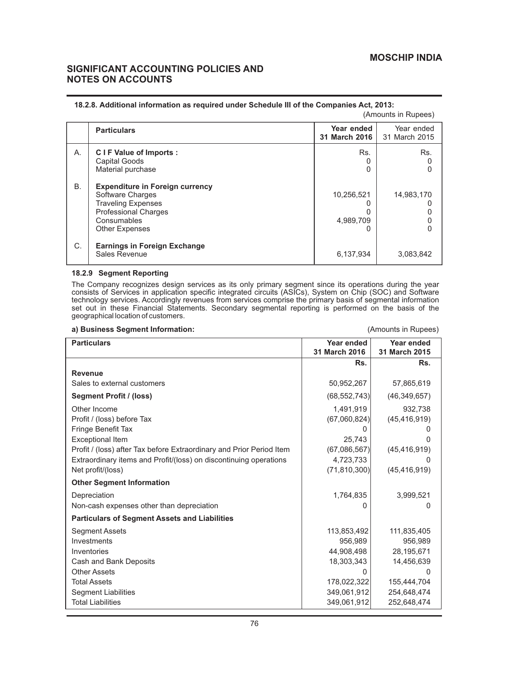### **18.2.8. Additional information as required under Schedule III of the Companies Act, 2013:**

|    | (Amounts in Rupees)                                                                                                                                     |                             |                             |
|----|---------------------------------------------------------------------------------------------------------------------------------------------------------|-----------------------------|-----------------------------|
|    | <b>Particulars</b>                                                                                                                                      | Year ended<br>31 March 2016 | Year ended<br>31 March 2015 |
| А. | <b>CIF Value of Imports:</b><br>Capital Goods<br>Material purchase                                                                                      | Rs.<br>$\Omega$             | Rs.<br>$\Omega$             |
| В. | <b>Expenditure in Foreign currency</b><br>Software Charges<br><b>Traveling Expenses</b><br><b>Professional Charges</b><br>Consumables<br>Other Expenses | 10,256,521<br>4,989,709     | 14,983,170<br>U             |
| C. | <b>Earnings in Foreign Exchange</b><br>Sales Revenue                                                                                                    | 6,137,934                   | 3,083,842                   |

### **18.2.9 Segment Reporting**

The Company recognizes design services as its only primary segment since its operations during the year consists of Services in application specific integrated circuits (ASICs), System on Chip (SOC) and Software technology services. Accordingly revenues from services comprise the primary basis of segmental information set out in these Financial Statements. Secondary segmental reporting is performed on the basis of the geographical location of customers.

### **a) Business Segment Information:** (Amounts in Rupees)

| <b>Particulars</b>                                                   | Year ended     | Year ended     |
|----------------------------------------------------------------------|----------------|----------------|
|                                                                      | 31 March 2016  | 31 March 2015  |
|                                                                      | Rs.            | Rs.            |
| <b>Revenue</b>                                                       |                |                |
| Sales to external customers                                          | 50,952,267     | 57,865,619     |
| Segment Profit / (loss)                                              | (68, 552, 743) | (46, 349, 657) |
| Other Income                                                         | 1,491,919      | 932,738        |
| Profit / (loss) before Tax                                           | (67,060,824)   | (45, 416, 919) |
| Fringe Benefit Tax                                                   | 0              | Ω              |
| <b>Exceptional Item</b>                                              | 25,743         | O              |
| Profit / (loss) after Tax before Extraordinary and Prior Period Item | (67,086,567)   | (45, 416, 919) |
| Extraordinary items and Profit/(loss) on discontinuing operations    | 4,723,733      |                |
| Net profit/(loss)                                                    | (71, 810, 300) | (45, 416, 919) |
| <b>Other Segment Information</b>                                     |                |                |
| Depreciation                                                         | 1,764,835      | 3,999,521      |
| Non-cash expenses other than depreciation                            | U              | 0              |
| <b>Particulars of Segment Assets and Liabilities</b>                 |                |                |
| <b>Segment Assets</b>                                                | 113,853,492    | 111,835,405    |
| Investments                                                          | 956,989        | 956.989        |
| Inventories                                                          | 44,908,498     | 28,195,671     |
| Cash and Bank Deposits                                               | 18,303,343     | 14,456,639     |
| <b>Other Assets</b>                                                  | ი              | O              |
| <b>Total Assets</b>                                                  | 178,022,322    | 155,444,704    |
| <b>Segment Liabilities</b>                                           | 349,061,912    | 254,648,474    |
| <b>Total Liabilities</b>                                             | 349,061,912    | 252,648,474    |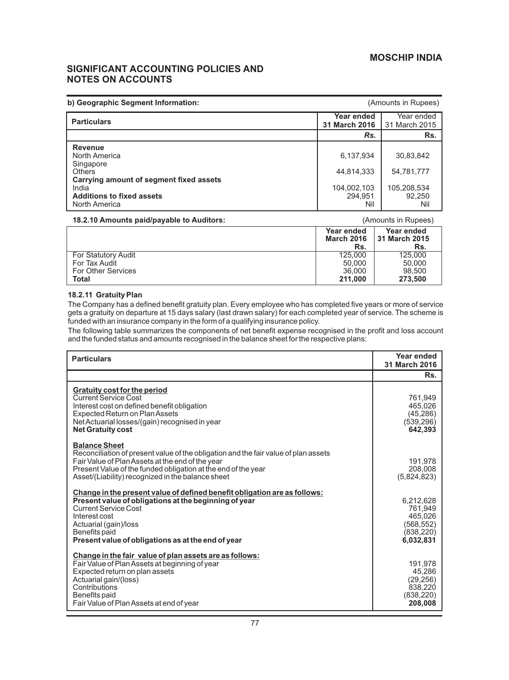| b) Geographic Segment Information:                                                                                                                       |                                                          | (Amounts in Rupees)                                     |
|----------------------------------------------------------------------------------------------------------------------------------------------------------|----------------------------------------------------------|---------------------------------------------------------|
| <b>Particulars</b>                                                                                                                                       | Year ended<br>31 March 2016                              | Year ended<br>31 March 2015                             |
|                                                                                                                                                          | Rs.                                                      | Rs.                                                     |
| Revenue<br>North America<br>Singapore<br>Others<br>Carrying amount of segment fixed assets<br>India<br><b>Additions to fixed assets</b><br>North America | 6,137,934<br>44.814.333<br>104,002,103<br>294,951<br>Nil | 30,83,842<br>54,781,777<br>105,208,534<br>92.250<br>Nil |

| 18.2.10 Amounts paid/payable to Auditors: |                                        | (Amounts in Rupees)                |
|-------------------------------------------|----------------------------------------|------------------------------------|
|                                           | Year ended<br><b>March 2016</b><br>Rs. | Year ended<br>31 March 2015<br>Rs. |
| For Statutory Audit                       | 125.000                                | 125,000                            |
| For Tax Audit                             | 50,000                                 | 50,000                             |
| For Other Services                        | 36,000                                 | 98.500                             |
| <b>Total</b>                              | 211.000                                | 273.500                            |

### **18.2.11 Gratuity Plan**

The Company has a defined benefit gratuity plan. Every employee who has completed five years or more of service gets a gratuity on departure at 15 days salary (last drawn salary) for each completed year of service. The scheme is funded with an insurance company in the form of a qualifying insurance policy.

The following table summarizes the components of net benefit expense recognised in the profit and loss account and the funded status and amounts recognised in the balance sheet for the respective plans:

| <b>Particulars</b>                                                                                                                                                                                                                                                                    | Year ended<br>31 March 2016                                             |
|---------------------------------------------------------------------------------------------------------------------------------------------------------------------------------------------------------------------------------------------------------------------------------------|-------------------------------------------------------------------------|
|                                                                                                                                                                                                                                                                                       | Rs.                                                                     |
| Gratuity cost for the period<br><b>Current Service Cost</b><br>Interest cost on defined benefit obligation<br>Expected Return on Plan Assets<br>Net Actuarial losses/(gain) recognised in year<br><b>Net Gratuity cost</b>                                                            | 761,949<br>465.026<br>(45, 286)<br>(539, 296)<br>642.393                |
| <b>Balance Sheet</b><br>Reconciliation of present value of the obligation and the fair value of plan assets<br>Fair Value of Plan Assets at the end of the year<br>Present Value of the funded obligation at the end of the year<br>Asset/(Liability) recognized in the balance sheet | 191,978<br>208,008<br>(5,824,823)                                       |
| Change in the present value of defined benefit obligation are as follows:<br>Present value of obligations at the beginning of year<br><b>Current Service Cost</b><br>Interest cost<br>Actuarial (gain)/loss<br>Benefits paid<br>Present value of obligations as at the end of year    | 6,212,628<br>761.949<br>465.026<br>(568,552)<br>(838, 220)<br>6,032,831 |
| Change in the fair value of plan assets are as follows:<br>Fair Value of Plan Assets at beginning of year<br>Expected return on plan assets<br>Actuarial gain/(loss)<br>Contributions<br>Benefits paid<br>Fair Value of Plan Assets at end of year                                    | 191.978<br>45.286<br>(29, 256)<br>838,220<br>(838, 220)<br>208,008      |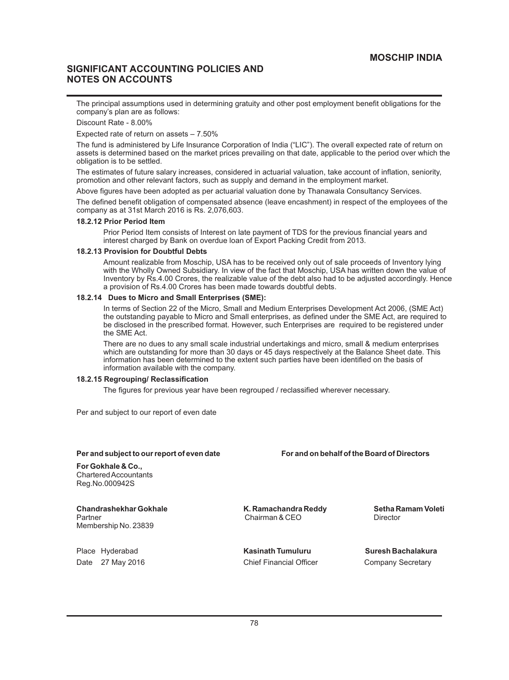The principal assumptions used in determining gratuity and other post employment benefit obligations for the company's plan are as follows:

Discount Rate - 8.00%

Expected rate of return on assets – 7.50%

The fund is administered by Life Insurance Corporation of India ("LIC"). The overall expected rate of return on assets is determined based on the market prices prevailing on that date, applicable to the period over which the obligation is to be settled.

The estimates of future salary increases, considered in actuarial valuation, take account of inflation, seniority, promotion and other relevant factors, such as supply and demand in the employment market.

Above figures have been adopted as per actuarial valuation done by Thanawala Consultancy Services.

The defined benefit obligation of compensated absence (leave encashment) in respect of the employees of the company as at 31st March 2016 is Rs. 2,076,603.

### **18.2.12 Prior Period Item**

Prior Period Item consists of Interest on late payment of TDS for the previous financial years and interest charged by Bank on overdue loan of Export Packing Credit from 2013.

### **18.2.13 Provision for Doubtful Debts**

Amount realizable from Moschip, USA has to be received only out of sale proceeds of Inventory lying with the Wholly Owned Subsidiary. In view of the fact that Moschip, USA has written down the value of Inventory by Rs.4.00 Crores, the realizable value of the debt also had to be adjusted accordingly. Hence a provision of Rs.4.00 Crores has been made towards doubtful debts.

### **18.2.14 Dues to Micro and Small Enterprises (SME):**

In terms of Section 22 of the Micro, Small and Medium Enterprises Development Act 2006, (SME Act) the outstanding payable to Micro and Small enterprises, as defined under the SME Act, are required to be disclosed in the prescribed format. However, such Enterprises are required to be registered under the SME Act.

There are no dues to any small scale industrial undertakings and micro, small & medium enterprises which are outstanding for more than 30 days or 45 days respectively at the Balance Sheet date. This information has been determined to the extent such parties have been identified on the basis of information available with the company.

### **18.2.15 Regrouping/ Reclassification**

The figures for previous year have been regrouped / reclassified wherever necessary.

Per and subject to our report of even date

**Per and subject to our report of even date For and on behalf of the Board of Directors**

**For Gokhale & Co.,** Chartered Accountants Reg.No.000942S

**Chandrashekhar Gokhale K. Ramachandra Reddy**  Membership No. 23839

Place Hyderabad **Kasinath Tumuluru Suresh Bachalakura**

Chairman & CEO

**Setha Ramam Voleti**

Date 27 May 2016 Chief Financial Officer Company Secretary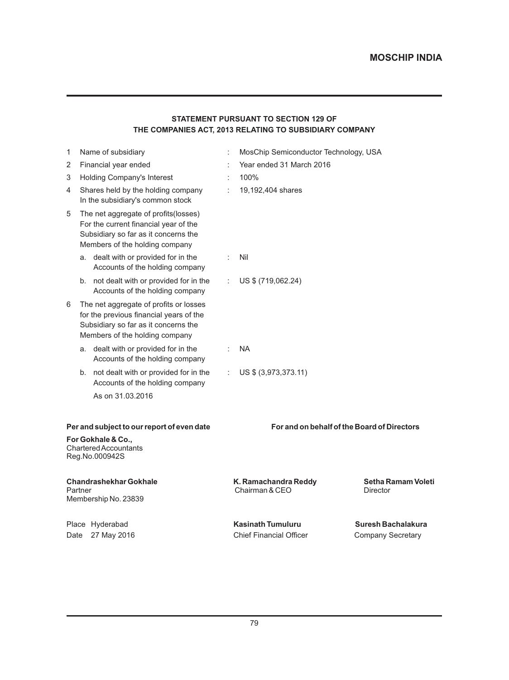### **STATEMENT PURSUANT TO SECTION 129 OF THE COMPANIES ACT, 2013 RELATING TO SUBSIDIARY COMPANY**

| 1                                                         |  | Name of subsidiary                                                                                                                                          |                                        | MosChip Semiconductor Technology, USA                      |                                             |
|-----------------------------------------------------------|--|-------------------------------------------------------------------------------------------------------------------------------------------------------------|----------------------------------------|------------------------------------------------------------|---------------------------------------------|
| $\overline{2}$                                            |  | Financial year ended                                                                                                                                        |                                        | Year ended 31 March 2016                                   |                                             |
| 3                                                         |  | <b>Holding Company's Interest</b>                                                                                                                           |                                        | 100%                                                       |                                             |
| 4                                                         |  | Shares held by the holding company<br>In the subsidiary's common stock                                                                                      |                                        | 19,192,404 shares                                          |                                             |
| 5                                                         |  | The net aggregate of profits (losses)<br>For the current financial year of the<br>Subsidiary so far as it concerns the<br>Members of the holding company    |                                        |                                                            |                                             |
|                                                           |  | a. dealt with or provided for in the<br>Accounts of the holding company                                                                                     |                                        | Nil                                                        |                                             |
|                                                           |  | b. not dealt with or provided for in the<br>Accounts of the holding company                                                                                 | ÷                                      | US \$ (719,062.24)                                         |                                             |
| 6                                                         |  | The net aggregate of profits or losses<br>for the previous financial years of the<br>Subsidiary so far as it concerns the<br>Members of the holding company |                                        |                                                            |                                             |
|                                                           |  | a. dealt with or provided for in the<br>Accounts of the holding company                                                                                     |                                        | <b>NA</b>                                                  |                                             |
|                                                           |  | b. not dealt with or provided for in the<br>Accounts of the holding company                                                                                 |                                        | US \$ (3,973,373.11)                                       |                                             |
|                                                           |  | As on 31.03.2016                                                                                                                                            |                                        |                                                            |                                             |
|                                                           |  | Per and subject to our report of even date                                                                                                                  |                                        |                                                            | For and on behalf of the Board of Directors |
|                                                           |  | For Gokhale & Co.,<br><b>Chartered Accountants</b><br>Reg.No.000942S                                                                                        |                                        |                                                            |                                             |
| Chandrashekhar Gokhale<br>Partner<br>Membership No. 23839 |  |                                                                                                                                                             | K. Ramachandra Reddy<br>Chairman & CEO | Setha Ramam Voleti<br>Director                             |                                             |
|                                                           |  | Place Hyderabad                                                                                                                                             |                                        | <b>Kasinath Tumuluru</b><br><b>Chief Financial Officer</b> | Suresh Bachalakura                          |
| 27 May 2016<br>Date                                       |  |                                                                                                                                                             |                                        | <b>Company Secretary</b>                                   |                                             |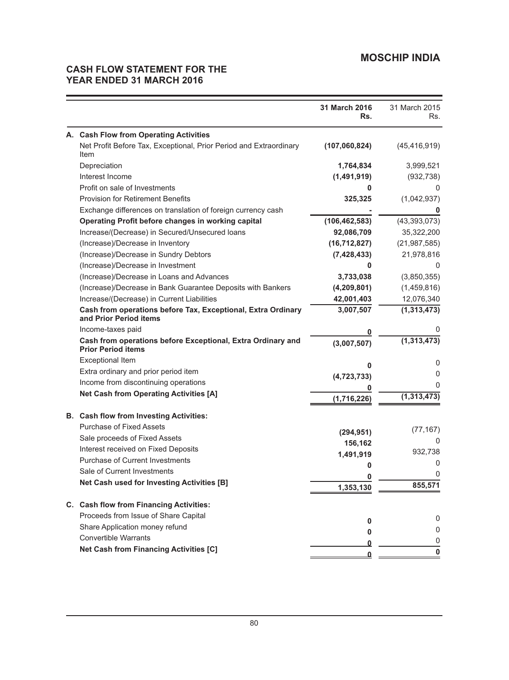### **CASH FLOW STATEMENT FOR THE YEAR ENDED 31 MARCH 2016**

|                                                                                          | 31 March 2016<br>Rs. | 31 March 2015<br>Rs. |
|------------------------------------------------------------------------------------------|----------------------|----------------------|
| A. Cash Flow from Operating Activities                                                   |                      |                      |
| Net Profit Before Tax, Exceptional, Prior Period and Extraordinary<br>Item               | (107,060,824)        | (45, 416, 919)       |
| Depreciation                                                                             | 1,764,834            | 3,999,521            |
| Interest Income                                                                          | (1,491,919)          | (932, 738)           |
| Profit on sale of Investments                                                            | 0                    | 0                    |
| <b>Provision for Retirement Benefits</b>                                                 | 325,325              | (1,042,937)          |
| Exchange differences on translation of foreign currency cash                             |                      | 0                    |
| Operating Profit before changes in working capital                                       | (106, 462, 583)      | (43, 393, 073)       |
| Increase/(Decrease) in Secured/Unsecured loans                                           | 92,086,709           | 35,322,200           |
| (Increase)/Decrease in Inventory                                                         | (16, 712, 827)       | (21, 987, 585)       |
| (Increase)/Decrease in Sundry Debtors                                                    | (7, 428, 433)        | 21,978,816           |
| (Increase)/Decrease in Investment                                                        | 0                    |                      |
| (Increase)/Decrease in Loans and Advances                                                | 3,733,038            | (3,850,355)          |
| (Increase)/Decrease in Bank Guarantee Deposits with Bankers                              | (4,209,801)          | (1,459,816)          |
| Increase/(Decrease) in Current Liabilities                                               | 42,001,403           | 12,076,340           |
| Cash from operations before Tax, Exceptional, Extra Ordinary<br>and Prior Period items   | 3,007,507            | (1,313,473)          |
| Income-taxes paid                                                                        | 0                    | 0                    |
| Cash from operations before Exceptional, Extra Ordinary and<br><b>Prior Period items</b> | (3,007,507)          | (1, 313, 473)        |
| <b>Exceptional Item</b>                                                                  | 0                    | 0                    |
| Extra ordinary and prior period item                                                     | (4,723,733)          | 0                    |
| Income from discontinuing operations                                                     | 0                    | 0                    |
| <b>Net Cash from Operating Activities [A]</b>                                            |                      | (1, 313, 473)        |
|                                                                                          | (1,716,226)          |                      |
| <b>B.</b> Cash flow from Investing Activities:                                           |                      |                      |
| Purchase of Fixed Assets                                                                 | (294, 951)           | (77, 167)            |
| Sale proceeds of Fixed Assets                                                            | 156,162              | 0                    |
| Interest received on Fixed Deposits                                                      | 1,491,919            | 932,738              |
| Purchase of Current Investments                                                          | 0                    | $\Omega$             |
| Sale of Current Investments                                                              | 0                    | $\Omega$             |
| Net Cash used for Investing Activities [B]                                               | 1,353,130            | 855,571              |
| C. Cash flow from Financing Activities:                                                  |                      |                      |
| Proceeds from Issue of Share Capital                                                     | 0                    | 0                    |
| Share Application money refund                                                           |                      | $\boldsymbol{0}$     |
| <b>Convertible Warrants</b>                                                              | 0                    | 0                    |
| <b>Net Cash from Financing Activities [C]</b>                                            | 0                    | 0                    |
|                                                                                          | Ω                    |                      |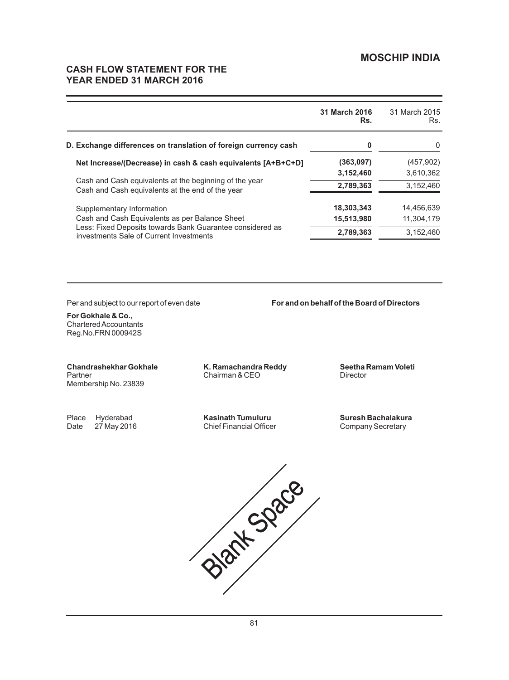### **CASH FLOW STATEMENT FOR THE YEAR ENDED 31 MARCH 2016**

|                                                                                                            | 31 March 2016<br>Rs. | 31 March 2015<br>Rs. |
|------------------------------------------------------------------------------------------------------------|----------------------|----------------------|
| D. Exchange differences on translation of foreign currency cash                                            | 0                    | $\left( \right)$     |
| Net Increase/(Decrease) in cash & cash equivalents [A+B+C+D]                                               | (363,097)            | (457, 902)           |
|                                                                                                            | 3,152,460            | 3.610.362            |
| Cash and Cash equivalents at the beginning of the year<br>Cash and Cash equivalents at the end of the year | 2,789,363            | 3,152,460            |
| Supplementary Information                                                                                  | 18,303,343           | 14.456.639           |
| Cash and Cash Equivalents as per Balance Sheet                                                             | 15,513,980           | 11.304.179           |
| Less: Fixed Deposits towards Bank Guarantee considered as<br>investments Sale of Current Investments       | 2,789,363            | 3,152,460            |

Per and subject to our report of even date **For and on behalf of the Board of Directors**

**For Gokhale & Co.,** Chartered Accountants Reg.No.FRN 000942S

**Chandrashekhar Gokhale K. Ramachandra Reddy Seetha Ramam Voleti**<br> **Chairman & CEO** Director **Director** Membership No. 23839

Chairman & CEO

Place Hyderabad **Kasinath Tumuluru Suresh Bachalakura** Chief Financial Officer

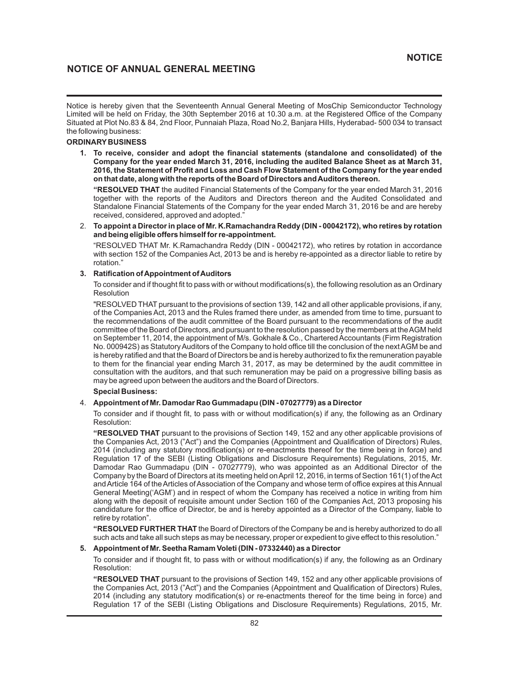Notice is hereby given that the Seventeenth Annual General Meeting of MosChip Semiconductor Technology Limited will be held on Friday, the 30th September 2016 at 10.30 a.m. at the Registered Office of the Company Situated at Plot No.83 & 84, 2nd Floor, Punnaiah Plaza, Road No.2, Banjara Hills, Hyderabad- 500 034 to transact the following business:

### **ORDINARY BUSINESS**

**1. To receive, consider and adopt the financial statements (standalone and consolidated) of the Company for the year ended March 31, 2016, including the audited Balance Sheet as at March 31, 2016, the Statement of Profit and Loss and Cash Flow Statement of the Company for the year ended on that date, along with the reports of the Board of Directors and Auditors thereon.**

**"RESOLVED THAT** the audited Financial Statements of the Company for the year ended March 31, 2016 together with the reports of the Auditors and Directors thereon and the Audited Consolidated and Standalone Financial Statements of the Company for the year ended March 31, 2016 be and are hereby received, considered, approved and adopted."

2. **To appoint a Director in place of Mr. K.Ramachandra Reddy (DIN - 00042172), who retires by rotation and being eligible offers himself for re-appointment.**

"RESOLVED THAT Mr. K.Ramachandra Reddy (DIN - 00042172), who retires by rotation in accordance with section 152 of the Companies Act, 2013 be and is hereby re-appointed as a director liable to retire by rotation."

### **3. Ratification of Appointment of Auditors**

To consider and if thought fit to pass with or without modifications(s), the following resolution as an Ordinary Resolution

"RESOLVED THAT pursuant to the provisions of section 139, 142 and all other applicable provisions, if any, of the Companies Act, 2013 and the Rules framed there under, as amended from time to time, pursuant to the recommendations of the audit committee of the Board pursuant to the recommendations of the audit committee of the Board of Directors, and pursuant to the resolution passed by the members at the AGM held on September 11, 2014, the appointment of M/s. Gokhale & Co., Chartered Accountants (Firm Registration No. 000942S) as Statutory Auditors of the Company to hold office till the conclusion of the next AGM be and is hereby ratified and that the Board of Directors be and is hereby authorized to fix the remuneration payable to them for the financial year ending March 31, 2017, as may be determined by the audit committee in consultation with the auditors, and that such remuneration may be paid on a progressive billing basis as may be agreed upon between the auditors and the Board of Directors.

### **Special Business:**

### 4. **Appointment of Mr. Damodar Rao Gummadapu (DIN - 07027779) as a Director**

To consider and if thought fit, to pass with or without modification(s) if any, the following as an Ordinary Resolution:

**"RESOLVED THAT** pursuant to the provisions of Section 149, 152 and any other applicable provisions of the Companies Act, 2013 ("Act") and the Companies (Appointment and Qualification of Directors) Rules, 2014 (including any statutory modification(s) or re-enactments thereof for the time being in force) and Regulation 17 of the SEBI (Listing Obligations and Disclosure Requirements) Regulations, 2015, Mr. Damodar Rao Gummadapu (DIN - 07027779), who was appointed as an Additional Director of the Company by the Board of Directors at its meeting held on April 12, 2016, in terms of Section 161(1) of the Act and Article 164 of the Articles of Association of the Company and whose term of office expires at this Annual General Meeting('AGM') and in respect of whom the Company has received a notice in writing from him along with the deposit of requisite amount under Section 160 of the Companies Act, 2013 proposing his candidature for the office of Director, be and is hereby appointed as a Director of the Company, liable to retire by rotation".

**"RESOLVED FURTHER THAT** the Board of Directors of the Company be and is hereby authorized to do all such acts and take all such steps as may be necessary, proper or expedient to give effect to this resolution."

### **5. Appointment of Mr. Seetha Ramam Voleti (DIN - 07332440) as a Director**

To consider and if thought fit, to pass with or without modification(s) if any, the following as an Ordinary Resolution:

**"RESOLVED THAT** pursuant to the provisions of Section 149, 152 and any other applicable provisions of the Companies Act, 2013 ("Act") and the Companies (Appointment and Qualification of Directors) Rules, 2014 (including any statutory modification(s) or re-enactments thereof for the time being in force) and Regulation 17 of the SEBI (Listing Obligations and Disclosure Requirements) Regulations, 2015, Mr.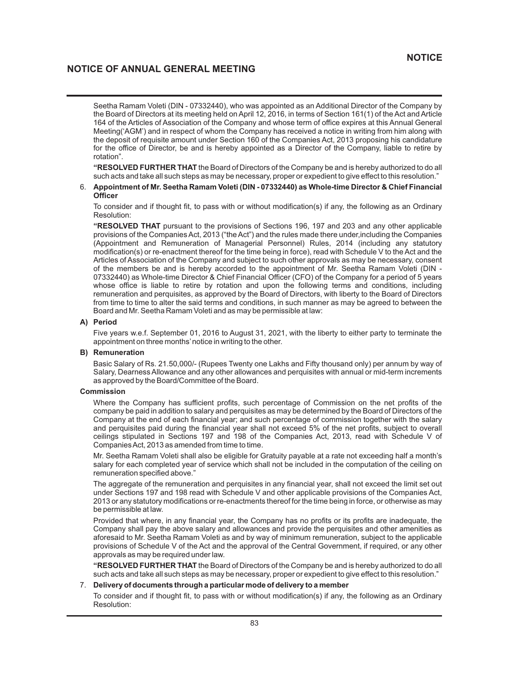Seetha Ramam Voleti (DIN - 07332440), who was appointed as an Additional Director of the Company by the Board of Directors at its meeting held on April 12, 2016, in terms of Section 161(1) of the Act and Article 164 of the Articles of Association of the Company and whose term of office expires at this Annual General Meeting('AGM') and in respect of whom the Company has received a notice in writing from him along with the deposit of requisite amount under Section 160 of the Companies Act, 2013 proposing his candidature for the office of Director, be and is hereby appointed as a Director of the Company, liable to retire by rotation".

**"RESOLVED FURTHER THAT** the Board of Directors of the Company be and is hereby authorized to do all such acts and take all such steps as may be necessary, proper or expedient to give effect to this resolution."

### 6. **Appointment of Mr. Seetha Ramam Voleti (DIN - 07332440) as Whole-time Director & Chief Financial Officer**

To consider and if thought fit, to pass with or without modification(s) if any, the following as an Ordinary Resolution:

**"RESOLVED THAT** pursuant to the provisions of Sections 196, 197 and 203 and any other applicable provisions of the Companies Act, 2013 ("the Act") and the rules made there under,including the Companies (Appointment and Remuneration of Managerial Personnel) Rules, 2014 (including any statutory modification(s) or re-enactment thereof for the time being in force), read with Schedule V to the Act and the Articles of Association of the Company and subject to such other approvals as may be necessary, consent of the members be and is hereby accorded to the appointment of Mr. Seetha Ramam Voleti (DIN - 07332440) as Whole-time Director & Chief Financial Officer (CFO) of the Company for a period of 5 years whose office is liable to retire by rotation and upon the following terms and conditions, including remuneration and perquisites, as approved by the Board of Directors, with liberty to the Board of Directors from time to time to alter the said terms and conditions, in such manner as may be agreed to between the Board and Mr. Seetha Ramam Voleti and as may be permissible at law:

### **A) Period**

Five years w.e.f. September 01, 2016 to August 31, 2021, with the liberty to either party to terminate the appointment on three months'notice in writing to the other.

### **B) Remuneration**

Basic Salary of Rs. 21.50,000/- (Rupees Twenty one Lakhs and Fifty thousand only) per annum by way of Salary, Dearness Allowance and any other allowances and perquisites with annual or mid-term increments as approved by the Board/Committee of the Board.

### **Commission**

Where the Company has sufficient profits, such percentage of Commission on the net profits of the company be paid in addition to salary and perquisites as may be determined by the Board of Directors of the Company at the end of each financial year; and such percentage of commission together with the salary and perquisites paid during the financial year shall not exceed 5% of the net profits, subject to overall ceilings stipulated in Sections 197 and 198 of the Companies Act, 2013, read with Schedule V of Companies Act, 2013 as amended from time to time.

Mr. Seetha Ramam Voleti shall also be eligible for Gratuity payable at a rate not exceeding half a month's salary for each completed year of service which shall not be included in the computation of the ceiling on remuneration specified above."

The aggregate of the remuneration and perquisites in any financial year, shall not exceed the limit set out under Sections 197 and 198 read with Schedule V and other applicable provisions of the Companies Act, 2013 or any statutory modifications or re-enactments thereof for the time being in force, or otherwise as may be permissible at law.

Provided that where, in any financial year, the Company has no profits or its profits are inadequate, the Company shall pay the above salary and allowances and provide the perquisites and other amenities as aforesaid to Mr. Seetha Ramam Voleti as and by way of minimum remuneration, subject to the applicable provisions of Schedule V of the Act and the approval of the Central Government, if required, or any other approvals as may be required under law.

**"RESOLVED FURTHER THAT** the Board of Directors of the Company be and is hereby authorized to do all such acts and take all such steps as may be necessary, proper or expedient to give effect to this resolution."

### 7. **Delivery of documents through a particular mode of delivery to a member**

To consider and if thought fit, to pass with or without modification(s) if any, the following as an Ordinary Resolution: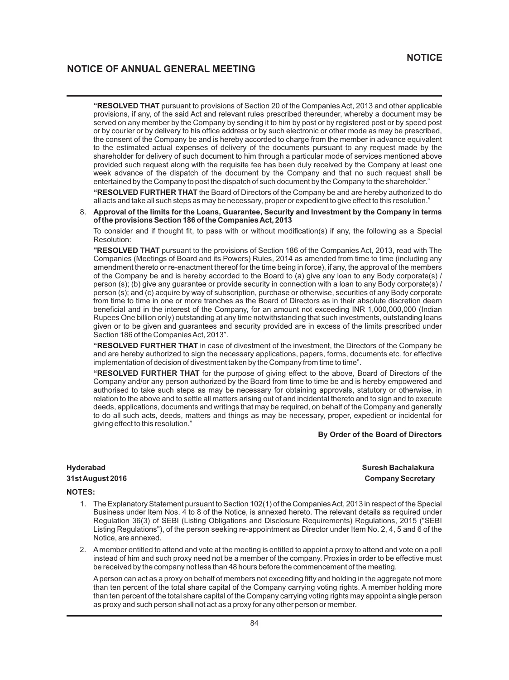### **NOTICE**

### **NOTICE OF ANNUAL GENERAL MEETING**

**"RESOLVED THAT** pursuant to provisions of Section 20 of the Companies Act, 2013 and other applicable provisions, if any, of the said Act and relevant rules prescribed thereunder, whereby a document may be served on any member by the Company by sending it to him by post or by registered post or by speed post or by courier or by delivery to his office address or by such electronic or other mode as may be prescribed, the consent of the Company be and is hereby accorded to charge from the member in advance equivalent to the estimated actual expenses of delivery of the documents pursuant to any request made by the shareholder for delivery of such document to him through a particular mode of services mentioned above provided such request along with the requisite fee has been duly received by the Company at least one week advance of the dispatch of the document by the Company and that no such request shall be entertained by the Company to post the dispatch of such document by the Company to the shareholder."

**"RESOLVED FURTHER THAT** the Board of Directors of the Company be and are hereby authorized to do all acts and take all such steps as may be necessary, proper or expedient to give effect to this resolution."

8. **Approval of the limits for the Loans, Guarantee, Security and Investment by the Company in terms of the provisions Section 186 of the Companies Act, 2013**

To consider and if thought fit, to pass with or without modification(s) if any, the following as a Special Resolution:

**"RESOLVED THAT** pursuant to the provisions of Section 186 of the Companies Act, 2013, read with The Companies (Meetings of Board and its Powers) Rules, 2014 as amended from time to time (including any amendment thereto or re-enactment thereof for the time being in force), if any, the approval of the members of the Company be and is hereby accorded to the Board to (a) give any loan to any Body corporate(s) / person (s); (b) give any guarantee or provide security in connection with a loan to any Body corporate(s) / person (s); and (c) acquire by way of subscription, purchase or otherwise, securities of any Body corporate from time to time in one or more tranches as the Board of Directors as in their absolute discretion deem beneficial and in the interest of the Company, for an amount not exceeding INR 1,000,000,000 (Indian Rupees One billion only) outstanding at any time notwithstanding that such investments, outstanding loans given or to be given and guarantees and security provided are in excess of the limits prescribed under Section 186 of the Companies Act, 2013".

**"RESOLVED FURTHER THAT** in case of divestment of the investment, the Directors of the Company be and are hereby authorized to sign the necessary applications, papers, forms, documents etc. for effective implementation of decision of divestment taken by the Company from time to time".

**"RESOLVED FURTHER THAT** for the purpose of giving effect to the above, Board of Directors of the Company and/or any person authorized by the Board from time to time be and is hereby empowered and authorised to take such steps as may be necessary for obtaining approvals, statutory or otherwise, in relation to the above and to settle all matters arising out of and incidental thereto and to sign and to execute deeds, applications, documents and writings that may be required, on behalf of the Company and generally to do all such acts, deeds, matters and things as may be necessary, proper, expedient or incidental for giving effect to this resolution."

**By Order of the Board of Directors** 

**Hyderabad Suresh Bachalakura 31st August 2016 Company Secretary**

### **NOTES:**

- 1. The Explanatory Statement pursuant to Section 102(1) of the Companies Act, 2013 in respect of the Special Business under Item Nos. 4 to 8 of the Notice, is annexed hereto. The relevant details as required under Regulation 36(3) of SEBI (Listing Obligations and Disclosure Requirements) Regulations, 2015 ("SEBI Listing Regulations"), of the person seeking re-appointment as Director under Item No. 2, 4, 5 and 6 of the Notice, are annexed.
- 2. Amember entitled to attend and vote at the meeting is entitled to appoint a proxy to attend and vote on a poll instead of him and such proxy need not be a member of the company. Proxies in order to be effective must be received by the company not less than 48 hours before the commencement of the meeting.

Aperson can act as a proxy on behalf of members not exceeding fifty and holding in the aggregate not more than ten percent of the total share capital of the Company carrying voting rights. A member holding more than ten percent of the total share capital of the Company carrying voting rights may appoint a single person as proxy and such person shall not act as a proxy for any other person or member.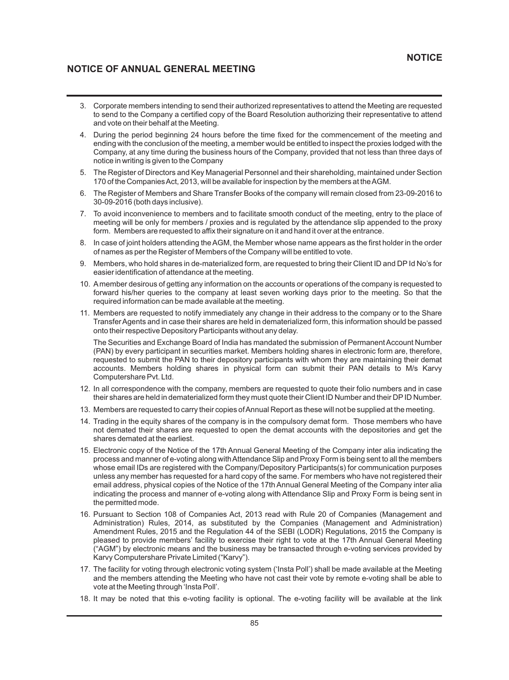- 3. Corporate members intending to send their authorized representatives to attend the Meeting are requested to send to the Company a certified copy of the Board Resolution authorizing their representative to attend and vote on their behalf at the Meeting.
- 4. During the period beginning 24 hours before the time fixed for the commencement of the meeting and ending with the conclusion of the meeting, a member would be entitled to inspect the proxies lodged with the Company, at any time during the business hours of the Company, provided that not less than three days of notice in writing is given to the Company
- 5. The Register of Directors and Key Managerial Personnel and their shareholding, maintained under Section 170 of the Companies Act, 2013, will be available for inspection by the members at the AGM.
- 6. The Register of Members and Share Transfer Books of the company will remain closed from 23-09-2016 to 30-09-2016 (both days inclusive).
- 7. To avoid inconvenience to members and to facilitate smooth conduct of the meeting, entry to the place of meeting will be only for members / proxies and is regulated by the attendance slip appended to the proxy form. Members are requested to affix their signature on it and hand it over at the entrance.
- 8. In case of joint holders attending the AGM, the Member whose name appears as the first holder in the order of names as per the Register of Members of the Company will be entitled to vote.
- 9. Members, who hold shares in de-materialized form, are requested to bring their Client ID and DP Id No's for easier identification of attendance at the meeting.
- 10. Amember desirous of getting any information on the accounts or operations of the company is requested to forward his/her queries to the company at least seven working days prior to the meeting. So that the required information can be made available at the meeting.
- 11. Members are requested to notify immediately any change in their address to the company or to the Share Transfer Agents and in case their shares are held in dematerialized form, this information should be passed onto their respective Depository Participants without any delay.

The Securities and Exchange Board of India has mandated the submission of Permanent Account Number (PAN) by every participant in securities market. Members holding shares in electronic form are, therefore, requested to submit the PAN to their depository participants with whom they are maintaining their demat accounts. Members holding shares in physical form can submit their PAN details to M/s Karvy Computershare Pvt. Ltd.

- 12. In all correspondence with the company, members are requested to quote their folio numbers and in case their shares are held in dematerialized form they must quote their Client ID Number and their DPID Number.
- 13. Members are requested to carry their copies of Annual Report as these will not be supplied at the meeting.
- 14. Trading in the equity shares of the company is in the compulsory demat form. Those members who have not demated their shares are requested to open the demat accounts with the depositories and get the shares demated at the earliest.
- 15. Electronic copy of the Notice of the 17th Annual General Meeting of the Company inter alia indicating the process and manner of e-voting along with Attendance Slip and Proxy Form is being sent to all the members whose email IDs are registered with the Company/Depository Participants(s) for communication purposes unless any member has requested for a hard copy of the same. For members who have not registered their email address, physical copies of the Notice of the 17th Annual General Meeting of the Company inter alia indicating the process and manner of e-voting along with Attendance Slip and Proxy Form is being sent in the permitted mode.
- 16. Pursuant to Section 108 of Companies Act, 2013 read with Rule 20 of Companies (Management and Administration) Rules, 2014, as substituted by the Companies (Management and Administration) Amendment Rules, 2015 and the Regulation 44 of the SEBI (LODR) Regulations, 2015 the Company is pleased to provide members' facility to exercise their right to vote at the 17th Annual General Meeting ("AGM") by electronic means and the business may be transacted through e-voting services provided by Karvy Computershare Private Limited ("Karvy").
- 17. The facility for voting through electronic voting system ('Insta Poll') shall be made available at the Meeting and the members attending the Meeting who have not cast their vote by remote e-voting shall be able to vote at the Meeting through 'Insta Poll'.
- 18. It may be noted that this e-voting facility is optional. The e-voting facility will be available at the link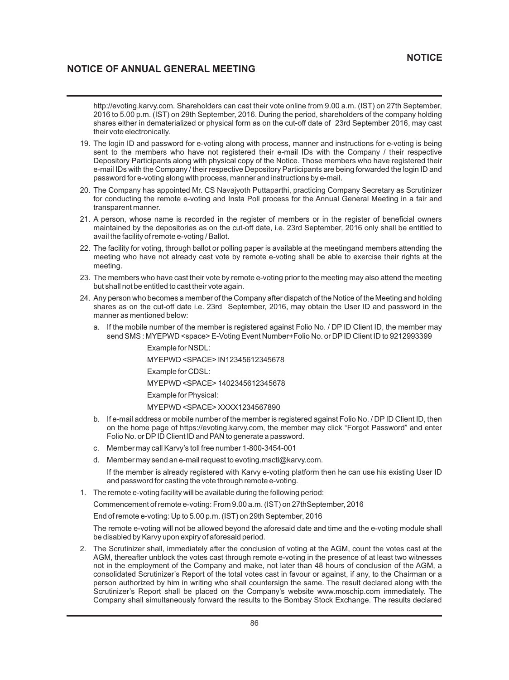http://evoting.karvy.com. Shareholders can cast their vote online from 9.00 a.m. (IST) on 27th September, 2016 to 5.00 p.m. (IST) on 29th September, 2016. During the period, shareholders of the company holding shares either in dematerialized or physical form as on the cut-off date of 23rd September 2016, may cast their vote electronically.

- 19. The login ID and password for e-voting along with process, manner and instructions for e-voting is being sent to the members who have not registered their e-mail IDs with the Company / their respective Depository Participants along with physical copy of the Notice. Those members who have registered their e-mail IDs with the Company / their respective Depository Participants are being forwarded the login ID and password for e-voting along with process, manner and instructions by e-mail.
- 20. The Company has appointed Mr. CS Navajyoth Puttaparthi, practicing Company Secretary as Scrutinizer for conducting the remote e-voting and Insta Poll process for the Annual General Meeting in a fair and transparent manner.
- 21. A person, whose name is recorded in the register of members or in the register of beneficial owners maintained by the depositories as on the cut-off date, i.e. 23rd September, 2016 only shall be entitled to avail the facility of remote e-voting / Ballot.
- 22. The facility for voting, through ballot or polling paper is available at the meetingand members attending the meeting who have not already cast vote by remote e-voting shall be able to exercise their rights at the meeting.
- 23. The members who have cast their vote by remote e-voting prior to the meeting may also attend the meeting but shall not be entitled to cast their vote again.
- 24. Any person who becomes a member of the Company after dispatch of the Notice of the Meeting and holding shares as on the cut-off date i.e. 23rd September, 2016, may obtain the User ID and password in the manner as mentioned below:
	- a. If the mobile number of the member is registered against Folio No. / DP ID Client ID, the member may send SMS : MYEPWD <space> E-Voting Event Number+Folio No. or DPID Client ID to 9212993399

Example for NSDL: MYEPWD <SPACE> IN12345612345678 Example for CDSL: MYEPWD <SPACE> 1402345612345678 Example for Physical: MYEPWD <SPACE> XXXX1234567890

- b. If e-mail address or mobile number of the member is registered against Folio No. / DP ID Client ID, then on the home page of https://evoting.karvy.com, the member may click "Forgot Password" and enter Folio No. or DP ID Client ID and PAN to generate a password.
- c. Member may call Karvy's toll free number 1-800-3454-001
- d. Member may send an e-mail request to evoting.msctl@karvy.com.

If the member is already registered with Karvy e-voting platform then he can use his existing User ID and password for casting the vote through remote e-voting.

1. The remote e-voting facility will be available during the following period:

Commencement of remote e-voting: From 9.00 a.m. (IST) on 27thSeptember, 2016

End of remote e-voting: Up to 5.00 p.m. (IST) on 29th September, 2016

The remote e-voting will not be allowed beyond the aforesaid date and time and the e-voting module shall be disabled by Karvy upon expiry of aforesaid period.

2. The Scrutinizer shall, immediately after the conclusion of voting at the AGM, count the votes cast at the AGM, thereafter unblock the votes cast through remote e-voting in the presence of at least two witnesses not in the employment of the Company and make, not later than 48 hours of conclusion of the AGM, a consolidated Scrutinizer's Report of the total votes cast in favour or against, if any, to the Chairman or a person authorized by him in writing who shall countersign the same. The result declared along with the Scrutinizer's Report shall be placed on the Company's website www.moschip.com immediately. The Company shall simultaneously forward the results to the Bombay Stock Exchange. The results declared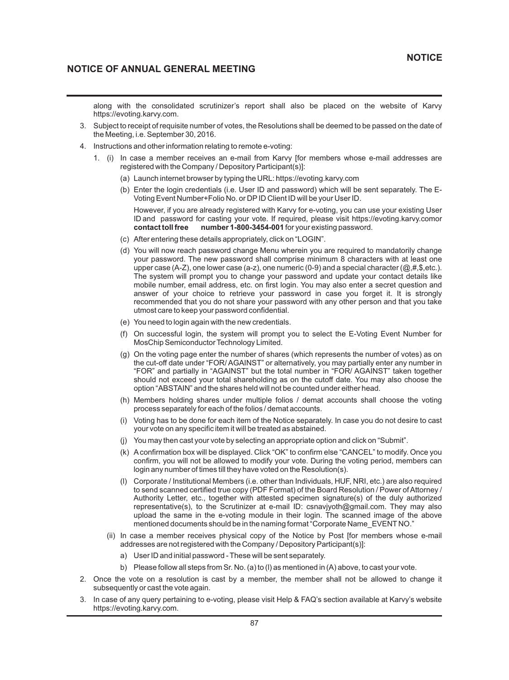along with the consolidated scrutinizer's report shall also be placed on the website of Karvy https://evoting.karvy.com.

- 3. Subject to receipt of requisite number of votes, the Resolutions shall be deemed to be passed on the date of the Meeting, i.e. September 30, 2016.
- 4. Instructions and other information relating to remote e-voting:
	- 1. (i) In case a member receives an e-mail from Karvy [for members whose e-mail addresses are registered with the Company / Depository Participant(s)]:
		- (a) Launch internet browser by typing the URL: https://evoting.karvy.com
		- (b) Enter the login credentials (i.e. User ID and password) which will be sent separately. The E-Voting Event Number+Folio No. or DPID Client ID will be your User ID.

However, if you are already registered with Karvy for e-voting, you can use your existing User ID and password for casting your vote. If required, please visit https://evoting.karvy.comor contact toll free number 1-800-3454-001 for your existing password. **contact toll free number 1-800-3454-001** for your existing password.

- (c) After entering these details appropriately, click on "LOGIN".
- (d) You will now reach password change Menu wherein you are required to mandatorily change your password. The new password shall comprise minimum 8 characters with at least one upper case (A-Z), one lower case (a-z), one numeric (0-9) and a special character ( $\omega, \#, \$$ , etc.). The system will prompt you to change your password and update your contact details like mobile number, email address, etc. on first login. You may also enter a secret question and answer of your choice to retrieve your password in case you forget it. It is strongly recommended that you do not share your password with any other person and that you take utmost care to keep your password confidential.
- (e) You need to login again with the new credentials.
- (f) On successful login, the system will prompt you to select the E-Voting Event Number for MosChip Semiconductor Technology Limited.
- (g) On the voting page enter the number of shares (which represents the number of votes) as on the cut-off date under "FOR/ AGAINST" or alternatively, you may partially enter any number in "FOR" and partially in "AGAINST" but the total number in "FOR/ AGAINST" taken together should not exceed your total shareholding as on the cutoff date. You may also choose the option "ABSTAIN" and the shares held will not be counted under either head.
- (h) Members holding shares under multiple folios / demat accounts shall choose the voting process separately for each of the folios / demat accounts.
- (i) Voting has to be done for each item of the Notice separately. In case you do not desire to cast your vote on any specific item it will be treated as abstained.
- (j) You may then cast your vote by selecting an appropriate option and click on "Submit".
- (k) Aconfirmation box will be displayed. Click "OK" to confirm else "CANCEL" to modify. Once you confirm, you will not be allowed to modify your vote. During the voting period, members can login any number of times till they have voted on the Resolution(s).
- (l) Corporate / Institutional Members (i.e. other than Individuals, HUF, NRI, etc.) are also required to send scanned certified true copy (PDF Format) of the Board Resolution / Power of Attorney / Authority Letter, etc., together with attested specimen signature(s) of the duly authorized representative(s), to the Scrutinizer at e-mail ID: csnavjyoth@gmail.com. They may also upload the same in the e-voting module in their login. The scanned image of the above mentioned documents should be in the naming format "Corporate Name\_EVENT NO."
- (ii) In case a member receives physical copy of the Notice by Post [for members whose e-mail addresses are not registered with the Company / Depository Participant(s)]:
	- a) User ID and initial password These will be sent separately.
	- b) Please follow all steps from Sr. No. (a) to (l) as mentioned in (A) above, to cast your vote.
- 2. Once the vote on a resolution is cast by a member, the member shall not be allowed to change it subsequently or cast the vote again.
- 3. In case of any query pertaining to e-voting, please visit Help & FAQ's section available at Karvy's website https://evoting.karvy.com.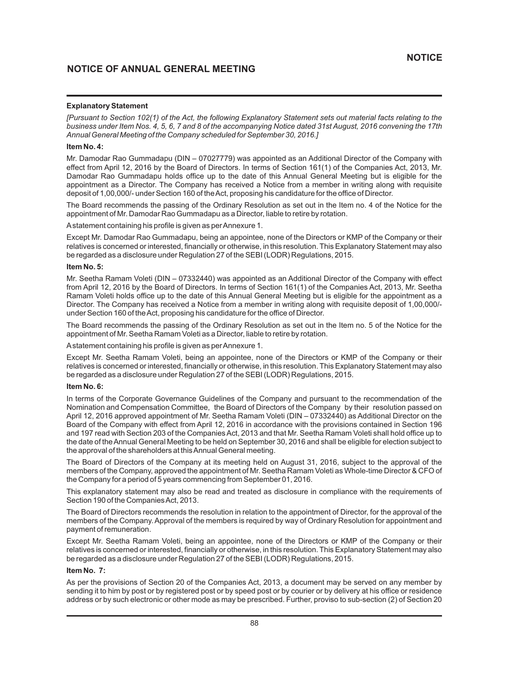### **Explanatory Statement**

*[Pursuant to Section 102(1) of the Act, the following Explanatory Statement sets out material facts relating to the business under Item Nos. 4, 5, 6, 7 and 8 of the accompanying Notice dated 31st August, 2016 convening the 17th Annual General Meeting of the Company scheduled for September 30, 2016.]*

### **Item No. 4:**

Mr. Damodar Rao Gummadapu (DIN – 07027779) was appointed as an Additional Director of the Company with effect from April 12, 2016 by the Board of Directors. In terms of Section 161(1) of the Companies Act, 2013, Mr. Damodar Rao Gummadapu holds office up to the date of this Annual General Meeting but is eligible for the appointment as a Director. The Company has received a Notice from a member in writing along with requisite deposit of 1,00,000/- under Section 160 of the Act, proposing his candidature for the office of Director.

The Board recommends the passing of the Ordinary Resolution as set out in the Item no. 4 of the Notice for the appointment of Mr. Damodar Rao Gummadapu as a Director, liable to retire by rotation.

Astatement containing his profile is given as per Annexure 1.

Except Mr. Damodar Rao Gummadapu, being an appointee, none of the Directors or KMP of the Company or their relatives is concerned or interested, financially or otherwise, in this resolution. This Explanatory Statement may also be regarded as a disclosure under Regulation 27 of the SEBI (LODR) Regulations, 2015.

### **Item No. 5:**

Mr. Seetha Ramam Voleti (DIN – 07332440) was appointed as an Additional Director of the Company with effect from April 12, 2016 by the Board of Directors. In terms of Section 161(1) of the Companies Act, 2013, Mr. Seetha Ramam Voleti holds office up to the date of this Annual General Meeting but is eligible for the appointment as a Director. The Company has received a Notice from a member in writing along with requisite deposit of 1,00,000/ under Section 160 of the Act, proposing his candidature for the office of Director.

The Board recommends the passing of the Ordinary Resolution as set out in the Item no. 5 of the Notice for the appointment of Mr. Seetha Ramam Voleti as a Director, liable to retire by rotation.

Astatement containing his profile is given as per Annexure 1.

Except Mr. Seetha Ramam Voleti, being an appointee, none of the Directors or KMP of the Company or their relatives is concerned or interested, financially or otherwise, in this resolution. This Explanatory Statement may also be regarded as a disclosure under Regulation 27 of the SEBI (LODR) Regulations, 2015.

### **Item No. 6:**

In terms of the Corporate Governance Guidelines of the Company and pursuant to the recommendation of the Nomination and Compensation Committee, the Board of Directors of the Company by their resolution passed on April 12, 2016 approved appointment of Mr. Seetha Ramam Voleti (DIN – 07332440) as Additional Director on the Board of the Company with effect from April 12, 2016 in accordance with the provisions contained in Section 196 and 197 read with Section 203 of the Companies Act, 2013 and that Mr. Seetha Ramam Voleti shall hold office up to the date of the Annual General Meeting to be held on September 30, 2016 and shall be eligible for election subject to the approval of the shareholders at this Annual General meeting.

The Board of Directors of the Company at its meeting held on August 31, 2016, subject to the approval of the members of the Company, approved the appointment of Mr. Seetha Ramam Voleti as Whole-time Director & CFO of the Company for a period of 5 years commencing from September 01, 2016.

This explanatory statement may also be read and treated as disclosure in compliance with the requirements of Section 190 of the Companies Act, 2013.

The Board of Directors recommends the resolution in relation to the appointment of Director, for the approval of the members of the Company. Approval of the members is required by way of Ordinary Resolution for appointment and payment of remuneration.

Except Mr. Seetha Ramam Voleti, being an appointee, none of the Directors or KMP of the Company or their relatives is concerned or interested, financially or otherwise, in this resolution. This Explanatory Statement may also be regarded as a disclosure under Regulation 27 of the SEBI (LODR) Regulations, 2015.

### **Item No. 7:**

As per the provisions of Section 20 of the Companies Act, 2013, a document may be served on any member by sending it to him by post or by registered post or by speed post or by courier or by delivery at his office or residence address or by such electronic or other mode as may be prescribed. Further, proviso to sub-section (2) of Section 20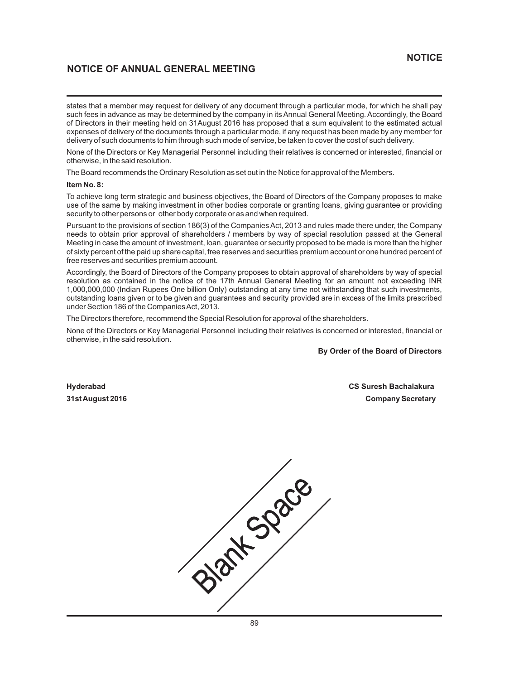states that a member may request for delivery of any document through a particular mode, for which he shall pay such fees in advance as may be determined by the company in its Annual General Meeting. Accordingly, the Board of Directors in their meeting held on 31August 2016 has proposed that a sum equivalent to the estimated actual expenses of delivery of the documents through a particular mode, if any request has been made by any member for delivery of such documents to him through such mode of service, be taken to cover the cost of such delivery.

None of the Directors or Key Managerial Personnel including their relatives is concerned or interested, financial or otherwise, in the said resolution.

The Board recommends the Ordinary Resolution as set out in the Notice for approval of the Members.

### **Item No. 8:**

To achieve long term strategic and business objectives, the Board of Directors of the Company proposes to make use of the same by making investment in other bodies corporate or granting loans, giving guarantee or providing security to other persons or other body corporate or as and when required.

Pursuant to the provisions of section 186(3) of the Companies Act, 2013 and rules made there under, the Company needs to obtain prior approval of shareholders / members by way of special resolution passed at the General Meeting in case the amount of investment, loan, guarantee or security proposed to be made is more than the higher of sixty percent of the paid up share capital, free reserves and securities premium account or one hundred percent of free reserves and securities premium account.

Accordingly, the Board of Directors of the Company proposes to obtain approval of shareholders by way of special resolution as contained in the notice of the 17th Annual General Meeting for an amount not exceeding INR 1,000,000,000 (Indian Rupees One billion Only) outstanding at any time not withstanding that such investments, outstanding loans given or to be given and guarantees and security provided are in excess of the limits prescribed under Section 186 of the Companies Act, 2013.

The Directors therefore, recommend the Special Resolution for approval of the shareholders.

None of the Directors or Key Managerial Personnel including their relatives is concerned or interested, financial or otherwise, in the said resolution.

 **By Order of the Board of Directors** 

**Hyderabad CS Suresh Bachalakura 31st August 2016 Company Secretary**

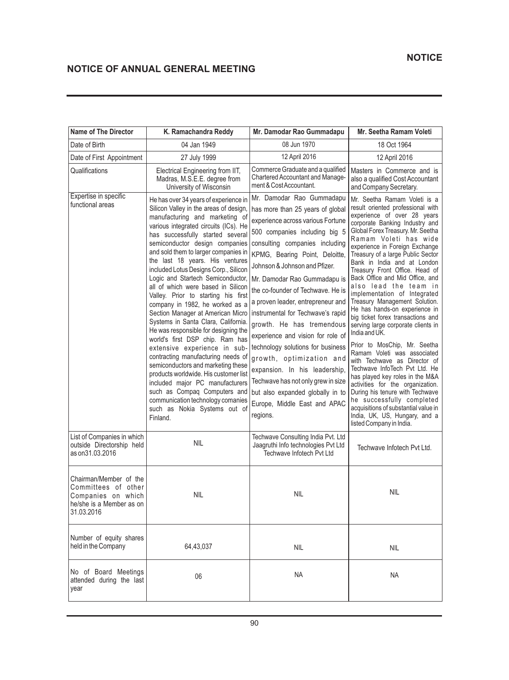| <b>Name of The Director</b>                                                                                   | K. Ramachandra Reddy                                                                                                                                                                                                                                                                                                                                                                                                                                                                                                                                                                                                                                                                                                                                                                                                                                                                                                                                                      | Mr. Damodar Rao Gummadapu                                                                                                                                                                                                                                                                                                                                                                                                                                                                                                                                                                                                                                                         | Mr. Seetha Ramam Voleti                                                                                                                                                                                                                                                                                                                                                                                                                                                                                                                                                                                                                                                                                                                                                                                                                                                                                                                                                        |  |
|---------------------------------------------------------------------------------------------------------------|---------------------------------------------------------------------------------------------------------------------------------------------------------------------------------------------------------------------------------------------------------------------------------------------------------------------------------------------------------------------------------------------------------------------------------------------------------------------------------------------------------------------------------------------------------------------------------------------------------------------------------------------------------------------------------------------------------------------------------------------------------------------------------------------------------------------------------------------------------------------------------------------------------------------------------------------------------------------------|-----------------------------------------------------------------------------------------------------------------------------------------------------------------------------------------------------------------------------------------------------------------------------------------------------------------------------------------------------------------------------------------------------------------------------------------------------------------------------------------------------------------------------------------------------------------------------------------------------------------------------------------------------------------------------------|--------------------------------------------------------------------------------------------------------------------------------------------------------------------------------------------------------------------------------------------------------------------------------------------------------------------------------------------------------------------------------------------------------------------------------------------------------------------------------------------------------------------------------------------------------------------------------------------------------------------------------------------------------------------------------------------------------------------------------------------------------------------------------------------------------------------------------------------------------------------------------------------------------------------------------------------------------------------------------|--|
| Date of Birth                                                                                                 | 04 Jan 1949                                                                                                                                                                                                                                                                                                                                                                                                                                                                                                                                                                                                                                                                                                                                                                                                                                                                                                                                                               | 08 Jun 1970                                                                                                                                                                                                                                                                                                                                                                                                                                                                                                                                                                                                                                                                       | 18 Oct 1964                                                                                                                                                                                                                                                                                                                                                                                                                                                                                                                                                                                                                                                                                                                                                                                                                                                                                                                                                                    |  |
| Date of First Appointment                                                                                     | 27 July 1999                                                                                                                                                                                                                                                                                                                                                                                                                                                                                                                                                                                                                                                                                                                                                                                                                                                                                                                                                              | 12 April 2016                                                                                                                                                                                                                                                                                                                                                                                                                                                                                                                                                                                                                                                                     | 12 April 2016                                                                                                                                                                                                                                                                                                                                                                                                                                                                                                                                                                                                                                                                                                                                                                                                                                                                                                                                                                  |  |
| Qualifications                                                                                                | Electrical Engineering from IIT,<br>Madras, M.S.E.E. degree from<br>University of Wisconsin                                                                                                                                                                                                                                                                                                                                                                                                                                                                                                                                                                                                                                                                                                                                                                                                                                                                               | Commerce Graduate and a qualified<br><b>Chartered Accountant and Manage-</b><br>ment & Cost Accountant.                                                                                                                                                                                                                                                                                                                                                                                                                                                                                                                                                                           | Masters in Commerce and is<br>also a qualified Cost Accountant<br>and Company Secretary.                                                                                                                                                                                                                                                                                                                                                                                                                                                                                                                                                                                                                                                                                                                                                                                                                                                                                       |  |
| Expertise in specific<br>functional areas                                                                     | He has over 34 years of experience in<br>Silicon Valley in the areas of design,<br>manufacturing and marketing of<br>various integrated circuits (ICs). He<br>has successfully started several<br>semiconductor design companies<br>and sold them to larger companies in<br>the last 18 years. His ventures<br>included Lotus Designs Corp., Silicon<br>Logic and Startech Semiconductor,<br>all of which were based in Silicon<br>Valley. Prior to starting his first<br>company in 1982, he worked as a<br>Section Manager at American Micro<br>Systems in Santa Clara, California.<br>He was responsible for designing the<br>world's first DSP chip. Ram has<br>extensive experience in sub-<br>contracting manufacturing needs of<br>semiconductors and marketing these<br>products worldwide. His customer list<br>included major PC manufacturers<br>such as Compaq Computers and<br>communication technology comanies<br>such as Nokia Systems out of<br>Finland. | Mr. Damodar Rao Gummadapu<br>has more than 25 years of global<br>experience across various Fortune<br>500 companies including big 5<br>consulting companies including<br>KPMG, Bearing Point, Deloitte,<br>Johnson & Johnson and Pfizer.<br>Mr. Damodar Rao Gummadapu is<br>the co-founder of Techwave. He is<br>a proven leader, entrepreneur and<br>instrumental for Techwave's rapid<br>growth. He has tremendous<br>experience and vision for role of<br>technology solutions for business<br>growth, optimization and<br>expansion. In his leadership,<br>Techwave has not only grew in size<br>but also expanded globally in to<br>Europe, Middle East and APAC<br>regions. | Mr. Seetha Ramam Voleti is a<br>result oriented professional with<br>experience of over 28 years<br>corporate Banking Industry and<br>Global Forex Treasury. Mr. Seetha<br>Ramam Voleti has wide<br>experience in Foreign Exchange<br>Treasury of a large Public Sector<br>Bank in India and at London<br>Treasury Front Office. Head of<br>Back Office and Mid Office, and<br>also lead the team in<br>implementation of Integrated<br>Treasury Management Solution.<br>He has hands-on experience in<br>big ticket forex transactions and<br>serving large corporate clients in<br>India and UK.<br>Prior to MosChip, Mr. Seetha<br>Ramam Voleti was associated<br>with Techwave as Director of<br>Techwave InfoTech Pvt Ltd. He<br>has played key roles in the M&A<br>activities for the organization.<br>During his tenure with Techwave<br>he successfully completed<br>acquisitions of substantial value in<br>India, UK, US, Hungary, and a<br>listed Company in India. |  |
| List of Companies in which<br>outside Directorship held<br>as on 31.03.2016                                   | <b>NIL</b>                                                                                                                                                                                                                                                                                                                                                                                                                                                                                                                                                                                                                                                                                                                                                                                                                                                                                                                                                                | Techwave Consulting India Pvt. Ltd<br>Jaagruthi Info technologies Pvt Ltd<br><b>Techwave Infotech Pvt Ltd</b>                                                                                                                                                                                                                                                                                                                                                                                                                                                                                                                                                                     | Techwave Infotech Pvt Ltd.                                                                                                                                                                                                                                                                                                                                                                                                                                                                                                                                                                                                                                                                                                                                                                                                                                                                                                                                                     |  |
| Chairman/Member of the<br>Committees of other<br>Companies on which<br>he/she is a Member as on<br>31.03.2016 | <b>NIL</b>                                                                                                                                                                                                                                                                                                                                                                                                                                                                                                                                                                                                                                                                                                                                                                                                                                                                                                                                                                | <b>NIL</b>                                                                                                                                                                                                                                                                                                                                                                                                                                                                                                                                                                                                                                                                        | <b>NIL</b>                                                                                                                                                                                                                                                                                                                                                                                                                                                                                                                                                                                                                                                                                                                                                                                                                                                                                                                                                                     |  |
| Number of equity shares<br>held in the Company                                                                | 64,43,037                                                                                                                                                                                                                                                                                                                                                                                                                                                                                                                                                                                                                                                                                                                                                                                                                                                                                                                                                                 | <b>NIL</b>                                                                                                                                                                                                                                                                                                                                                                                                                                                                                                                                                                                                                                                                        | <b>NIL</b>                                                                                                                                                                                                                                                                                                                                                                                                                                                                                                                                                                                                                                                                                                                                                                                                                                                                                                                                                                     |  |
| No of Board Meetings<br>attended during the last<br>year                                                      | 06                                                                                                                                                                                                                                                                                                                                                                                                                                                                                                                                                                                                                                                                                                                                                                                                                                                                                                                                                                        | <b>NA</b>                                                                                                                                                                                                                                                                                                                                                                                                                                                                                                                                                                                                                                                                         | <b>NA</b>                                                                                                                                                                                                                                                                                                                                                                                                                                                                                                                                                                                                                                                                                                                                                                                                                                                                                                                                                                      |  |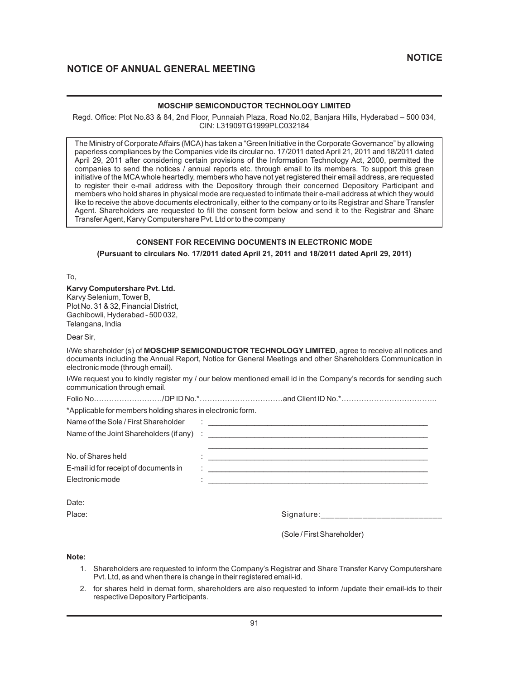### **MOSCHIP SEMICONDUCTOR TECHNOLOGY LIMITED**

Regd. Office: Plot No.83 & 84, 2nd Floor, Punnaiah Plaza, Road No.02, Banjara Hills, Hyderabad – 500 034, CIN: L31909TG1999PLC032184

The Ministry of Corporate Affairs (MCA) has taken a "Green Initiative in the Corporate Governance" by allowing paperless compliances by the Companies vide its circular no. 17/2011 dated April 21, 2011 and 18/2011 dated April 29, 2011 after considering certain provisions of the Information Technology Act, 2000, permitted the companies to send the notices / annual reports etc. through email to its members. To support this green initiative of the MCAwhole heartedly, members who have not yet registered their email address, are requested to register their e-mail address with the Depository through their concerned Depository Participant and members who hold shares in physical mode are requested to intimate their e-mail address at which they would like to receive the above documents electronically, either to the company or to its Registrar and Share Transfer Agent. Shareholders are requested to fill the consent form below and send it to the Registrar and Share Transfer Agent, Karvy Computershare Pvt. Ltd or to the company

### **CONSENT FOR RECEIVING DOCUMENTS IN ELECTRONIC MODE**

### **(Pursuant to circulars No. 17/2011 dated April 21, 2011 and 18/2011 dated April 29, 2011)**

To,

## **Karvy Computershare Pvt. Ltd.**

Karvy Selenium, Tower B, Plot No. 31 & 32, Financial District, Gachibowli, Hyderabad - 500 032, Telangana, India

Dear Sir,

I/We shareholder (s) of **MOSCHIP SEMICONDUCTOR TECHNOLOGY LIMITED**, agree to receive all notices and documents including the Annual Report, Notice for General Meetings and other Shareholders Communication in electronic mode (through email).

I/We request you to kindly register my / our below mentioned email id in the Company's records for sending such communication through email.

Folio No………………………/DPID No.\*……………………………and Client ID No.\*………………………………..

\*Applicable for members holding shares in electronic form.

Name of the Sole / First Shareholder : \_\_\_\_\_\_\_\_\_\_\_\_\_\_\_\_\_\_\_\_\_\_\_\_\_\_\_\_\_\_\_\_\_\_\_\_\_\_\_\_\_\_\_\_\_\_\_\_\_\_\_\_

Name of the Joint Shareholders (if any)  $\therefore$ 

| No. of Shares held                    |  |
|---------------------------------------|--|
| E-mail id for receipt of documents in |  |
| Electronic mode                       |  |

Date:

Place: Signature:

(Sole / First Shareholder)

**Note:**

- 1. Shareholders are requested to inform the Company's Registrar and Share Transfer Karvy Computershare Pvt. Ltd, as and when there is change in their registered email-id.
- 2. for shares held in demat form, shareholders are also requested to inform /update their email-ids to their respective Depository Participants.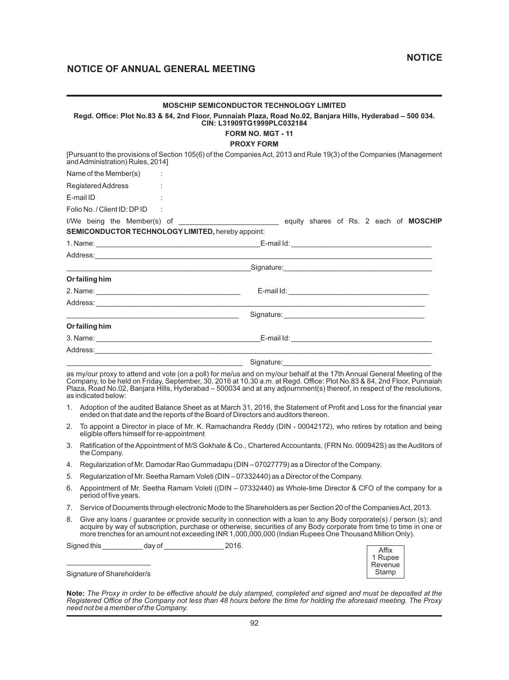# **NOTICE**

|    |                                                                                                      | <b>MOSCHIP SEMICONDUCTOR TECHNOLOGY LIMITED</b>                                                                                                                                                                                                                                                                                                                             |
|----|------------------------------------------------------------------------------------------------------|-----------------------------------------------------------------------------------------------------------------------------------------------------------------------------------------------------------------------------------------------------------------------------------------------------------------------------------------------------------------------------|
|    |                                                                                                      | Regd. Office: Plot No.83 & 84, 2nd Floor, Punnaiah Plaza, Road No.02, Banjara Hills, Hyderabad - 500 034.<br>CIN: L31909TG1999PLC032184                                                                                                                                                                                                                                     |
|    |                                                                                                      | FORM NO. MGT - 11                                                                                                                                                                                                                                                                                                                                                           |
|    |                                                                                                      | <b>PROXY FORM</b>                                                                                                                                                                                                                                                                                                                                                           |
|    | and Administration) Rules, 2014]                                                                     | [Pursuant to the provisions of Section 105(6) of the Companies Act, 2013 and Rule 19(3) of the Companies (Management                                                                                                                                                                                                                                                        |
|    | Name of the Member(s)                                                                                |                                                                                                                                                                                                                                                                                                                                                                             |
|    | Registered Address                                                                                   |                                                                                                                                                                                                                                                                                                                                                                             |
|    | E-mail ID                                                                                            |                                                                                                                                                                                                                                                                                                                                                                             |
|    | Folio No. / Client ID: DP ID                                                                         |                                                                                                                                                                                                                                                                                                                                                                             |
|    |                                                                                                      |                                                                                                                                                                                                                                                                                                                                                                             |
|    | <b>SEMICONDUCTOR TECHNOLOGY LIMITED, hereby appoint:</b>                                             |                                                                                                                                                                                                                                                                                                                                                                             |
|    |                                                                                                      |                                                                                                                                                                                                                                                                                                                                                                             |
|    | Address: Address: Address: Address: Address: Address: Address: Address: Address: Address: Address: A |                                                                                                                                                                                                                                                                                                                                                                             |
|    |                                                                                                      |                                                                                                                                                                                                                                                                                                                                                                             |
|    | Or failing him                                                                                       |                                                                                                                                                                                                                                                                                                                                                                             |
|    |                                                                                                      |                                                                                                                                                                                                                                                                                                                                                                             |
|    |                                                                                                      |                                                                                                                                                                                                                                                                                                                                                                             |
|    |                                                                                                      |                                                                                                                                                                                                                                                                                                                                                                             |
|    | Or failing him                                                                                       |                                                                                                                                                                                                                                                                                                                                                                             |
|    |                                                                                                      | 3. Name: et al. 2014 and 2014 and 2014 and 2014 and 2014 and 2014 and 2014 and 2014 and 2014 and 2014 and 2014                                                                                                                                                                                                                                                              |
|    |                                                                                                      |                                                                                                                                                                                                                                                                                                                                                                             |
|    |                                                                                                      | Signature:                                                                                                                                                                                                                                                                                                                                                                  |
|    | as indicated below:                                                                                  | as my/our proxy to attend and vote (on a poll) for me/us and on my/our behalf at the 17th Annual General Meeting of the<br>Company, to be held on Friday, September, 30, 2016 at 10.30 a.m. at Regd. Office: Plot No.83 & 84, 2nd Floor, Punnaiah<br>Plaza, Road No.02, Banjara Hills, Hyderabad - 500034 and at any adjournment(s) thereof, in respect of the resolutions, |
| 1. |                                                                                                      | Adoption of the audited Balance Sheet as at March 31, 2016, the Statement of Profit and Loss for the financial year<br>ended on that date and the reports of the Board of Directors and auditors thereon.                                                                                                                                                                   |
| 2. | eligible offers himself for re-appointment                                                           | To appoint a Director in place of Mr. K. Ramachandra Reddy (DIN - 00042172), who retires by rotation and being                                                                                                                                                                                                                                                              |
| 3. | the Company.                                                                                         | Ratification of the Appointment of M/S Gokhale & Co., Chartered Accountants, (FRN No. 000942S) as the Auditors of                                                                                                                                                                                                                                                           |
| 4. |                                                                                                      | Regularization of Mr. Damodar Rao Gummadapu (DIN - 07027779) as a Director of the Company.                                                                                                                                                                                                                                                                                  |
| 5. |                                                                                                      | Regularization of Mr. Seetha Ramam Voleti (DIN – 07332440) as a Director of the Company.                                                                                                                                                                                                                                                                                    |
| 6. | period of five years.                                                                                | Appointment of Mr. Seetha Ramam Voleti ((DIN – 07332440) as Whole-time Director & CFO of the company for a                                                                                                                                                                                                                                                                  |
| 7. |                                                                                                      | Service of Documents through electronic Mode to the Shareholders as per Section 20 of the Companies Act, 2013.                                                                                                                                                                                                                                                              |
| 8. |                                                                                                      | Give any loans / guarantee or provide security in connection with a loan to any Body corporate(s) / person (s); and<br>acquire by way of subscription, purchase or otherwise, securities of any Body corporate from time to time in one or<br>more trenches for an amount not exceeding INR 1,000,000,000 (Indian Rupees One Thousand Million Only).                        |
|    | Signature of Shareholder/s                                                                           | Affix<br>1 Rupee<br>Revenue<br>Stamp                                                                                                                                                                                                                                                                                                                                        |

**Note:** The Proxy in order to be effective should be duly stamped, completed and signed and must be deposited at the<br>Registered Office of the Company not less than 48 hours before the time for holding the aforesaid meeting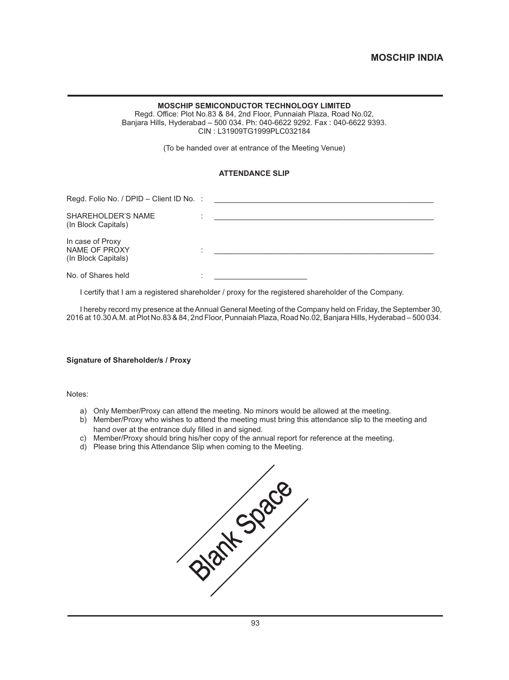### **MOSCHIP SEMICONDUCTOR TECHNOLOGY LIMITED**

Regd. Office: Plot No.83 & 84, 2nd Floor, Punnaiah Plaza, Road No.02, Banjara Hills, Hyderabad – 500 034. Ph: 040-6622 9292. Fax : 040-6622 9393. CIN : L31909TG1999PLC032184

(To be handed over at entrance of the Meeting Venue)

### **ATTENDANCE SLIP**

| Regd. Folio No. / DPID - Client ID No. : |   |  |
|------------------------------------------|---|--|
| <b>SHAREHOLDER'S NAME</b>                | ٠ |  |
| (In Block Capitals)                      |   |  |
| In case of Proxy<br>NAME OF PROXY        |   |  |
| (In Block Capitals)                      |   |  |
| No. of Shares held                       |   |  |

I certify that I am a registered shareholder / proxy for the registered shareholder of the Company.

I hereby record my presence at the Annual General Meeting of the Company held on Friday, the September 30, 2016 at 10.30 A.M. at Plot No.83 & 84, 2nd Floor, Punnaiah Plaza, Road No.02, Banjara Hills, Hyderabad – 500 034.

### **Signature of Shareholder/s / Proxy**

Notes:

- a) Only Member/Proxy can attend the meeting. No minors would be allowed at the meeting.
- b) Member/Proxy who wishes to attend the meeting must bring this attendance slip to the meeting and hand over at the entrance duly filled in and signed.
- c) Member/Proxy should bring his/her copy of the annual report for reference at the meeting.
- d) Please bring this Attendance Slip when coming to the Meeting.

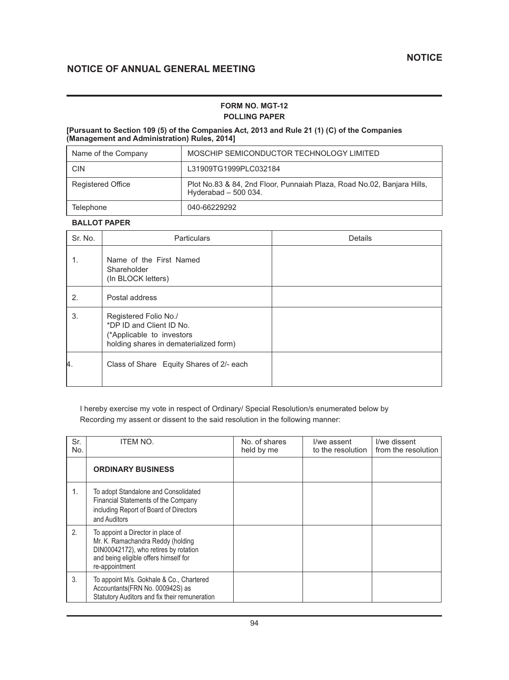### **FORM NO. MGT-12 POLLING PAPER**

### **[Pursuant to Section 109 (5) of the Companies Act, 2013 and Rule 21 (1) (C) of the Companies (Management and Administration) Rules, 2014]**

| Name of the Company      | MOSCHIP SEMICONDUCTOR TECHNOLOGY LIMITED                                                        |  |  |
|--------------------------|-------------------------------------------------------------------------------------------------|--|--|
| <b>CIN</b>               | L31909TG1999PLC032184                                                                           |  |  |
| <b>Registered Office</b> | Plot No.83 & 84, 2nd Floor, Punnaiah Plaza, Road No.02, Banjara Hills,<br>Hyderabad $-500034$ . |  |  |
| Telephone                | 040-66229292                                                                                    |  |  |

### **BALLOT PAPER**

| Sr. No. | Particulars                                                                                                              | Details |
|---------|--------------------------------------------------------------------------------------------------------------------------|---------|
| 1.      | Name of the First Named<br>Shareholder<br>(In BLOCK letters)                                                             |         |
| 2.      | Postal address                                                                                                           |         |
| 3.      | Registered Folio No./<br>*DP ID and Client ID No.<br>(*Applicable to investors<br>holding shares in dematerialized form) |         |
| И.      | Class of Share Equity Shares of 2/- each                                                                                 |         |

I hereby exercise my vote in respect of Ordinary/ Special Resolution/s enumerated below by Recording my assent or dissent to the said resolution in the following manner:

| Sr.<br>No.     | <b>ITEM NO.</b>                                                                                                                                                            | No. of shares<br>held by me | I/we assent<br>to the resolution | I/we dissent<br>from the resolution |
|----------------|----------------------------------------------------------------------------------------------------------------------------------------------------------------------------|-----------------------------|----------------------------------|-------------------------------------|
|                | <b>ORDINARY BUSINESS</b>                                                                                                                                                   |                             |                                  |                                     |
| $\mathbf{1}$ . | To adopt Standalone and Consolidated<br>Financial Statements of the Company<br>including Report of Board of Directors<br>and Auditors                                      |                             |                                  |                                     |
| 2.             | To appoint a Director in place of<br>Mr. K. Ramachandra Reddy (holding<br>DIN00042172), who retires by rotation<br>and being eligible offers himself for<br>re-appointment |                             |                                  |                                     |
| 3.             | To appoint M/s. Gokhale & Co., Chartered<br>Accountants (FRN No. 000942S) as<br>Statutory Auditors and fix their remuneration                                              |                             |                                  |                                     |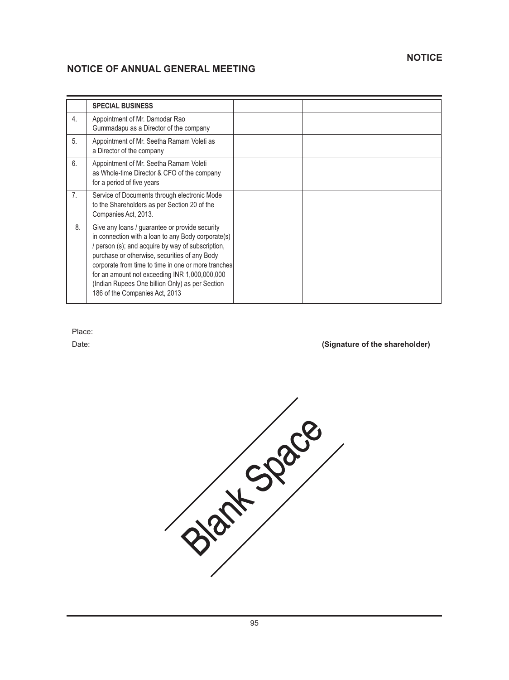|                | <b>SPECIAL BUSINESS</b>                                                                                                                                                                                                                                                                                                                                                                               |  |  |
|----------------|-------------------------------------------------------------------------------------------------------------------------------------------------------------------------------------------------------------------------------------------------------------------------------------------------------------------------------------------------------------------------------------------------------|--|--|
| 4.             | Appointment of Mr. Damodar Rao<br>Gummadapu as a Director of the company                                                                                                                                                                                                                                                                                                                              |  |  |
| 5.             | Appointment of Mr. Seetha Ramam Voleti as<br>a Director of the company                                                                                                                                                                                                                                                                                                                                |  |  |
| 6.             | Appointment of Mr. Seetha Ramam Voleti<br>as Whole-time Director & CFO of the company<br>for a period of five years                                                                                                                                                                                                                                                                                   |  |  |
| 7 <sub>1</sub> | Service of Documents through electronic Mode<br>to the Shareholders as per Section 20 of the<br>Companies Act, 2013.                                                                                                                                                                                                                                                                                  |  |  |
| 8.             | Give any loans / guarantee or provide security<br>in connection with a loan to any Body corporate(s)<br>person (s); and acquire by way of subscription,<br>purchase or otherwise, securities of any Body<br>corporate from time to time in one or more tranches<br>for an amount not exceeding INR 1,000,000,000<br>(Indian Rupees One billion Only) as per Section<br>186 of the Companies Act, 2013 |  |  |

Place:

Date: **(Signature of the shareholder)**

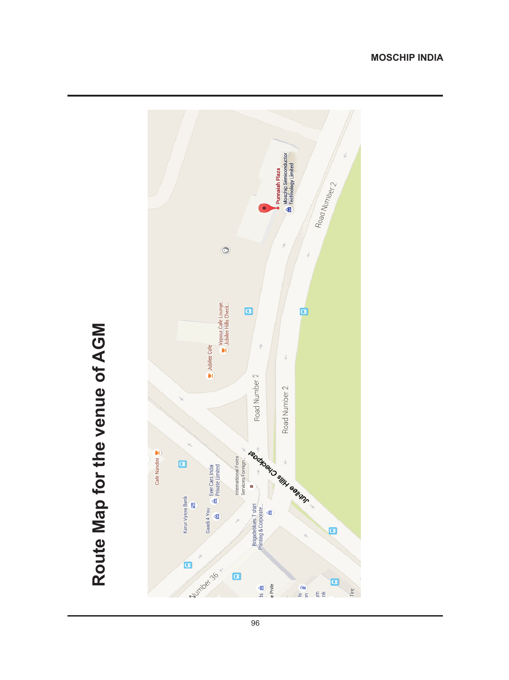

# Route Map for the venue of AGM **Route Map for the venue of AGM**

96